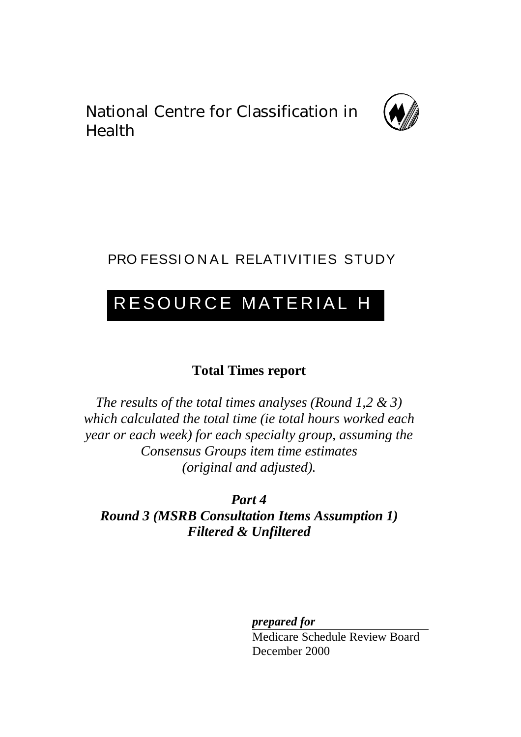National Centre for Classification in Health



# PRO FESSIONAL RELATIVITIES STUDY

# RESOURCE MATERIAL H

# **Total Times report**

*The results of the total times analyses (Round 1,2 & 3) which calculated the total time (ie total hours worked each year or each week) for each specialty group, assuming the Consensus Groups item time estimates (original and adjusted).*

*Part 4 Round 3 (MSRB Consultation Items Assumption 1) Filtered & Unfiltered*

*prepared for*

Medicare Schedule Review Board December 2000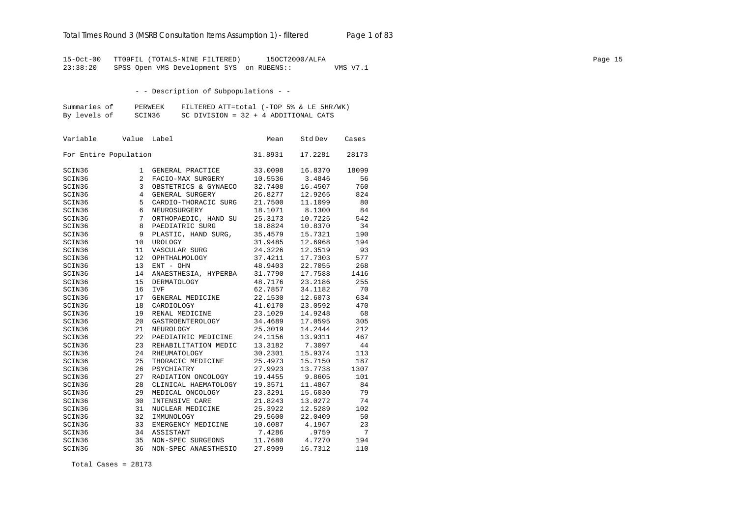15-Oct-00 TT09FIL (TOTALS-NINE FILTERED) 15OCT2000/ALFA Page 15 23:38:20 SPSS Open VMS Development SYS on RUBENS:: VMS V7.1

- - Description of Subpopulations - -

| Summaries of | PERWEEK | FILTERED ATT=total (-TOP 5% & LE 5HR/WK) |
|--------------|---------|------------------------------------------|
| By levels of | SCIN36  | SC DIVISION = $32 + 4$ ADDITIONAL CATS   |

| Variable              | Value | Label                | Mean    | Std Dev | Cases |
|-----------------------|-------|----------------------|---------|---------|-------|
| For Entire Population |       |                      | 31.8931 | 17.2281 | 28173 |
| SCIN36                | 1     | GENERAL PRACTICE     | 33.0098 | 16.8370 | 18099 |
| SCIN36                | 2     | FACIO-MAX SURGERY    | 10.5536 | 3.4846  | 56    |
| SCIN36                | 3     | OBSTETRICS & GYNAECO | 32.7408 | 16.4507 | 760   |
| SCIN36                | 4     | GENERAL SURGERY      | 26.8277 | 12.9265 | 824   |
| SCIN36                | 5     | CARDIO-THORACIC SURG | 21.7500 | 11.1099 | 80    |
| SCIN36                | 6     | NEUROSURGERY         | 18.1071 | 8.1300  | 84    |
| SCIN36                | 7     | ORTHOPAEDIC, HAND SU | 25.3173 | 10.7225 | 542   |
| SCIN36                | 8     | PAEDIATRIC SURG      | 18.8824 | 10.8370 | 34    |
| SCIN36                | 9     | PLASTIC, HAND SURG,  | 35.4579 | 15.7321 | 190   |
| SCIN36                | 10    | <b>UROLOGY</b>       | 31.9485 | 12.6968 | 194   |
| SCIN36                | 11    | VASCULAR SURG        | 24.3226 | 12.3519 | 93    |
| SCIN36                | 12    | OPHTHALMOLOGY        | 37.4211 | 17.7303 | 577   |
| SCIN36                | 13    | ENT - OHN            | 48.9403 | 22.7055 | 268   |
| SCIN36                | 14    | ANAESTHESIA, HYPERBA | 31.7790 | 17.7588 | 1416  |
| SCIN36                | 15    | <b>DERMATOLOGY</b>   | 48.7176 | 23.2186 | 255   |
| SCIN36                | 16    | <b>IVF</b>           | 62.7857 | 34.1182 | 70    |
| SCIN36                | 17    | GENERAL MEDICINE     | 22.1530 | 12.6073 | 634   |
| SCIN36                | 18    | CARDIOLOGY           | 41.0170 | 23.0592 | 470   |
| SCIN36                | 19    | RENAL MEDICINE       | 23.1029 | 14.9248 | 68    |
| SCIN36                | 20    | GASTROENTEROLOGY     | 34.4689 | 17.0595 | 305   |
| SCIN36                | 21    | NEUROLOGY            | 25.3019 | 14.2444 | 212   |
| SCIN36                | 22    | PAEDIATRIC MEDICINE  | 24.1156 | 13.9311 | 467   |
| SCIN36                | 23    | REHABILITATION MEDIC | 13.3182 | 7.3097  | 44    |
| SCIN36                | 24    | RHEUMATOLOGY         | 30.2301 | 15.9374 | 113   |
| SCIN36                | 25    | THORACIC MEDICINE    | 25.4973 | 15.7150 | 187   |
| SCIN36                | 26    | PSYCHIATRY           | 27.9923 | 13.7738 | 1307  |
| SCIN36                | 27    | RADIATION ONCOLOGY   | 19.4455 | 9.8605  | 101   |
| SCIN36                | 28    | CLINICAL HAEMATOLOGY | 19.3571 | 11.4867 | 84    |
| SCIN36                | 29    | MEDICAL ONCOLOGY     | 23.3291 | 15.6030 | 79    |
| SCIN36                | 30    | INTENSIVE CARE       | 21.8243 | 13.0272 | 74    |
| SCIN36                | 31    | NUCLEAR MEDICINE     | 25.3922 | 12.5289 | 102   |
| SCIN36                | 32    | IMMUNOLOGY           | 29.5600 | 22.0409 | 50    |
| SCIN36                | 33    | EMERGENCY MEDICINE   | 10.6087 | 4.1967  | 23    |
| SCIN36                | 34    | ASSISTANT            | 7.4286  | .9759   | 7     |
| SCIN36                | 35    | NON-SPEC SURGEONS    | 11.7680 | 4.7270  | 194   |
| SCIN36                | 36    | NON-SPEC ANAESTHESIO | 27.8909 | 16.7312 | 110   |

Total Cases = 28173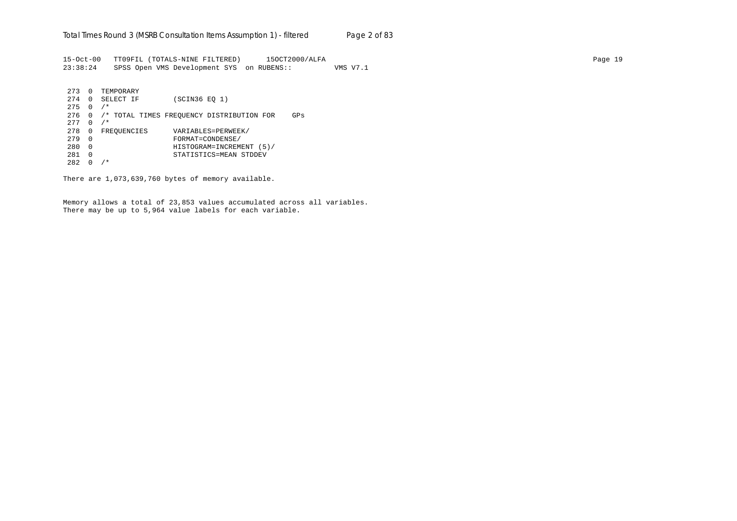15-Oct-00 TT09FIL (TOTALS-NINE FILTERED) 15OCT2000/ALFA Page 19 23:38:24 SPSS Open VMS Development SYS on RUBENS:: VMS V7.1

273 0 TEMPORARY<br>274 0 SELECT IF (SCIN36 EQ 1) 275 0 /\* 276 0 /\* TOTAL TIMES FREQUENCY DISTRIBUTION FOR GPs 277 0 /\* 278 0 FREQUENCIES VARIABLES=PERWEEK/ 279 0 FORMAT=CONDENSE/ 280 0 HISTOGRAM=INCREMENT (5)/ 281 0 STATISTICS=MEAN STDDEV  $282 \t 0 / *$ 

There are 1,073,639,760 bytes of memory available.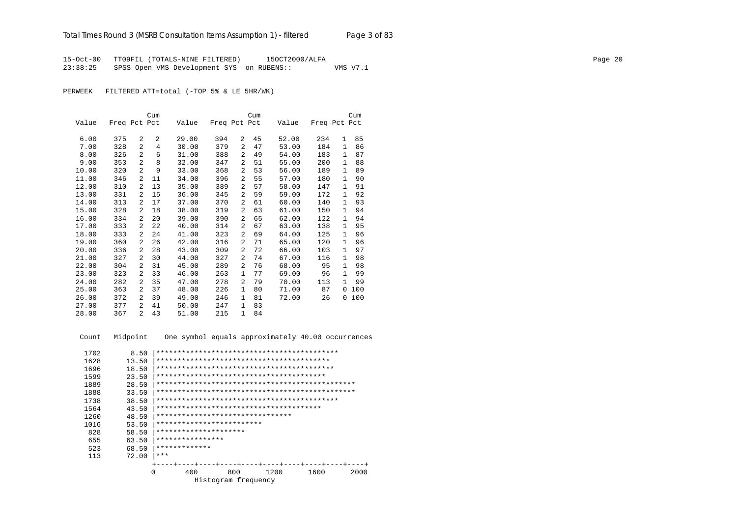15-Oct-00 TT09FIL (TOTALS-NINE FILTERED) 15OCT2000/ALFA Page 20 23:38:25 SPSS Open VMS Development SYS on RUBENS:: VMS V7.1

PERWEEK FILTERED ATT=total (-TOP 5% & LE 5HR/WK)

|       |              |                | Cum            |       |              |                | Cum |       |              |              | Cum |
|-------|--------------|----------------|----------------|-------|--------------|----------------|-----|-------|--------------|--------------|-----|
| Value | Freq Pct Pct |                |                | Value | Freq Pct Pct |                |     | Value | Freq Pct Pct |              |     |
|       |              |                |                |       |              |                |     |       |              |              |     |
| 6.00  | 375          | $\overline{2}$ | 2              | 29.00 | 394          | 2              | 45  | 52.00 | 234          | $\mathbf{1}$ | 85  |
| 7.00  | 328          | $\overline{2}$ | $\overline{4}$ | 30.00 | 379          | $\overline{a}$ | 47  | 53.00 | 184          | 1            | 86  |
| 8.00  | 326          | $\overline{2}$ | 6              | 31.00 | 388          | 2              | 49  | 54.00 | 183          | $\mathbf{1}$ | 87  |
| 9.00  | 353          | $\overline{2}$ | 8              | 32.00 | 347          | 2              | 51  | 55.00 | 200          | $\mathbf{1}$ | 88  |
| 10.00 | 320          | $\overline{2}$ | 9              | 33.00 | 368          | 2              | 53  | 56.00 | 189          | 1            | 89  |
| 11.00 | 346          | 2              | 11             | 34.00 | 396          | 2              | 55  | 57.00 | 180          | 1            | 90  |
| 12.00 | 310          | 2              | 13             | 35.00 | 389          | 2              | 57  | 58.00 | 147          | 1            | 91  |
| 13.00 | 331          | 2              | 15             | 36.00 | 345          | 2              | 59  | 59.00 | 172          | 1            | 92  |
| 14.00 | 313          | $\overline{a}$ | 17             | 37.00 | 370          | $\overline{a}$ | 61  | 60.00 | 140          | $\mathbf{1}$ | 93  |
| 15.00 | 328          | $\overline{a}$ | 18             | 38.00 | 319          | $\overline{a}$ | 63  | 61.00 | 150          | 1            | 94  |
| 16.00 | 334          | 2              | 20             | 39.00 | 390          | 2              | 65  | 62.00 | 122          | 1            | 94  |
| 17.00 | 333          | $\overline{a}$ | 22             | 40.00 | 314          | $\overline{a}$ | 67  | 63.00 | 138          | 1            | 95  |
| 18.00 | 333          | 2              | 24             | 41.00 | 323          | 2              | 69  | 64.00 | 125          | 1            | 96  |
| 19.00 | 360          | $\overline{a}$ | 26             | 42.00 | 316          | 2              | 71  | 65.00 | 120          | 1            | 96  |
| 20.00 | 336          | 2              | 28             | 43.00 | 309          | 2              | 72  | 66.00 | 103          | 1            | 97  |
| 21.00 | 327          | 2              | 30             | 44.00 | 327          | 2              | 74  | 67.00 | 116          | 1            | 98  |
| 22.00 | 304          | 2              | 31             | 45.00 | 289          | 2              | 76  | 68.00 | 95           | 1            | 98  |
| 23.00 | 323          | 2              | 33             | 46.00 | 263          | 1              | 77  | 69.00 | 96           | $\mathbf{1}$ | 99  |
| 24.00 | 282          | $\overline{a}$ | 35             | 47.00 | 278          | 2              | 79  | 70.00 | 113          | $\mathbf{1}$ | 99  |
| 25.00 | 363          | 2              | 37             | 48.00 | 226          | 1              | 80  | 71.00 | 87           | 0            | 100 |
| 26.00 | 372          | $\overline{a}$ | 39             | 49.00 | 246          | 1              | 81  | 72.00 | 26           | 0            | 100 |
| 27.00 | 377          | 2              | 41             | 50.00 | 247          | $\mathbf{1}$   | 83  |       |              |              |     |
| 28.00 | 367          | $\overline{a}$ | 43             | 51.00 | 215          | $\mathbf{1}$   | 84  |       |              |              |     |

Count Midpoint One symbol equals approximately 40.00 occurrences

| 1702 | 8.50  |                                  |                     |     |  |      |  |      |  |      |  |
|------|-------|----------------------------------|---------------------|-----|--|------|--|------|--|------|--|
| 1628 | 13.50 |                                  |                     |     |  |      |  |      |  |      |  |
| 1696 | 18.50 |                                  |                     |     |  |      |  |      |  |      |  |
| 1599 | 23.50 |                                  |                     |     |  |      |  |      |  |      |  |
| 1889 | 28.50 |                                  |                     |     |  |      |  |      |  |      |  |
| 1888 | 33.50 |                                  |                     |     |  |      |  |      |  |      |  |
| 1738 | 38.50 |                                  |                     |     |  |      |  |      |  |      |  |
| 1564 | 43.50 |                                  |                     |     |  |      |  |      |  |      |  |
| 1260 | 48.50 | ******************************** |                     |     |  |      |  |      |  |      |  |
| 1016 | 53.50 | *************************        |                     |     |  |      |  |      |  |      |  |
| 828  | 58.50 | *********************            |                     |     |  |      |  |      |  |      |  |
| 655  | 63.50 | ****************                 |                     |     |  |      |  |      |  |      |  |
| 523  | 68.50 | *************                    |                     |     |  |      |  |      |  |      |  |
| 113  | 72.00 | $***$                            |                     |     |  |      |  |      |  |      |  |
|      |       |                                  |                     |     |  |      |  |      |  |      |  |
|      | O     |                                  | 400                 | 800 |  | 1200 |  | 1600 |  | 2000 |  |
|      |       |                                  | Histogram frequency |     |  |      |  |      |  |      |  |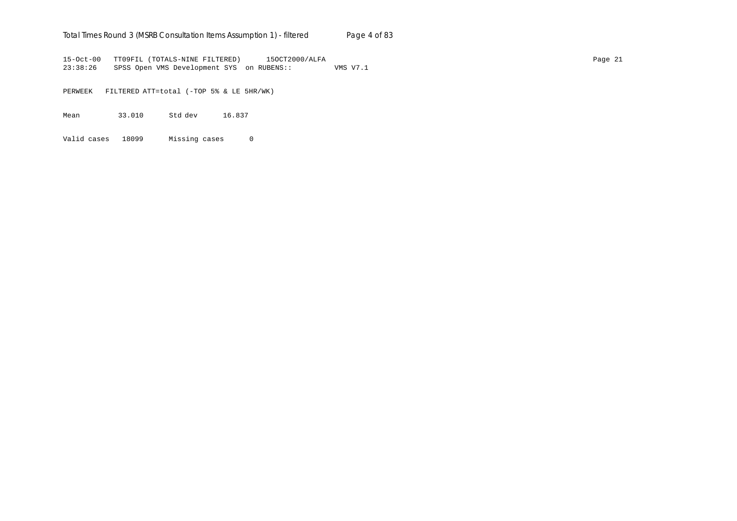## Total Times Round 3 (MSRB Consultation Items Assumption 1) - *filtered* Page 4 of 83

15-Oct-00 TT09FIL (TOTALS-NINE FILTERED) 15OCT2000/ALFA Page 21 23:38:26 SPSS Open VMS Development SYS on RUBENS:: VMS V7.1

PERWEEK FILTERED ATT=total (-TOP 5% & LE 5HR/WK)

Mean 33.010 Std dev 16.837

Valid cases 18099 Missing cases 0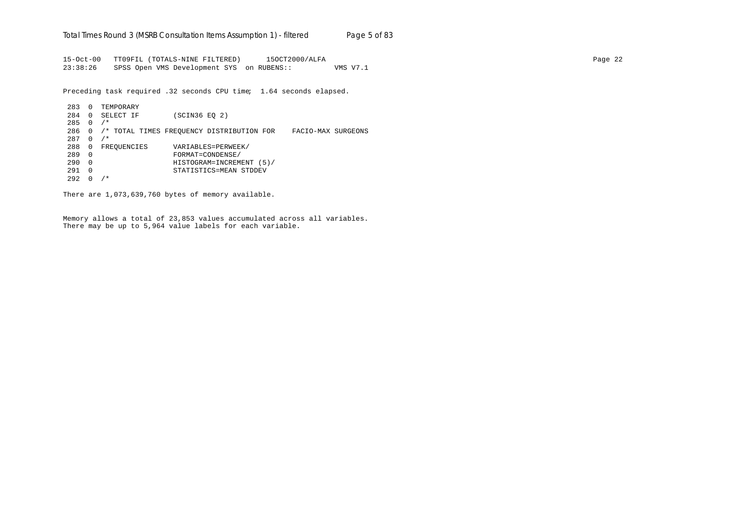15-Oct-00 TT09FIL (TOTALS-NINE FILTERED) 15OCT2000/ALFA Page 22 23:38:26 SPSS Open VMS Development SYS on RUBENS:: VMS V7.1

Preceding task required .32 seconds CPU time; 1.64 seconds elapsed.

283 0 TEMPORARY 284 0 SELECT IF (SCIN36 EQ 2) 285 0 /\* 286 0 /\* TOTAL TIMES FREQUENCY DISTRIBUTION FOR FACIO-MAX SURGEONS  $287 \quad 0 \quad /$ \* 288 0 FREQUENCIES VARIABLES=PERWEEK/<br>289 0 FORMAT=CONDENSE/ 289 0 FORMAT=CONDENSE/ 290 0 HISTOGRAM=INCREMENT (5)/ 291 0 STATISTICS=MEAN STDDEV  $292 \t 0 / *$ 

There are 1,073,639,760 bytes of memory available.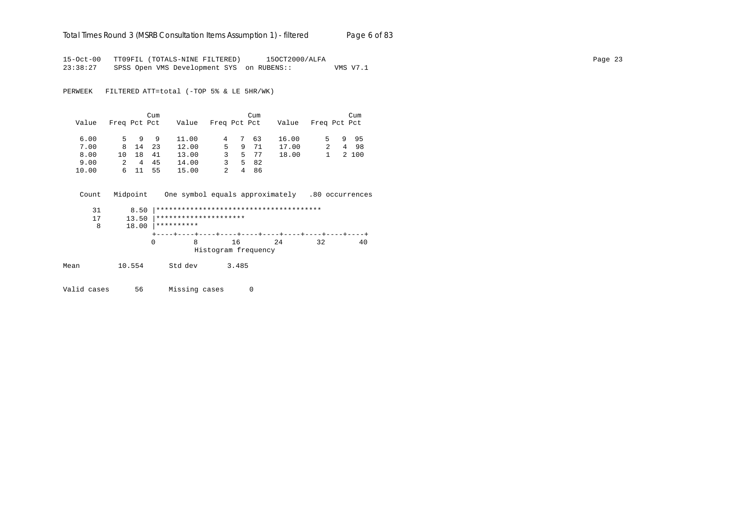# Total Times Round 3 (MSRB Consultation Items Assumption 1) - *filtered* Page 6 of 83

15-Oct-00 TT09FIL (TOTALS-NINE FILTERED) 15OCT2000/ALFA Page 23 23:38:27 SPSS Open VMS Development SYS on RUBENS:: VMS V7.1

PERWEEK FILTERED ATT=total (-TOP 5% & LE 5HR/WK)

|       |              |      | Cum  |       |              |    | Cum  |       |              |    | Cum   |
|-------|--------------|------|------|-------|--------------|----|------|-------|--------------|----|-------|
| Value | Freq Pct Pct |      |      | Value | Freq Pct Pct |    |      | Value | Freq Pct Pct |    |       |
|       |              | 9    | 9    |       |              |    |      |       |              |    |       |
| 6.00  |              |      |      | 11.00 | 4            | 7  | 63   | 16.00 | 5.           | 9. | 95    |
| 7.00  |              | 8 14 | - 23 | 12.00 | 5.           | -9 | 71   | 17.00 | 2            |    | 4 98  |
| 8.00  | 10           | 18   | 41   | 13.00 | 3.           |    | 5 77 | 18.00 |              |    | 2 100 |
| 9.00  | 2            | 4    | 45   | 14.00 | 3            |    | 5 82 |       |              |    |       |
| 10.00 |              | 6 11 | 55   | 15.00 |              | 4  | 86   |       |              |    |       |

|      | Count | Midpoint | One symbol equals approximately .80 occurrences |       |                     |    |    |    |
|------|-------|----------|-------------------------------------------------|-------|---------------------|----|----|----|
|      | 31    | 8.50     |                                                 |       |                     |    |    |    |
|      | 17    | 13.50    | *********************                           |       |                     |    |    |    |
|      | 8     | 18.00    | **********                                      |       |                     |    |    |    |
|      |       |          |                                                 |       |                     |    |    |    |
|      |       |          | 0<br>8                                          | 16    |                     | 24 | 32 | 40 |
|      |       |          |                                                 |       | Histogram frequency |    |    |    |
| Mean |       | 10.554   | Std dev                                         | 3.485 |                     |    |    |    |

Valid cases 56 Missing cases 0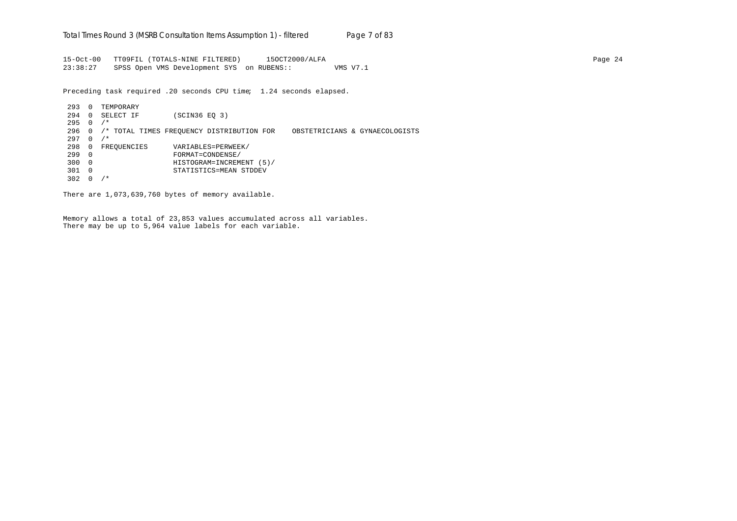15-Oct-00 TT09FIL (TOTALS-NINE FILTERED) 15OCT2000/ALFA Page 24 23:38:27 SPSS Open VMS Development SYS on RUBENS:: VMS V7.1

Preceding task required .20 seconds CPU time; 1.24 seconds elapsed.

293 0 TEMPORARY 294 0 SELECT IF (SCIN36 EQ 3)  $295 \t 0 / *$ 296 0 /\* TOTAL TIMES FREQUENCY DISTRIBUTION FOR OBSTETRICIANS & GYNAECOLOGISTS  $297 \quad 0 \quad /$ \* 298 0 FREQUENCIES VARIABLES=PERWEEK/<br>299 0 FORMAT=CONDENSE/ 299 0 FORMAT=CONDENSE/ 300 0 HISTOGRAM=INCREMENT (5)/ 301 0 STATISTICS=MEAN STDDEV 302 0 /\*

There are 1,073,639,760 bytes of memory available.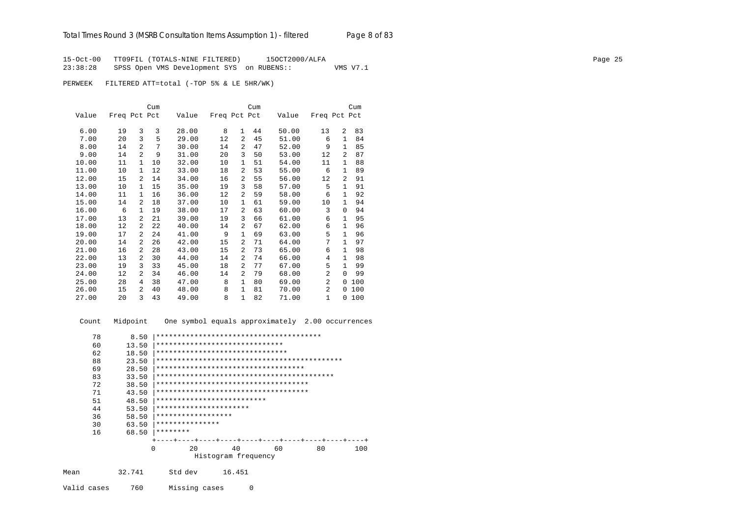15-Oct-00 TT09FIL (TOTALS-NINE FILTERED) 15OCT2000/ALFA<br>23:38:28 SPSS Open VMS Development SYS on RUBENS:: WMS V7.1 SPSS Open VMS Development SYS on RUBENS::

PERWEEK FILTERED ATT=total (-TOP 5% & LE 5HR/WK)

|       |              |                | Cum |       |              |                | Cum |       |                |                | Cum |
|-------|--------------|----------------|-----|-------|--------------|----------------|-----|-------|----------------|----------------|-----|
| Value | Freq Pct Pct |                |     | Value | Freq Pct Pct |                |     | Value | Freq Pct Pct   |                |     |
|       |              |                |     |       |              |                |     |       |                |                |     |
| 6.00  | 19           | 3              | 3   | 28.00 | 8            | $\mathbf{1}$   | 44  | 50.00 | 13             | 2              | 83  |
| 7.00  | 20           | 3              | 5   | 29.00 | 12           | 2              | 45  | 51.00 | 6              | $\mathbf{1}$   | 84  |
| 8.00  | 14           | $\mathfrak{D}$ | 7   | 30.00 | 14           | $\overline{a}$ | 47  | 52.00 | 9              | $\mathbf{1}$   | 85  |
| 9.00  | 14           | $\mathfrak{D}$ | 9   | 31.00 | 20           | 3              | 50  | 53.00 | 12             | 2              | 87  |
| 10.00 | 11           | $\mathbf{1}$   | 10  | 32.00 | 10           | $\mathbf{1}$   | 51  | 54.00 | 11             | $\mathbf{1}$   | 88  |
| 11.00 | 10           | $\mathbf{1}$   | 12  | 33.00 | 18           | 2              | 53  | 55.00 | 6              | $\mathbf{1}$   | 89  |
| 12.00 | 15           | 2              | 14  | 34.00 | 16           | $\overline{a}$ | 55  | 56.00 | 12             | $\overline{2}$ | 91  |
| 13.00 | 10           | $\mathbf{1}$   | 15  | 35.00 | 19           | 3              | 58  | 57.00 | 5              | $\mathbf{1}$   | 91  |
| 14.00 | 11           | $\mathbf{1}$   | 16  | 36.00 | 12           | $\overline{a}$ | 59  | 58.00 | 6              | $\mathbf{1}$   | 92  |
| 15.00 | 14           | $\overline{2}$ | 18  | 37.00 | 10           | 1              | 61  | 59.00 | 10             | $\mathbf{1}$   | 94  |
| 16.00 | 6            | $\mathbf{1}$   | 19  | 38.00 | 17           | 2              | 63  | 60.00 | 3              | $\Omega$       | 94  |
| 17.00 | 13           | 2              | 21  | 39.00 | 19           | 3              | 66  | 61.00 | 6              | 1              | 95  |
| 18.00 | 12           | $\overline{a}$ | 22  | 40.00 | 14           | 2              | 67  | 62.00 | 6              | 1              | 96  |
| 19.00 | 17           | $\overline{a}$ | 24  | 41.00 | 9            | 1              | 69  | 63.00 | 5              | $\mathbf{1}$   | 96  |
| 20.00 | 14           | $\overline{a}$ | 26  | 42.00 | 15           | 2              | 71  | 64.00 | 7              | $\mathbf{1}$   | 97  |
| 21.00 | 16           | $\overline{a}$ | 28  | 43.00 | 15           | 2              | 73  | 65.00 | 6              | 1              | 98  |
| 22.00 | 13           | 2              | 30  | 44.00 | 14           | 2              | 74  | 66.00 | 4              | 1              | 98  |
| 23.00 | 19           | 3              | 33  | 45.00 | 18           | 2              | 77  | 67.00 | 5              | $\mathbf{1}$   | 99  |
| 24.00 | 12           | 2              | 34  | 46.00 | 14           | 2              | 79  | 68.00 | $\overline{a}$ | $\Omega$       | 99  |
| 25.00 | 28           | 4              | 38  | 47.00 | 8            | $\mathbf{1}$   | 80  | 69.00 | $\overline{2}$ | 0              | 100 |
| 26.00 | 15           | 2              | 40  | 48.00 | 8            | $\mathbf{1}$   | 81  | 70.00 | $\overline{2}$ | 0              | 100 |
| 27.00 | 20           | 3              | 43  | 49.00 | 8            | $\mathbf{1}$   | 82  | 71.00 | $\mathbf{1}$   | 0              | 100 |

 Count Midpoint One symbol equals approximately 2.00 occurrences 78 8.50 |\*\*\*\*\*\*\*\*\*\*\*\*\*\*\*\*\*\*\*\*\*\*\*\*\*\*\*\*\*\*\*\*\*\*\*\*\*\*\* 60 13.50 <sup>|</sup>\*\*\*\*\*\*\*\*\*\*\*\*\*\*\*\*\*\*\*\*\*\*\*\*\*\*\*\*\*\*\*\*<br>62 18.50 |\*\*\*\*\*\*\*\*\*\*\*\*\*\*\*\*\*\*\*\*\*\*\*\*\*\*\*\*\*\* 62 18.50 |\*\*\*\*\*\*\*\*\*\*\*\*\*\*\*\*\*\*\*\*\*\*\*\*\*\*\*\*\*\*\*\*\*<br>88 23.50 |\*\*\*\*\*\*\*\*\*\*\*\*\*\*\*\*\*\*\*\*\*\*\*\*\*\*\*\*\*\*\* 88 23.50 |\*\*\*\*\*\*\*\*\*\*\*\*\*\*\*\*\*\*\*\*\*\*\*\*\*\*\*\*\*\*\*\*\*\*\*\*\*\*\*\*\*\*\*\* 69 28.50 |\*\*\*\*\*\*\*\*\*\*\*\*\*\*\*\*\*\*\*\*\*\*\*\*\*\*\*\*\*\*\*\*\*\*\* 83 33.50 |\*\*\*\*\*\*\*\*\*\*\*\*\*\*\*\*\*\*\*\*\*\*\*\*\*\*\*\*\*\*\*\*\*\*\*\*\*\*\*\*\*\* 72 38.50 |\*\*\*\*\*\*\*\*\*\*\*\*\*\*\*\*\*\*\*\*\*\*\*\*\*\*\*\*\*\*\*\*\*\*\*\* 71 43.50 |\*\*\*\*\*\*\*\*\*\*\*\*\*\*\*\*\*\*\*\*\*\*\*\*\*\*\*\*\*\*\*\*\*\*\*\* 51 48.50 |\*\*\*\*\*\*\*\*\*\*\*\*\*\*\*\*\*\*\*\*\*\*\*\*\*\* 44 53.50 |\*\*\*\*\*\*\*\*\*\*\*\*\*\*\*\*\*\*\*\*\*\*\*<br>36 58.50 |\*\*\*\*\*\*\*\*\*\*\*\*\*\*\*\*\*\*\* 36 58.50 |\*\*\*\*\*\*\*\*\*\*\*\*\*\*\*\*\*\* 30 63.50 |\*\*\*\*\*\*\*\*\*\*\*\*\*\*\* 16 68.50 |\*\*\*\*\*\*\*\* +----+----+----+----+----+----+----+----+----+----+ 0 20 40 60 80 100 Histogram frequency Mean 32.741 Std dev 16.451 Valid cases 760 Missing cases 0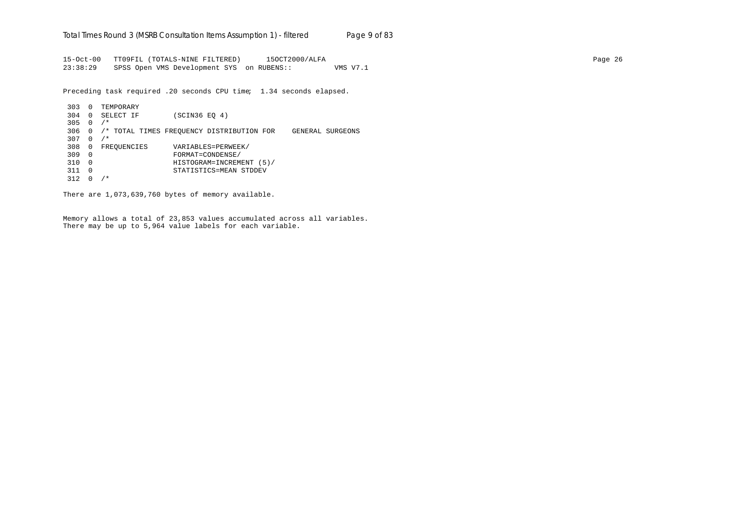15-Oct-00 TT09FIL (TOTALS-NINE FILTERED) 15OCT2000/ALFA Page 26 23:38:29 SPSS Open VMS Development SYS on RUBENS:: VMS V7.1

Preceding task required .20 seconds CPU time; 1.34 seconds elapsed.

303 0 TEMPORARY 304 0 SELECT IF (SCIN36 EQ 4) 305 0 /\* 306 0 /\* TOTAL TIMES FREQUENCY DISTRIBUTION FOR GENERAL SURGEONS  $307 \quad 0 \quad /*$ 308 0 FREQUENCIES VARIABLES=PERWEEK/<br>309 0 FORMAT=CONDENSE/ 309 0 FORMAT=CONDENSE/ 310 0 HISTOGRAM=INCREMENT (5)/ 311 0 STATISTICS=MEAN STDDEV 312 0 /\*

There are 1,073,639,760 bytes of memory available.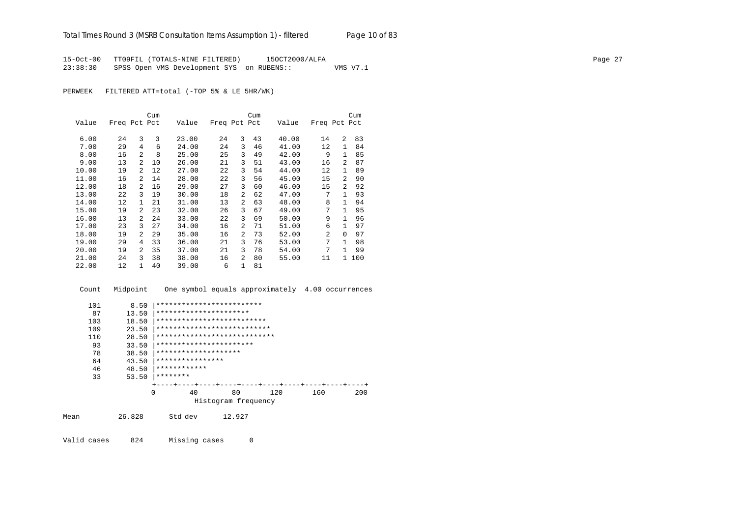15-Oct-00 TT09FIL (TOTALS-NINE FILTERED) 15OCT2000/ALFA Page 27 23:38:30 SPSS Open VMS Development SYS on RUBENS:: VMS V7.1

PERWEEK FILTERED ATT=total (-TOP 5% & LE 5HR/WK)

|       |              |                | Cum |       |              |                | Cum |       |                |                | Cum |
|-------|--------------|----------------|-----|-------|--------------|----------------|-----|-------|----------------|----------------|-----|
| Value | Freq Pct Pct |                |     | Value | Freq Pct Pct |                |     | Value | Freq Pct Pct   |                |     |
| 6.00  | 24           | 3              | 3   | 23.00 | 24           | 3              | 43  | 40.00 | 14             | $\overline{a}$ | 83  |
| 7.00  | 29           | 4              | 6   | 24.00 | 24           | 3              | 46  | 41.00 | 12             | $\mathbf{1}$   | 84  |
| 8.00  | 16           | $\overline{a}$ | 8   | 25.00 | 25           | 3              | 49  | 42.00 | 9              | 1              | 85  |
| 9.00  | 13           | $\overline{a}$ | 10  | 26.00 | 21           | 3              | 51  | 43.00 | 16             | $\overline{a}$ | 87  |
| 10.00 | 19           | 2              | 12  | 27.00 | 22           | 3              | 54  | 44.00 | 12             | $\mathbf{1}$   | 89  |
| 11.00 | 16           | $\mathfrak{D}$ | 14  | 28.00 | 22           | 3              | 56  | 45.00 | 15             | $\overline{a}$ | 90  |
| 12.00 | 18           | 2              | 16  | 29.00 | 27           | 3              | 60  | 46.00 | 15             | 2              | 92  |
| 13.00 | 22           | 3              | 19  | 30.00 | 18           | $\overline{a}$ | 62  | 47.00 | 7              | 1              | 93  |
| 14.00 | 12           | 1              | 21  | 31.00 | 13           | 2              | 63  | 48.00 | 8              | 1.             | 94  |
| 15.00 | 19           | $\mathfrak{D}$ | 23  | 32.00 | 26           | 3              | 67  | 49.00 | 7              | 1              | 95  |
| 16.00 | 13           | 2              | 24  | 33.00 | 22           | 3              | 69  | 50.00 | 9              | $\mathbf{1}$   | 96  |
| 17.00 | 23           | 3              | 27  | 34.00 | 16           | $\overline{a}$ | 71  | 51.00 | 6              | 1              | 97  |
| 18.00 | 19           | 2              | 29  | 35.00 | 16           | $\overline{a}$ | 73  | 52.00 | $\mathfrak{D}$ | $\Omega$       | 97  |
| 19.00 | 29           | 4              | 33  | 36.00 | 21           | 3              | 76  | 53.00 | 7              | 1              | 98  |
| 20.00 | 19           | 2              | 35  | 37.00 | 21           | 3              | 78  | 54.00 | 7              | 1.             | 99  |
| 21.00 | 24           | 3              | 38  | 38.00 | 16           | $\overline{a}$ | 80  | 55.00 | 11             | 1              | 100 |
| 22.00 | 12           | 1              | 40  | 39.00 | 6            | $\mathbf{1}$   | 81  |       |                |                |     |

 Count Midpoint One symbol equals approximately 4.00 occurrences 101 8.50 |\*\*\*\*\*\*\*\*\*\*\*\*\*\*\*\*\*\*\*\*\*\*\*\*\*\*\*\*<br>87 13.50 |\*\*\*\*\*\*\*\*\*\*\*\*\*\*\*\*\*\*\*\*\*\*\*\*\*\*\*\*\*\*\* 87 13.50 |\*\*\*\*\*\*\*\*\*\*\*\*\*\*\*\*\*\*\*\*\*\* 103 18.50 |\*\*\*\*\*\*\*\*\*\*\*\*\*\*\*\*\*\*\*\*\*\*\*\*\*\*\*\*\*<br>109 23.50 |\*\*\*\*\*\*\*\*\*\*\*\*\*\*\*\*\*\*\*\*\*\*\*\*\*\*\* 109 23.50 |\*\*\*\*\*\*\*\*\*\*\*\*\*\*\*\*\*\*\*\*\*\*\*\*\*\*\*\*\*<br>110 28.50 |\*\*\*\*\*\*\*\*\*\*\*\*\*\*\*\*\*\*\*\*\*\*\*\*\*\*\* 110 28.50 |\*\*\*\*\*\*\*\*\*\*\*\*\*\*\*\*\*\*\*\*\*\*\*\*\*\*\*\* 93 33.50 |\*\*\*\*\*\*\*\*\*\*\*\*\*\*\*\*\*\*\*\*\*\*\*\*<br>78 38.50 |\*\*\*\*\*\*\*\*\*\*\*\*\*\*\*\*\*\*\*\*\*\*\*\* 78 38.50 |\*\*\*\*\*\*\*\*\*\*\*\*\*\*\*\*\*\*\*\* 64  $43.50$   $***********************$ <br>46  $48.50$   $**************$ 46  $48.50$   $**************$ <br>33  $53.50$   $********$  33 53.50 |\*\*\*\*\*\*\*\* +----+----+----+----+----+----+----+----+----+----+ 0 40 80 120 160 200 Histogram frequency Mean 26.828 Std dev 12.927

Valid cases 824 Missing cases 0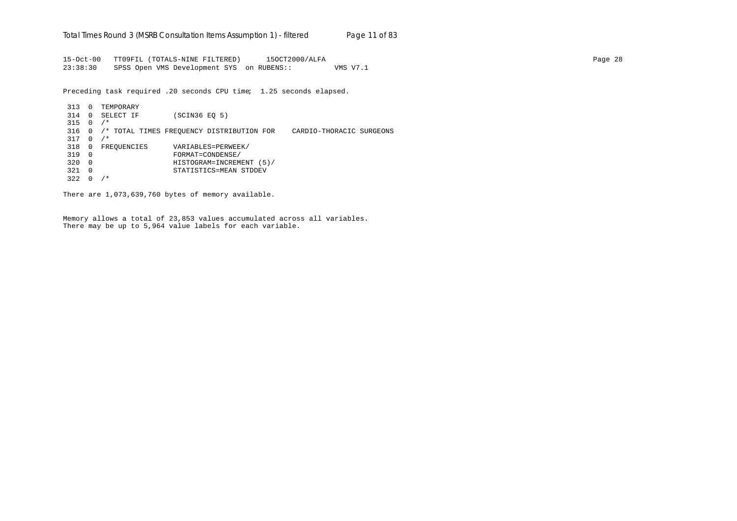15-Oct-00 TT09FIL (TOTALS-NINE FILTERED) 15OCT2000/ALFA Page 28 23:38:30 SPSS Open VMS Development SYS on RUBENS:: VMS V7.1

Preceding task required .20 seconds CPU time; 1.25 seconds elapsed.

313 0 TEMPORARY 314 0 SELECT IF (SCIN36 EQ 5) 315 0 /\* 316 0 /\* TOTAL TIMES FREQUENCY DISTRIBUTION FOR CARDIO-THORACIC SURGEONS 317 0 /\* 318 0 FREQUENCIES VARIABLES=PERWEEK/<br>319 0 FORMAT=CONDENSE/ 319 0 FORMAT=CONDENSE/ 320 0 HISTOGRAM=INCREMENT (5)/ 321 0 STATISTICS=MEAN STDDEV 322 0 /\*

There are 1,073,639,760 bytes of memory available.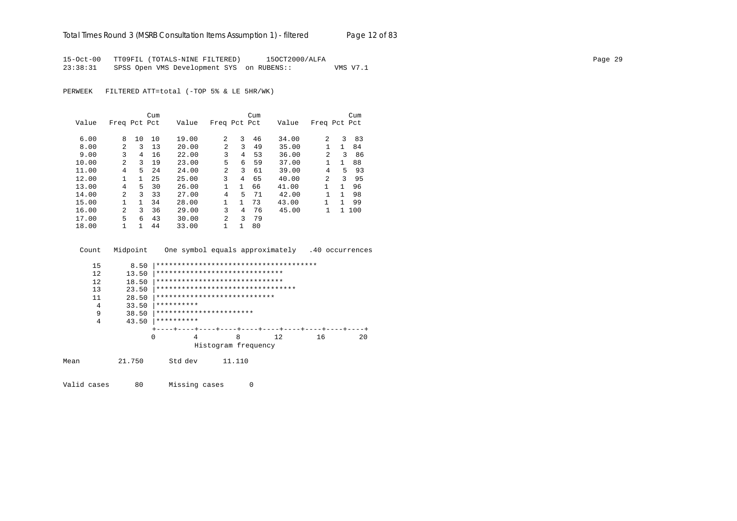15-Oct-00 TT09FIL (TOTALS-NINE FILTERED) 15OCT2000/ALFA Page 29 23:38:31 SPSS Open VMS Development SYS on RUBENS:: VMS V7.1

PERWEEK FILTERED ATT=total (-TOP 5% & LE 5HR/WK)

|       |                |              | Cum |       |                |              | Cum |       |                |    | Cum   |
|-------|----------------|--------------|-----|-------|----------------|--------------|-----|-------|----------------|----|-------|
| Value | Freq Pct Pct   |              |     | Value | Freq Pct Pct   |              |     | Value | Freq Pct Pct   |    |       |
|       |                |              |     |       |                |              |     |       |                |    |       |
| 6.00  | 8              | 10           | 10  | 19.00 | $\overline{a}$ | 3            | 46  | 34.00 | $\mathfrak{D}$ | 3  | 83    |
| 8.00  | 2              | ζ            | 13  | 20.00 | $\mathfrak{D}$ | 3            | 49  | 35.00 | 1              | 1. | 84    |
| 9.00  | 3              | 4            | 16  | 22.00 | 3              | 4            | 53  | 36.00 | 2              | 3  | 86    |
| 10.00 | $\mathfrak{D}$ | 3            | 19  | 23.00 | 5              | 6            | 59  | 37.00 | 1              | 1  | 88    |
| 11.00 | 4              | 5            | 2.4 | 24.00 | $\overline{a}$ | 3            | 61  | 39.00 | 4              | 5  | 93    |
| 12.00 | $\mathbf{1}$   | $\mathbf{1}$ | 25  | 25.00 | 3              | 4            | 65  | 40.00 | $\mathfrak{D}$ | 3  | 95    |
| 13.00 | 4              | 5            | 30  | 26.00 |                | $\mathbf{1}$ | 66  | 41.00 | 1              | 1  | 96    |
| 14.00 | $\overline{a}$ | 3            | 33  | 27.00 | 4              | 5            | 71  | 42.00 | 1              | 1. | 98    |
| 15.00 |                | 1            | 34  | 28.00 |                | 1            | 73  | 43.00 | 1              | 1. | 99    |
| 16.00 | $\mathfrak{D}$ | 3            | 36  | 29.00 | 3              | 4            | 76  | 45.00 | 1              |    | 1 100 |
| 17.00 | 5              | 6            | 43  | 30.00 | $\overline{2}$ | 3            | 79  |       |                |    |       |
| 18.00 |                | 1.           | 44  | 33.00 | 1              | 1            | 80  |       |                |    |       |

Count Midpoint One symbol equals approximately .40 occurrences

| 15 | 8.50  |                                   |   |                     |   |    |    |    |
|----|-------|-----------------------------------|---|---------------------|---|----|----|----|
| 12 | 13.50 | ******************************    |   |                     |   |    |    |    |
| 12 | 18.50 | ******************************    |   |                     |   |    |    |    |
| 13 | 23.50 | ********************************* |   |                     |   |    |    |    |
| 11 | 28.50 | ****************************      |   |                     |   |    |    |    |
| 4  | 33.50 | **********                        |   |                     |   |    |    |    |
| 9  | 38.50 | ***********************           |   |                     |   |    |    |    |
| 4  | 43.50 | **********                        |   |                     |   |    |    |    |
|    |       | ---+----+----+----+----+----+     |   |                     |   |    |    |    |
|    | 0     |                                   | 4 |                     | 8 | 12 | 16 | 20 |
|    |       |                                   |   | Histogram frequency |   |    |    |    |
|    |       |                                   |   |                     |   |    |    |    |

Mean 21.750 Std dev 11.110

Valid cases 80 Missing cases 0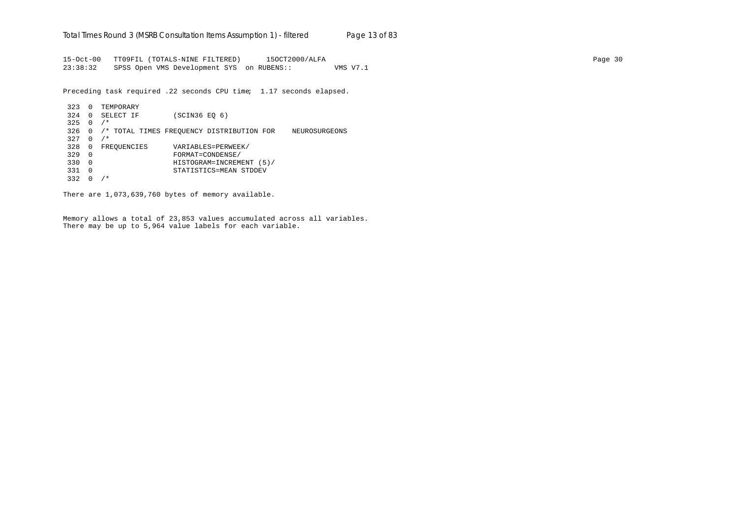15-Oct-00 TT09FIL (TOTALS-NINE FILTERED) 15OCT2000/ALFA Page 30 23:38:32 SPSS Open VMS Development SYS on RUBENS:: VMS V7.1

Preceding task required .22 seconds CPU time; 1.17 seconds elapsed.

```
323 0 TEMPORARY
324 0 SELECT IF (SCIN36 EQ 6)
325 \t 0 / *326 0 /* TOTAL TIMES FREQUENCY DISTRIBUTION FOR NEUROSURGEONS
327 \t 0 \t /\t328 0 FREQUENCIES VARIABLES=PERWEEK/<br>329 0 FORMAT=CONDENSE/
329 0 FORMAT=CONDENSE/
330 0 HISTOGRAM=INCREMENT (5)/
331 0 STATISTICS=MEAN STDDEV
332 0 /*
```
There are 1,073,639,760 bytes of memory available.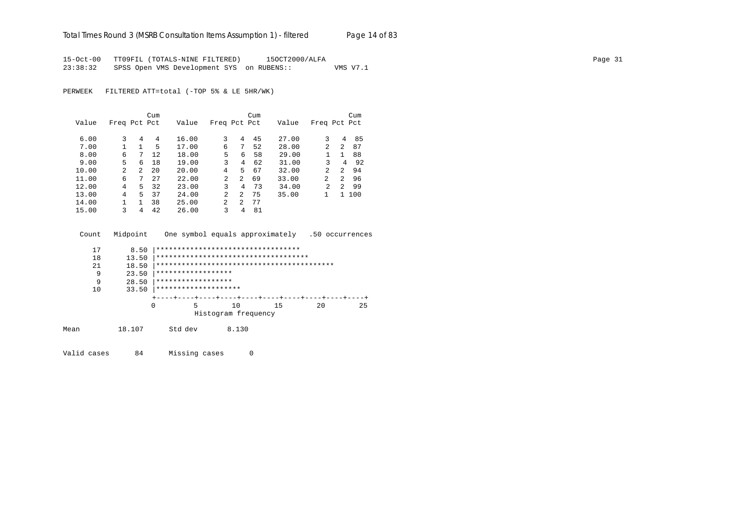# Total Times Round 3 (MSRB Consultation Items Assumption 1) - *filtered* Page 14 of 83

15-Oct-00 TT09FIL (TOTALS-NINE FILTERED) 15OCT2000/ALFA Page 31 23:38:32 SPSS Open VMS Development SYS on RUBENS:: VMS V7.1

PERWEEK FILTERED ATT=total (-TOP 5% & LE 5HR/WK)

|       |              |                | Cum |       |                |                | Cum |       |                |         | Cum   |
|-------|--------------|----------------|-----|-------|----------------|----------------|-----|-------|----------------|---------|-------|
| Value | Freq Pct Pct |                |     | Value | Freq Pct Pct   |                |     | Value | Freq Pct Pct   |         |       |
|       |              |                |     |       |                |                |     |       |                |         |       |
| 6.00  | 3            | 4              | 4   | 16.00 | 3              | 4              | 45  | 27.00 | 3              | 4       | 85    |
| 7.00  |              | 1              | 5   | 17.00 | 6              | 7              | 52  | 28.00 | 2              | 2       | 87    |
| 8.00  | 6            | 7              | 12  | 18.00 | 5.             | 6              | 58  | 29.00 |                |         | 88    |
| 9.00  | 5            | 6              | 18  | 19.00 | 3              | 4              | 62  | 31.00 | 3              | 4       | 92    |
| 10.00 | 2            | $\overline{2}$ | 20  | 20.00 | 4              | 5              | 67  | 32.00 | $\mathfrak{D}$ | $2^{1}$ | 94    |
| 11.00 | 6            | 7              | 27  | 22.00 | $\mathfrak{D}$ | $\overline{a}$ | 69  | 33.00 | 2              | $2^{1}$ | 96    |
| 12.00 | 4            | 5              | 32  | 23.00 | ς              | 4              | 73  | 34.00 | $\mathfrak{D}$ | $2^{1}$ | 99    |
| 13.00 | 4            | 5.             | 37  | 24.00 | 2              | 2              | 75  | 35.00 |                |         | 1 100 |
| 14.00 |              |                | 38  | 25.00 | 2              | 2              | 77  |       |                |         |       |
| 15.00 | ζ            | 4              | 42  | 26.00 | 3              | 4              | 81  |       |                |         |       |

| Count | Midpoint | One symbol equals approximately      |    |                     |    | .50 occurrences |    |
|-------|----------|--------------------------------------|----|---------------------|----|-----------------|----|
| 17    | 8.50     | **********************************   |    |                     |    |                 |    |
| 18    | 13.50    | ************************************ |    |                     |    |                 |    |
| 21    | 18.50    |                                      |    |                     |    |                 |    |
| 9     | 23.50    | ******************                   |    |                     |    |                 |    |
| 9     | 28.50    | ******************                   |    |                     |    |                 |    |
| 10    | 33.50    | ********************                 |    |                     |    |                 |    |
|       |          |                                      |    |                     |    |                 |    |
|       |          | 0<br>5                               | 10 |                     | 15 | 20              | 25 |
|       |          |                                      |    | Histogram frequency |    |                 |    |
| Mean  | 18.107   | Std dev                              |    | 8.130               |    |                 |    |

Valid cases 84 Missing cases 0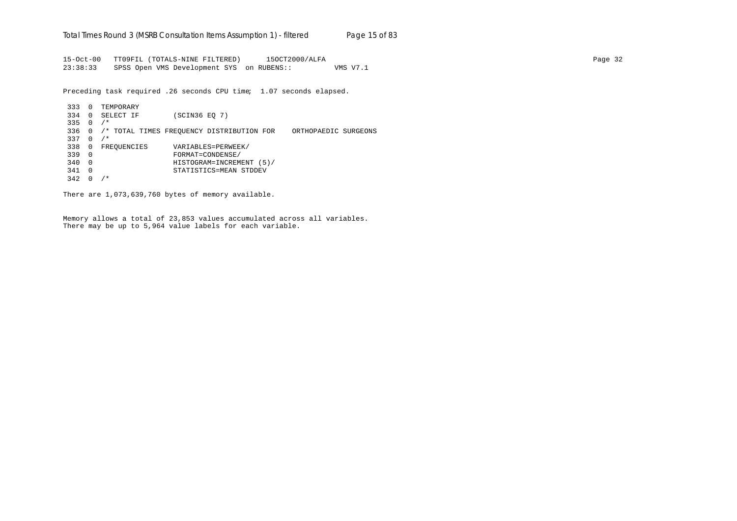15-Oct-00 TT09FIL (TOTALS-NINE FILTERED) 15OCT2000/ALFA Page 32 23:38:33 SPSS Open VMS Development SYS on RUBENS:: VMS V7.1

Preceding task required .26 seconds CPU time; 1.07 seconds elapsed.

333 0 TEMPORARY 334 0 SELECT IF (SCIN36 EQ 7) 335 0 /\* 336 0 /\* TOTAL TIMES FREQUENCY DISTRIBUTION FOR ORTHOPAEDIC SURGEONS 337 0 /\* 338 0 FREQUENCIES VARIABLES=PERWEEK/<br>339 0 FORMAT=CONDENSE/ 339 0 FORMAT=CONDENSE/ 340 0 HISTOGRAM=INCREMENT (5)/ 341 0 STATISTICS=MEAN STDDEV 342 0 /\*

There are 1,073,639,760 bytes of memory available.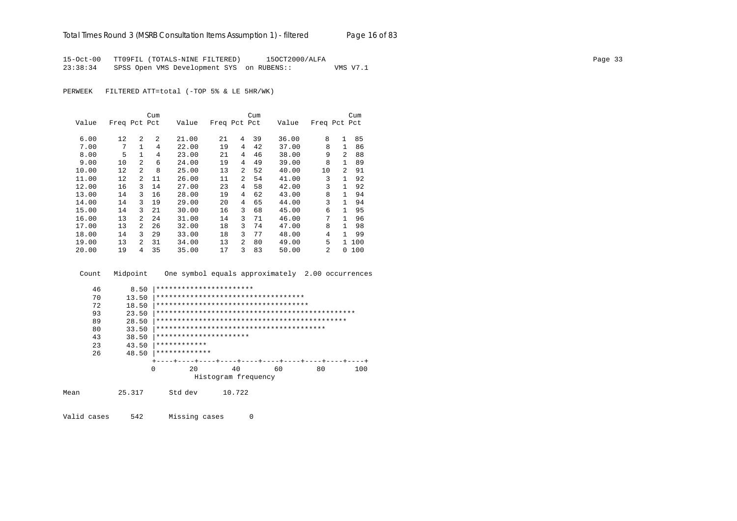15-Oct-00 TT09FIL (TOTALS-NINE FILTERED) 15OCT2000/ALFA Page 33 23:38:34 SPSS Open VMS Development SYS on RUBENS:: VMS V7.1

PERWEEK FILTERED ATT=total (-TOP 5% & LE 5HR/WK)

|       |              |                | Cum |       |              |                | Cum |       |                |                | Cum |
|-------|--------------|----------------|-----|-------|--------------|----------------|-----|-------|----------------|----------------|-----|
| Value | Freq Pct Pct |                |     | Value | Freq Pct Pct |                |     | Value | Freq Pct Pct   |                |     |
|       |              |                |     |       |              |                |     |       |                |                |     |
| 6.00  | 12           | $\mathfrak{D}$ | 2   | 21.00 | 21           | 4              | 39  | 36.00 | 8              | 1              | 85  |
| 7.00  | 7            | $\mathbf{1}$   | 4   | 22.00 | 19           | 4              | 42  | 37.00 | 8              | 1              | 86  |
| 8.00  | 5            | $\mathbf{1}$   | 4   | 23.00 | 21           | 4              | 46  | 38.00 | 9              | $\mathfrak{D}$ | 88  |
| 9.00  | 10           | $\overline{2}$ | 6   | 24.00 | 19           | 4              | 49  | 39.00 | 8              |                | 89  |
| 10.00 | 12           | 2              | 8   | 25.00 | 13           | $\mathfrak{D}$ | 52  | 40.00 | 10             | $\mathfrak{D}$ | 91  |
| 11.00 | 12           | 2              | 11  | 26.00 | 11           | $\overline{a}$ | 54  | 41.00 | 3              |                | 92  |
| 12.00 | 16           | 3              | 14  | 27.00 | 23           | 4              | 58  | 42.00 | 3              | $\mathbf{1}$   | 92  |
| 13.00 | 14           | 3              | 16  | 28.00 | 19           | 4              | 62  | 43.00 | 8              | 1              | 94  |
| 14.00 | 14           | 3              | 19  | 29.00 | 20           | 4              | 65  | 44.00 | 3              | 1.             | 94  |
| 15.00 | 14           | 3              | 21  | 30.00 | 16           | 3              | 68  | 45.00 | 6              | 1.             | 95  |
| 16.00 | 13           | $\overline{2}$ | 24  | 31.00 | 14           | 3              | 71  | 46.00 | 7              | 1              | 96  |
| 17.00 | 13           | 2              | 26  | 32.00 | 18           | 3              | 74  | 47.00 | 8              | 1              | 98  |
| 18.00 | 14           | 3              | 29  | 33.00 | 18           | 3              | 77  | 48.00 | 4              | 1              | 99  |
| 19.00 | 13           | $\mathfrak{D}$ | 31  | 34.00 | 13           | $\overline{a}$ | 80  | 49.00 | 5              | $\mathbf{1}$   | 100 |
| 20.00 | 19           | 4              | 35  | 35.00 | 17           | 3              | 83  | 50.00 | $\mathfrak{D}$ | 0              | 100 |

Count Midpoint One symbol equals approximately 2.00 occurrences

| 46 | 8.50  | ***********************              |                     |    |    |     |
|----|-------|--------------------------------------|---------------------|----|----|-----|
| 70 | 13.50 | ************************************ |                     |    |    |     |
| 72 | 18.50 | ************************************ |                     |    |    |     |
| 93 | 23.50 |                                      |                     |    |    |     |
| 89 | 28.50 |                                      |                     |    |    |     |
| 80 | 33.50 |                                      |                     |    |    |     |
| 43 | 38.50 | **********************               |                     |    |    |     |
| 23 | 43.50 | ************                         |                     |    |    |     |
| 26 | 48.50 | *************                        |                     |    |    |     |
|    |       |                                      |                     |    |    |     |
|    | 0     | 20                                   | 40                  | 60 | 80 | 100 |
|    |       |                                      | Histogram frequency |    |    |     |

| 25.317<br>Mean | Std dev | 10.722 |
|----------------|---------|--------|
|----------------|---------|--------|

Valid cases 542 Missing cases 0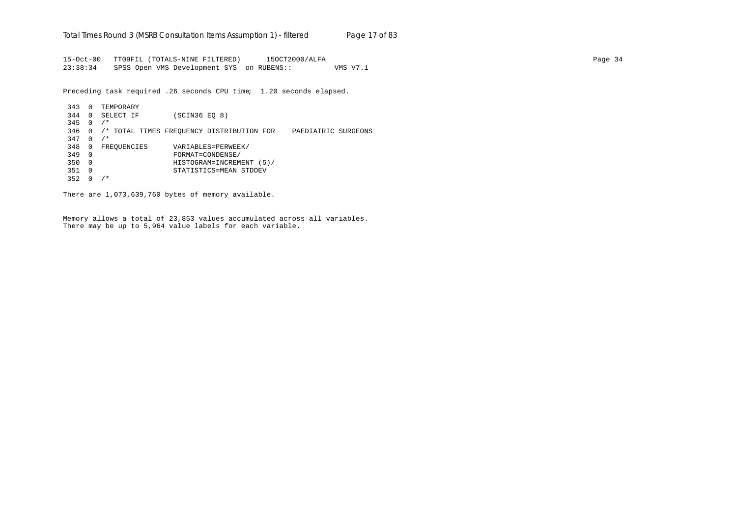15-Oct-00 TT09FIL (TOTALS-NINE FILTERED) 15OCT2000/ALFA Page 34 23:38:34 SPSS Open VMS Development SYS on RUBENS:: VMS V7.1

Preceding task required .26 seconds CPU time; 1.20 seconds elapsed.

343 0 TEMPORARY 344 0 SELECT IF (SCIN36 EQ 8)  $345 \quad 0 \quad /*$ 346 0 /\* TOTAL TIMES FREQUENCY DISTRIBUTION FOR PAEDIATRIC SURGEONS 347 0 /\* 348 0 FREQUENCIES VARIABLES=PERWEEK/ 349 0 FORMAT=CONDENSE/ 350 0 HISTOGRAM=INCREMENT (5)/ 351 0 STATISTICS=MEAN STDDEV 352 0 /\*

There are 1,073,639,760 bytes of memory available.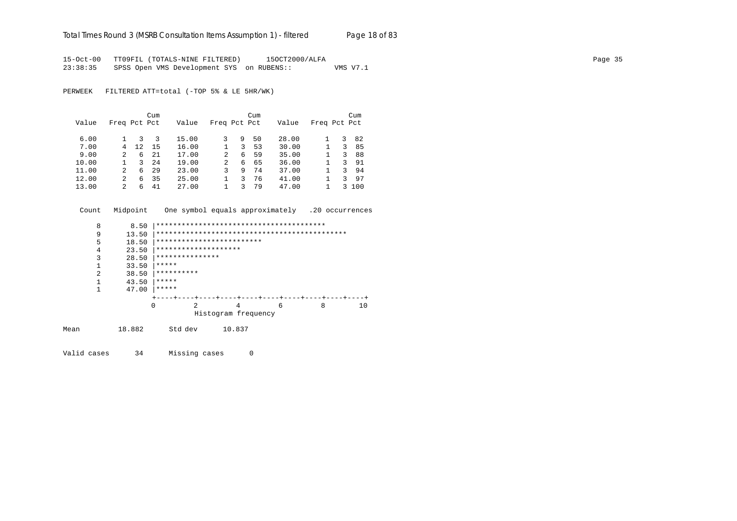#### Total Times Round 3 (MSRB Consultation Items Assumption 1) - *filtered* Page 18 of 83

15-Oct-00 TT09FIL (TOTALS-NINE FILTERED) 15OCT2000/ALFA Page 35 23:38:35 SPSS Open VMS Development SYS on RUBENS:: VMS V7.1

PERWEEK FILTERED ATT=total (-TOP 5% & LE 5HR/WK)

|       |               |     | Cum |       |              |   | Cum |       |              |   | Cum |
|-------|---------------|-----|-----|-------|--------------|---|-----|-------|--------------|---|-----|
| Value | Freq Pct Pct  |     |     | Value | Freq Pct Pct |   |     | Value | Freq Pct Pct |   |     |
| 6.00  |               | 3.  | 3   | 15.00 | 3            | 9 | 50  | 28.00 |              | 3 | 82  |
| 7.00  | 4             | 12. | 15  | 16.00 |              | 3 | 53  | 30.00 |              | 3 | 85  |
| 9.00  | $\mathcal{L}$ | 6   | 21  | 17.00 | 2            | 6 | 59  | 35.00 |              | 3 | 88  |
| 10.00 |               | 3.  | 24  | 19.00 | 2            | 6 | 65  | 36.00 |              | ζ | 91  |
| 11.00 | 2             | 6   | 29  | 23.00 | ς            | 9 | 74  | 37.00 |              | 3 | 94  |
| 12.00 | 2             | 6   | 35  | 25.00 |              | 3 | 76  | 41.00 |              | ζ | 97  |
| 13.00 | 2             | 6   | 41  | 27.00 |              |   | 79  | 47.00 |              | 3 | 100 |

Count Midpoint One symbol equals approximately .20 occurrences

|      | 8 | 8.50   |                           |               |                     |  |   |  |   |  |    |  |
|------|---|--------|---------------------------|---------------|---------------------|--|---|--|---|--|----|--|
|      | 9 | 13.50  |                           |               |                     |  |   |  |   |  |    |  |
|      | 5 | 18.50  | ************************* |               |                     |  |   |  |   |  |    |  |
|      | 4 | 23.50  | ********************      |               |                     |  |   |  |   |  |    |  |
|      | 3 | 28.50  | ***************           |               |                     |  |   |  |   |  |    |  |
|      | 1 | 33.50  | *****                     |               |                     |  |   |  |   |  |    |  |
|      | 2 | 38.50  | **********                |               |                     |  |   |  |   |  |    |  |
|      | 1 | 43.50  | *****                     |               |                     |  |   |  |   |  |    |  |
|      | 1 | 47.00  | *****                     |               |                     |  |   |  |   |  |    |  |
|      |   |        |                           | -+----+----+- |                     |  |   |  |   |  |    |  |
|      |   | 0      |                           | 2             | 4                   |  | 6 |  | 8 |  | 10 |  |
|      |   |        |                           |               | Histogram frequency |  |   |  |   |  |    |  |
|      |   |        |                           |               |                     |  |   |  |   |  |    |  |
| Mean |   | 18.882 | Std dev                   |               | 10.837              |  |   |  |   |  |    |  |
|      |   |        |                           |               |                     |  |   |  |   |  |    |  |

Valid cases 34 Missing cases 0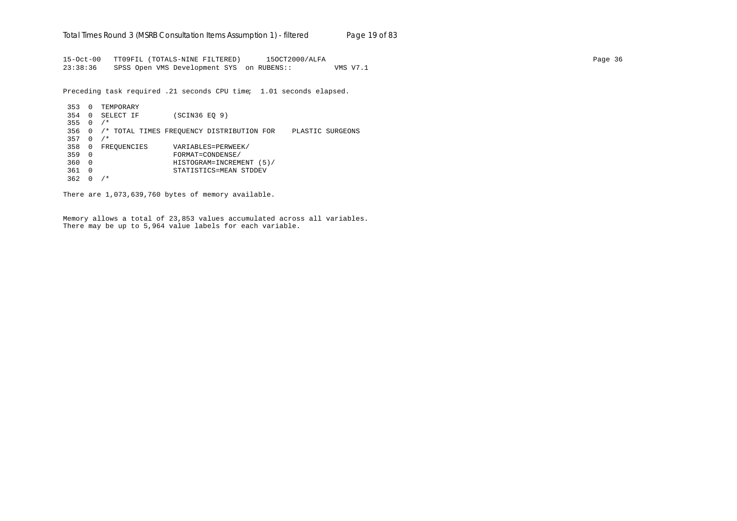15-Oct-00 TT09FIL (TOTALS-NINE FILTERED) 15OCT2000/ALFA Page 36 23:38:36 SPSS Open VMS Development SYS on RUBENS:: VMS V7.1

Preceding task required .21 seconds CPU time; 1.01 seconds elapsed.

```
353 0 TEMPORARY
354 0 SELECT IF (SCIN36 EQ 9)
355 0 /*
356 0 /* TOTAL TIMES FREQUENCY DISTRIBUTION FOR PLASTIC SURGEONS
357 0 /*
358 0 FREQUENCIES VARIABLES=PERWEEK/<br>359 0 FORMAT=CONDENSE/
359 0 FORMAT=CONDENSE/
360 0 HISTOGRAM=INCREMENT (5)/
361 0 STATISTICS=MEAN STDDEV
362 0 /*
```
There are 1,073,639,760 bytes of memory available.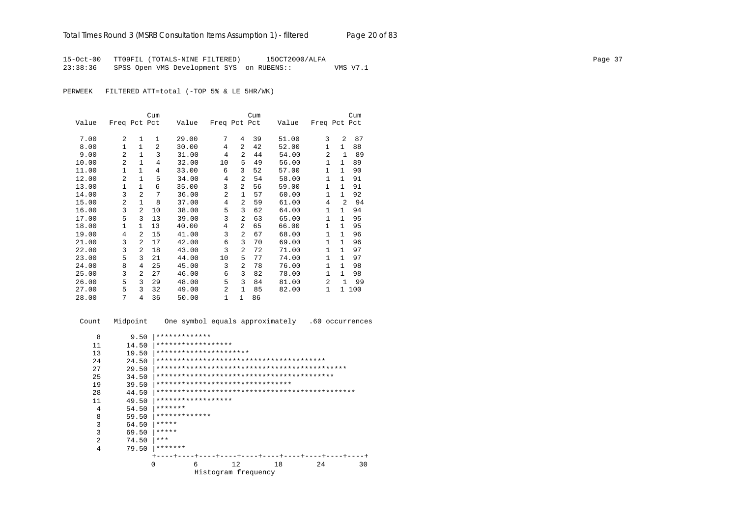15-Oct-00 TT09FIL (TOTALS-NINE FILTERED) 15OCT2000/ALFA Page 37 23:38:36 SPSS Open VMS Development SYS on RUBENS:: VMS V7.1

PERWEEK FILTERED ATT=total (-TOP 5% & LE 5HR/WK)

|       |                |                | Cum            |       |              |                | Cum |       |                |              | Cum   |
|-------|----------------|----------------|----------------|-------|--------------|----------------|-----|-------|----------------|--------------|-------|
| Value | Freq Pct Pct   |                |                | Value | Freq Pct Pct |                |     | Value | Freq Pct Pct   |              |       |
| 7.00  | 2              | 1              | 1              | 29.00 | 7            | 4              | 39  | 51.00 | 3              | 2            | 87    |
| 8.00  | $\mathbf{1}$   | $\mathbf{1}$   | $\overline{a}$ | 30.00 | 4            | 2              | 42  | 52.00 | $\mathbf{1}$   | $\mathbf{1}$ | 88    |
| 9.00  | $\mathfrak{D}$ | $\mathbf{1}$   | 3              | 31.00 | 4            | 2              | 44  | 54.00 | $\overline{2}$ | $\mathbf{1}$ | 89    |
|       |                |                |                |       |              |                |     |       |                |              |       |
| 10.00 | $\overline{a}$ | $\mathbf{1}$   | 4              | 32.00 | 10           | 5              | 49  | 56.00 | $\mathbf{1}$   | $\mathbf{1}$ | 89    |
| 11.00 | 1              | 1              | 4              | 33.00 | 6            | 3              | 52  | 57.00 | 1              | $\mathbf{1}$ | 90    |
| 12.00 | $\overline{2}$ | $\mathbf{1}$   | 5              | 34.00 | 4            | 2              | 54  | 58.00 | $\mathbf{1}$   | $\mathbf{1}$ | 91    |
| 13.00 | 1              | $\mathbf{1}$   | 6              | 35.00 | 3            | 2              | 56  | 59.00 | 1              | $\mathbf{1}$ | 91    |
| 14.00 | 3              | 2              | 7              | 36.00 | 2            | 1              | 57  | 60.00 | 1              | $\mathbf{1}$ | 92    |
| 15.00 | 2              | $\mathbf{1}$   | 8              | 37.00 | 4            | 2              | 59  | 61.00 | 4              | 2            | 94    |
| 16.00 | 3              | $\overline{2}$ | 10             | 38.00 | 5            | 3              | 62  | 64.00 | $\mathbf{1}$   | $\mathbf{1}$ | 94    |
| 17.00 | 5              | 3              | 13             | 39.00 | 3            | $\overline{2}$ | 63  | 65.00 | $\mathbf{1}$   | $\mathbf{1}$ | 95    |
| 18.00 | $\mathbf{1}$   | $\mathbf{1}$   | 13             | 40.00 | 4            | 2              | 65  | 66.00 | $\mathbf{1}$   | $\mathbf{1}$ | 95    |
| 19.00 | 4              | 2              | 15             | 41.00 | 3            | 2              | 67  | 68.00 | $\mathbf{1}$   | $\mathbf{1}$ | 96    |
| 21.00 | 3              | 2              | 17             | 42.00 | 6            | 3              | 70  | 69.00 | $\mathbf{1}$   | $\mathbf{1}$ | 96    |
| 22.00 | 3              | 2              | 18             | 43.00 | 3            | 2              | 72  | 71.00 | $\mathbf{1}$   | $\mathbf{1}$ | 97    |
| 23.00 | 5              | 3              | 21             | 44.00 | 10           | 5              | 77  | 74.00 | $\mathbf{1}$   | $\mathbf{1}$ | 97    |
| 24.00 | 8              | 4              | 25             | 45.00 | 3            | $\overline{2}$ | 78  | 76.00 | 1              | 1            | 98    |
| 25.00 | 3              | $\mathfrak{D}$ | 27             | 46.00 | 6            | 3              | 82  | 78.00 | 1              | $\mathbf{1}$ | 98    |
| 26.00 | 5              | 3              | 29             | 48.00 | 5            | 3              | 84  | 81.00 | $\mathfrak{D}$ | $\mathbf{1}$ | 99    |
| 27.00 | 5              | 3              | 32             | 49.00 | 2            | 1              | 85  | 82.00 | 1              |              | 1 100 |
| 28.00 | 7              | 4              | 36             | 50.00 | 1            | $\mathbf{1}$   | 86  |       |                |              |       |

 Count Midpoint One symbol equals approximately .60 occurrences 8 9.50 |\*\*\*\*\*\*\*\*\*\*\*\*\* 11 14.50 |\*\*\*\*\*\*\*\*\*\*\*\*\*\*\*\*\*\* 13 19.50 |\*\*\*\*\*\*\*\*\*\*\*\*\*\*\*\*\*\*\*\*\*\*\*\*<br>24 24.50 |\*\*\*\*\*\*\*\*\*\*\*\*\*\*\*\*\*\*\*\*\*\*\* 24 24.50 |\*\*\*\*\*\*\*\*\*\*\*\*\*\*\*\*\*\*\*\*\*\*\*\*\*\*\*\*\*\*\*\*\*\*\*\*\*\*\*\* 27 29.50 |\*\*\*\*\*\*\*\*\*\*\*\*\*\*\*\*\*\*\*\*\*\*\*\*\*\*\*\*\*\*\*\*\*\*\*\*\*\*\*\*\*\*\*\*\* 25 34.50 |\*\*\*\*\*\*\*\*\*\*\*\*\*\*\*\*\*\*\*\*\*\*\*\*\*\*\*\*\*\*\*\*\*\*\*\*\*\*\*\*\*\* 19 39.50 |\*\*\*\*\*\*\*\*\*\*\*\*\*\*\*\*\*\*\*\*\*\*\*\*\*\*\*\*\*\*\*\* 28 44.50 |\*\*\*\*\*\*\*\*\*\*\*\*\*\*\*\*\*\*\*\*\*\*\*\*\*\*\*\*\*\*\*\*\*\*\*\*\*\*\*\*\*\*\*\*\*\*\* 11  $49.50$   $**************************$ 4  $54.50$   $*******$ <br>8  $59.50$   $*******$  8 59.50 |\*\*\*\*\*\*\*\*\*\*\*\*\* 3 64.50 |\*\*\*\*\* 3 69.50  $*****$ <br>2 74.50  $*****$ 2 74.50  $***$ <br>4 79.50  $****$  4 79.50 |\*\*\*\*\*\*\* +----+----+----+----+----+----+----+----+----+----+ 0 6 12 18 24 30 Histogram frequency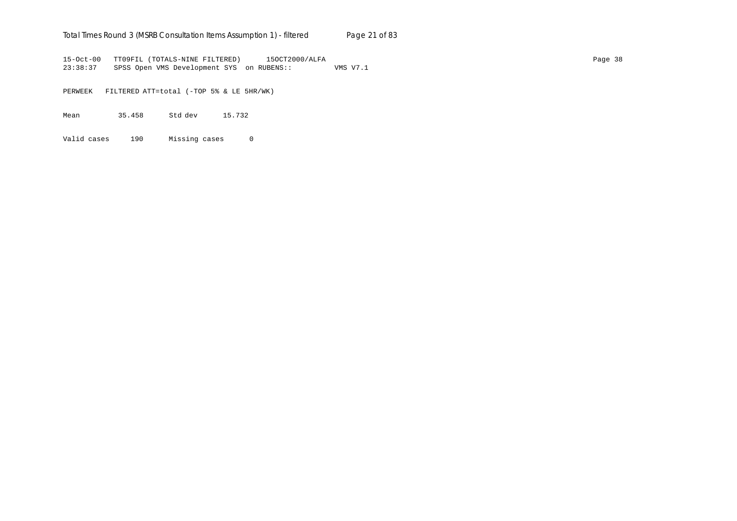## Total Times Round 3 (MSRB Consultation Items Assumption 1) - *filtered* Page 21 of 83

15-Oct-00 TT09FIL (TOTALS-NINE FILTERED) 15OCT2000/ALFA Page 38 23:38:37 SPSS Open VMS Development SYS on RUBENS:: VMS V7.1

PERWEEK FILTERED ATT=total (-TOP 5% & LE 5HR/WK)

Mean 35.458 Std dev 15.732

Valid cases 190 Missing cases 0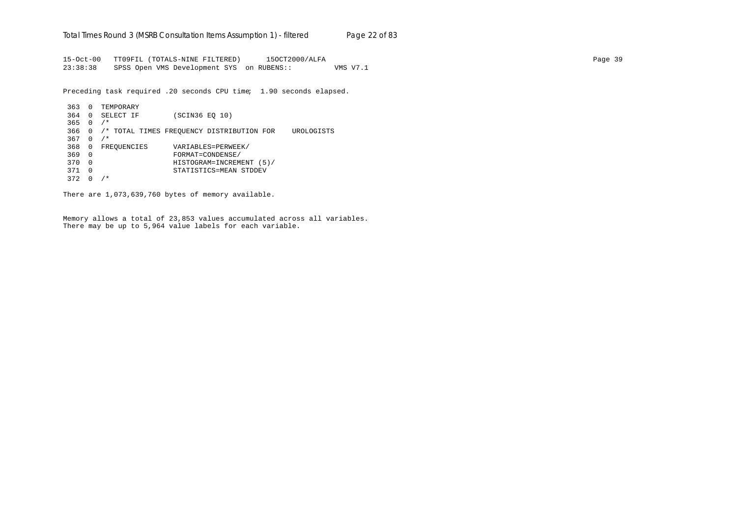15-Oct-00 TT09FIL (TOTALS-NINE FILTERED) 15OCT2000/ALFA Page 39 23:38:38 SPSS Open VMS Development SYS on RUBENS:: VMS V7.1

Preceding task required .20 seconds CPU time; 1.90 seconds elapsed.

```
363 0 TEMPORARY
364 0 SELECT IF (SCIN36 EQ 10)
365 0 /*
366 0 /* TOTAL TIMES FREQUENCY DISTRIBUTION FOR UROLOGISTS
367 \quad 0 \quad /*368 0 FREQUENCIES VARIABLES=PERWEEK/<br>369 0 FORMAT=CONDENSE/
369 0 FORMAT=CONDENSE/
370 0 HISTOGRAM=INCREMENT (5)/
371 0 STATISTICS=MEAN STDDEV
372 0 /*
```
There are 1,073,639,760 bytes of memory available.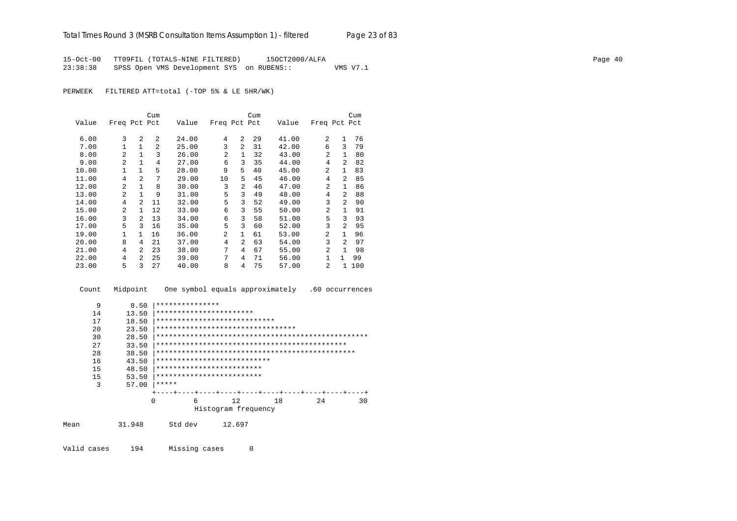15-Oct-00 TT09FIL (TOTALS-NINE FILTERED) 15OCT2000/ALFA Page 40 23:38:38 SPSS Open VMS Development SYS on RUBENS:: VMS V7.1

PERWEEK FILTERED ATT=total (-TOP 5% & LE 5HR/WK)

|       |                |                | Cum            |       |                |                | Cum |       |                |                | Cum |
|-------|----------------|----------------|----------------|-------|----------------|----------------|-----|-------|----------------|----------------|-----|
| Value | Freq Pct Pct   |                |                | Value | Freq Pct Pct   |                |     | Value | Freq Pct Pct   |                |     |
| 6.00  | 3              | $\mathfrak{D}$ | 2              | 24.00 | 4              | $\overline{a}$ | 29  | 41.00 | $\mathfrak{D}$ | 1              | 76  |
| 7.00  | $\mathbf{1}$   | $\mathbf{1}$   | $\mathfrak{D}$ | 25.00 | 3              | $\overline{a}$ | 31  | 42.00 | 6              | ζ              | 79  |
| 8.00  | 2              | $\mathbf{1}$   | 3              | 26.00 | $\overline{a}$ | $\mathbf{1}$   | 32  | 43.00 | 2              | $\mathbf{1}$   | 80  |
| 9.00  | $\overline{a}$ | $\mathbf{1}$   | 4              | 27.00 | 6              | 3              | 35  | 44.00 | 4              | 2              | 82  |
| 10.00 | 1              | $\mathbf{1}$   | 5              | 28.00 | 9              | 5.             | 40  | 45.00 | $\overline{a}$ | 1              | 83  |
| 11.00 | 4              | 2              | 7              | 29.00 | 10             | 5              | 45  | 46.00 | 4              | $\mathfrak{D}$ | 85  |
| 12.00 | 2              | $\mathbf{1}$   | 8              | 30.00 | 3              | $\overline{a}$ | 46  | 47.00 | $\mathfrak{D}$ | $\mathbf{1}$   | 86  |
| 13.00 | $\overline{a}$ | 1              | 9              | 31.00 | 5              | 3              | 49  | 48.00 | 4              | 2              | 88  |
| 14.00 | 4              | $\mathcal{L}$  | 11             | 32.00 | 5              | 3              | 52  | 49.00 | 3              | $\mathcal{L}$  | 90  |
| 15.00 | $\overline{a}$ | 1.             | 12.            | 33.00 | 6              | 3              | 55  | 50.00 | $\mathfrak{D}$ | 1              | 91  |
| 16.00 | 3              | $\mathfrak{D}$ | 13             | 34.00 | 6              | 3              | 58  | 51.00 | 5              | 3              | 93  |
| 17.00 | 5              | 3              | 16             | 35.00 | 5              | 3              | 60  | 52.00 | 3              | $\mathcal{L}$  | 95  |
| 19.00 | $\mathbf{1}$   | 1              | 16             | 36.00 | 2              | $\mathbf{1}$   | 61  | 53.00 | $\overline{a}$ | 1              | 96  |
| 20.00 | 8              | 4              | 21             | 37.00 | 4              | 2              | 63  | 54.00 | 3              | $\mathfrak{D}$ | 97  |
| 21.00 | 4              | 2              | 23             | 38.00 | 7              | 4              | 67  | 55.00 | $\mathfrak{D}$ | 1              | 98  |
| 22.00 | 4              | 2              | 25             | 39.00 | 7              | 4              | 71  | 56.00 |                | 1              | 99  |
| 23.00 | 5              | 3              | 27             | 40.00 | 8              | 4              | 75  | 57.00 | $\overline{a}$ | 1.             | 100 |

```
 Count Midpoint One symbol equals approximately .60 occurrences
       9 8.50 |***************
      14 13.50 |*************************<br>17 18.50 |************************
        17 18.50 |****************************
       20 23.50 |***********************************<br>30 28.50 |*********************************
        30 28.50 |**************************************************
        27 33.50 |*********************************************
        28 38.50 |***********************************************
       16 43.50 |***************************
       15 48.50 |*************************
        15 53.50 |***************************<br>3 57.00 |*****
               57.00 |*****
                      +----+----+----+----+----+----+----+----+----+----+
                         0 6 12 18 24 30
                                Histogram frequency
Mean 31.948 Std dev 12.697
```
Valid cases 194 Missing cases 0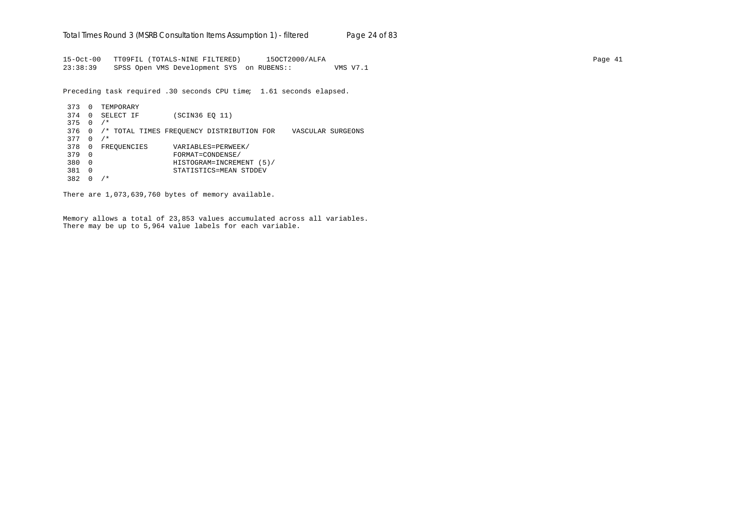15-Oct-00 TT09FIL (TOTALS-NINE FILTERED) 15OCT2000/ALFA Page 41 23:38:39 SPSS Open VMS Development SYS on RUBENS:: VMS V7.1

Preceding task required .30 seconds CPU time; 1.61 seconds elapsed.

373 0 TEMPORARY 374 0 SELECT IF (SCIN36 EQ 11) 375 0 /\* 376 0 /\* TOTAL TIMES FREQUENCY DISTRIBUTION FOR VASCULAR SURGEONS  $377 \quad 0 \quad /$ \* 378 0 FREQUENCIES VARIABLES=PERWEEK/<br>379 0 FORMAT=CONDENSE/ 379 0 FORMAT=CONDENSE/ 380 0 HISTOGRAM=INCREMENT (5)/ 381 0 STATISTICS=MEAN STDDEV 382 0 /\*

There are 1,073,639,760 bytes of memory available.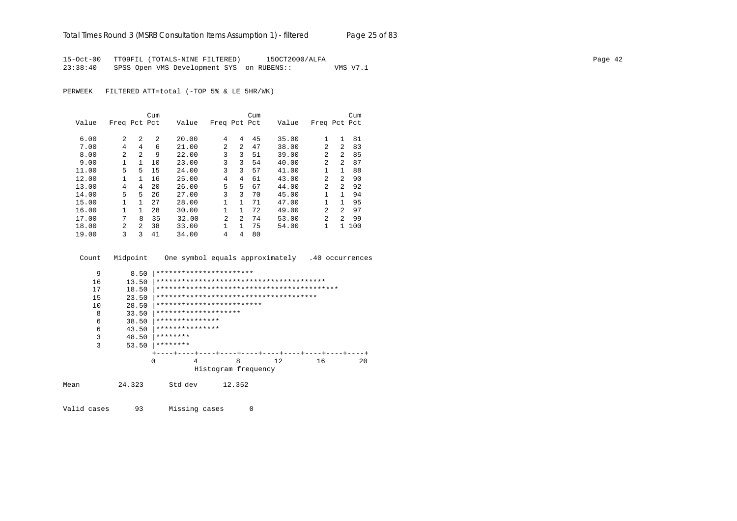15-Oct-00 TT09FIL (TOTALS-NINE FILTERED) 15OCT2000/ALFA Page 42 23:38:40 SPSS Open VMS Development SYS on RUBENS:: VMS V7.1

PERWEEK FILTERED ATT=total (-TOP 5% & LE 5HR/WK)

|       |                |              | Cum |       |                |              | Cum |       |                |                | Cum   |
|-------|----------------|--------------|-----|-------|----------------|--------------|-----|-------|----------------|----------------|-------|
| Value | Freq Pct Pct   |              |     | Value | Freq Pct Pct   |              |     | Value | Freq Pct Pct   |                |       |
|       |                |              |     |       |                |              |     |       |                |                |       |
| 6.00  | 2              | 2            | 2   | 20.00 | 4              | 4            | 45  | 35.00 | 1              | $\mathbf{1}$   | 81    |
| 7.00  | 4              | 4            | 6   | 21.00 | $\mathfrak{D}$ | 2            | 47  | 38.00 | $\mathfrak{D}$ | 2              | 83    |
| 8.00  | 2              | 2            | 9   | 22.00 | 3              | 3            | 51  | 39.00 | 2              | $\mathfrak{D}$ | 85    |
| 9.00  | 1              | $\mathbf{1}$ | 10  | 23.00 | 3              | 3            | 54  | 40.00 | $\overline{2}$ | $\mathfrak{D}$ | 87    |
| 11.00 | 5              | 5            | 15  | 24.00 | 3              | 3            | 57  | 41.00 | 1              | 1              | 88    |
| 12.00 | 1              | $\mathbf{1}$ | 16  | 25.00 | 4              | 4            | 61  | 43.00 | 2              | $\mathfrak{D}$ | 90    |
| 13.00 | 4              | 4            | 20  | 26.00 | 5              | 5            | 67  | 44.00 | $\overline{2}$ | $\mathcal{L}$  | 92    |
| 14.00 | 5              | 5            | 26  | 27.00 | 3              | 3            | 70  | 45.00 | 1              | 1              | 94    |
| 15.00 | 1              | $\mathbf{1}$ | 27  | 28.00 | 1              | $\mathbf{1}$ | 71  | 47.00 | 1              | 1              | 95    |
| 16.00 | 1              | 1            | 28  | 30.00 |                | $\mathbf{1}$ | 72  | 49.00 | 2              | $\mathfrak{D}$ | 97    |
| 17.00 | 7              | 8            | 35  | 32.00 | $\overline{2}$ | 2            | 74  | 53.00 | $\overline{a}$ | $\mathfrak{D}$ | 99    |
| 18.00 | $\overline{a}$ | 2            | 38  | 33.00 | 1              | 1            | 75  | 54.00 | 1              |                | 1 100 |
| 19.00 | 3              | ζ            | 41  | 34.00 | 4              | 4            | 80  |       |                |                |       |

Count Midpoint One symbol equals approximately .40 occurrences

```
9 8.50 |************************<br>16 13.50 |***********************
        16 13.50 |****************************************
        17 18.50 |*******************************************
        15 23.50 |**************************************
        10 28.50 |**************************<br>8 33.50 |*****************************
         8 33.50 |********************
        6 38.50 ************************6 43.50 ************************<br>3 48.50 ******** 3 48.50 |********
        3 53.50 ******** +----+----+----+----+----+----+----+----+----+----+
                          0 4 8 12 16 20
                                Histogram frequency
Mean 24.323 Std dev 12.352
```
Valid cases 93 Missing cases 0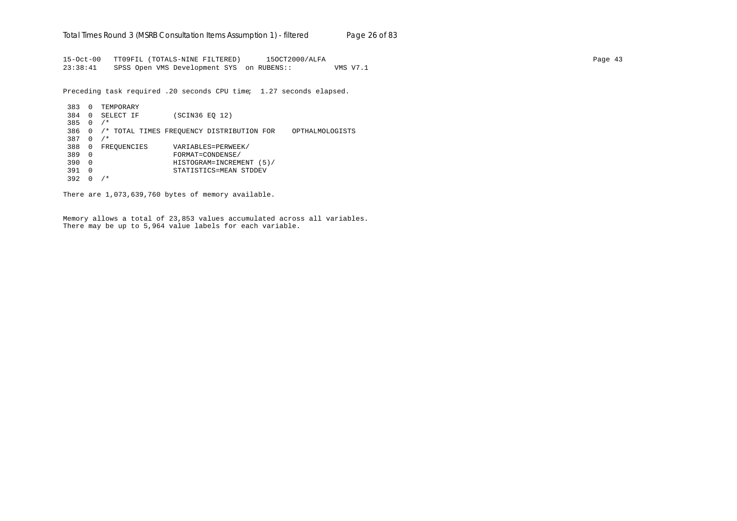15-Oct-00 TT09FIL (TOTALS-NINE FILTERED) 15OCT2000/ALFA Page 43 23:38:41 SPSS Open VMS Development SYS on RUBENS:: VMS V7.1

Preceding task required .20 seconds CPU time; 1.27 seconds elapsed.

```
383 0 TEMPORARY
384 0 SELECT IF (SCIN36 EQ 12)
385 0 /*
386 0 /* TOTAL TIMES FREQUENCY DISTRIBUTION FOR OPTHALMOLOGISTS
387 0 /*
388 0 FREQUENCIES VARIABLES=PERWEEK/<br>389 0 FORMAT=CONDENSE/
389 0 FORMAT=CONDENSE/
390 0 HISTOGRAM=INCREMENT (5)/
391 0 STATISTICS=MEAN STDDEV
392 0 /*
```
There are 1,073,639,760 bytes of memory available.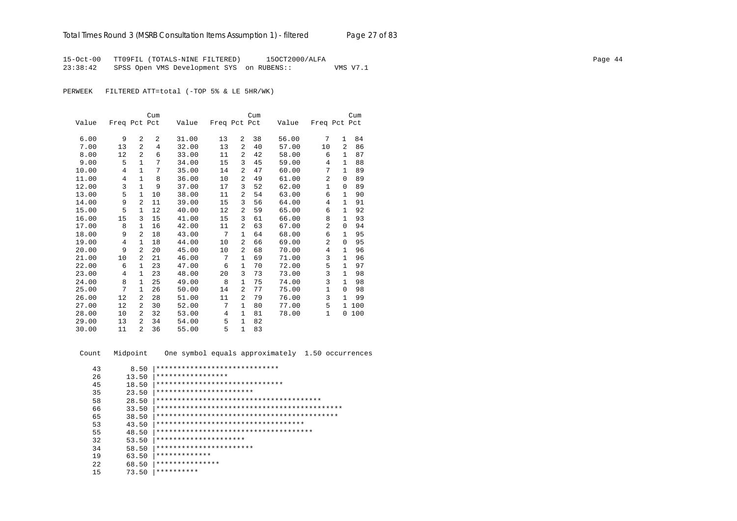15-Oct-00 TT09FIL (TOTALS-NINE FILTERED) 15OCT2000/ALFA Page 44 23:38:42 SPSS Open VMS Development SYS on RUBENS:: VMS V7.1

PERWEEK FILTERED ATT=total (-TOP 5% & LE 5HR/WK)

|       |              |                | Cum |       |              |                | Cum |       |              |                | Cum |
|-------|--------------|----------------|-----|-------|--------------|----------------|-----|-------|--------------|----------------|-----|
| Value | Freq Pct Pct |                |     | Value | Freq Pct Pct |                |     | Value | Freq Pct Pct |                |     |
|       |              |                |     |       |              |                |     |       |              |                |     |
| 6.00  | 9            | $\overline{a}$ | 2   | 31.00 | 13           | 2              | 38  | 56.00 | 7            | $\mathbf{1}$   | 84  |
| 7.00  | 13           | $\overline{2}$ | 4   | 32.00 | 13           | 2              | 40  | 57.00 | 10           | $\mathfrak{D}$ | 86  |
| 8.00  | 12           | $\mathfrak{D}$ | 6   | 33.00 | 11           | 2              | 42  | 58.00 | 6            | $\mathbf{1}$   | 87  |
| 9.00  | 5            | $\mathbf{1}$   | 7   | 34.00 | 15           | 3              | 45  | 59.00 | 4            | $\mathbf{1}$   | 88  |
| 10.00 | 4            | $\mathbf{1}$   | 7   | 35.00 | 14           | $\overline{a}$ | 47  | 60.00 | 7            | 1              | 89  |
| 11.00 | 4            | $\mathbf{1}$   | 8   | 36.00 | 10           | 2              | 49  | 61.00 | 2            | $\Omega$       | 89  |
| 12.00 | 3            | $\mathbf{1}$   | 9   | 37.00 | 17           | 3              | 52  | 62.00 | $\mathbf{1}$ | $\Omega$       | 89  |
| 13.00 | 5            | 1              | 10  | 38.00 | 11           | $\overline{a}$ | 54  | 63.00 | 6            | 1              | 90  |
| 14.00 | 9            | 2              | 11  | 39.00 | 15           | 3              | 56  | 64.00 | 4            | 1              | 91  |
| 15.00 | 5            | 1              | 12  | 40.00 | 12           | $\overline{a}$ | 59  | 65.00 | 6            | 1              | 92  |
| 16.00 | 15           | 3              | 15  | 41.00 | 15           | 3              | 61  | 66.00 | 8            | 1              | 93  |
| 17.00 | 8            | 1              | 16  | 42.00 | 11           | 2              | 63  | 67.00 | 2            | 0              | 94  |
| 18.00 | 9            | $\mathfrak{D}$ | 18  | 43.00 | 7            | $\mathbf{1}$   | 64  | 68.00 | 6            | $\mathbf{1}$   | 95  |
| 19.00 | 4            | 1              | 18  | 44.00 | 10           | $\overline{a}$ | 66  | 69.00 | 2            | $\Omega$       | 95  |
| 20.00 | 9            | 2              | 20  | 45.00 | 10           | 2              | 68  | 70.00 | 4            | 1              | 96  |
| 21.00 | 10           | 2              | 21  | 46.00 | 7            | $\mathbf{1}$   | 69  | 71.00 | 3            | $\mathbf{1}$   | 96  |
| 22.00 | 6            | 1              | 23  | 47.00 | 6            | $\mathbf{1}$   | 70  | 72.00 | 5            | 1              | 97  |
| 23.00 | 4            | 1              | 23  | 48.00 | 20           | 3              | 73  | 73.00 | 3            | 1              | 98  |
| 24.00 | 8            | $\mathbf{1}$   | 25  | 49.00 | 8            | $\mathbf{1}$   | 75  | 74.00 | 3            | $\mathbf{1}$   | 98  |
| 25.00 | 7            | 1              | 26  | 50.00 | 14           | 2              | 77  | 75.00 | $\mathbf{1}$ | $\Omega$       | 98  |
| 26.00 | 12           | $\overline{a}$ | 28  | 51.00 | 11           | 2              | 79  | 76.00 | 3            | $\mathbf{1}$   | 99  |
| 27.00 | 12           | 2              | 30  | 52.00 | 7            | $\mathbf{1}$   | 80  | 77.00 | 5            | $\mathbf{1}$   | 100 |
| 28.00 | 10           | 2              | 32  | 53.00 | 4            | $\mathbf{1}$   | 81  | 78.00 | $\mathbf{1}$ | 0              | 100 |
| 29.00 | 13           | 2              | 34  | 54.00 | 5            | $\mathbf{1}$   | 82  |       |              |                |     |
| 30.00 | 11           | 2              | 36  | 55.00 | 5            | $\mathbf{1}$   | 83  |       |              |                |     |

Count Midpoint One symbol equals approximately 1.50 occurrences

| 43  | 8.50  | *****************************          |
|-----|-------|----------------------------------------|
| 26  | 13.50 | *****************                      |
| 45  | 18.50 | ******************************         |
| 35  | 23.50 | ***********************                |
| 58  | 28.50 |                                        |
| 66  | 33.50 |                                        |
| 65  | 38.50 |                                        |
| 53  | 43.50 | ************************************   |
| 55  | 48.50 | ************************************** |
| 32  | 53.50 | *********************                  |
| 34  | 58.50 | ***********************                |
| 19  | 63.50 | *************                          |
| 2.2 | 68.50 | ***************                        |
| 15  | 73.50 | **********                             |
|     |       |                                        |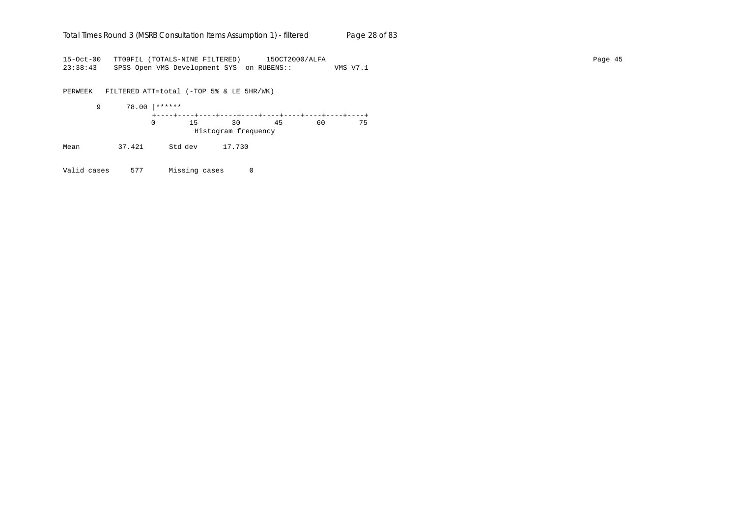#### Total Times Round 3 (MSRB Consultation Items Assumption 1) - *filtered* Page 28 of 83

15-Oct-00 TT09FIL (TOTALS-NINE FILTERED) 15OCT2000/ALFA Page 45 23:38:43 SPSS Open VMS Development SYS on RUBENS:: VMS V7.1

PERWEEK FILTERED ATT=total (-TOP 5% & LE 5HR/WK) 9 78.00 |\*\*\*\*\*\* +----+----+----+----+----+----+----+----+----+----+ 0 15 30 45 60 75 Histogram frequency

Mean 37.421 Std dev 17.730

Valid cases 577 Missing cases 0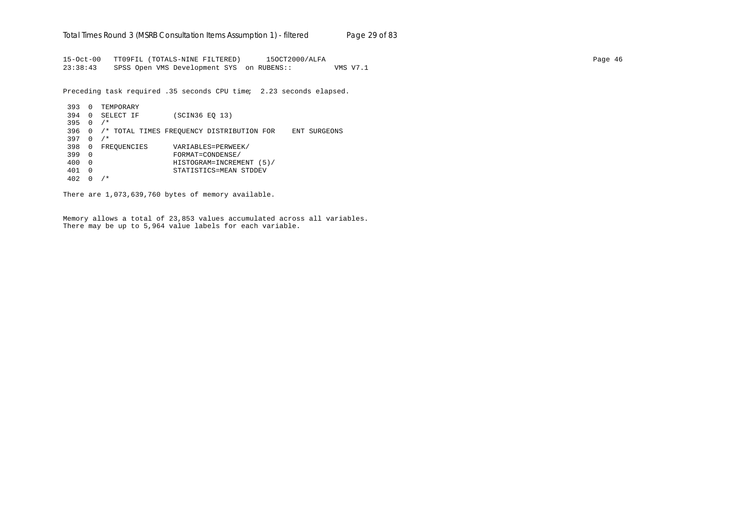15-Oct-00 TT09FIL (TOTALS-NINE FILTERED) 15OCT2000/ALFA Page 46 23:38:43 SPSS Open VMS Development SYS on RUBENS:: VMS V7.1

Preceding task required .35 seconds CPU time; 2.23 seconds elapsed.

```
393 0 TEMPORARY
394 0 SELECT IF (SCIN36 EQ 13)
395 0 /*
396 0 /* TOTAL TIMES FREQUENCY DISTRIBUTION FOR ENT SURGEONS
397 0 /*
398 0 FREQUENCIES VARIABLES=PERWEEK/<br>399 0 FORMAT=CONDENSE/
399 0 FORMAT=CONDENSE/
400 0 HISTOGRAM=INCREMENT (5)/
401 0 STATISTICS=MEAN STDDEV
402 0 /*
```
There are 1,073,639,760 bytes of memory available.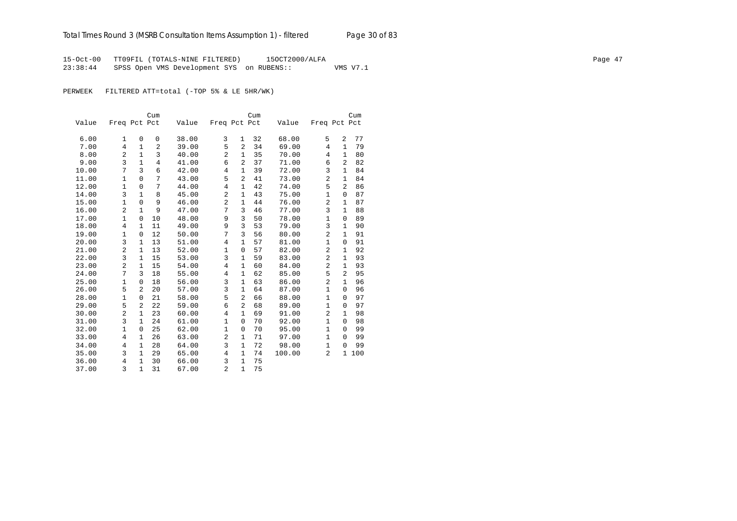15-Oct-00 TT09FIL (TOTALS-NINE FILTERED) 15OCT2000/ALFA Page 47 23:38:44 SPSS Open VMS Development SYS on RUBENS:: VMS V7.1

PERWEEK FILTERED ATT=total (-TOP 5% & LE 5HR/WK)

|       |                |                | Cum            |       |                |                | Cum |        |                |                | Cum |
|-------|----------------|----------------|----------------|-------|----------------|----------------|-----|--------|----------------|----------------|-----|
| Value | Freq Pct Pct   |                |                | Value | Freq Pct Pct   |                |     | Value  | Freq Pct Pct   |                |     |
|       |                |                |                |       |                |                |     |        |                |                |     |
| 6.00  | 1              | $\mathbf 0$    | 0              | 38.00 | 3              | 1              | 32  | 68.00  | 5              | 2              | 77  |
| 7.00  | $\overline{4}$ | $\mathbf{1}$   | $\overline{a}$ | 39.00 | 5              | $\overline{2}$ | 34  | 69.00  | 4              | 1              | 79  |
| 8.00  | $\overline{a}$ | $\mathbf{1}$   | 3              | 40.00 | $\overline{2}$ | $\mathbf{1}$   | 35  | 70.00  | 4              | $\mathbf{1}$   | 80  |
| 9.00  | 3              | $\mathbf{1}$   | $\overline{4}$ | 41.00 | 6              | $\overline{2}$ | 37  | 71.00  | 6              | 2              | 82  |
| 10.00 | 7              | 3              | 6              | 42.00 | $\overline{4}$ | 1              | 39  | 72.00  | 3              | 1              | 84  |
| 11.00 | 1              | 0              | 7              | 43.00 | 5              | 2              | 41  | 73.00  | 2              | 1              | 84  |
| 12.00 | $\mathbf{1}$   | 0              | 7              | 44.00 | $\overline{4}$ | $\mathbf{1}$   | 42  | 74.00  | 5              | 2              | 86  |
| 14.00 | 3              | $\mathbf{1}$   | 8              | 45.00 | $\overline{c}$ | 1              | 43  | 75.00  | $\mathbf{1}$   | $\mathbf 0$    | 87  |
| 15.00 | $\mathbf{1}$   | $\mathbf{0}$   | 9              | 46.00 | $\overline{a}$ | 1              | 44  | 76.00  | $\overline{a}$ | 1              | 87  |
| 16.00 | $\overline{2}$ | $\mathbf{1}$   | 9              | 47.00 | 7              | 3              | 46  | 77.00  | 3              | $\mathbf{1}$   | 88  |
| 17.00 | $\mathbf{1}$   | 0              | 10             | 48.00 | 9              | 3              | 50  | 78.00  | $\mathbf{1}$   | $\mathbf 0$    | 89  |
| 18.00 | $\overline{4}$ | $\mathbf{1}$   | 11             | 49.00 | 9              | 3              | 53  | 79.00  | 3              | $\mathbf{1}$   | 90  |
| 19.00 | $\mathbf{1}$   | 0              | 12             | 50.00 | 7              | 3              | 56  | 80.00  | 2              | 1              | 91  |
| 20.00 | 3              | $\mathbf{1}$   | 13             | 51.00 | $\overline{4}$ | $\mathbf{1}$   | 57  | 81.00  | $\mathbf{1}$   | $\Omega$       | 91  |
| 21.00 | 2              | $\mathbf{1}$   | 13             | 52.00 | 1              | $\mathsf 0$    | 57  | 82.00  | 2              | $\mathbf{1}$   | 92  |
| 22.00 | 3              | 1              | 15             | 53.00 | 3              | 1              | 59  | 83.00  | $\overline{c}$ | $\mathbf 1$    | 93  |
| 23.00 | $\overline{2}$ | $\mathbf{1}$   | 15             | 54.00 | $\overline{4}$ | 1              | 60  | 84.00  | 2              | $\mathbf 1$    | 93  |
| 24.00 | 7              | 3              | 18             | 55.00 | $\overline{4}$ | 1              | 62  | 85.00  | 5              | $\overline{2}$ | 95  |
| 25.00 | $1\,$          | $\mathbf{0}$   | 18             | 56.00 | 3              | $\mathbf{1}$   | 63  | 86.00  | 2              | $\mathbf{1}$   | 96  |
| 26.00 | 5              | $\overline{2}$ | 20             | 57.00 | 3              | $\mathbf{1}$   | 64  | 87.00  | $\mathbf{1}$   | 0              | 96  |
| 28.00 | $\mathbf{1}$   | 0              | 21             | 58.00 | 5              | $\overline{a}$ | 66  | 88.00  | $\mathbf{1}$   | $\Omega$       | 97  |
| 29.00 | 5              | $\overline{a}$ | 22             | 59.00 | 6              | $\overline{2}$ | 68  | 89.00  | $\mathbf{1}$   | $\Omega$       | 97  |
| 30.00 | 2              | $\mathbf{1}$   | 23             | 60.00 | $\overline{4}$ | $\mathbf{1}$   | 69  | 91.00  | 2              | $\mathbf{1}$   | 98  |
| 31.00 | 3              | $\mathbf{1}$   | 24             | 61.00 | $\mathbf 1$    | $\mathbf 0$    | 70  | 92.00  | $\mathbf{1}$   | $\Omega$       | 98  |
| 32.00 | $\mathbf{1}$   | $\mathbf{0}$   | 25             | 62.00 | $\mathbf{1}$   | $\mathbf 0$    | 70  | 95.00  | $\mathbf{1}$   | $\Omega$       | 99  |
| 33.00 | $\overline{4}$ | 1              | 26             | 63.00 | $\overline{2}$ | $\mathbf{1}$   | 71  | 97.00  | $\mathbf{1}$   | 0              | 99  |
| 34.00 | 4              | 1              | 28             | 64.00 | 3              | $\mathbf{1}$   | 72  | 98.00  | $\mathbf{1}$   | 0              | 99  |
| 35.00 | 3              | $\mathbf{1}$   | 29             | 65.00 | 4              | $\mathbf{1}$   | 74  | 100.00 | 2              | 1              | 100 |
| 36.00 | 4              | 1              | 30             | 66.00 | 3              | $\mathbf{1}$   | 75  |        |                |                |     |
| 37.00 | 3              | $\mathbf{1}$   | 31             | 67.00 | $\overline{2}$ | $\mathbf{1}$   | 75  |        |                |                |     |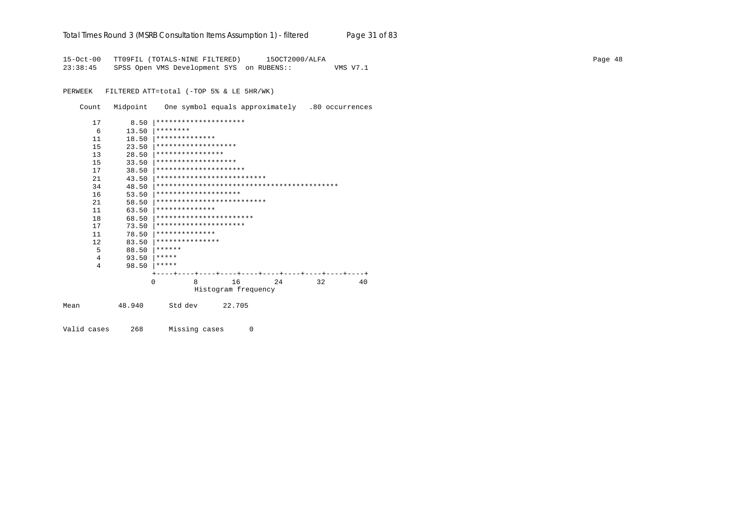# Total Times Round 3 (MSRB Consultation Items Assumption 1) - *filtered* Page 31 of 83

15-Oct-00 TT09FIL (TOTALS-NINE FILTERED) 15OCT2000/ALFA Page 48 23:38:45 SPSS Open VMS Development SYS on RUBENS:: VMS V7.1

PERWEEK FILTERED ATT=total (-TOP 5% & LE 5HR/WK)

Count Midpoint One symbol equals approximately .80 occurrences

|      | 17 | 8.50     | *********************      |
|------|----|----------|----------------------------|
|      | 6  | 13.50    | ********                   |
|      | 11 | 18.50    | **************             |
|      | 15 | 23.50    | *******************        |
|      | 13 | 28.50    | ****************           |
|      | 15 | 33.50    | *******************        |
|      | 17 | 38.50    | *********************      |
|      | 21 | 43.50    | ************************** |
|      | 34 | 48.50    |                            |
|      | 16 | 53.50    | ********************       |
|      | 21 | 58.50    | ************************** |
|      | 11 | 63.50    | **************             |
|      | 18 | 68.50    | ***********************    |
|      | 17 | 73.50    | *********************      |
|      | 11 | 78.50    | **************             |
|      | 12 | 83.50    | ***************            |
|      | 5  | 88.50    | ******                     |
|      | 4  | 93.50    | *****                      |
|      | 4  | 98.50    | *****                      |
|      |    |          |                            |
|      |    | $\Omega$ | 16<br>8<br>32<br>2.4<br>40 |
|      |    |          | Histogram frequency        |
| Mean |    | 48.940   | 22.705<br>Std dev          |
|      |    |          |                            |

Valid cases 268 Missing cases 0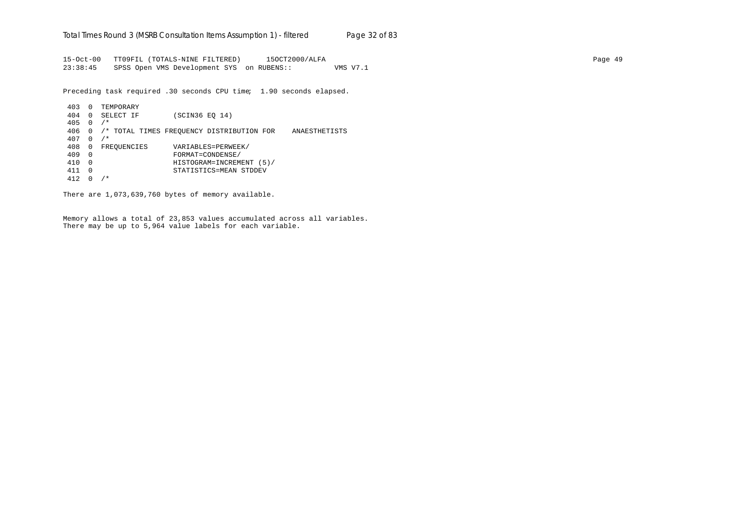15-Oct-00 TT09FIL (TOTALS-NINE FILTERED) 15OCT2000/ALFA Page 49 23:38:45 SPSS Open VMS Development SYS on RUBENS:: VMS V7.1

Preceding task required .30 seconds CPU time; 1.90 seconds elapsed.

```
403 0 TEMPORARY
404 0 SELECT IF (SCIN36 EQ 14)
405 0 /*
406 0 /* TOTAL TIMES FREQUENCY DISTRIBUTION FOR ANAESTHETISTS
407 0 /*
408 0 FREQUENCIES VARIABLES=PERWEEK/<br>409 0 FORMAT=CONDENSE/
409 0 FORMAT=CONDENSE/
410 0 HISTOGRAM=INCREMENT (5)/
411 0 STATISTICS=MEAN STDDEV
412 0 /*
```
There are 1,073,639,760 bytes of memory available.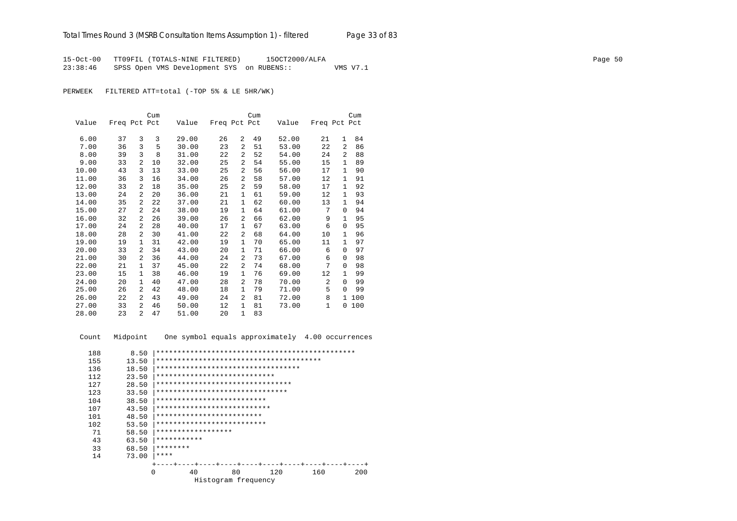15-Oct-00 TT09FIL (TOTALS-NINE FILTERED) 15OCT2000/ALFA Page 50 23:38:46 SPSS Open VMS Development SYS on RUBENS:: VMS V7.1

PERWEEK FILTERED ATT=total (-TOP 5% & LE 5HR/WK)

|       |              |                | Cum |       |              |                | Cum |       |              |              | Cum |
|-------|--------------|----------------|-----|-------|--------------|----------------|-----|-------|--------------|--------------|-----|
| Value | Freq Pct Pct |                |     | Value | Freq Pct Pct |                |     | Value | Freq Pct Pct |              |     |
|       |              |                |     |       |              |                |     |       |              |              |     |
| 6.00  | 37           | 3              | 3   | 29.00 | 26           | 2              | 49  | 52.00 | 21           | $\mathbf{1}$ | 84  |
| 7.00  | 36           | 3              | 5   | 30.00 | 23           | 2              | 51  | 53.00 | 22           | 2            | 86  |
| 8.00  | 39           | 3              | 8   | 31.00 | 22           | 2              | 52  | 54.00 | 24           | 2            | 88  |
| 9.00  | 33           | $\overline{2}$ | 10  | 32.00 | 25           | 2              | 54  | 55.00 | 15           | $\mathbf{1}$ | 89  |
| 10.00 | 43           | 3              | 13  | 33.00 | 25           | 2              | 56  | 56.00 | 17           | $\mathbf{1}$ | 90  |
| 11.00 | 36           | 3              | 16  | 34.00 | 26           | 2              | 58  | 57.00 | 12           | 1            | 91  |
| 12.00 | 33           | $\overline{a}$ | 18  | 35.00 | 25           | 2              | 59  | 58.00 | 17           | 1            | 92  |
| 13.00 | 24           | 2              | 20  | 36.00 | 21           | 1              | 61  | 59.00 | 12           | 1            | 93  |
| 14.00 | 35           | $\overline{a}$ | 22  | 37.00 | 21           | $\mathbf{1}$   | 62  | 60.00 | 13           | $\mathbf{1}$ | 94  |
| 15.00 | 27           | $\overline{a}$ | 24  | 38.00 | 19           | 1              | 64  | 61.00 | 7            | $\Omega$     | 94  |
| 16.00 | 32           | 2              | 26  | 39.00 | 26           | 2              | 66  | 62.00 | 9            | 1            | 95  |
| 17.00 | 24           | $\overline{2}$ | 28  | 40.00 | 17           | 1              | 67  | 63.00 | 6            | $\Omega$     | 95  |
| 18.00 | 28           | 2              | 30  | 41.00 | 22           | 2              | 68  | 64.00 | 10           | $\mathbf{1}$ | 96  |
| 19.00 | 19           | 1              | 31  | 42.00 | 19           | $\mathbf{1}$   | 70  | 65.00 | 11           | $\mathbf{1}$ | 97  |
| 20.00 | 33           | 2              | 34  | 43.00 | 20           | 1              | 71  | 66.00 | 6            | $\Omega$     | 97  |
| 21.00 | 30           | $\overline{a}$ | 36  | 44.00 | 24           | 2              | 73  | 67.00 | 6            | $\Omega$     | 98  |
| 22.00 | 21           | $\mathbf{1}$   | 37  | 45.00 | 22           | 2              | 74  | 68.00 | 7            | $\Omega$     | 98  |
| 23.00 | 15           | 1              | 38  | 46.00 | 19           | 1              | 76  | 69.00 | 12           | 1            | 99  |
| 24.00 | 20           | $\mathbf{1}$   | 40  | 47.00 | 28           | $\overline{a}$ | 78  | 70.00 | 2            | $\Omega$     | 99  |
| 25.00 | 26           | 2              | 42  | 48.00 | 18           | 1              | 79  | 71.00 | 5            | $\Omega$     | 99  |
| 26.00 | 22           | $\overline{a}$ | 43  | 49.00 | 24           | $\overline{2}$ | 81  | 72.00 | 8            | 1.           | 100 |
| 27.00 | 33           | $\overline{a}$ | 46  | 50.00 | 12           | $\mathbf{1}$   | 81  | 73.00 | $\mathbf 1$  | 0            | 100 |
| 28.00 | 23           | $\overline{a}$ | 47  | 51.00 | 20           | $\mathbf{1}$   | 83  |       |              |              |     |

Count Midpoint One symbol equals approximately 4.00 occurrences

| 188                 | 8.50  |                                    |  |  |  |  |  |
|---------------------|-------|------------------------------------|--|--|--|--|--|
| 155                 | 13.50 |                                    |  |  |  |  |  |
| 136                 | 18.50 | ********************************** |  |  |  |  |  |
| 112                 | 23.50 | ****************************       |  |  |  |  |  |
| 127                 | 28.50 | ********************************   |  |  |  |  |  |
| 123                 | 33.50 | *******************************    |  |  |  |  |  |
| 104                 | 38.50 | **************************         |  |  |  |  |  |
| 107                 | 43.50 | ***************************        |  |  |  |  |  |
| 101                 | 48.50 | *************************          |  |  |  |  |  |
| 102                 | 53.50 | **************************         |  |  |  |  |  |
| 71                  | 58.50 | ******************                 |  |  |  |  |  |
| 43                  | 63.50 | ***********                        |  |  |  |  |  |
| 33                  | 68.50 | ********                           |  |  |  |  |  |
| 14                  | 73.00 | ****                               |  |  |  |  |  |
|                     |       |                                    |  |  |  |  |  |
|                     | 0     | 80<br>40<br>160<br>200<br>120      |  |  |  |  |  |
| Histogram frequency |       |                                    |  |  |  |  |  |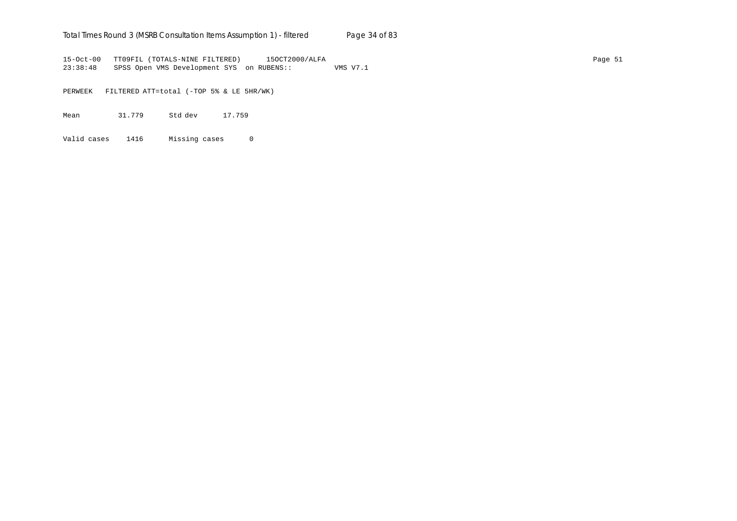## Total Times Round 3 (MSRB Consultation Items Assumption 1) - *filtered* Page 34 of 83

15-Oct-00 TT09FIL (TOTALS-NINE FILTERED) 15OCT2000/ALFA Page 51 23:38:48 SPSS Open VMS Development SYS on RUBENS:: VMS V7.1

PERWEEK FILTERED ATT=total (-TOP 5% & LE 5HR/WK)

Mean 31.779 Std dev 17.759

Valid cases 1416 Missing cases 0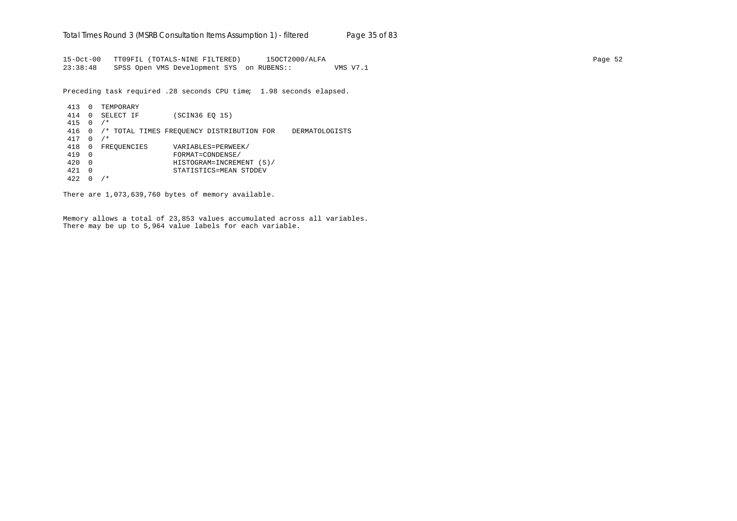15-Oct-00 TT09FIL (TOTALS-NINE FILTERED) 15OCT2000/ALFA Page 52 23:38:48 SPSS Open VMS Development SYS on RUBENS:: VMS V7.1

Preceding task required .28 seconds CPU time; 1.98 seconds elapsed.

```
413 0 TEMPORARY
414 0 SELECT IF (SCIN36 EQ 15)
415 0 /*
416 0 /* TOTAL TIMES FREQUENCY DISTRIBUTION FOR DERMATOLOGISTS
417 0 /*
418 0 FREQUENCIES VARIABLES=PERWEEK/<br>419 0 FORMAT=CONDENSE/
419 0 FORMAT=CONDENSE/
420 0 HISTOGRAM=INCREMENT (5)/
421 0 STATISTICS=MEAN STDDEV
422 0 /*
```
There are 1,073,639,760 bytes of memory available.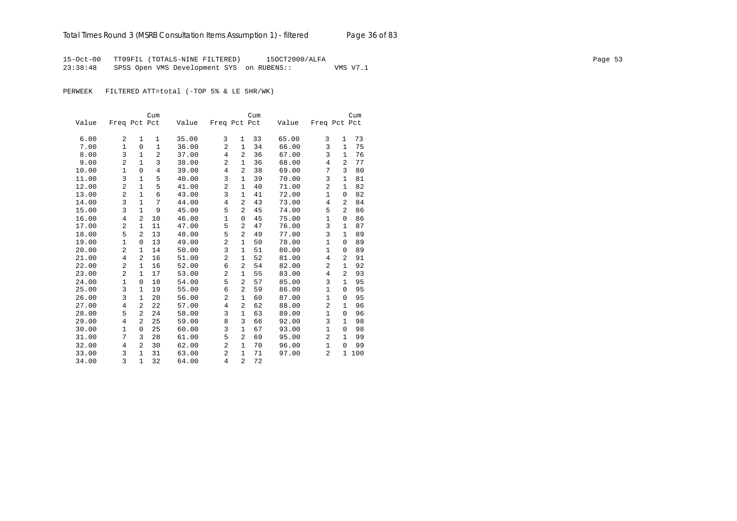15-Oct-00 TT09FIL (TOTALS-NINE FILTERED) 15OCT2000/ALFA Page 53 23:38:48 SPSS Open VMS Development SYS on RUBENS:: VMS V7.1

PERWEEK FILTERED ATT=total (-TOP 5% & LE 5HR/WK)

|       |                |                | Cum            |       |                |                | Cum |       |                |                | Cum |
|-------|----------------|----------------|----------------|-------|----------------|----------------|-----|-------|----------------|----------------|-----|
| Value | Freq Pct Pct   |                |                | Value | Freq Pct Pct   |                |     | Value | Freq Pct Pct   |                |     |
|       |                |                |                |       |                |                |     |       |                |                |     |
| 6.00  | 2              | 1              | 1              | 35.00 | 3              | 1              | 33  | 65.00 | 3              | 1              | 73  |
| 7.00  | $\mathbf 1$    | 0              | $\mathbf{1}$   | 36.00 | 2              | $\mathbf{1}$   | 34  | 66.00 | 3              | $\mathbf{1}$   | 75  |
| 8.00  | 3              | $\mathbf{1}$   | $\overline{c}$ | 37.00 | $\overline{4}$ | $\overline{2}$ | 36  | 67.00 | 3              | $\mathbf{1}$   | 76  |
| 9.00  | $\overline{a}$ | 1              | 3              | 38.00 | 2              | $\mathbf{1}$   | 36  | 68.00 | 4              | 2              | 77  |
| 10.00 | $\mathbf{1}$   | 0              | 4              | 39.00 | 4              | 2              | 38  | 69.00 | 7              | 3              | 80  |
| 11.00 | 3              | $\mathbf{1}$   | 5              | 40.00 | 3              | $\mathbf{1}$   | 39  | 70.00 | 3              | $\mathbf{1}$   | 81  |
| 12.00 | $\overline{a}$ | $\mathbf{1}$   | 5              | 41.00 | $\overline{2}$ | $\mathbf{1}$   | 40  | 71.00 | $\overline{2}$ | 1              | 82  |
| 13.00 | 2              | $\mathbf{1}$   | 6              | 43.00 | 3              | $\mathbf{1}$   | 41  | 72.00 | $\mathbf{1}$   | $\Omega$       | 82  |
| 14.00 | 3              | $\mathbf{1}$   | 7              | 44.00 | 4              | $\overline{a}$ | 43  | 73.00 | 4              | $\overline{2}$ | 84  |
| 15.00 | 3              | $\mathbf{1}$   | 9              | 45.00 | 5              | 2              | 45  | 74.00 | 5              | $\overline{2}$ | 86  |
| 16.00 | 4              | 2              | 10             | 46.00 | 1              | $\mathbf 0$    | 45  | 75.00 | $\mathbf{1}$   | 0              | 86  |
| 17.00 | 2              | $\mathbf{1}$   | 11             | 47.00 | 5              | 2              | 47  | 76.00 | 3              | $\mathbf{1}$   | 87  |
| 18.00 | 5              | $\overline{a}$ | 13             | 48.00 | 5              | 2              | 49  | 77.00 | 3              | 1              | 89  |
| 19.00 | 1              | 0              | 13             | 49.00 | $\overline{2}$ | $\mathbf{1}$   | 50  | 78.00 | $\mathbf{1}$   | $\Omega$       | 89  |
| 20.00 | $\overline{2}$ | $\mathbf{1}$   | 14             | 50.00 | 3              | $\mathbf{1}$   | 51  | 80.00 | $\mathbf{1}$   | $\mathbf 0$    | 89  |
| 21.00 | 4              | $\overline{a}$ | 16             | 51.00 | 2              | $\mathbf{1}$   | 52  | 81.00 | 4              | $\overline{a}$ | 91  |
| 22.00 | 2              | 1              | 16             | 52.00 | 6              | 2              | 54  | 82.00 | $\overline{2}$ | 1              | 92  |
| 23.00 | $\overline{2}$ | $\mathbf{1}$   | 17             | 53.00 | $\overline{c}$ | $\mathbf{1}$   | 55  | 83.00 | 4              | $\overline{2}$ | 93  |
| 24.00 | 1              | 0              | 18             | 54.00 | 5              | 2              | 57  | 85.00 | 3              | 1              | 95  |
| 25.00 | 3              | 1              | 19             | 55.00 | 6              | 2              | 59  | 86.00 | $\mathbf{1}$   | 0              | 95  |
| 26.00 | 3              | $\mathbf{1}$   | 20             | 56.00 | $\overline{2}$ | $\mathbf{1}$   | 60  | 87.00 | $\mathbf{1}$   | 0              | 95  |
| 27.00 | 4              | $\overline{a}$ | 22             | 57.00 | $\overline{4}$ | 2              | 62  | 88.00 | $\overline{2}$ | 1              | 96  |
| 28.00 | 5              | $\overline{2}$ | 24             | 58.00 | 3              | $\mathbf{1}$   | 63  | 89.00 | $\mathbf{1}$   | 0              | 96  |
| 29.00 | 4              | $\overline{a}$ | 25             | 59.00 | 8              | 3              | 66  | 92.00 | 3              | $\mathbf{1}$   | 98  |
| 30.00 | $\mathbf{1}$   | 0              | 25             | 60.00 | 3              | $\mathbf{1}$   | 67  | 93.00 | $\mathbf{1}$   | $\Omega$       | 98  |
| 31.00 | 7              | 3              | 28             | 61.00 | 5              | 2              | 69  | 95.00 | 2              | $\mathbf{1}$   | 99  |
| 32.00 | 4              | $\overline{a}$ | 30             | 62.00 | $\overline{2}$ | $\mathbf{1}$   | 70  | 96.00 | $\mathbf{1}$   | 0              | 99  |
| 33.00 | 3              | 1              | 31             | 63.00 | $\overline{a}$ | $\mathbf{1}$   | 71  | 97.00 | 2              | 1              | 100 |
| 34.00 | 3              | $\mathbf{1}$   | 32             | 64.00 | $\overline{4}$ | $\overline{a}$ | 72  |       |                |                |     |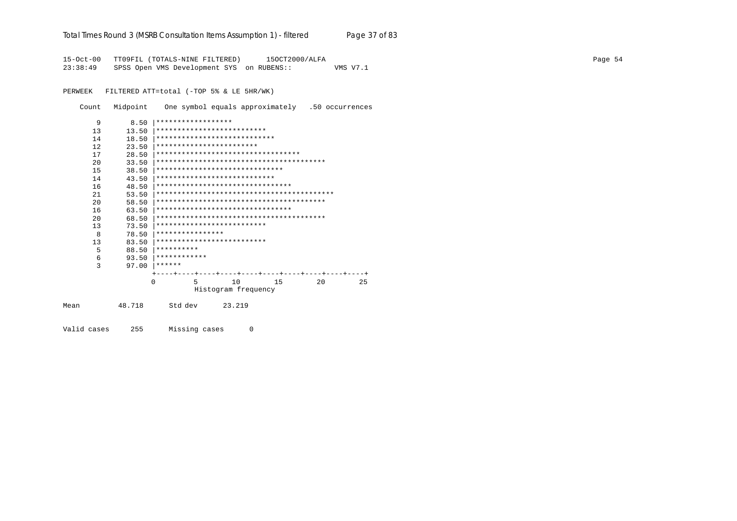|                       |          | Total Times Round 3 (MSRB Consultation Items Assumption 1) - filtered       |                     |                |    | Page 37 of 83 |  |  |         |
|-----------------------|----------|-----------------------------------------------------------------------------|---------------------|----------------|----|---------------|--|--|---------|
| 15-Oct-00<br>23:38:49 |          | TT09FIL (TOTALS-NINE FILTERED)<br>SPSS Open VMS Development SYS on RUBENS:: |                     | 150CT2000/ALFA |    | VMS V7.1      |  |  | Page 54 |
| PERWEEK               |          | FILTERED ATT=total (-TOP 5% & LE 5HR/WK)                                    |                     |                |    |               |  |  |         |
| Count                 | Midpoint | One symbol equals approximately .50 occurrences                             |                     |                |    |               |  |  |         |
| 9                     | 8.50     | ******************                                                          |                     |                |    |               |  |  |         |
| 13                    | 13.50    | **************************                                                  |                     |                |    |               |  |  |         |
| 14                    | 18.50    | ****************************                                                |                     |                |    |               |  |  |         |
| 12                    | 23.50    | ************************                                                    |                     |                |    |               |  |  |         |
| 17                    | 28.50    | ***********************************                                         |                     |                |    |               |  |  |         |
| 20                    | 33.50    |                                                                             |                     |                |    |               |  |  |         |
| 15                    | 38.50    | ******************************                                              |                     |                |    |               |  |  |         |
| 14                    | 43.50    | ****************************                                                |                     |                |    |               |  |  |         |
| 16                    | 48.50    | ********************************                                            |                     |                |    |               |  |  |         |
| 21                    | 53.50    |                                                                             |                     |                |    |               |  |  |         |
| 20                    | 58.50    |                                                                             |                     |                |    |               |  |  |         |
| 16                    | 63.50    | ********************************                                            |                     |                |    |               |  |  |         |
| 20                    | 68.50    |                                                                             |                     |                |    |               |  |  |         |
| 13                    | 73.50    | **************************                                                  |                     |                |    |               |  |  |         |
| 8                     | 78.50    | ****************                                                            |                     |                |    |               |  |  |         |
| 13                    | 83.50    | **************************                                                  |                     |                |    |               |  |  |         |
| 5                     | 88.50    | **********<br>************                                                  |                     |                |    |               |  |  |         |
| 6<br>3                | 93.50    | $97.00$ ******                                                              |                     |                |    |               |  |  |         |
|                       |          |                                                                             |                     |                |    |               |  |  |         |
|                       |          | 0<br>5.                                                                     | 10                  | 15             | 20 | 25            |  |  |         |
|                       |          |                                                                             | Histogram frequency |                |    |               |  |  |         |
| Mean                  | 48.718   | Std dev                                                                     | 23.219              |                |    |               |  |  |         |

Valid cases 255 Missing cases 0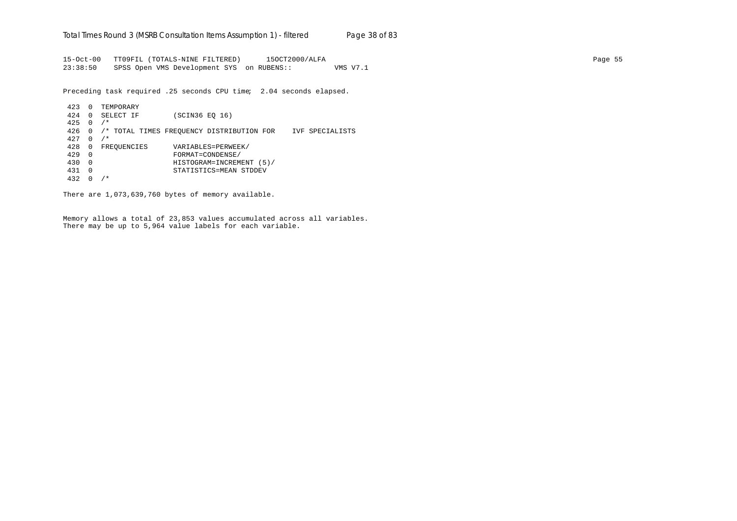15-Oct-00 TT09FIL (TOTALS-NINE FILTERED) 15OCT2000/ALFA Page 55 23:38:50 SPSS Open VMS Development SYS on RUBENS:: VMS V7.1

Preceding task required .25 seconds CPU time; 2.04 seconds elapsed.

```
423 0 TEMPORARY
424 0 SELECT IF (SCIN36 EQ 16)
425 0 /*
426 0 /* TOTAL TIMES FREQUENCY DISTRIBUTION FOR IVF SPECIALISTS
427 0 /*
428 0 FREQUENCIES VARIABLES=PERWEEK/
429 0 FORMAT=CONDENSE/
430 0 HISTOGRAM=INCREMENT (5)/
431 0 STATISTICS=MEAN STDDEV
432 0 /*
```
There are 1,073,639,760 bytes of memory available.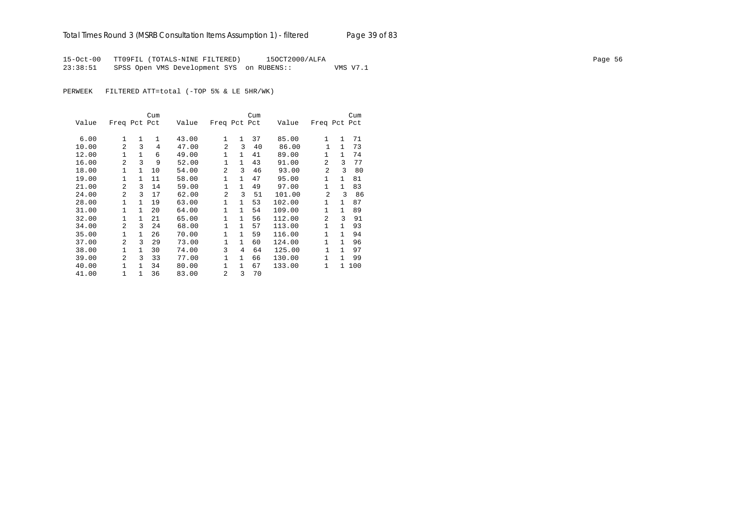15-Oct-00 TT09FIL (TOTALS-NINE FILTERED) 15OCT2000/ALFA Page 56 23:38:51 SPSS Open VMS Development SYS on RUBENS:: VMS V7.1

PERWEEK FILTERED ATT=total (-TOP 5% & LE 5HR/WK)

|       |                |              | Cum          |       |                |              | Cum |        |                |              | Cum |
|-------|----------------|--------------|--------------|-------|----------------|--------------|-----|--------|----------------|--------------|-----|
| Value | Freq Pct Pct   |              |              | Value | Freq Pct Pct   |              |     | Value  | Freq Pct Pct   |              |     |
| 6.00  | 1              | $\mathbf{1}$ | $\mathbf{1}$ | 43.00 | $\mathbf{1}$   | $\mathbf{1}$ | 37  | 85.00  | 1              | $\mathbf{1}$ | 71  |
| 10.00 | $\overline{a}$ | 3            | 4            | 47.00 | $\mathfrak{D}$ | 3            | 40  | 86.00  | $\mathbf{1}$   | $\mathbf{1}$ | 73  |
| 12.00 | $\mathbf{1}$   | $\mathbf{1}$ | 6            | 49.00 | 1              | $\mathbf{1}$ | 41  | 89.00  | 1              | $\mathbf{1}$ | 74  |
| 16.00 | $\overline{a}$ | 3            | 9            | 52.00 | $\mathbf{1}$   | $\mathbf{1}$ | 43  | 91.00  | $\overline{a}$ | 3            | 77  |
| 18.00 | $\mathbf{1}$   | $\mathbf{1}$ | 10           | 54.00 | $\mathfrak{D}$ | 3            | 46  | 93.00  | 2              | ζ            | 80  |
| 19.00 | $\mathbf{1}$   | 1            | 11           | 58.00 | $\mathbf{1}$   | $\mathbf{1}$ | 47  | 95.00  | $\mathbf{1}$   | $\mathbf{1}$ | 81  |
| 21.00 | $\overline{a}$ | 3            | 14           | 59.00 | 1              | $\mathbf{1}$ | 49  | 97.00  | $\mathbf{1}$   | $\mathbf{1}$ | 83  |
| 24.00 | 2              | 3            | 17           | 62.00 | 2              | 3            | 51  | 101.00 | 2              | 3            | 86  |
| 28.00 | $\mathbf{1}$   | $\mathbf{1}$ | 19           | 63.00 | $\mathbf{1}$   | $\mathbf{1}$ | 53  | 102.00 | $\mathbf{1}$   | $\mathbf{1}$ | 87  |
| 31.00 | $\mathbf{1}$   | $\mathbf{1}$ | 20           | 64.00 | $\mathbf{1}$   | $\mathbf{1}$ | 54  | 109.00 | $\mathbf{1}$   | $\mathbf{1}$ | 89  |
| 32.00 | $\mathbf{1}$   | $\mathbf{1}$ | 21           | 65.00 | $\mathbf{1}$   | $\mathbf{1}$ | 56  | 112.00 | 2              | 3            | 91  |
| 34.00 | $\overline{a}$ | 3            | 24           | 68.00 | 1              | $\mathbf{1}$ | 57  | 113.00 | 1              | $\mathbf{1}$ | 93  |
| 35.00 | $\mathbf{1}$   | $\mathbf{1}$ | 26           | 70.00 | $\mathbf{1}$   | $\mathbf{1}$ | 59  | 116.00 | $\mathbf{1}$   | 1            | 94  |
| 37.00 | $\mathfrak{D}$ | ς            | 29           | 73.00 | 1              | $\mathbf{1}$ | 60  | 124.00 | 1              | 1            | 96  |
| 38.00 | $\mathbf{1}$   | $\mathbf{1}$ | 30           | 74.00 | 3              | 4            | 64  | 125.00 | $\mathbf{1}$   | 1            | 97  |
| 39.00 | $\overline{a}$ | 3            | 33           | 77.00 | 1              | $\mathbf{1}$ | 66  | 130.00 | $\mathbf{1}$   | $\mathbf{1}$ | 99  |
| 40.00 | 1              | $\mathbf{1}$ | 34           | 80.00 | 1              | $\mathbf{1}$ | 67  | 133.00 | 1              | $\mathbf{1}$ | 100 |
| 41.00 | $\mathbf{1}$   | $\mathbf{1}$ | 36           | 83.00 | 2              | 3            | 70  |        |                |              |     |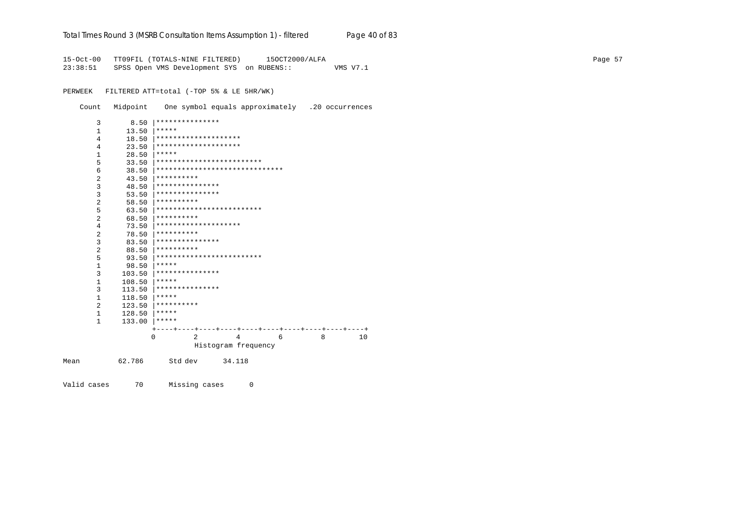|  | Total Times Round 3 (MSRB Consultation Items Assumption 1) - <i>filtered</i> |  |  |  | Page 40 of 83 |
|--|------------------------------------------------------------------------------|--|--|--|---------------|
|--|------------------------------------------------------------------------------|--|--|--|---------------|

15-Oct-00 TT09FIL (TOTALS-NINE FILTERED) 15OCT2000/ALFA Page 57 23:38:51 SPSS Open VMS Development SYS on RUBENS:: VMS V7.1

PERWEEK FILTERED ATT=total (-TOP 5% & LE 5HR/WK)

Count Midpoint One symbol equals approximately .20 occurrences

|      | 3            | 8.50   | ***************                    |    |
|------|--------------|--------|------------------------------------|----|
|      | $\mathbf{1}$ | 13.50  | *****                              |    |
|      | 4            | 18.50  | ********************               |    |
|      | 4            | 23.50  | ********************               |    |
|      | $\mathbf{1}$ | 28.50  | *****                              |    |
|      | 5            | 33.50  | *************************          |    |
|      | 6            | 38.50  | ******************************     |    |
|      | 2            | 43.50  | **********                         |    |
|      | 3            | 48.50  | ***************                    |    |
|      | 3            | 53.50  | * * * * * * * * * * * * * * *      |    |
|      | 2            | 58.50  | **********                         |    |
|      | 5            | 63.50  | *************************          |    |
|      | 2            | 68.50  | **********                         |    |
|      | 4            | 73.50  | ********************               |    |
|      | 2            | 78.50  | **********                         |    |
|      | 3            | 83.50  | ***************                    |    |
|      | 2            | 88.50  | **********                         |    |
|      | 5            | 93.50  | *************************          |    |
|      | 1            | 98.50  | *****                              |    |
|      | 3            | 103.50 | ***************                    |    |
|      | 1            | 108.50 | *****                              |    |
|      | 3            | 113.50 | ***************                    |    |
|      | 1            | 118.50 | *****                              |    |
|      | 2            | 123.50 | **********                         |    |
|      | 1            | 128.50 | *****                              |    |
|      | $\mathbf{1}$ | 133.00 | *****                              |    |
|      |              |        |                                    |    |
|      |              |        | $\mathfrak{D}$<br>8<br>0<br>4<br>6 | 10 |
|      |              |        | Histogram frequency                |    |
| Mean |              | 62.786 | Std dev<br>34.118                  |    |
|      |              |        |                                    |    |

Valid cases 70 Missing cases 0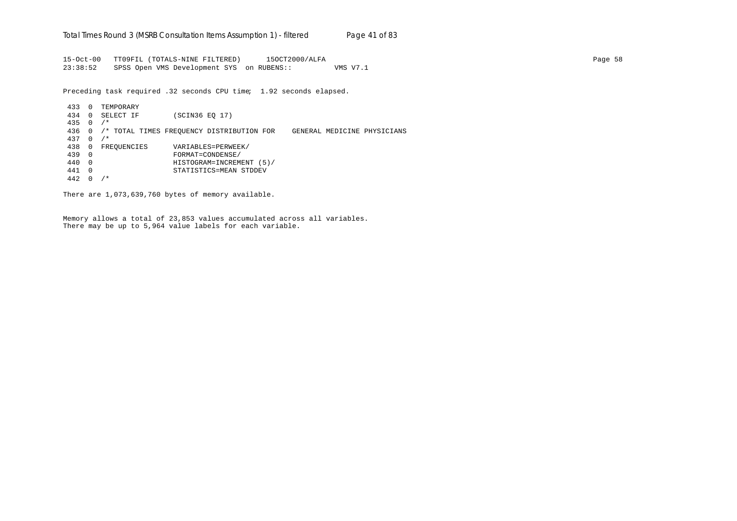15-Oct-00 TT09FIL (TOTALS-NINE FILTERED) 15OCT2000/ALFA Page 58 23:38:52 SPSS Open VMS Development SYS on RUBENS:: VMS V7.1

Preceding task required .32 seconds CPU time; 1.92 seconds elapsed.

433 0 TEMPORARY 434 0 SELECT IF (SCIN36 EQ 17) 435 0 /\* 436 0 /\* TOTAL TIMES FREQUENCY DISTRIBUTION FOR GENERAL MEDICINE PHYSICIANS 437 0 /\* 438 0 FREQUENCIES VARIABLES=PERWEEK/ 439 0 FORMAT=CONDENSE/ 440 0 HISTOGRAM=INCREMENT (5)/ 441 0 STATISTICS=MEAN STDDEV 442 0 /\*

There are 1,073,639,760 bytes of memory available.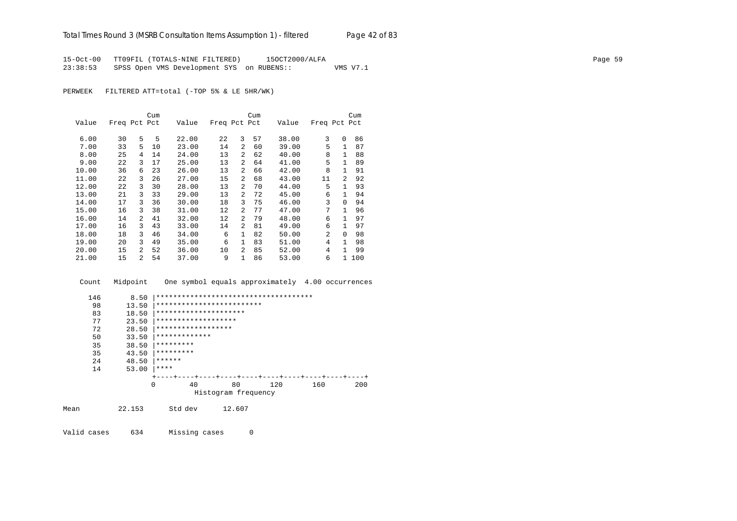15-Oct-00 TT09FIL (TOTALS-NINE FILTERED) 15OCT2000/ALFA Page 59 23:38:53 SPSS Open VMS Development SYS on RUBENS:: VMS V7.1

PERWEEK FILTERED ATT=total (-TOP 5% & LE 5HR/WK)

|       |              |                | Cum |       |              |                | Cum |       |              |                | Cum |
|-------|--------------|----------------|-----|-------|--------------|----------------|-----|-------|--------------|----------------|-----|
| Value | Freq Pct Pct |                |     | Value | Freq Pct Pct |                |     | Value | Freq Pct Pct |                |     |
| 6.00  | 30           | 5              | 5   | 22.00 | 22           | 3              | 57  | 38.00 | 3            | $\Omega$       | 86  |
| 7.00  | 33           | 5              | 10  | 23.00 | 14           | $\mathfrak{D}$ | 60  | 39.00 | 5            | 1              | 87  |
| 8.00  | 25           | 4              | 14  | 24.00 | 13           | $\overline{a}$ | 62  | 40.00 | 8            | $\mathbf{1}$   | 88  |
| 9.00  | 22           | 3              | 17  | 25.00 | 13           | $\overline{a}$ | 64  | 41.00 | 5            | $\mathbf{1}$   | 89  |
| 10.00 | 36           | 6              | 23  | 26.00 | 13           | $\overline{a}$ | 66  | 42.00 | 8            | $\mathbf{1}$   | 91  |
| 11.00 | 22           | 3              | 26  | 27.00 | 15           | $\overline{a}$ | 68  | 43.00 | 11           | $\mathfrak{D}$ | 92  |
| 12.00 | 22           | 3              | 30  | 28.00 | 13           | $\overline{a}$ | 70  | 44.00 | 5            | $\mathbf{1}$   | 93  |
| 13.00 | 21           | 3              | 33  | 29.00 | 13           | 2              | 72  | 45.00 | 6            | 1              | 94  |
| 14.00 | 17           | 3              | 36  | 30.00 | 18           | 3              | 75  | 46.00 | 3            | $\Omega$       | 94  |
| 15.00 | 16           | 3              | 38  | 31.00 | 12           | $\overline{a}$ | 77  | 47.00 | 7            | 1.             | 96  |
| 16.00 | 14           | $\mathfrak{D}$ | 41  | 32.00 | 12           | $\mathfrak{D}$ | 79  | 48.00 | 6            |                | 97  |
| 17.00 | 16           | 3              | 43  | 33.00 | 14           | $\mathfrak{D}$ | 81  | 49.00 | 6            |                | 97  |
| 18.00 | 18           | 3              | 46  | 34.00 | 6            | $\mathbf{1}$   | 82  | 50.00 | 2            | $\Omega$       | 98  |
| 19.00 | 20           | 3              | 49  | 35.00 | 6            | $\mathbf{1}$   | 83  | 51.00 | 4            |                | 98  |
| 20.00 | 15           | $\mathfrak{D}$ | 52  | 36.00 | 10           | $\overline{a}$ | 85  | 52.00 | 4            |                | 99  |
| 21.00 | 15           | $\overline{a}$ | 54  | 37.00 | 9            | 1              | 86  | 53.00 | 6            | 1.             | 100 |

Count Midpoint One symbol equals approximately 4.00 occurrences

|      | 146 | 8.50   | ************************************** |                     |     |     |     |
|------|-----|--------|----------------------------------------|---------------------|-----|-----|-----|
|      | 98  | 13.50  | *************************              |                     |     |     |     |
|      | 83  | 18.50  | *********************                  |                     |     |     |     |
|      | 77  | 23.50  | *******************                    |                     |     |     |     |
|      | 72  | 28.50  | ******************                     |                     |     |     |     |
|      | 50  | 33.50  | *************                          |                     |     |     |     |
|      | 35  | 38.50  | *********                              |                     |     |     |     |
|      | 35  | 43.50  | *********                              |                     |     |     |     |
|      | 24  | 48.50  | ******                                 |                     |     |     |     |
|      | 14  | 53.00  | ****                                   |                     |     |     |     |
|      |     |        |                                        |                     |     |     |     |
|      |     |        | 40<br>$\Omega$                         | 80                  | 120 | 160 | 200 |
|      |     |        |                                        | Histogram frequency |     |     |     |
| Mean |     | 22.153 | Std dev                                | 12.607              |     |     |     |
|      |     |        |                                        |                     |     |     |     |

Valid cases 634 Missing cases 0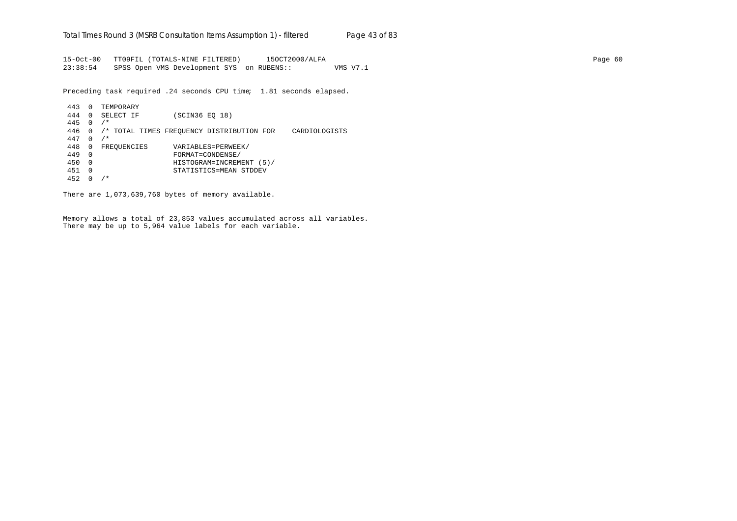15-Oct-00 TT09FIL (TOTALS-NINE FILTERED) 15OCT2000/ALFA Page 60 23:38:54 SPSS Open VMS Development SYS on RUBENS:: VMS V7.1

Preceding task required .24 seconds CPU time; 1.81 seconds elapsed.

```
443 0 TEMPORARY
444 0 SELECT IF (SCIN36 EQ 18)
445 0 /*
446 0 /* TOTAL TIMES FREQUENCY DISTRIBUTION FOR CARDIOLOGISTS
447 0 /*
448 0 FREQUENCIES VARIABLES=PERWEEK/
449 0 FORMAT=CONDENSE/
450 0 HISTOGRAM=INCREMENT (5)/
451 0 STATISTICS=MEAN STDDEV
452 0 /*
```
There are 1,073,639,760 bytes of memory available.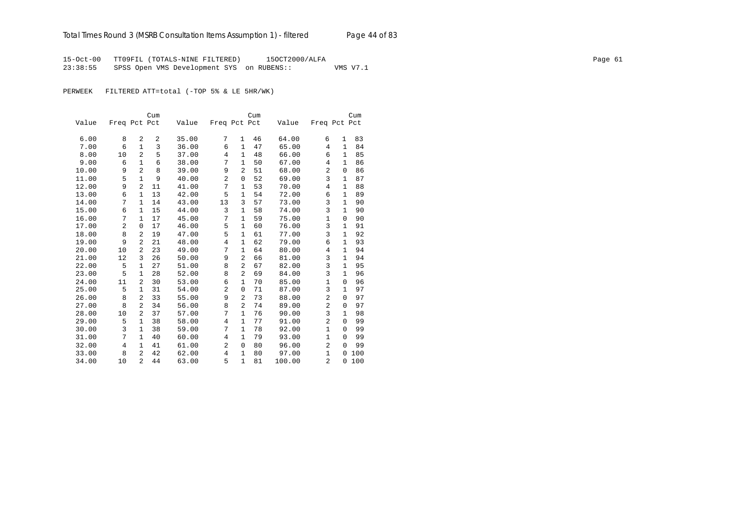15-Oct-00 TT09FIL (TOTALS-NINE FILTERED) 15OCT2000/ALFA Page 61 23:38:55 SPSS Open VMS Development SYS on RUBENS:: VMS V7.1

PERWEEK FILTERED ATT=total (-TOP 5% & LE 5HR/WK)

|       |                |                | Cum |       |                |                | Cum |        |                |              | Cum |
|-------|----------------|----------------|-----|-------|----------------|----------------|-----|--------|----------------|--------------|-----|
| Value | Freq Pct Pct   |                |     | Value | Freq Pct Pct   |                |     | Value  | Freq Pct Pct   |              |     |
|       |                |                |     |       |                |                |     |        |                |              |     |
| 6.00  | 8              | 2              | 2   | 35.00 | 7              | 1              | 46  | 64.00  | 6              | 1            | 83  |
| 7.00  | 6              | $\mathbf{1}$   | 3   | 36.00 | 6              | $\mathbf{1}$   | 47  | 65.00  | 4              | $\mathbf{1}$ | 84  |
| 8.00  | 10             | $\overline{a}$ | 5   | 37.00 | 4              | $\mathbf{1}$   | 48  | 66.00  | 6              | $\mathbf{1}$ | 85  |
| 9.00  | 6              | $\mathbf{1}$   | 6   | 38.00 | 7              | $\mathbf{1}$   | 50  | 67.00  | 4              | $\mathbf{1}$ | 86  |
| 10.00 | 9              | $\overline{a}$ | 8   | 39.00 | 9              | $\overline{2}$ | 51  | 68.00  | $\overline{a}$ | 0            | 86  |
| 11.00 | 5              | $\mathbf{1}$   | 9   | 40.00 | $\overline{c}$ | $\mathbf 0$    | 52  | 69.00  | 3              | 1            | 87  |
| 12.00 | 9              | 2              | 11  | 41.00 | 7              | 1              | 53  | 70.00  | 4              | 1            | 88  |
| 13.00 | 6              | 1              | 13  | 42.00 | 5              | 1              | 54  | 72.00  | 6              | 1            | 89  |
| 14.00 | 7              | $\mathbf{1}$   | 14  | 43.00 | 13             | 3              | 57  | 73.00  | 3              | $\mathbf 1$  | 90  |
| 15.00 | 6              | $\mathbf{1}$   | 15  | 44.00 | 3              | $\mathbf{1}$   | 58  | 74.00  | 3              | 1            | 90  |
| 16.00 | 7              | $\mathbf{1}$   | 17  | 45.00 | 7              | $\mathbf{1}$   | 59  | 75.00  | $\mathbf{1}$   | $\mathbf 0$  | 90  |
| 17.00 | $\overline{2}$ | $\mathbf 0$    | 17  | 46.00 | 5              | $\mathbf{1}$   | 60  | 76.00  | 3              | $\mathbf{1}$ | 91  |
| 18.00 | 8              | $\overline{a}$ | 19  | 47.00 | 5              | $\mathbf{1}$   | 61  | 77.00  | 3              | $\mathbf{1}$ | 92  |
| 19.00 | 9              | $\overline{a}$ | 21  | 48.00 | $\overline{4}$ | $\mathbf{1}$   | 62  | 79.00  | 6              | $\mathbf{1}$ | 93  |
| 20.00 | 10             | 2              | 23  | 49.00 | 7              | $\mathbf{1}$   | 64  | 80.00  | 4              | $\mathbf{1}$ | 94  |
| 21.00 | 12             | 3              | 26  | 50.00 | 9              | 2              | 66  | 81.00  | 3              | $\mathbf{1}$ | 94  |
| 22.00 | 5              | $\mathbf{1}$   | 27  | 51.00 | 8              | $\overline{2}$ | 67  | 82.00  | 3              | $\mathbf{1}$ | 95  |
| 23.00 | 5              | 1              | 28  | 52.00 | 8              | $\overline{2}$ | 69  | 84.00  | 3              | 1            | 96  |
| 24.00 | 11             | 2              | 30  | 53.00 | 6              | $\mathbf{1}$   | 70  | 85.00  | $\mathbf{1}$   | $\Omega$     | 96  |
| 25.00 | 5              | $\mathbf{1}$   | 31  | 54.00 | $\overline{2}$ | $\mathbf 0$    | 71  | 87.00  | 3              | $\mathbf{1}$ | 97  |
| 26.00 | 8              | $\overline{a}$ | 33  | 55.00 | 9              | $\overline{2}$ | 73  | 88.00  | $\overline{a}$ | $\mathbf 0$  | 97  |
| 27.00 | 8              | 2              | 34  | 56.00 | 8              | 2              | 74  | 89.00  | 2              | $\Omega$     | 97  |
| 28.00 | 10             | $\overline{a}$ | 37  | 57.00 | 7              | $\mathbf{1}$   | 76  | 90.00  | 3              | $\mathbf{1}$ | 98  |
| 29.00 | 5              | 1              | 38  | 58.00 | 4              | $\mathbf{1}$   | 77  | 91.00  | $\overline{a}$ | $\mathbf 0$  | 99  |
| 30.00 | 3              | $\mathbf{1}$   | 38  | 59.00 | 7              | $\mathbf{1}$   | 78  | 92.00  | $\mathbf{1}$   | $\Omega$     | 99  |
| 31.00 | 7              | $\mathbf{1}$   | 40  | 60.00 | 4              | $\mathbf{1}$   | 79  | 93.00  | $\mathbf{1}$   | $\mathbf 0$  | 99  |
| 32.00 | 4              | 1              | 41  | 61.00 | 2              | $\mathbf 0$    | 80  | 96.00  | 2              | $\Omega$     | 99  |
| 33.00 | 8              | $\overline{2}$ | 42  | 62.00 | 4              | 1              | 80  | 97.00  | $\mathbf{1}$   | $\Omega$     | 100 |
| 34.00 | 10             | $\overline{a}$ | 44  | 63.00 | 5              | $\mathbf{1}$   | 81  | 100.00 | $\overline{a}$ | $\Omega$     | 100 |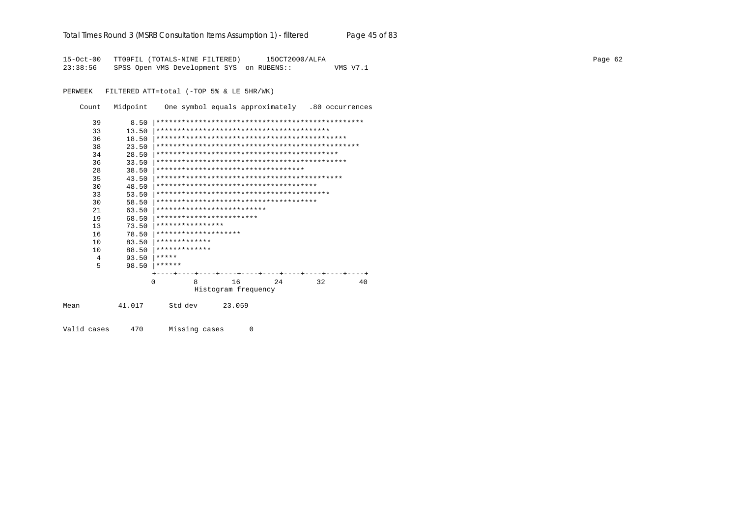| Total Times Round 3 (MSRB Consultation Items Assumption 1) - filtered | Page 45 of 83 |
|-----------------------------------------------------------------------|---------------|
|-----------------------------------------------------------------------|---------------|

15-Oct-00 TT09FIL (TOTALS-NINE FILTERED) 15OCT2000/ALFA Page 62 23:38:56 SPSS Open VMS Development SYS on RUBENS:: VMS V7.1

PERWEEK FILTERED ATT=total (-TOP 5% & LE 5HR/WK)

| Count       | Midpoint |          |                  |                            |                     |                                     |    | One symbol equals approximately .80 occurrences |
|-------------|----------|----------|------------------|----------------------------|---------------------|-------------------------------------|----|-------------------------------------------------|
| 39          | 8.50     |          |                  |                            |                     |                                     |    |                                                 |
| 33          | 13.50    |          |                  |                            |                     |                                     |    |                                                 |
| 36          | 18.50    |          |                  |                            |                     |                                     |    |                                                 |
| 38          | 23.50    |          |                  |                            |                     |                                     |    |                                                 |
| 34          | 28.50    |          |                  |                            |                     |                                     |    |                                                 |
| 36          | 33.50    |          |                  |                            |                     |                                     |    |                                                 |
| 28          | 38.50    |          |                  |                            |                     | *********************************** |    |                                                 |
| 35          | 43.50    |          |                  |                            |                     |                                     |    |                                                 |
| 30          | 48.50    |          |                  |                            |                     |                                     |    |                                                 |
| 33          | 53.50    |          |                  |                            |                     |                                     |    |                                                 |
| 30          | 58.50    |          |                  |                            |                     |                                     |    |                                                 |
| 21          | 63.50    |          |                  | ************************** |                     |                                     |    |                                                 |
| 19          | 68.50    |          |                  | ************************   |                     |                                     |    |                                                 |
| 13          | 73.50    |          | **************** |                            |                     |                                     |    |                                                 |
| 16          | 78.50    |          |                  | ********************       |                     |                                     |    |                                                 |
| 10          | 83.50    |          | *************    |                            |                     |                                     |    |                                                 |
| 10          | 88.50    |          | *************    |                            |                     |                                     |    |                                                 |
| 4           | 93.50    | *****    |                  |                            |                     |                                     |    |                                                 |
| 5           | 98.50    | ******   |                  |                            |                     |                                     |    |                                                 |
|             |          |          |                  |                            |                     |                                     |    |                                                 |
|             |          | $\Omega$ | 8                | 16                         |                     | 24                                  | 32 | 40                                              |
|             |          |          |                  |                            | Histogram frequency |                                     |    |                                                 |
| Mean        | 41.017   |          | Std dev          | 23.059                     |                     |                                     |    |                                                 |
| Valid cases | 470      |          | Missing cases    |                            | $\Omega$            |                                     |    |                                                 |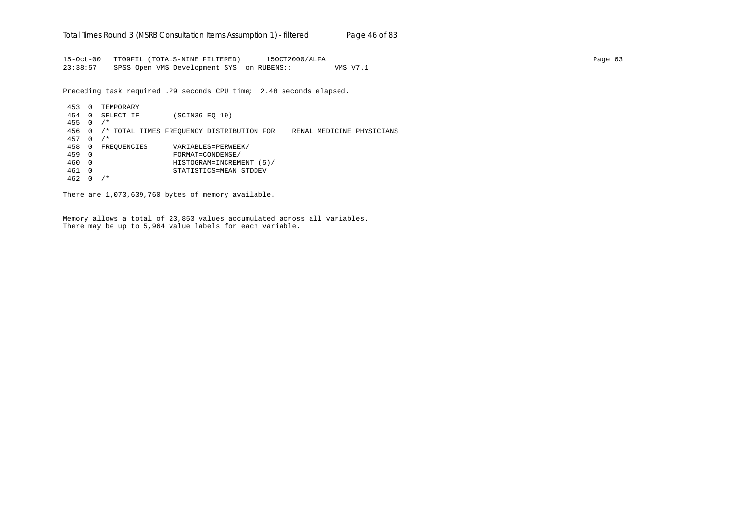15-Oct-00 TT09FIL (TOTALS-NINE FILTERED) 15OCT2000/ALFA Page 63 23:38:57 SPSS Open VMS Development SYS on RUBENS:: VMS V7.1

Preceding task required .29 seconds CPU time; 2.48 seconds elapsed.

453 0 TEMPORARY 454 0 SELECT IF (SCIN36 EQ 19) 455 0 /\* 456 0 /\* TOTAL TIMES FREQUENCY DISTRIBUTION FOR RENAL MEDICINE PHYSICIANS 457 0 /\* 458 0 FREQUENCIES VARIABLES=PERWEEK/ 459 0 FORMAT=CONDENSE/ 460 0 HISTOGRAM=INCREMENT (5)/ 461 0 STATISTICS=MEAN STDDEV 462 0 /\*

There are 1,073,639,760 bytes of memory available.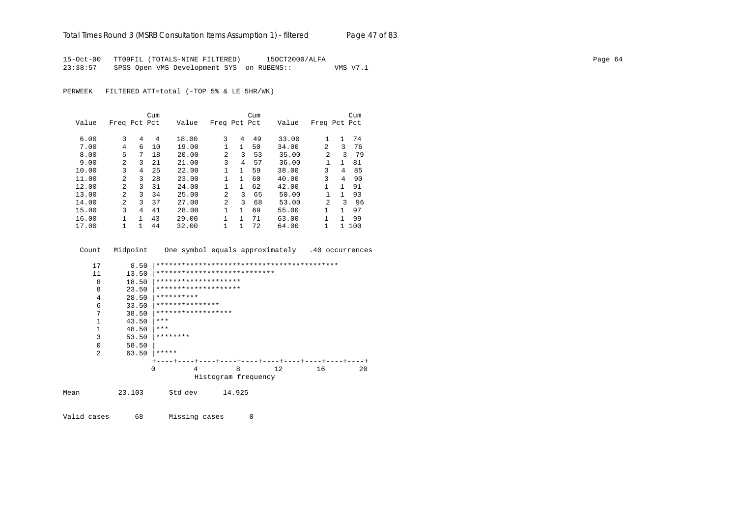15-Oct-00 TT09FIL (TOTALS-NINE FILTERED) 15OCT2000/ALFA Page 64 23:38:57 SPSS Open VMS Development SYS on RUBENS:: VMS V7.1

PERWEEK FILTERED ATT=total (-TOP 5% & LE 5HR/WK)

|       |                |              | Cum |       |                |              | Cum |       |                |              | Cum |
|-------|----------------|--------------|-----|-------|----------------|--------------|-----|-------|----------------|--------------|-----|
| Value | Freq Pct Pct   |              |     | Value | Freq Pct Pct   |              |     | Value | Freq Pct Pct   |              |     |
|       |                |              |     |       |                |              |     |       |                |              |     |
| 6.00  | 3              | 4            | 4   | 18.00 | 3              | 4            | 49  | 33.00 |                | 1            | 74  |
| 7.00  | 4              | 6            | 10  | 19.00 |                | 1            | 50  | 34.00 | 2              | 3            | 76  |
| 8.00  | 5              | 7            | 18  | 20.00 | $\overline{a}$ | 3            | 53  | 35.00 | 2              | ζ            | 79  |
| 9.00  | 2              | 3            | 21  | 21.00 | 3              | 4            | 57  | 36.00 |                | $\mathbf{1}$ | 81  |
| 10.00 | 3              | 4            | 25  | 22.00 |                | $\mathbf{1}$ | 59  | 38.00 | 3              | 4            | 85  |
| 11.00 | $\mathfrak{D}$ | 3            | 28  | 23.00 | $\mathbf{1}$   | 1            | 60  | 40.00 | 3              | 4            | 90  |
| 12.00 | $\overline{a}$ | 3            | 31  | 24.00 |                | 1            | 62  | 42.00 | 1              | 1            | 91  |
| 13.00 | $\mathfrak{D}$ | 3            | 34  | 25.00 | $\overline{a}$ | 3            | 65  | 50.00 |                | $\mathbf{1}$ | 93  |
| 14.00 | $\overline{a}$ | 3            | 37  | 27.00 | 2              | 3            | 68  | 53.00 | $\mathfrak{D}$ | ζ            | 96  |
| 15.00 | ζ              | 4            | 41  | 28.00 | 1.             | $\mathbf{1}$ | 69  | 55.00 | 1              | 1            | 97  |
| 16.00 |                | $\mathbf{1}$ | 43  | 29.00 | $\mathbf{1}$   | 1            | 71  | 63.00 | 1              | 1            | 99  |
| 17.00 |                | 1            | 44  | 32.00 | $\mathbf{1}$   |              | 72  | 64.00 | 1              |              | 100 |

Count Midpoint One symbol equals approximately .40 occurrences

| 17   | 8.50   |                              |                     |    |    |    |
|------|--------|------------------------------|---------------------|----|----|----|
| 11   | 13.50  | **************************** |                     |    |    |    |
| 8    | 18.50  | ********************         |                     |    |    |    |
| 8    | 23.50  | ********************         |                     |    |    |    |
| 4    | 28.50  | **********                   |                     |    |    |    |
| 6    | 33.50  | ***************              |                     |    |    |    |
| 7    | 38.50  | ******************           |                     |    |    |    |
|      | 43.50  | ***                          |                     |    |    |    |
|      | 48.50  | ***                          |                     |    |    |    |
| 3    | 53.50  | ********                     |                     |    |    |    |
| 0    | 58.50  |                              |                     |    |    |    |
| 2    | 63.50  | *****                        |                     |    |    |    |
|      |        |                              |                     |    |    |    |
|      |        | 4<br>$\Omega$                | 8                   | 12 | 16 | 20 |
|      |        |                              | Histogram frequency |    |    |    |
| Mean | 23.103 | Std dev                      | 14.925              |    |    |    |

Valid cases 68 Missing cases 0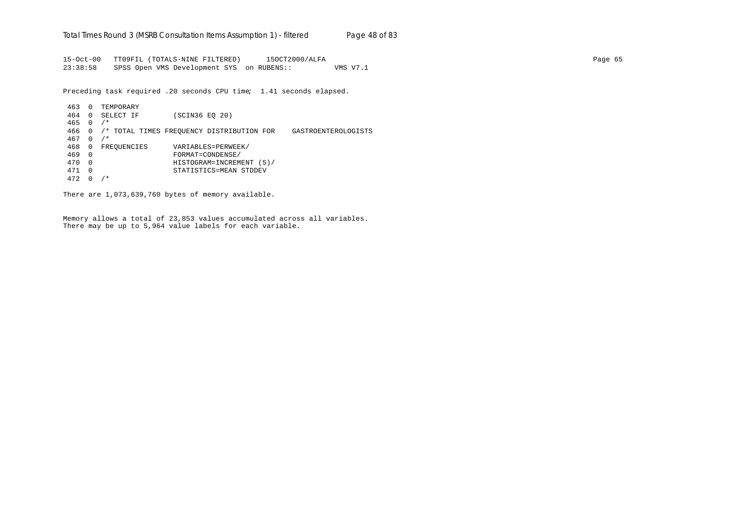15-Oct-00 TT09FIL (TOTALS-NINE FILTERED) 15OCT2000/ALFA Page 65 23:38:58 SPSS Open VMS Development SYS on RUBENS:: VMS V7.1

Preceding task required .20 seconds CPU time; 1.41 seconds elapsed.

463 0 TEMPORARY 464 0 SELECT IF (SCIN36 EQ 20) 465 0 /\* 466 0 /\* TOTAL TIMES FREQUENCY DISTRIBUTION FOR GASTROENTEROLOGISTS 467 0 /\* 468 0 FREQUENCIES VARIABLES=PERWEEK/ 469 0 FORMAT=CONDENSE/ 470 0 HISTOGRAM=INCREMENT (5)/ 471 0 STATISTICS=MEAN STDDEV 472 0 /\*

There are 1,073,639,760 bytes of memory available.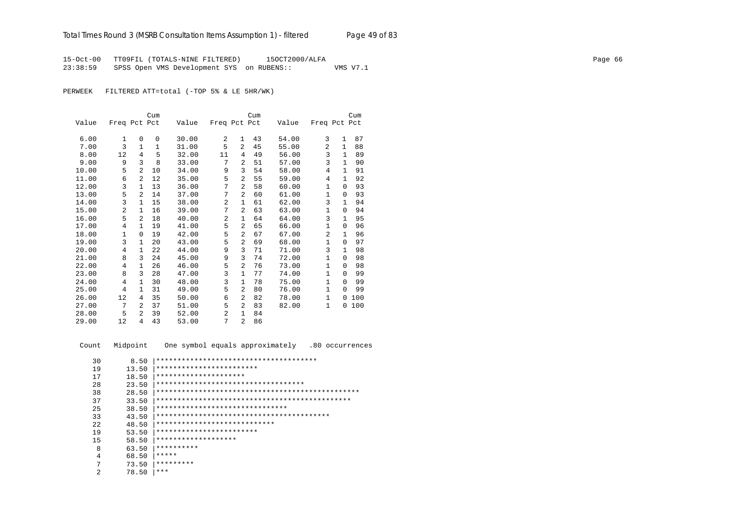15-Oct-00 TT09FIL (TOTALS-NINE FILTERED) 15OCT2000/ALFA Page 66 23:38:59 SPSS Open VMS Development SYS on RUBENS:: VMS V7.1

PERWEEK FILTERED ATT=total (-TOP 5% & LE 5HR/WK)

|       |                |                | Cum         |       |                |                | Cum |       |                |              | Cum |
|-------|----------------|----------------|-------------|-------|----------------|----------------|-----|-------|----------------|--------------|-----|
| Value | Freq Pct Pct   |                |             | Value | Freq Pct Pct   |                |     | Value | Freq Pct Pct   |              |     |
|       |                |                |             |       |                |                |     |       |                |              |     |
| 6.00  | $\mathbf{1}$   | $\Omega$       | $\mathbf 0$ | 30.00 | 2              | $\mathbf{1}$   | 43  | 54.00 | 3              | $\mathbf{1}$ | 87  |
| 7.00  | 3              | $\mathbf{1}$   | 1           | 31.00 | 5              | $\overline{2}$ | 45  | 55.00 | 2              | $\mathbf{1}$ | 88  |
| 8.00  | 12             | 4              | 5           | 32.00 | 11             | 4              | 49  | 56.00 | 3              | 1            | 89  |
| 9.00  | 9              | 3              | 8           | 33.00 | 7              | $\overline{a}$ | 51  | 57.00 | 3              | $\mathbf{1}$ | 90  |
| 10.00 | 5              | $\overline{a}$ | 10          | 34.00 | 9              | 3              | 54  | 58.00 | 4              | $\mathbf{1}$ | 91  |
| 11.00 | 6              | $\overline{a}$ | 12          | 35.00 | 5              | $\overline{2}$ | 55  | 59.00 | 4              | 1            | 92  |
| 12.00 | 3              | $\mathbf{1}$   | 13          | 36.00 | 7              | $\overline{2}$ | 58  | 60.00 | $\mathbf 1$    | $\Omega$     | 93  |
| 13.00 | 5              | 2              | 14          | 37.00 | 7              | 2              | 60  | 61.00 | $\mathbf{1}$   | $\Omega$     | 93  |
| 14.00 | 3              | $\mathbf{1}$   | 15          | 38.00 | $\overline{2}$ | $\mathbf{1}$   | 61  | 62.00 | 3              | $\mathbf{1}$ | 94  |
| 15.00 | $\overline{2}$ | 1              | 16          | 39.00 | 7              | 2              | 63  | 63.00 | 1              | $\Omega$     | 94  |
| 16.00 | 5              | $\overline{a}$ | 18          | 40.00 | $\overline{a}$ | $\mathbf{1}$   | 64  | 64.00 | 3              | $\mathbf{1}$ | 95  |
| 17.00 | 4              | 1              | 19          | 41.00 | 5              | 2              | 65  | 66.00 | $\mathbf 1$    | $\Omega$     | 96  |
| 18.00 | $\mathbf{1}$   | 0              | 19          | 42.00 | 5              | 2              | 67  | 67.00 | $\overline{2}$ | $\mathbf{1}$ | 96  |
| 19.00 | 3              | $\mathbf{1}$   | 20          | 43.00 | 5              | 2              | 69  | 68.00 | 1              | $\Omega$     | 97  |
| 20.00 | 4              | $\mathbf{1}$   | 22          | 44.00 | 9              | 3              | 71  | 71.00 | 3              | $\mathbf{1}$ | 98  |
| 21.00 | 8              | 3              | 24          | 45.00 | 9              | 3              | 74  | 72.00 | $\mathbf{1}$   | $\Omega$     | 98  |
| 22.00 | 4              | 1              | 26          | 46.00 | 5              | $\overline{2}$ | 76  | 73.00 | $\mathbf{1}$   | 0            | 98  |
| 23.00 | 8              | 3              | 28          | 47.00 | 3              | $\mathbf{1}$   | 77  | 74.00 | 1              | $\Omega$     | 99  |
| 24.00 | 4              | $\mathbf{1}$   | 30          | 48.00 | 3              | $\mathbf{1}$   | 78  | 75.00 | $\mathbf{1}$   | $\Omega$     | 99  |
| 25.00 | 4              | 1              | 31          | 49.00 | 5              | $\overline{2}$ | 80  | 76.00 | 1              | $\Omega$     | 99  |
| 26.00 | 12             | 4              | 35          | 50.00 | 6              | $\overline{2}$ | 82  | 78.00 | $\mathbf{1}$   | $\Omega$     | 100 |
| 27.00 | 7              | $\mathfrak{D}$ | 37          | 51.00 | 5              | $\overline{2}$ | 83  | 82.00 | 1              | 0            | 100 |
| 28.00 | 5              | $\overline{a}$ | 39          | 52.00 | $\overline{a}$ | $\mathbf{1}$   | 84  |       |                |              |     |
| 29.00 | 12             | 4              | 43          | 53.00 | 7              | $\overline{a}$ | 86  |       |                |              |     |

Count Midpoint One symbol equals approximately .80 occurrences

| 30  | 8.50  | ************************************** |
|-----|-------|----------------------------------------|
| 19  | 13.50 | ************************               |
| 17  | 18.50 | *********************                  |
| 28  | 23.50 | ***********************************    |
| 38  | 28.50 |                                        |
| 37  | 33.50 |                                        |
| 25  | 38.50 | *******************************        |
| 33  | 43.50 |                                        |
| 2.2 | 48.50 | ****************************           |
| 19  | 53.50 | ************************               |
| 15  | 58.50 | *******************                    |
| 8   | 63.50 | **********                             |
| 4   | 68.50 | *****                                  |
| 7   | 73.50 | *********                              |
| 2   | 78.50 | ***                                    |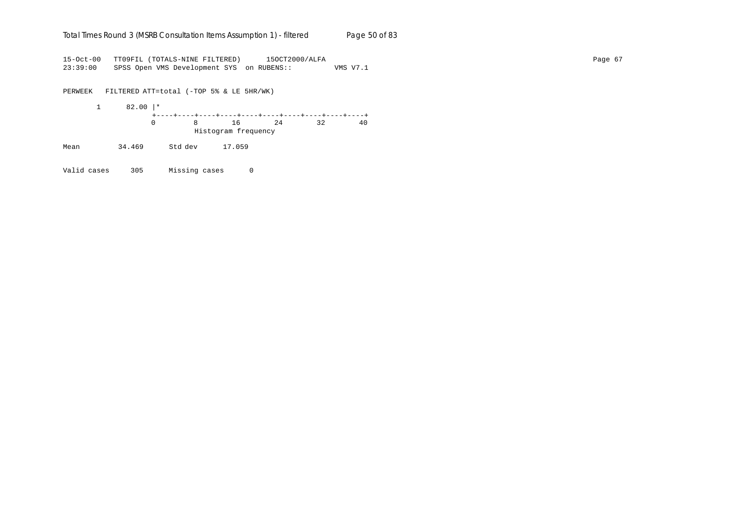## Total Times Round 3 (MSRB Consultation Items Assumption 1) - *filtered* Page 50 of 83

15-Oct-00 TT09FIL (TOTALS-NINE FILTERED) 15OCT2000/ALFA Page 67 23:39:00 SPSS Open VMS Development SYS on RUBENS:: VMS V7.1

PERWEEK FILTERED ATT=total (-TOP 5% & LE 5HR/WK) 1 82.00 |\* +----+----+----+----+----+----+----+----+----+----+ 0 8 16 24 32 40 Histogram frequency Mean 34.469 Std dev 17.059

Valid cases 305 Missing cases 0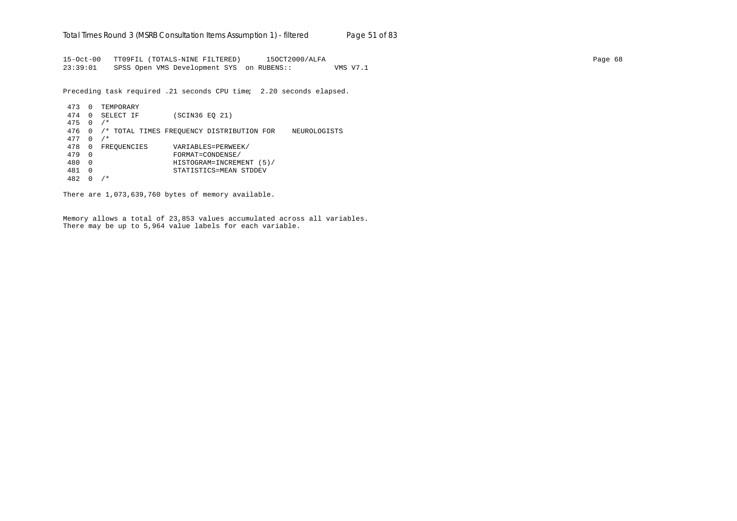15-Oct-00 TT09FIL (TOTALS-NINE FILTERED) 15OCT2000/ALFA Page 68 23:39:01 SPSS Open VMS Development SYS on RUBENS:: VMS V7.1

Preceding task required .21 seconds CPU time; 2.20 seconds elapsed.

```
473 0 TEMPORARY
474 0 SELECT IF (SCIN36 EQ 21)
475 0 /*
476 0 /* TOTAL TIMES FREQUENCY DISTRIBUTION FOR NEUROLOGISTS
477 0 /*
478 0 FREQUENCIES VARIABLES=PERWEEK/<br>479 0 FORMAT=CONDENSE/
479 0 FORMAT=CONDENSE/
480 0 HISTOGRAM=INCREMENT (5)/
481 0 STATISTICS=MEAN STDDEV
482 0 /*
```
There are 1,073,639,760 bytes of memory available.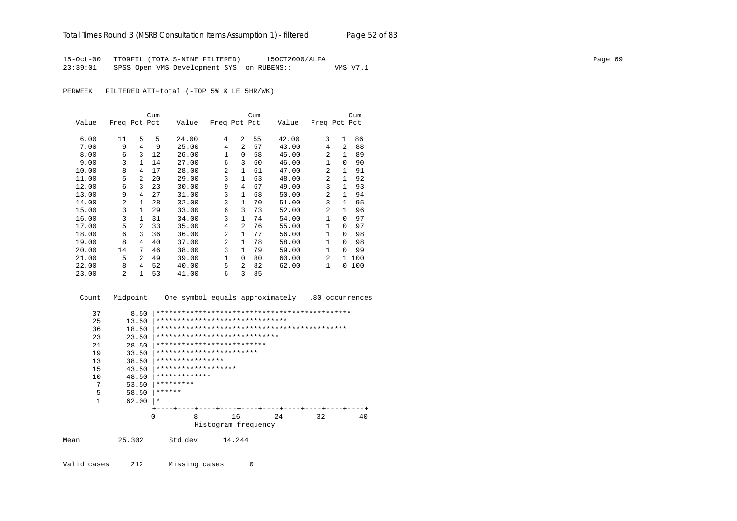15-Oct-00 TT09FIL (TOTALS-NINE FILTERED) 15OCT2000/ALFA Page 69 23:39:01 SPSS Open VMS Development SYS on RUBENS:: VMS V7.1

PERWEEK FILTERED ATT=total (-TOP 5% & LE 5HR/WK)

|       |                |                | Cum |       |                |                | Cum |       |                |              | Cum |
|-------|----------------|----------------|-----|-------|----------------|----------------|-----|-------|----------------|--------------|-----|
| Value | Freq Pct Pct   |                |     | Value | Freq Pct Pct   |                |     | Value | Freq Pct Pct   |              |     |
|       |                |                |     |       |                |                |     |       |                |              |     |
| 6.00  | 11             | 5              | 5   | 24.00 | 4              | 2              | 55  | 42.00 | 3              | $\mathbf{1}$ | 86  |
| 7.00  | 9              | 4              | 9   | 25.00 | 4              | $\mathfrak{D}$ | 57  | 43.00 | 4              | 2            | 88  |
| 8.00  | 6              | 3              | 12  | 26.00 | 1              | 0              | 58  | 45.00 | $\mathfrak{D}$ | 1            | 89  |
| 9.00  | 3              | 1              | 14  | 27.00 | 6              | 3              | 60  | 46.00 | $\mathbf{1}$   | $\Omega$     | 90  |
| 10.00 | 8              | 4              | 17  | 28.00 | $\overline{a}$ | $\mathbf{1}$   | 61  | 47.00 | $\mathfrak{D}$ | 1            | 91  |
| 11.00 | 5              | 2              | 20  | 29.00 | 3              | $\mathbf{1}$   | 63  | 48.00 | $\mathfrak{D}$ | 1            | 92  |
| 12.00 | 6              | 3              | 23  | 30.00 | 9              | 4              | 67  | 49.00 | 3              | 1.           | 93  |
| 13.00 | 9              | 4              | 27  | 31.00 | 3              | $\mathbf{1}$   | 68  | 50.00 | $\mathfrak{D}$ | $\mathbf{1}$ | 94  |
| 14.00 | $\mathfrak{D}$ | 1              | 28  | 32.00 | 3              | $\mathbf{1}$   | 70  | 51.00 | 3              | 1            | 95  |
| 15.00 | 3              | 1              | 29  | 33.00 | 6              | 3              | 73  | 52.00 | $\mathfrak{D}$ | 1            | 96  |
| 16.00 | 3              | 1              | 31  | 34.00 | 3              | $\mathbf{1}$   | 74  | 54.00 | $\mathbf{1}$   | $\Omega$     | 97  |
| 17.00 | 5              | $\overline{2}$ | 33  | 35.00 | 4              | 2              | 76  | 55.00 | $\mathbf{1}$   | 0            | 97  |
| 18.00 | 6              | 3              | 36  | 36.00 | 2              | 1              | 77  | 56.00 | 1              | $\Omega$     | 98  |
| 19.00 | 8              | 4              | 40  | 37.00 | $\overline{a}$ | $\mathbf{1}$   | 78  | 58.00 | $\mathbf{1}$   | $\Omega$     | 98  |
| 20.00 | 14             | 7              | 46  | 38.00 | 3              | $\mathbf{1}$   | 79  | 59.00 | $\mathbf{1}$   | $\Omega$     | 99  |
| 21.00 | 5              | $\mathfrak{D}$ | 49  | 39.00 | 1              | $\Omega$       | 80  | 60.00 | $\mathfrak{D}$ | $\mathbf{1}$ | 100 |
| 22.00 | 8              | 4              | 52  | 40.00 | 5              | $\overline{a}$ | 82  | 62.00 | 1              | 0            | 100 |
| 23.00 | 2              | $\mathbf{1}$   | 53  | 41.00 | 6              | 3              | 85  |       |                |              |     |

 Count Midpoint One symbol equals approximately .80 occurrences 37 8.50 |\*\*\*\*\*\*\*\*\*\*\*\*\*\*\*\*\*\*\*\*\*\*\*\*\*\*\*\*\*\*\*\*\*\*\*\*\*\*\*\*\*\*\*\*\*\* 25 13.50 |\*\*\*\*\*\*\*\*\*\*\*\*\*\*\*\*\*\*\*\*\*\*\*\*\*\*\*\*\*\*\*\*\*\*<br>36 18.50 |\*\*\*\*\*\*\*\*\*\*\*\*\*\*\*\*\*\*\*\*\*\*\*\*\*\*\*\*\*\*\*\*\* 36 18.50 |\*\*\*\*\*\*\*\*\*\*\*\*\*\*\*\*\*\*\*\*\*\*\*\*\*\*\*\*\*\*\*\*\*\*\*\*\*\*\*\*\*\*\*\*\* 23 23.50 |\*\*\*\*\*\*\*\*\*\*\*\*\*\*\*\*\*\*\*\*\*\*\*\*\*\*\*\*\* 21 28.50 |\*\*\*\*\*\*\*\*\*\*\*\*\*\*\*\*\*\*\*\*\*\*\*\*\*\*\*\*<br>19 33.50 |\*\*\*\*\*\*\*\*\*\*\*\*\*\*\*\*\*\*\*\*\*\*\*\*\* 19 33.50 |\*\*\*\*\*\*\*\*\*\*\*\*\*\*\*\*\*\*\*\*\*\*\*\* 13 38.50 |\*\*\*\*\*\*\*\*\*\*\*\*\*\*\*\* 15 43.50 |\*\*\*\*\*\*\*\*\*\*\*\*\*\*\*\*\*\*\*

10  $48.50$   $******************$ <br>7 53.50 \*\*\*\*\*\*\*\*\*\* 7  $53.50$   $*********$ <br>5  $58.50$   $******$ 5  $58.50$  \*\*\*\*\*\*<br>1 62.00 \*  $62.00$  |\* +----+----+----+----+----+----+----+----+----+----+ 0 8 16 24 32 40 Histogram frequency

Mean 25.302 Std dev 14.244

Valid cases 212 Missing cases 0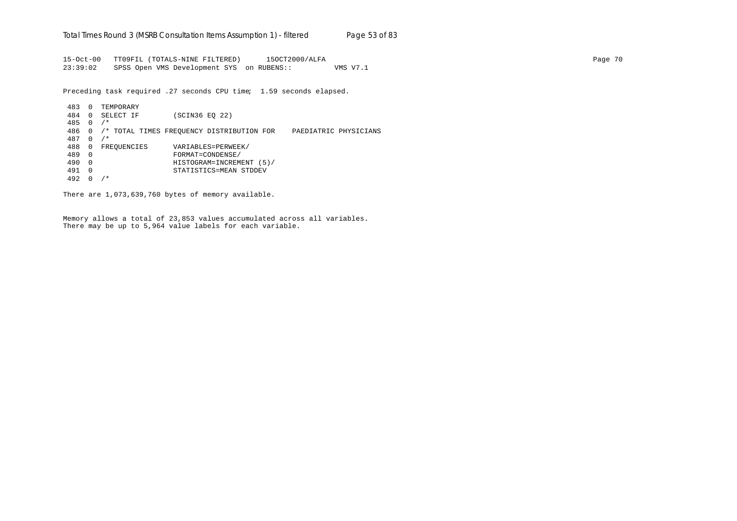15-Oct-00 TT09FIL (TOTALS-NINE FILTERED) 15OCT2000/ALFA Page 70 23:39:02 SPSS Open VMS Development SYS on RUBENS:: VMS V7.1

Preceding task required .27 seconds CPU time; 1.59 seconds elapsed.

483 0 TEMPORARY 484 0 SELECT IF (SCIN36 EQ 22) 485 0 /\* 486 0 /\* TOTAL TIMES FREQUENCY DISTRIBUTION FOR PAEDIATRIC PHYSICIANS 487 0 /\* 488 0 FREQUENCIES VARIABLES=PERWEEK/ 489 0 FORMAT=CONDENSE/ 490 0 HISTOGRAM=INCREMENT (5)/ 491 0 STATISTICS=MEAN STDDEV 492 0 /\*

There are 1,073,639,760 bytes of memory available.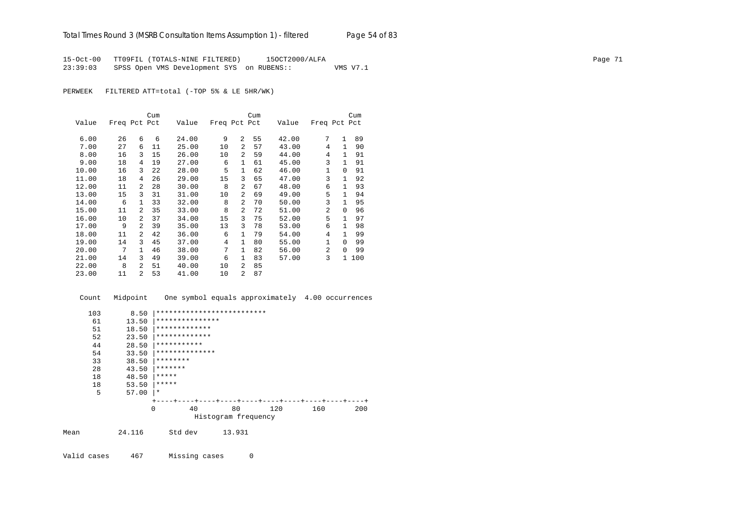15-Oct-00 TT09FIL (TOTALS-NINE FILTERED) 15OCT2000/ALFA<br>23:39:03 SPSS Open VMS Development SYS on RUBENS:: WMS V7.1 23:39:03 SPSS Open VMS Development SYS on RUBENS::

PERWEEK FILTERED ATT=total (-TOP 5% & LE 5HR/WK)

|       |              |                | Cum |       |              |                | Cum |       |                |              | Cum |
|-------|--------------|----------------|-----|-------|--------------|----------------|-----|-------|----------------|--------------|-----|
| Value | Freq Pct Pct |                |     | Value | Freq Pct Pct |                |     | Value | Freq Pct Pct   |              |     |
|       |              |                |     |       |              |                |     |       |                |              |     |
| 6.00  | 26           | 6              | 6   | 24.00 | 9            | $\overline{2}$ | 55  | 42.00 | 7              | $\mathbf{1}$ | 89  |
| 7.00  | 27           | 6              | 11  | 25.00 | 10           | 2              | 57  | 43.00 | 4              | $\mathbf{1}$ | 90  |
| 8.00  | 16           | 3              | 15  | 26.00 | 10           | 2              | 59  | 44.00 | 4              | $\mathbf{1}$ | 91  |
| 9.00  | 18           | 4              | 19  | 27.00 | 6            | $\mathbf{1}$   | 61  | 45.00 | 3              | $\mathbf{1}$ | 91  |
| 10.00 | 16           | 3              | 22  | 28.00 | 5            | $\mathbf{1}$   | 62  | 46.00 | $\mathbf{1}$   | 0            | 91  |
| 11.00 | 18           | 4              | 26  | 29.00 | 15           | 3              | 65  | 47.00 | 3              | 1            | 92  |
| 12.00 | 11           | $\overline{2}$ | 28  | 30.00 | 8            | 2              | 67  | 48.00 | 6              | 1.           | 93  |
| 13.00 | 15           | 3              | 31  | 31.00 | 10           | $\overline{a}$ | 69  | 49.00 | 5              | $\mathbf{1}$ | 94  |
| 14.00 | 6            | $\mathbf{1}$   | 33  | 32.00 | 8            | $\overline{a}$ | 70  | 50.00 | 3              | 1            | 95  |
| 15.00 | 11           | $\mathcal{L}$  | 35  | 33.00 | 8            | $\overline{a}$ | 72  | 51.00 | $\mathfrak{D}$ | $\Omega$     | 96  |
| 16.00 | 10           | $\overline{2}$ | 37  | 34.00 | 15           | 3              | 75  | 52.00 | 5              | $\mathbf{1}$ | 97  |
| 17.00 | 9            | $\overline{2}$ | 39  | 35.00 | 13           | 3              | 78  | 53.00 | 6              | 1            | 98  |
| 18.00 | 11           | 2              | 42  | 36.00 | 6            | 1              | 79  | 54.00 | 4              | 1            | 99  |
| 19.00 | 14           | 3              | 45  | 37.00 | 4            | $\mathbf{1}$   | 80  | 55.00 | $\mathbf{1}$   | $\Omega$     | 99  |
| 20.00 | 7            | $\mathbf{1}$   | 46  | 38.00 | 7            | $\mathbf{1}$   | 82  | 56.00 | $\overline{a}$ | $\Omega$     | 99  |
| 21.00 | 14           | 3              | 49  | 39.00 | 6            | $\mathbf{1}$   | 83  | 57.00 | 3              | $\mathbf{1}$ | 100 |
| 22.00 | 8            | $\overline{2}$ | 51  | 40.00 | 10           | $\overline{a}$ | 85  |       |                |              |     |
| 23.00 | 11           | 2              | 53  | 41.00 | 10           | $\overline{a}$ | 87  |       |                |              |     |

 Count Midpoint One symbol equals approximately 4.00 occurrences 103 8.50 |\*\*\*\*\*\*\*\*\*\*\*\*\*\*\*\*\*\*\*\*\*\*\*\*\*\*\*\*<br>61 13.50 |\*\*\*\*\*\*\*\*\*\*\*\*\*\*\*\* 61 13.50 |\*\*\*\*\*\*\*\*\*\*\*\*\*\*\* 51 18.50 |\*\*\*\*\*\*\*\*\*\*\*\*\*

|      | 52 | 23.50  | *************                         |                     |        |     |         |     |
|------|----|--------|---------------------------------------|---------------------|--------|-----|---------|-----|
|      | 44 | 28.50  | ***********                           |                     |        |     |         |     |
|      | 54 | 33.50  | **************                        |                     |        |     |         |     |
|      | 33 | 38.50  | ********                              |                     |        |     |         |     |
|      | 28 | 43.50  | *******                               |                     |        |     |         |     |
|      | 18 | 48.50  | *****                                 |                     |        |     |         |     |
|      | 18 | 53.50  | *****                                 |                     |        |     |         |     |
|      | 5  | 57.00  | $\star$                               |                     |        |     |         |     |
|      |    |        | +----+----+----+----+----+----+----+- |                     |        |     | $- + -$ |     |
|      |    |        | 0                                     | 40                  | 80     | 120 | 160     | 200 |
|      |    |        |                                       | Histogram frequency |        |     |         |     |
| Mean |    | 24.116 | Std dev                               |                     | 13.931 |     |         |     |
|      |    |        |                                       |                     |        |     |         |     |

Valid cases 467 Missing cases 0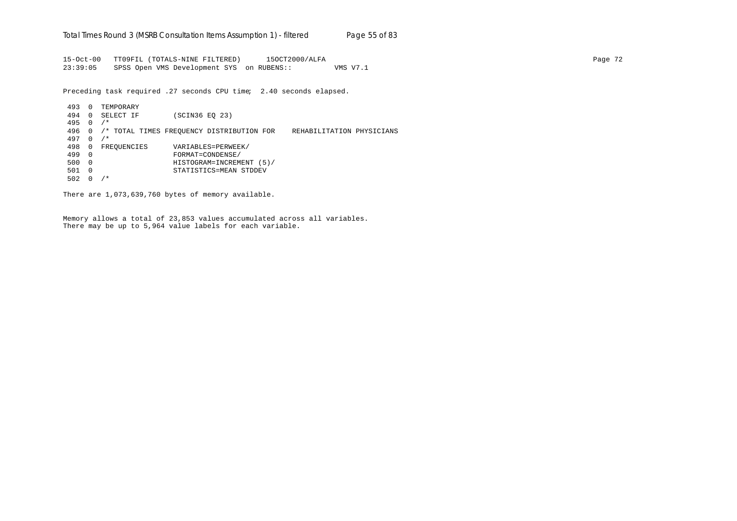15-Oct-00 TT09FIL (TOTALS-NINE FILTERED) 15OCT2000/ALFA Page 72 23:39:05 SPSS Open VMS Development SYS on RUBENS:: VMS V7.1

Preceding task required .27 seconds CPU time; 2.40 seconds elapsed.

493 0 TEMPORARY 494 0 SELECT IF (SCIN36 EQ 23) 495 0 /\* 496 0 /\* TOTAL TIMES FREQUENCY DISTRIBUTION FOR REHABILITATION PHYSICIANS 497 0 /\* 498 0 FREQUENCIES VARIABLES=PERWEEK/ 499 0 FORMAT=CONDENSE/ 500 0 HISTOGRAM=INCREMENT (5)/ 501 0 STATISTICS=MEAN STDDEV 502 0 /\*

There are 1,073,639,760 bytes of memory available.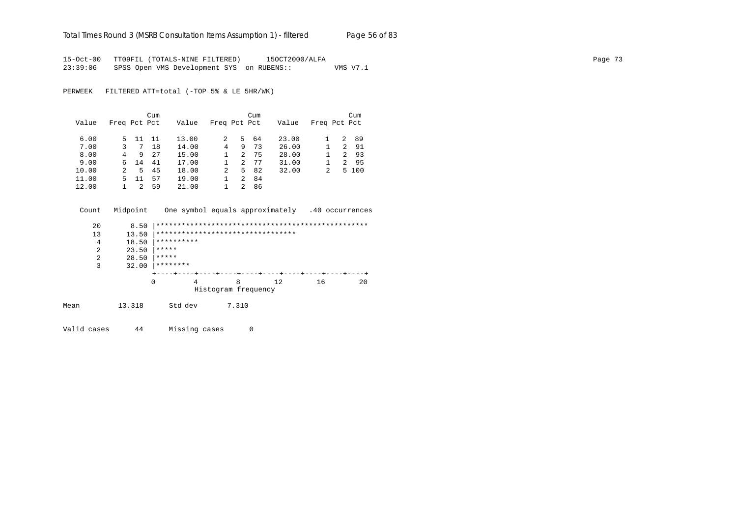## Total Times Round 3 (MSRB Consultation Items Assumption 1) - *filtered* Page 56 of 83

15-Oct-00 TT09FIL (TOTALS-NINE FILTERED) 15OCT2000/ALFA Page 73 23:39:06 SPSS Open VMS Development SYS on RUBENS:: VMS V7.1

PERWEEK FILTERED ATT=total (-TOP 5% & LE 5HR/WK)

|       |               |    | Cum |       |              |    | Cum |       |              |   | Cum   |
|-------|---------------|----|-----|-------|--------------|----|-----|-------|--------------|---|-------|
| Value | Freq Pct Pct  |    |     | Value | Freq Pct Pct |    |     | Value | Freq Pct Pct |   |       |
| 6.00  | 5.            | 11 | 11  | 13.00 | 2            | 5. | 64  | 23.00 |              | 2 | 89    |
| 7.00  | 3             | 7  | 18  | 14.00 | 4            | 9  | 73  | 26.00 |              | 2 | 91    |
| 8.00  | 4             | 9  | 27  | 15.00 |              | 2  | 75  | 28.00 |              | 2 | 93    |
| 9.00  | б.            | 14 | 41  | 17.00 |              | 2  | 77  | 31.00 |              | 2 | 95    |
| 10.00 | $\mathcal{L}$ | 5. | 45  | 18.00 | 2            | 5. | 82  | 32.00 | 2            |   | 5 100 |
| 11.00 | 5.            | 11 | 57  | 19.00 |              | 2  | 84  |       |              |   |       |
| 12.00 |               |    | 59  | 21.00 |              | 2  | 86  |       |              |   |       |

 Count Midpoint One symbol equals approximately .40 occurrences 20 8.50 |\*\*\*\*\*\*\*\*\*\*\*\*\*\*\*\*\*\*\*\*\*\*\*\*\*\*\*\*\*\*\*\*\*\*\*\*\*\*\*\*\*\*\*\*\*\*\*\*\*\* 13 13.50 |\*\*\*\*\*\*\*\*\*\*\*\*\*\*\*\*\*\*\*\*\*\*\*\*\*\*\*\*\*\*\*\*\* 4 18.50  $***********$ <br>2 23.50  $*******$ 2 23.50  $*****$ <br>2 28.50  $*****$ 2 28.50  $*****$ <br>3 32.00  $*****$  $32.00$  |\*\*\*\*\*\*\*\* +----+----+----+----+----+----+----+----+----+----+ 0 4 8 12 16 20 Histogram frequency Mean 13.318 Std dev 7.310

Valid cases 44 Missing cases 0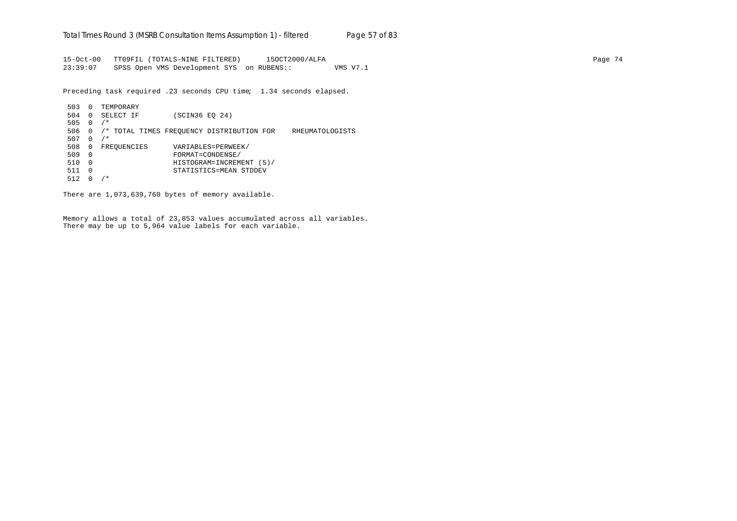15-Oct-00 TT09FIL (TOTALS-NINE FILTERED) 15OCT2000/ALFA Page 74 23:39:07 SPSS Open VMS Development SYS on RUBENS:: VMS V7.1

Preceding task required .23 seconds CPU time; 1.34 seconds elapsed.

| 503 | $\Omega$     | TEMPORARY   |                |                                           |                 |
|-----|--------------|-------------|----------------|-------------------------------------------|-----------------|
| 504 | $\Omega$     | SELECT IF   | (SCIN36 EO 24) |                                           |                 |
| 505 | <sup>0</sup> | $/$ *       |                |                                           |                 |
| 506 | 0            |             |                | /* TOTAL TIMES FREOUENCY DISTRIBUTION FOR | RHEUMATOLOGISTS |
| 507 | 0            | $/$ *       |                |                                           |                 |
| 508 | 0            | FREQUENCIES |                | VARIABLES=PERWEEK/                        |                 |
| 509 | $\Omega$     |             |                | FORMAT=CONDENSE/                          |                 |
| 510 | $\Omega$     |             |                | HISTOGRAM=INCREMENT (5)/                  |                 |
| 511 | $\Omega$     |             |                | STATISTICS=MEAN STDDEV                    |                 |
| 512 | 0            | $^\star$    |                |                                           |                 |

There are 1,073,639,760 bytes of memory available.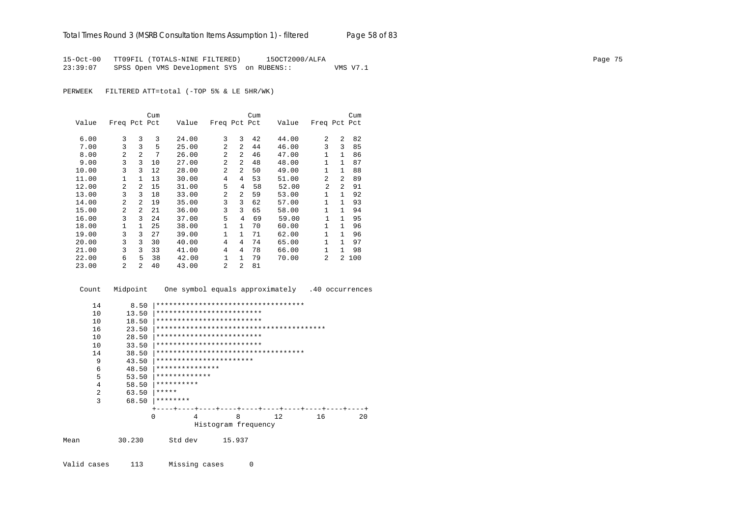15-Oct-00 TT09FIL (TOTALS-NINE FILTERED) 15OCT2000/ALFA Page 75 23:39:07 SPSS Open VMS Development SYS on RUBENS:: VMS V7.1

PERWEEK FILTERED ATT=total (-TOP 5% & LE 5HR/WK)

|       |                |                | Cum |       |                |                | Cum |       |                |                | Cum |
|-------|----------------|----------------|-----|-------|----------------|----------------|-----|-------|----------------|----------------|-----|
| Value | Freq Pct Pct   |                |     | Value | Freq Pct Pct   |                |     | Value | Freq Pct Pct   |                |     |
| 6.00  | 3              | 3              | 3   | 24.00 | 3              | 3              | 42  | 44.00 | 2              | $\mathfrak{D}$ | 82  |
| 7.00  | 3              | 3              | 5   | 25.00 | $\mathfrak{D}$ | 2              | 44  | 46.00 | 3              | 3              | 85  |
| 8.00  | $\mathfrak{D}$ | $\mathfrak{D}$ | 7   | 26.00 | $\overline{a}$ | 2              | 46  | 47.00 | 1              | $\mathbf{1}$   | 86  |
| 9.00  | 3              | 3              | 10  | 27.00 | $\overline{a}$ | 2              | 48  | 48.00 | 1              | 1.             | 87  |
| 10.00 | 3              | 3              | 12  | 28.00 | $\overline{a}$ | $\overline{2}$ | 50  | 49.00 | $\mathbf{1}$   | $\mathbf{1}$   | 88  |
| 11.00 | 1              | 1              | 13  | 30.00 | 4              | 4              | 53  | 51.00 | $\mathfrak{D}$ | 2              | 89  |
| 12.00 | $\overline{a}$ | $\mathfrak{D}$ | 15  | 31.00 | 5              | 4              | 58  | 52.00 | 2              | 2              | 91  |
| 13.00 | 3              | 3              | 18  | 33.00 | $\mathfrak{D}$ | 2              | 59  | 53.00 | 1              | 1              | 92  |
| 14.00 | $\overline{a}$ | $\mathfrak{D}$ | 19  | 35.00 | 3              | 3              | 62  | 57.00 | 1              | 1              | 93  |
| 15.00 | $\mathfrak{D}$ | $\mathfrak{D}$ | 21  | 36.00 | 3              | 3              | 65  | 58.00 | 1              | 1              | 94  |
| 16.00 | 3              | 3              | 24  | 37.00 | 5              | 4              | 69  | 59.00 | 1              | 1              | 95  |
| 18.00 | 1              | 1              | 25  | 38.00 | $\mathbf{1}$   | $\mathbf{1}$   | 70  | 60.00 | $\mathbf{1}$   | $\mathbf{1}$   | 96  |
| 19.00 | 3              | 3              | 27  | 39.00 | 1              | $\mathbf{1}$   | 71  | 62.00 | 1              | $\mathbf{1}$   | 96  |
| 20.00 | 3              | 3              | 30  | 40.00 | 4              | 4              | 74  | 65.00 | $\mathbf{1}$   | 1              | 97  |
| 21.00 | 3              | 3              | 33  | 41.00 | $\overline{4}$ | 4              | 78  | 66.00 | 1              | 1.             | 98  |
| 22.00 | 6              | 5              | 38  | 42.00 | $\mathbf{1}$   | $\mathbf{1}$   | 79  | 70.00 | 2              | 2.             | 100 |
| 23.00 | $\mathfrak{D}$ | $\mathfrak{D}$ | 40  | 43.00 | $\mathfrak{D}$ | 2              | 81  |       |                |                |     |

 Count Midpoint One symbol equals approximately .40 occurrences 14 8.50 |\*\*\*\*\*\*\*\*\*\*\*\*\*\*\*\*\*\*\*\*\*\*\*\*\*\*\*\*\*\*\*\*\*\*\* 10 13.50 |\*\*\*\*\*\*\*\*\*\*\*\*\*\*\*\*\*\*\*\*\*\*\*\*\* 10 18.50 |\*\*\*\*\*\*\*\*\*\*\*\*\*\*\*\*\*\*\*\*\*\*\*\*\* 16 23.50 |\*\*\*\*\*\*\*\*\*\*\*\*\*\*\*\*\*\*\*\*\*\*\*\*\*\*\*\*\*\*\*\*\*\*\*\*\*\*\*\* 10 28.50 |\*\*\*\*\*\*\*\*\*\*\*\*\*\*\*\*\*\*\*\*\*\*\*\*\* 10 33.50 |\*\*\*\*\*\*\*\*\*\*\*\*\*\*\*\*\*\*\*\*\*\*\*\*\* 14 38.50 |\*\*\*\*\*\*\*\*\*\*\*\*\*\*\*\*\*\*\*\*\*\*\*\*\*\*\*\*\*\*\*\*\*\*\* 9 43.50 |\*\*\*\*\*\*\*\*\*\*\*\*\*\*\*\*\*\*\*\*\*\*\* 6 48.50 |\*\*\*\*\*\*\*\*\*\*\*\*\*\*\* 5 53.50 |\*\*\*\*\*\*\*\*\*\*\*\*\* 4 58.50 |\*\*\*\*\*\*\*\*\*\* 2 63.50  $*****$ <br>3 68.50  $*****$  3 68.50 |\*\*\*\*\*\*\*\* +----+----+----+----+----+----+----+----+----+----+ 0 4 8 12 16 20 Histogram frequency Mean 30.230 Std dev 15.937

Valid cases 113 Missing cases 0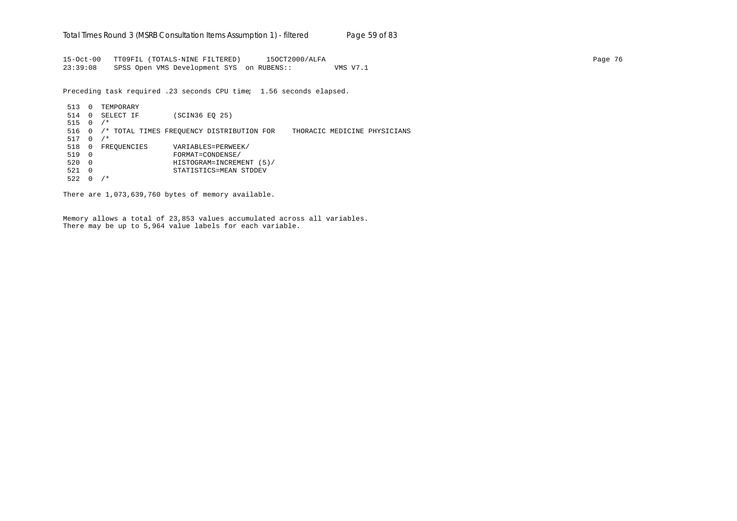15-Oct-00 TT09FIL (TOTALS-NINE FILTERED) 15OCT2000/ALFA Page 76 23:39:08 SPSS Open VMS Development SYS on RUBENS:: VMS V7.1

Preceding task required .23 seconds CPU time; 1.56 seconds elapsed.

513 0 TEMPORARY 514 0 SELECT IF (SCIN36 EQ 25) 515 0 /\* 516 0 /\* TOTAL TIMES FREQUENCY DISTRIBUTION FOR THORACIC MEDICINE PHYSICIANS 517 0 /\* 518 0 FREQUENCIES VARIABLES=PERWEEK/ 519 0 FORMAT=CONDENSE/ 520 0 HISTOGRAM=INCREMENT (5)/ 521 0 STATISTICS=MEAN STDDEV  $522 \t 0 / *$ 

There are 1,073,639,760 bytes of memory available.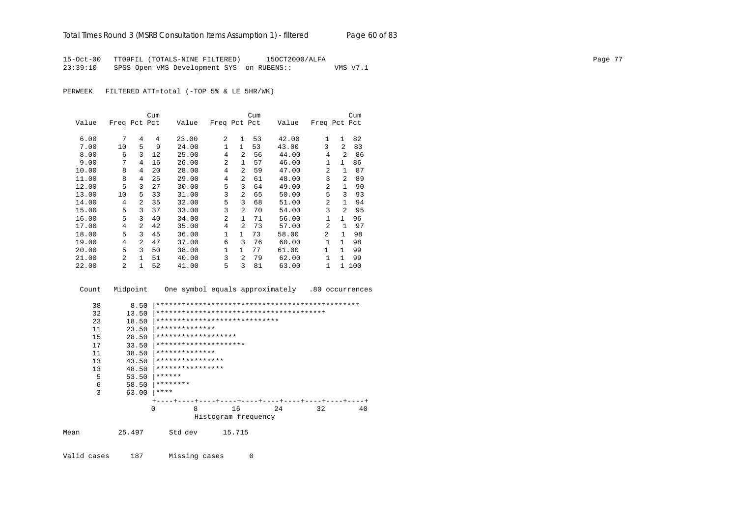15-Oct-00 TT09FIL (TOTALS-NINE FILTERED) 15OCT2000/ALFA Page 77 23:39:10 SPSS Open VMS Development SYS on RUBENS:: VMS V7.1

PERWEEK FILTERED ATT=total (-TOP 5% & LE 5HR/WK)

|       |                |                | Cum |       |              |                | Cum |       |                |                | Cum |
|-------|----------------|----------------|-----|-------|--------------|----------------|-----|-------|----------------|----------------|-----|
| Value | Freq Pct Pct   |                |     | Value | Freq Pct Pct |                |     | Value | Freq Pct Pct   |                |     |
| 6.00  | 7              | 4              | 4   | 23.00 | 2            | 1              | 53  | 42.00 | $\mathbf{1}$   | $\mathbf{1}$   | 82  |
| 7.00  | 10             | 5              | 9   | 24.00 | $\mathbf{1}$ | $\mathbf{1}$   | 53  | 43.00 | 3              | 2              | 83  |
| 8.00  | 6              | 3              | 12  | 25.00 | 4            | 2              | 56  | 44.00 | 4              | $\mathfrak{D}$ | 86  |
| 9.00  | 7              | 4              | 16  | 26.00 | 2            | 1              | 57  | 46.00 | 1              | $\mathbf{1}$   | 86  |
| 10.00 | 8              | 4              | 20  | 28.00 | 4            | $\overline{a}$ | 59  | 47.00 | 2              | 1              | 87  |
| 11.00 | 8              | 4              | 25  | 29.00 | 4            | $\overline{a}$ | 61  | 48.00 | 3              | $\mathfrak{D}$ | 89  |
| 12.00 | 5              | 3              | 27  | 30.00 | 5            | 3              | 64  | 49.00 | $\overline{2}$ | 1.             | 90  |
| 13.00 | 10             | 5              | 33  | 31.00 | 3            | $\overline{a}$ | 65  | 50.00 | 5              | ζ              | 93  |
| 14.00 | 4              | $\mathfrak{D}$ | 35  | 32.00 | 5            | 3              | 68  | 51.00 | $\mathfrak{D}$ | 1              | 94  |
| 15.00 | 5              | 3              | 37  | 33.00 | 3            | $\overline{a}$ | 70  | 54.00 | 3              | $\mathfrak{D}$ | 95  |
| 16.00 | 5              | 3              | 40  | 34.00 | 2            | $\mathbf{1}$   | 71  | 56.00 | 1              | $\mathbf{1}$   | 96  |
| 17.00 | 4              | $\overline{a}$ | 42  | 35.00 | 4            | $\mathfrak{D}$ | 73  | 57.00 | $\overline{a}$ | 1              | 97  |
| 18.00 | 5              | 3              | 45  | 36.00 | 1            | $\mathbf{1}$   | 73  | 58.00 | 2              | $\mathbf{1}$   | 98  |
| 19.00 | 4              | $\overline{a}$ | 47  | 37.00 | 6            | 3              | 76  | 60.00 |                | $\mathbf{1}$   | 98  |
| 20.00 | 5              | ζ              | 50  | 38.00 | $\mathbf{1}$ | $\mathbf{1}$   | 77  | 61.00 | 1              | $\mathbf{1}$   | 99  |
| 21.00 | $\mathfrak{D}$ | 1              | 51  | 40.00 | 3            | $\mathfrak{D}$ | 79  | 62.00 | 1              | 1              | 99  |
| 22.00 | $\mathfrak{D}$ | 1              | 52  | 41.00 | 5            | 3              | 81  | 63.00 | 1              | 1.             | 100 |

| Count                                  | Midpoint                                                   | One symbol equals approximately .80 occurrences                                                                   |
|----------------------------------------|------------------------------------------------------------|-------------------------------------------------------------------------------------------------------------------|
| 38<br>32<br>23<br>11<br>15<br>17<br>11 | 8.50<br>13.50<br>18.50<br>23.50<br>28.50<br>33.50<br>38.50 | *****************************<br>**************<br>*******************<br>*********************<br>************** |
| 13                                     | 43.50                                                      | ****************                                                                                                  |
| 13                                     | 48.50                                                      | ****************                                                                                                  |
| 5                                      | 53.50                                                      | ******                                                                                                            |
| 6                                      | 58.50                                                      | ********                                                                                                          |
| 3                                      | 63.00                                                      | ****                                                                                                              |
|                                        | $\Omega$                                                   | 8<br>32<br>16<br>2.4<br>40<br>Histogram frequency                                                                 |
| Mean                                   | 25.497                                                     | Std dev<br>15.715                                                                                                 |
| Valid cases                            | 187                                                        | Missing cases<br>0                                                                                                |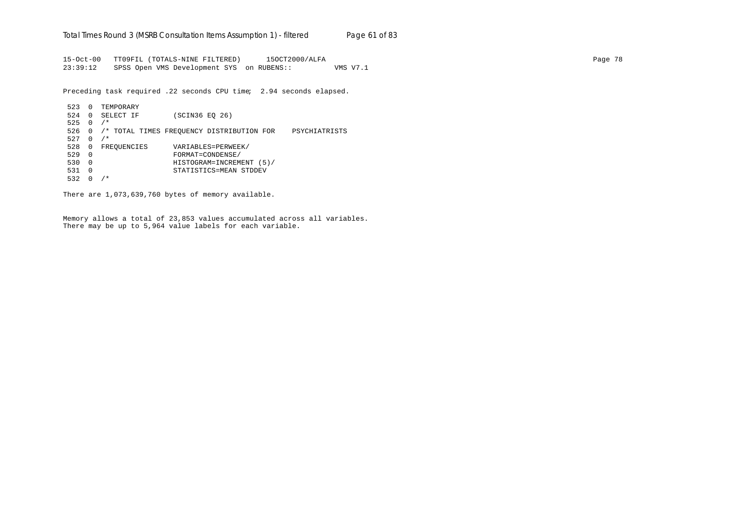15-Oct-00 TT09FIL (TOTALS-NINE FILTERED) 15OCT2000/ALFA Page 78 23:39:12 SPSS Open VMS Development SYS on RUBENS:: VMS V7.1

Preceding task required .22 seconds CPU time; 2.94 seconds elapsed.

```
523 0 TEMPORARY
524 0 SELECT IF (SCIN36 EQ 26)
525 0 /*
526 0 /* TOTAL TIMES FREQUENCY DISTRIBUTION FOR PSYCHIATRISTS
527 \quad 0 \quad / *528 0 FREQUENCIES VARIABLES=PERWEEK/<br>529 0 FORMAT=CONDENSE/
529 0 FORMAT=CONDENSE/
530 0 HISTOGRAM=INCREMENT (5)/
531 0 STATISTICS=MEAN STDDEV
532 0 /*
```
There are 1,073,639,760 bytes of memory available.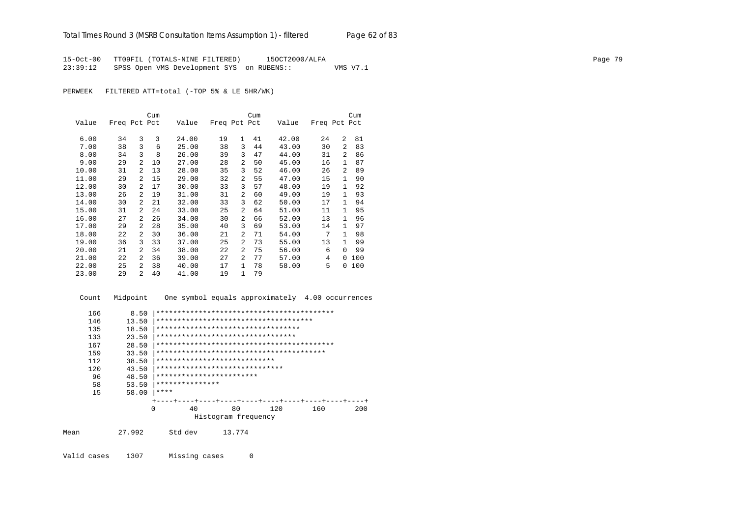15-Oct-00 TT09FIL (TOTALS-NINE FILTERED) 15OCT2000/ALFA Page 79 23:39:12 SPSS Open VMS Development SYS on RUBENS:: VMS V7.1

PERWEEK FILTERED ATT=total (-TOP 5% & LE 5HR/WK)

|       |              |                | Cum |       |              |                | Cum |       |              |                | Cum |
|-------|--------------|----------------|-----|-------|--------------|----------------|-----|-------|--------------|----------------|-----|
| Value | Freq Pct Pct |                |     | Value | Freq Pct Pct |                |     | Value | Freq Pct Pct |                |     |
|       |              |                |     |       |              | $\mathbf{1}$   |     |       |              | $\overline{a}$ |     |
| 6.00  | 34           | 3              | 3   | 24.00 | 19           |                | 41  | 42.00 | 24           |                | 81  |
| 7.00  | 38           | 3              | 6   | 25.00 | 38           | 3              | 44  | 43.00 | 30           | $\overline{a}$ | 83  |
| 8.00  | 34           | 3              | 8   | 26.00 | 39           | 3              | 47  | 44.00 | 31           | 2              | 86  |
| 9.00  | 29           | $\overline{2}$ | 10  | 27.00 | 28           | 2              | 50  | 45.00 | 16           | $\mathbf{1}$   | 87  |
| 10.00 | 31           | 2              | 13  | 28.00 | 35           | 3              | 52  | 46.00 | 26           | $\mathcal{L}$  | 89  |
| 11.00 | 29           | 2              | 15  | 29.00 | 32           | $\overline{a}$ | 55  | 47.00 | 15           | 1              | 90  |
| 12.00 | 30           | 2              | 17  | 30.00 | 33           | 3              | 57  | 48.00 | 19           | $\mathbf{1}$   | 92  |
| 13.00 | 26           | $\overline{a}$ | 19  | 31.00 | 31           | $\overline{a}$ | 60  | 49.00 | 19           | 1              | 93  |
| 14.00 | 30           | $\overline{a}$ | 21  | 32.00 | 33           | 3              | 62  | 50.00 | 17           | 1              | 94  |
| 15.00 | 31           | 2              | 24  | 33.00 | 25           | 2              | 64  | 51.00 | 11           | 1              | 95  |
| 16.00 | 27           | $\overline{a}$ | 26  | 34.00 | 30           | $\overline{a}$ | 66  | 52.00 | 13           | 1.             | 96  |
| 17.00 | 29           | 2              | 28  | 35.00 | 40           | 3              | 69  | 53.00 | 14           | 1              | 97  |
| 18.00 | 22           | 2              | 30  | 36.00 | 21           | 2              | 71  | 54.00 | 7            | 1.             | 98  |
| 19.00 | 36           | 3              | 33  | 37.00 | 25           | $\overline{a}$ | 73  | 55.00 | 13           | 1.             | 99  |
| 20.00 | 21           | 2              | 34  | 38.00 | 22           | $\overline{a}$ | 75  | 56.00 | 6            | 0              | 99  |
| 21.00 | 22           | $\mathfrak{D}$ | 36  | 39.00 | 27           | 2              | 77  | 57.00 | 4            | 0              | 100 |
| 22.00 | 25           | 2              | 38  | 40.00 | 17           | $\mathbf{1}$   | 78  | 58.00 | 5            | 0              | 100 |
| 23.00 | 29           | $\mathfrak{D}$ | 40  | 41.00 | 19           | 1              | 79  |       |              |                |     |

Count Midpoint One symbol equals approximately 4.00 occurrences

|      | 166 | 8.50     |                                        |                     |        |     |     |     |
|------|-----|----------|----------------------------------------|---------------------|--------|-----|-----|-----|
|      | 146 | 13.50    | ************************************** |                     |        |     |     |     |
|      | 135 | 18.50    | **********************************     |                     |        |     |     |     |
|      | 133 | 23.50    | *********************************      |                     |        |     |     |     |
|      | 167 | 28.50    |                                        |                     |        |     |     |     |
|      | 159 | 33.50    |                                        |                     |        |     |     |     |
|      | 112 | 38.50    | ****************************           |                     |        |     |     |     |
|      | 120 | 43.50    | ******************************         |                     |        |     |     |     |
|      | 96  | 48.50    | ************************               |                     |        |     |     |     |
|      | 58  | 53.50    | ***************                        |                     |        |     |     |     |
|      | 15  | 58.00    | ****                                   |                     |        |     |     |     |
|      |     |          |                                        |                     |        |     |     |     |
|      |     | $\Omega$ | 40                                     |                     | 80     | 120 | 160 | 200 |
|      |     |          |                                        | Histogram frequency |        |     |     |     |
|      |     |          |                                        |                     |        |     |     |     |
| Mean |     | 27.992   | Std dev                                |                     | 13.774 |     |     |     |
|      |     |          |                                        |                     |        |     |     |     |
|      |     |          |                                        |                     |        |     |     |     |

Valid cases 1307 Missing cases 0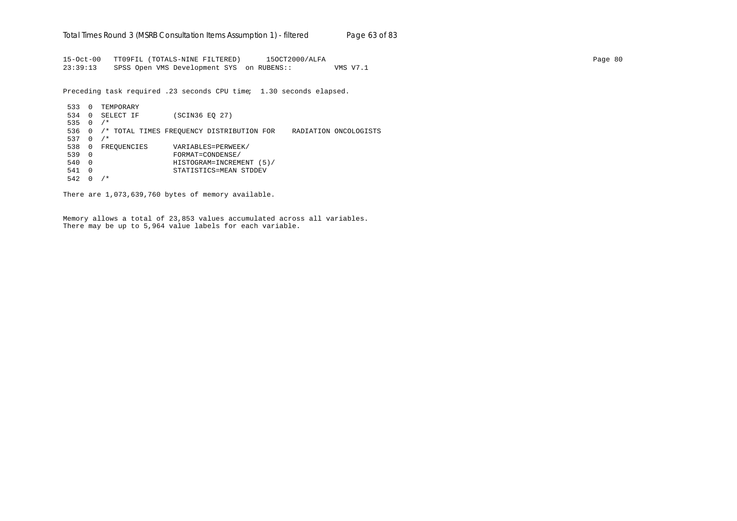15-Oct-00 TT09FIL (TOTALS-NINE FILTERED) 15OCT2000/ALFA Page 80 23:39:13 SPSS Open VMS Development SYS on RUBENS:: VMS V7.1

Preceding task required .23 seconds CPU time; 1.30 seconds elapsed.

533 0 TEMPORARY 534 0 SELECT IF (SCIN36 EQ 27) 535 0 /\* 536 0 /\* TOTAL TIMES FREQUENCY DISTRIBUTION FOR RADIATION ONCOLOGISTS 537  $0 / *$ 538 0 FREQUENCIES VARIABLES=PERWEEK/<br>539 0 FORMAT=CONDENSE/ 539 0 FORMAT=CONDENSE/ 540 0 HISTOGRAM=INCREMENT (5)/ 541 0 STATISTICS=MEAN STDDEV 542 0 /\*

There are 1,073,639,760 bytes of memory available.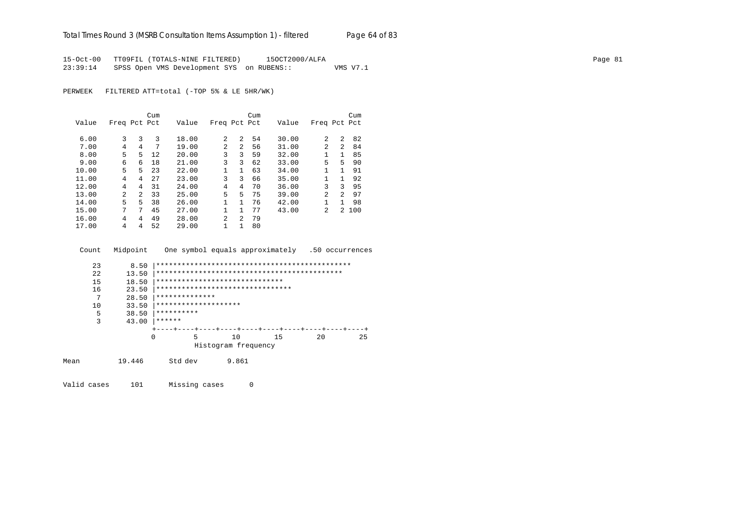15-Oct-00 TT09FIL (TOTALS-NINE FILTERED) 15OCT2000/ALFA Page 81 23:39:14 SPSS Open VMS Development SYS on RUBENS:: VMS V7.1

PERWEEK FILTERED ATT=total (-TOP 5% & LE 5HR/WK)

|       |                |         | Cum |       |                |              | Cum |       |              |               | Cum   |
|-------|----------------|---------|-----|-------|----------------|--------------|-----|-------|--------------|---------------|-------|
| Value | Freq Pct Pct   |         |     | Value | Freq Pct Pct   |              |     | Value | Freq Pct Pct |               |       |
|       |                |         |     |       |                |              |     |       |              |               |       |
| 6.00  | 3              | 3       | 3   | 18.00 | 2              | 2            | 54  | 30.00 | 2            | 2             | 82    |
| 7.00  | 4              | 4       | 7   | 19.00 | $\mathfrak{D}$ | 2            | 56  | 31.00 | 2            | $\mathcal{L}$ | 84    |
| 8.00  | 5              | 5.      | 12  | 20.00 | 3              | 3            | 59  | 32.00 | 1            | $\mathbf{1}$  | 85    |
| 9.00  | 6              | б       | 18  | 21.00 | 3              | 3            | 62  | 33.00 | 5            | 5             | 90    |
| 10.00 | 5.             | 5.      | 23  | 22.00 |                | $\mathbf{1}$ | 63  | 34.00 | 1            | 1             | 91    |
| 11.00 | 4              | 4       | 27  | 23.00 | 3              | 3            | 66  | 35.00 | $\mathbf{1}$ | $\mathbf{1}$  | 92    |
| 12.00 | 4              | 4       | 31  | 24.00 | 4              | 4            | 70  | 36.00 | 3            | 3             | 95    |
| 13.00 | $\overline{a}$ | $2^{1}$ | 33  | 25.00 | 5              | 5.           | 75  | 39.00 | 2            | $\mathcal{L}$ | 97    |
| 14.00 | 5.             | 5       | 38  | 26.00 |                | 1            | 76  | 42.00 | 1            | $\mathbf{1}$  | 98    |
| 15.00 | 7              | 7       | 45  | 27.00 | $\mathbf{1}$   | 1            | 77  | 43.00 | 2            |               | 2 100 |
| 16.00 | 4              | 4       | 49  | 28.00 | $\mathfrak{D}$ | 2            | 79  |       |              |               |       |
| 17.00 | 4              | 4       | 52  | 29.00 | 1              | 1            | 80  |       |              |               |       |

Count Midpoint One symbol equals approximately .50 occurrences

| 23   | 8.50  |                                  |                     |    |    |  |    |  |    |
|------|-------|----------------------------------|---------------------|----|----|--|----|--|----|
| 2.2. | 13.50 |                                  |                     |    |    |  |    |  |    |
| 15   | 18.50 | ******************************   |                     |    |    |  |    |  |    |
| 16   | 23.50 | ******************************** |                     |    |    |  |    |  |    |
| 7    | 28.50 | **************                   |                     |    |    |  |    |  |    |
| 10   | 33.50 | ********************             |                     |    |    |  |    |  |    |
| 5    | 38.50 | **********                       |                     |    |    |  |    |  |    |
| 3    | 43.00 | ******                           |                     |    |    |  |    |  |    |
|      |       |                                  |                     |    |    |  |    |  |    |
|      | 0     |                                  | 5                   | 10 | 15 |  | 20 |  | 25 |
|      |       |                                  | Histogram frequency |    |    |  |    |  |    |
|      |       |                                  |                     |    |    |  |    |  |    |

Mean 19.446 Std dev 9.861

Valid cases 101 Missing cases 0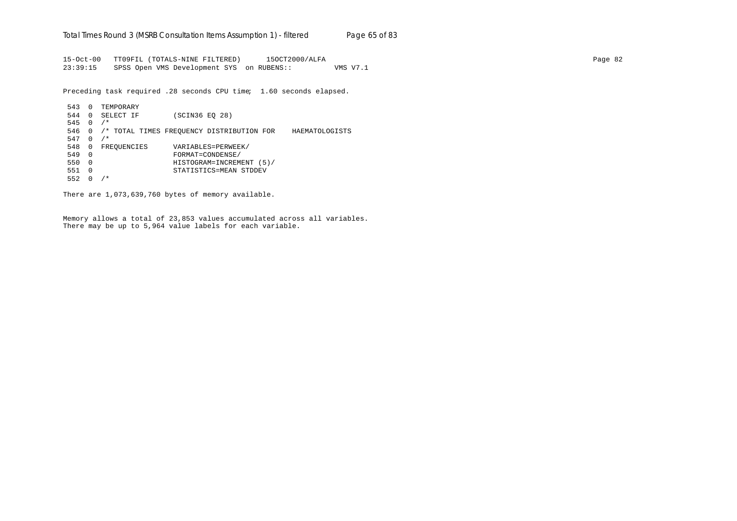15-Oct-00 TT09FIL (TOTALS-NINE FILTERED) 15OCT2000/ALFA Page 82 23:39:15 SPSS Open VMS Development SYS on RUBENS:: VMS V7.1

Preceding task required .28 seconds CPU time; 1.60 seconds elapsed.

| 543 | $\Omega$ | TEMPORARY   |                |                                           |                |
|-----|----------|-------------|----------------|-------------------------------------------|----------------|
| 544 | $\Omega$ | SELECT IF   | (SCIN36 EO 28) |                                           |                |
| 545 | $\Omega$ | $/$ *       |                |                                           |                |
| 546 | 0        |             |                | /* TOTAL TIMES FREOUENCY DISTRIBUTION FOR | HAEMATOLOGISTS |
| 547 | 0        | $/$ *       |                |                                           |                |
| 548 | 0        | FREOUENCIES |                | VARIABLES=PERWEEK/                        |                |
| 549 | $\Omega$ |             |                | FORMAT=CONDENSE/                          |                |
| 550 | $\Omega$ |             |                | HISTOGRAM=INCREMENT (5)/                  |                |
| 551 | $\Omega$ |             |                | STATISTICS=MEAN STDDEV                    |                |
| 552 | 0        | $^\star$    |                |                                           |                |

There are 1,073,639,760 bytes of memory available.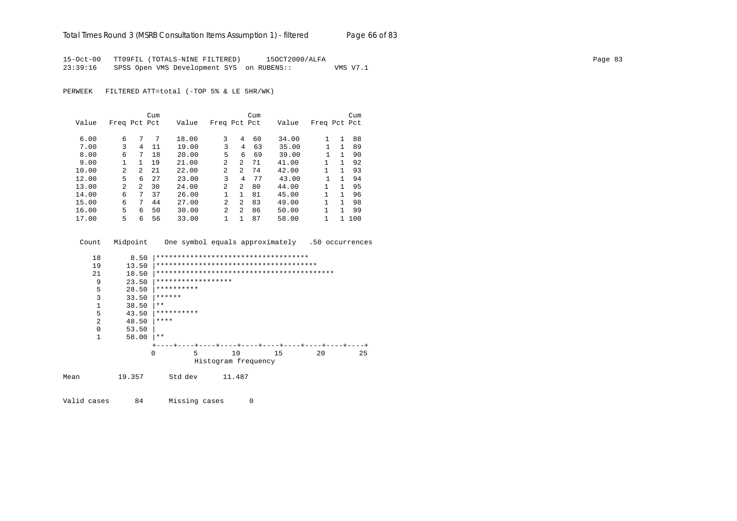15-Oct-00 TT09FIL (TOTALS-NINE FILTERED) 15OCT2000/ALFA Page 83 23:39:16 SPSS Open VMS Development SYS on RUBENS:: VMS V7.1

PERWEEK FILTERED ATT=total (-TOP 5% & LE 5HR/WK)

|       |                |                | Cum |       |                |    | Cum |       |              |              | Cum |
|-------|----------------|----------------|-----|-------|----------------|----|-----|-------|--------------|--------------|-----|
| Value | Freq Pct Pct   |                |     | Value | Freq Pct Pct   |    |     | Value | Freq Pct Pct |              |     |
|       |                |                |     |       |                |    |     |       |              |              |     |
| 6.00  | 6              | 7              | 7   | 18.00 | 3              | 4  | 60  | 34.00 | 1            | 1            | 88  |
| 7.00  | 3              | 4              | 11  | 19.00 | 3              | 4  | 63  | 35.00 |              | $\mathbf{1}$ | 89  |
| 8.00  | 6              | 7              | 18  | 20.00 | 5              | 6  | 69  | 39.00 |              | 1            | 90  |
| 9.00  |                | 1.             | 19  | 21.00 | $\mathfrak{D}$ | 2  | 71  | 41.00 |              | 1            | 92  |
| 10.00 | $\mathfrak{D}$ | $\mathfrak{D}$ | 21  | 22.00 | 2              | 2  | 74  | 42.00 |              | 1            | 93  |
| 12.00 | 5              | 6              | 27  | 23.00 | 3              | 4  | 77  | 43.00 |              | 1            | 94  |
| 13.00 | $\overline{a}$ | $\mathcal{L}$  | 30  | 24.00 | $\overline{2}$ | 2  | 80  | 44.00 |              | 1            | 95  |
| 14.00 | 6              | 7              | 37  | 26.00 |                | 1. | 81  | 45.00 |              | 1            | 96  |
| 15.00 | 6              | 7              | 44  | 27.00 | 2              | 2  | 83  | 49.00 |              | 1            | 98  |
| 16.00 | 5              | 6              | 50  | 30.00 | $\mathfrak{D}$ | 2  | 86  | 50.00 |              | 1            | 99  |
| 17.00 | 5              | 6              | 56  | 33.00 |                |    | 87  | 58.00 |              |              | 100 |

Count Midpoint One symbol equals approximately .50 occurrences

| 18       | 8.50  | ************************************ |   |  |                     |  |    |  |    |  |    |
|----------|-------|--------------------------------------|---|--|---------------------|--|----|--|----|--|----|
| 19       | 13.50 |                                      |   |  |                     |  |    |  |    |  |    |
| 21       | 18.50 |                                      |   |  |                     |  |    |  |    |  |    |
| 9        | 23.50 | ******************                   |   |  |                     |  |    |  |    |  |    |
| 5        | 28.50 | **********                           |   |  |                     |  |    |  |    |  |    |
| 3        | 33.50 | ******                               |   |  |                     |  |    |  |    |  |    |
|          | 38.50 | $***$                                |   |  |                     |  |    |  |    |  |    |
| 5        | 43.50 | **********                           |   |  |                     |  |    |  |    |  |    |
| 2        | 48.50 | ****                                 |   |  |                     |  |    |  |    |  |    |
| $\Omega$ | 53.50 |                                      |   |  |                     |  |    |  |    |  |    |
| 1        | 58.00 | $***$                                |   |  |                     |  |    |  |    |  |    |
|          |       |                                      |   |  |                     |  |    |  |    |  |    |
|          |       | 0                                    | 5 |  | 10                  |  | 15 |  | 20 |  | 25 |
|          |       |                                      |   |  | Histogram frequency |  |    |  |    |  |    |
|          |       |                                      |   |  |                     |  |    |  |    |  |    |

Mean 19.357 Std dev 11.487

Valid cases 84 Missing cases 0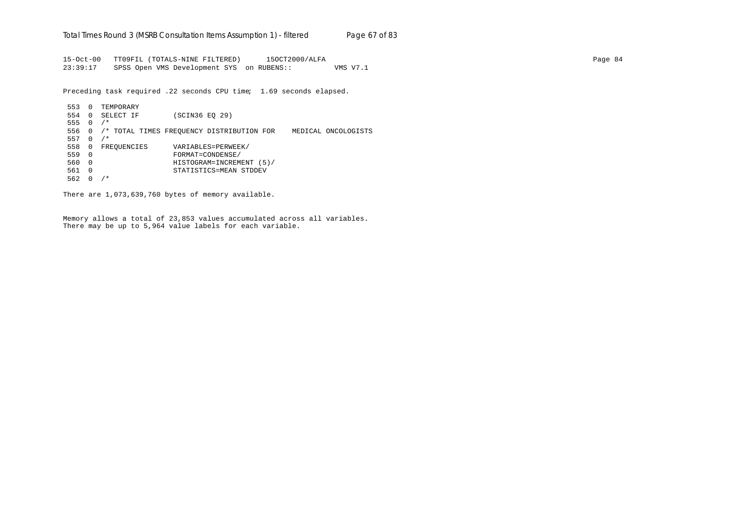15-Oct-00 TT09FIL (TOTALS-NINE FILTERED) 15OCT2000/ALFA Page 84 23:39:17 SPSS Open VMS Development SYS on RUBENS:: VMS V7.1

Preceding task required .22 seconds CPU time; 1.69 seconds elapsed.

553 0 TEMPORARY 554 0 SELECT IF (SCIN36 EQ 29) 555 0 /\* 556 0 /\* TOTAL TIMES FREQUENCY DISTRIBUTION FOR MEDICAL ONCOLOGISTS 557  $0 / *$ 558 0 FREQUENCIES VARIABLES=PERWEEK/ 559 0 FORMAT=CONDENSE/ 560 0 HISTOGRAM=INCREMENT (5)/ 561 0 STATISTICS=MEAN STDDEV 562 0 /\*

There are 1,073,639,760 bytes of memory available.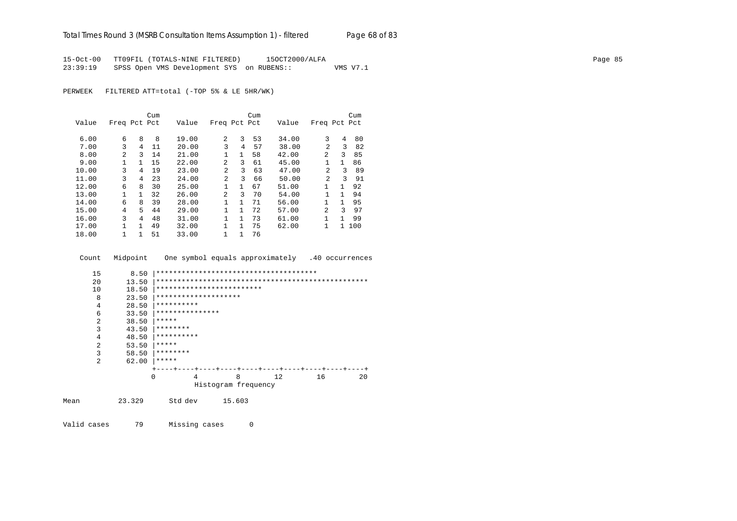15-Oct-00 TT09FIL (TOTALS-NINE FILTERED) 15OCT2000/ALFA Page 85 23:39:19 SPSS Open VMS Development SYS on RUBENS:: VMS V7.1

PERWEEK FILTERED ATT=total (-TOP 5% & LE 5HR/WK)

|       |              |   | Cum |       |                |              | Cum |       |                |    | Cum   |
|-------|--------------|---|-----|-------|----------------|--------------|-----|-------|----------------|----|-------|
| Value | Freq Pct Pct |   |     | Value | Freq Pct Pct   |              |     | Value | Freq Pct Pct   |    |       |
|       |              |   |     |       |                |              |     |       |                |    |       |
| 6.00  | 6            | 8 | 8   | 19.00 | $\overline{a}$ | 3            | 53  | 34.00 | 3              | 4  | 80    |
| 7.00  | 3            | 4 | 11  | 20.00 | 3              | 4            | 57  | 38.00 | $\mathfrak{D}$ | 3  | 82    |
| 8.00  | 2            | 3 | 14  | 21.00 | 1              | $\mathbf{1}$ | 58  | 42.00 | 2              | 3  | 85    |
| 9.00  | 1            | 1 | 15  | 22.00 | 2              | 3            | 61  | 45.00 | $\mathbf{1}$   | 1  | 86    |
| 10.00 | 3            | 4 | 19  | 23.00 | $\mathfrak{D}$ | 3            | 63  | 47.00 | 2              | 3  | 89    |
| 11.00 | 3            | 4 | 23  | 24.00 | $\overline{2}$ | 3            | 66  | 50.00 | 2              | ζ  | 91    |
| 12.00 | 6            | 8 | 30  | 25.00 | $\mathbf{1}$   | 1            | 67  | 51.00 | 1              | 1  | 92    |
| 13.00 | $\mathbf{1}$ | 1 | 32  | 26.00 | $\mathfrak{D}$ | 3            | 70  | 54.00 | 1              | 1. | 94    |
| 14.00 | 6            | 8 | 39  | 28.00 | $\mathbf{1}$   | $\mathbf{1}$ | 71  | 56.00 | 1              | 1  | 95    |
| 15.00 | 4            | 5 | 44  | 29.00 | 1              | 1            | 72  | 57.00 | $\mathfrak{D}$ | २  | 97    |
| 16.00 | 3            | 4 | 48  | 31.00 |                | 1            | 73  | 61.00 | 1              | 1  | 99    |
| 17.00 | 1            | 1 | 49  | 32.00 | 1              | $\mathbf{1}$ | 75  | 62.00 | 1              |    | 1 100 |
| 18.00 |              | 1 | 51  | 33.00 | 1              | 1            | 76  |       |                |    |       |

Count Midpoint One symbol equals approximately .40 occurrences

```
 15 8.50 |**************************************
        20 13.50 |**************************************************
        10 18.50 |**************************<br>8 23.50 |*********************
                8 23.50 |********************
        4 28.50 ***********6 33.50 ************************<br>2 38.50 *****2 38.50 ****<br>3 43.50 ****3 43.50 ********<br>4 48.50 ********4 48.50 ***********<br>2 53.50 ******
        2 53.50 ****<br>3 58.50 ****3 58.50 ********<br>2 62.00 *******62.00 |*****
                       +----+----+----+----+----+----+----+----+----+----+
                               0 4 8 12 16 20
                                  Histogram frequency
Mean 23.329 Std dev 15.603
```
Valid cases 79 Missing cases 0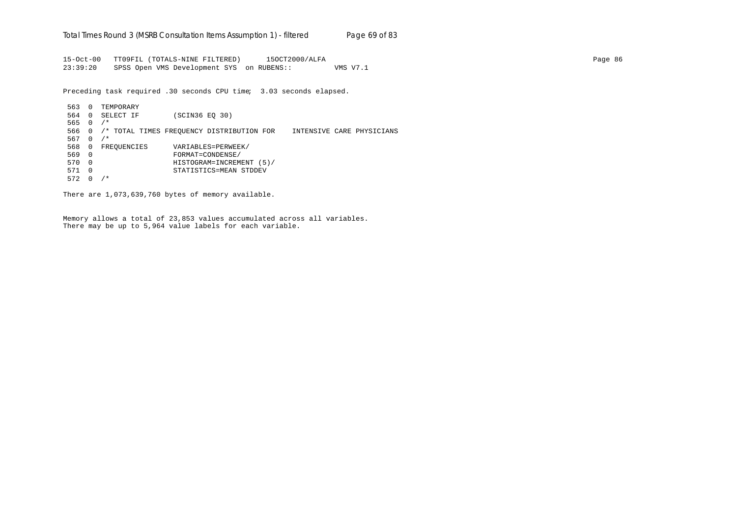15-Oct-00 TT09FIL (TOTALS-NINE FILTERED) 15OCT2000/ALFA Page 86 23:39:20 SPSS Open VMS Development SYS on RUBENS:: VMS V7.1

Preceding task required .30 seconds CPU time; 3.03 seconds elapsed.

563 0 TEMPORARY 564 0 SELECT IF (SCIN36 EQ 30) 565 0 /\* 566 0 /\* TOTAL TIMES FREQUENCY DISTRIBUTION FOR INTENSIVE CARE PHYSICIANS 567  $0 / *$ 568 0 FREQUENCIES VARIABLES=PERWEEK/ 569 0 FORMAT=CONDENSE/ 570 0 HISTOGRAM=INCREMENT (5)/ 571 0 STATISTICS=MEAN STDDEV 572 0 /\*

There are 1,073,639,760 bytes of memory available.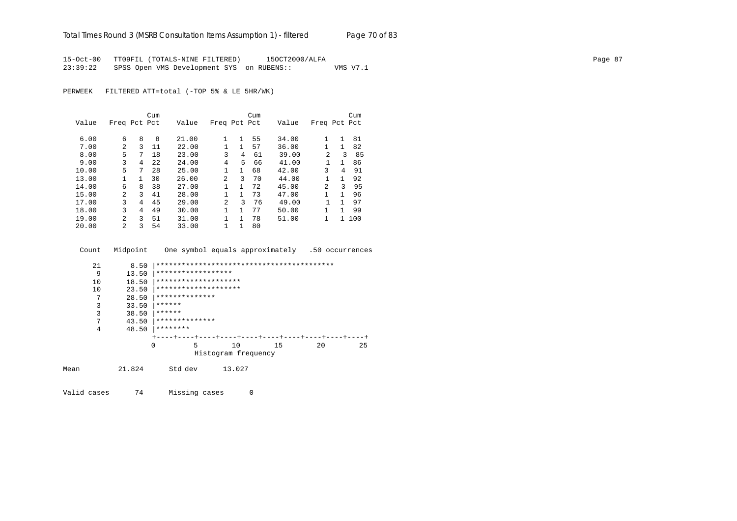15-Oct-00 TT09FIL (TOTALS-NINE FILTERED) 15OCT2000/ALFA Page 87 23:39:22 SPSS Open VMS Development SYS on RUBENS:: VMS V7.1

PERWEEK FILTERED ATT=total (-TOP 5% & LE 5HR/WK)

|       |                |              | Cum  |       |                |              | Cum |       |                |              | Cum |
|-------|----------------|--------------|------|-------|----------------|--------------|-----|-------|----------------|--------------|-----|
| Value | Freq Pct Pct   |              |      | Value | Freq Pct Pct   |              |     | Value | Freq Pct Pct   |              |     |
|       |                |              |      |       |                |              |     |       |                |              |     |
| 6.00  | 6              | 8            | 8    | 21.00 | 1              | 1            | 55  | 34.00 | 1              | 1            | 81  |
| 7.00  | 2              | 3            | 11   | 22.00 |                | 1            | 57  | 36.00 |                | 1            | 82  |
| 8.00  | 5              | 7            | 18   | 23.00 | 3              | 4            | 61  | 39.00 | $\mathfrak{D}$ | 3            | 85  |
| 9.00  | 3              | 4            | 2.2. | 24.00 | 4              | 5            | 66  | 41.00 |                | $\mathbf{1}$ | 86  |
| 10.00 | 5              | 7            | 28   | 25.00 | 1              | $\mathbf{1}$ | 68  | 42.00 | 3              | 4            | 91  |
| 13.00 | $\mathbf{1}$   | $\mathbf{1}$ | 30   | 26.00 | $\mathfrak{D}$ | 3            | 70  | 44.00 |                | $\mathbf{1}$ | 92  |
| 14.00 | 6              | 8            | 38   | 27.00 |                | 1            | 72  | 45.00 | 2              | ζ            | 95  |
| 15.00 | $\mathfrak{D}$ | 3            | 41   | 28.00 | 1              | 1            | 73  | 47.00 | 1              | 1            | 96  |
| 17.00 | 3              | 4            | 45   | 29.00 | 2              | 3            | 76  | 49.00 |                | 1            | 97  |
| 18.00 | 3              | 4            | 49   | 30.00 | 1.             | 1            | 77  | 50.00 | 1              | 1            | 99  |
| 19.00 | $\overline{a}$ | 3            | 51   | 31.00 |                | 1            | 78  | 51.00 | 1              | 1            | 100 |
| 20.00 | $\mathfrak{D}$ | 3            | 54   | 33.00 |                |              | 80  |       |                |              |     |

Count Midpoint One symbol equals approximately .50 occurrences

|      | 21 | 8.50     |                      |                     |    |    |    |
|------|----|----------|----------------------|---------------------|----|----|----|
|      | 9  | 13.50    | ******************   |                     |    |    |    |
|      | 10 | 18.50    | ******************** |                     |    |    |    |
|      | 10 | 23.50    | ******************** |                     |    |    |    |
|      | 7  | 28.50    | **************       |                     |    |    |    |
|      | 3  | 33.50    | ******               |                     |    |    |    |
|      | 3  | 38.50    | ******               |                     |    |    |    |
|      | 7  | 43.50    | **************       |                     |    |    |    |
|      | 4  | 48.50    | ********             |                     |    |    |    |
|      |    |          |                      |                     |    |    |    |
|      |    | $\Omega$ | 5                    | 10                  | 15 | 20 | 25 |
|      |    |          |                      | Histogram frequency |    |    |    |
|      |    |          |                      |                     |    |    |    |
| Mean |    | 21.824   | Std dev              | 13.027              |    |    |    |
|      |    |          |                      |                     |    |    |    |

Valid cases 74 Missing cases 0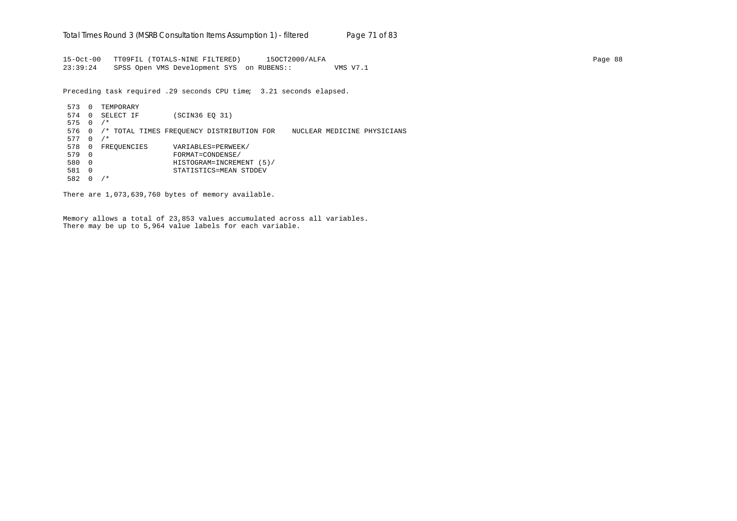15-Oct-00 TT09FIL (TOTALS-NINE FILTERED) 15OCT2000/ALFA Page 88 23:39:24 SPSS Open VMS Development SYS on RUBENS:: VMS V7.1

Preceding task required .29 seconds CPU time; 3.21 seconds elapsed.

573 0 TEMPORARY 574 0 SELECT IF (SCIN36 EQ 31) 575 0 /\* 576 0 /\* TOTAL TIMES FREQUENCY DISTRIBUTION FOR NUCLEAR MEDICINE PHYSICIANS  $577 \quad 0 \quad /$ \* 578 0 FREQUENCIES VARIABLES=PERWEEK/<br>579 0 FORMAT=CONDENSE/ 579 0 FORMAT=CONDENSE/ 580 0 HISTOGRAM=INCREMENT (5)/ 581 0 STATISTICS=MEAN STDDEV 582 0 /\*

There are 1,073,639,760 bytes of memory available.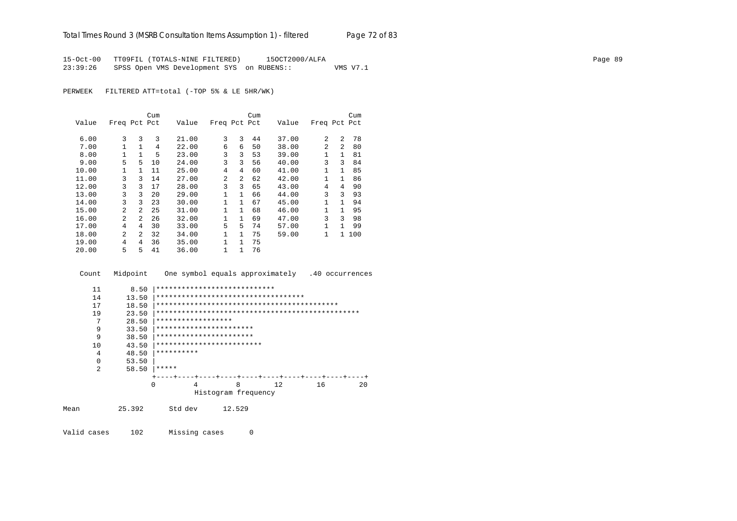15-Oct-00 TT09FIL (TOTALS-NINE FILTERED) 15OCT2000/ALFA Page 89 23:39:26 SPSS Open VMS Development SYS on RUBENS:: VMS V7.1

PERWEEK FILTERED ATT=total (-TOP 5% & LE 5HR/WK)

|       |                |                | Cum |       |                |              | Cum |       |              |                | Cum   |
|-------|----------------|----------------|-----|-------|----------------|--------------|-----|-------|--------------|----------------|-------|
| Value | Freq Pct Pct   |                |     | Value | Freq Pct Pct   |              |     | Value | Freq Pct Pct |                |       |
|       |                |                |     |       |                |              |     |       |              |                |       |
| 6.00  | 3              | 3              | 3   | 21.00 | 3              | 3            | 44  | 37.00 | 2            | 2              | 78    |
| 7.00  | 1              |                | 4   | 22.00 | 6              | 6            | 50  | 38.00 | 2            | $\overline{2}$ | 80    |
| 8.00  | 1              |                | 5   | 23.00 | 3              | 3            | 53  | 39.00 | 1            | 1              | 81    |
| 9.00  | 5              | 5              | 10  | 24.00 | 3              | 3            | 56  | 40.00 | 3            | 3              | 84    |
| 10.00 | 1              |                | 11  | 25.00 | 4              | 4            | 60  | 41.00 | 1            | 1              | 85    |
| 11.00 | 3              | 3              | 14  | 27.00 | $\overline{2}$ | 2            | 62  | 42.00 |              | 1              | 86    |
| 12.00 | 3              | 3              | 17  | 28.00 | 3              | 3            | 65  | 43.00 | 4            | 4              | 90    |
| 13.00 | 3              | 3              | 20  | 29.00 | 1              | $\mathbf{1}$ | 66  | 44.00 | 3            | 3              | 93    |
| 14.00 | 3              | 3              | 23  | 30.00 | $\mathbf{1}$   | $\mathbf{1}$ | 67  | 45.00 | 1            | $\mathbf{1}$   | 94    |
| 15.00 | $\overline{a}$ | $\overline{a}$ | 25  | 31.00 | $\mathbf{1}$   | $\mathbf{1}$ | 68  | 46.00 | 1            | $\mathbf{1}$   | 95    |
| 16.00 | $\overline{2}$ | $\overline{a}$ | 26  | 32.00 | $\mathbf{1}$   | $\mathbf{1}$ | 69  | 47.00 | 3            | 3              | 98    |
| 17.00 | 4              | 4              | 30  | 33.00 | 5              | 5            | 74  | 57.00 | 1            | 1              | 99    |
| 18.00 | $\overline{a}$ | $\mathcal{L}$  | 32  | 34.00 | $\mathbf{1}$   | $\mathbf{1}$ | 75  | 59.00 | 1            |                | 1 100 |
| 19.00 | 4              | 4              | 36  | 35.00 | 1              | $\mathbf{1}$ | 75  |       |              |                |       |
| 20.00 | 5              | 5              | 41  | 36.00 | 1              | 1            | 76  |       |              |                |       |

Count Midpoint One symbol equals approximately .40 occurrences

| 11             | 8.50   | ****************************        |                           |     |    |    |
|----------------|--------|-------------------------------------|---------------------------|-----|----|----|
| 14             | 13.50  | *********************************** |                           |     |    |    |
| 17             | 18.50  |                                     |                           |     |    |    |
| 19             | 23.50  |                                     |                           |     |    |    |
| 7              | 28.50  | ******************                  |                           |     |    |    |
| 9              | 33.50  | ***********************             |                           |     |    |    |
| 9              | 38.50  | ***********************             |                           |     |    |    |
| 10             | 43.50  | *************************           |                           |     |    |    |
| 4              | 48.50  | **********                          |                           |     |    |    |
| $\Omega$       | 53.50  |                                     |                           |     |    |    |
| $\overline{2}$ | 58.50  | *****                               |                           |     |    |    |
|                |        |                                     | ---+----+----+----+----+- |     |    |    |
|                |        | $\Omega$<br>4                       | 8                         | 12. | 16 | 20 |
|                |        |                                     | Histogram frequency       |     |    |    |
| Mean           | 25.392 | Std dev                             | 12.529                    |     |    |    |

Valid cases 102 Missing cases 0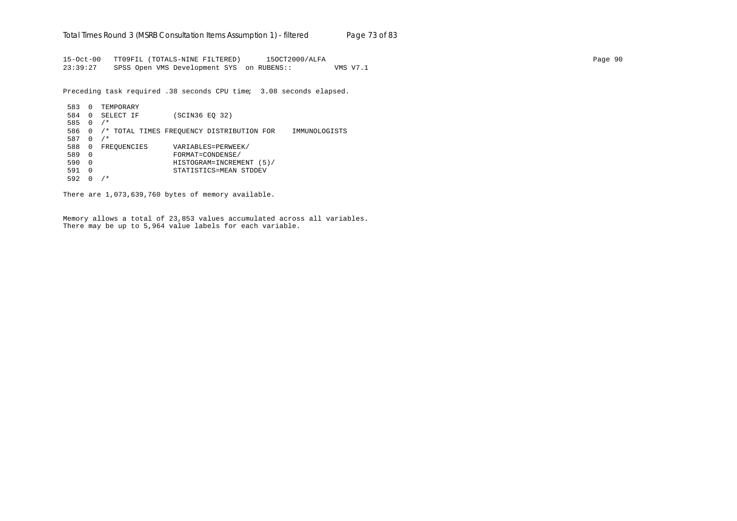15-Oct-00 TT09FIL (TOTALS-NINE FILTERED) 15OCT2000/ALFA Page 90 23:39:27 SPSS Open VMS Development SYS on RUBENS:: VMS V7.1

Preceding task required .38 seconds CPU time; 3.08 seconds elapsed.

```
583 0 TEMPORARY
584 0 SELECT IF (SCIN36 EQ 32)
585 0 /*
586 0 /* TOTAL TIMES FREQUENCY DISTRIBUTION FOR IMMUNOLOGISTS
587 0 /*
588 0 FREQUENCIES VARIABLES=PERWEEK/<br>589 0 FORMAT=CONDENSE/
589 0 FORMAT=CONDENSE/
590 0 HISTOGRAM=INCREMENT (5)/
591 0 STATISTICS=MEAN STDDEV
592 0 /*
```
There are 1,073,639,760 bytes of memory available.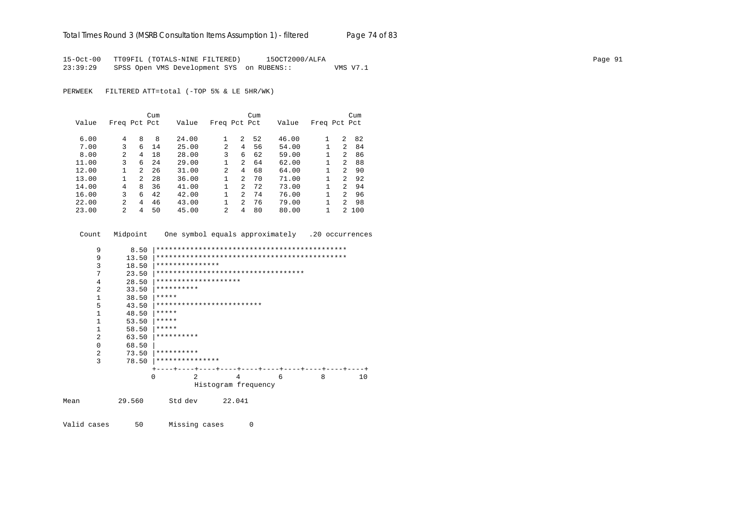15-Oct-00 TT09FIL (TOTALS-NINE FILTERED) 15OCT2000/ALFA Page 91 23:39:29 SPSS Open VMS Development SYS on RUBENS:: VMS V7.1

PERWEEK FILTERED ATT=total (-TOP 5% & LE 5HR/WK)

|       |                |         | Cum |       |                |                | Cum |       |              |               | Cum |
|-------|----------------|---------|-----|-------|----------------|----------------|-----|-------|--------------|---------------|-----|
| Value | Freq Pct Pct   |         |     | Value | Freq Pct Pct   |                |     | Value | Freq Pct Pct |               |     |
|       |                |         |     |       |                |                |     |       |              |               |     |
| 6.00  | 4              | 8       | 8   | 24.00 | 1              | 2              | 52  | 46.00 |              | 2             | 82  |
| 7.00  | 3              | 6       | 14  | 25.00 | 2              | 4              | 56  | 54.00 |              | 2             | 84  |
| 8.00  | 2              | 4       | 18  | 28.00 | 3              | 6              | 62  | 59.00 |              | 2             | 86  |
| 11.00 | 3              | 6       | 2.4 | 29.00 |                | $\overline{2}$ | 64  | 62.00 |              | 2             | 88  |
| 12.00 |                | $2^{1}$ | 26  | 31.00 | $\mathfrak{D}$ | 4              | 68  | 64.00 |              | $\mathcal{L}$ | 90  |
| 13.00 |                | 2       | 28  | 36.00 |                | $\overline{2}$ | 70  | 71.00 |              | $\mathcal{L}$ | 92  |
| 14.00 | 4              | 8       | 36  | 41.00 | 1              | $\mathcal{L}$  | 72  | 73.00 |              | $\mathcal{P}$ | 94  |
| 16.00 | 3              | 6       | 42  | 42.00 |                | $\mathcal{L}$  | 74  | 76.00 |              | 2             | 96  |
| 22.00 | $\overline{2}$ | 4       | 46  | 43.00 |                | $\overline{2}$ | 76  | 79.00 |              | $2^{\circ}$   | 98  |
| 23.00 | 2              | 4       | 50  | 45.00 | $\mathfrak{D}$ | 4              | 80  | 80.00 |              | 2             | 100 |

| Count |                | Midpoint |                           |                |                     | One symbol equals approximately .20 occurrences |   |    |
|-------|----------------|----------|---------------------------|----------------|---------------------|-------------------------------------------------|---|----|
|       | 9              | 8.50     |                           |                |                     |                                                 |   |    |
|       | 9              | 13.50    |                           |                |                     |                                                 |   |    |
|       | 3              | 18.50    | ***************           |                |                     |                                                 |   |    |
|       | 7              | 23.50    |                           |                |                     | ***********************************             |   |    |
|       | 4              | 28.50    | ********************      |                |                     |                                                 |   |    |
|       | $\overline{2}$ | 33.50    | **********                |                |                     |                                                 |   |    |
|       | $\mathbf{1}$   | 38.50    | *****                     |                |                     |                                                 |   |    |
|       | 5              | 43.50    | ************************* |                |                     |                                                 |   |    |
|       | 1              | 48.50    | *****                     |                |                     |                                                 |   |    |
|       | 1              | 53.50    | *****                     |                |                     |                                                 |   |    |
|       | $\mathbf{1}$   | 58.50    | *****                     |                |                     |                                                 |   |    |
|       | $\overline{a}$ | 63.50    | **********                |                |                     |                                                 |   |    |
|       | $\Omega$       | 68.50    |                           |                |                     |                                                 |   |    |
|       | $\overline{a}$ | 73.50    | **********                |                |                     |                                                 |   |    |
|       | 3              | 78.50    | ***************           |                |                     |                                                 |   |    |
|       |                |          |                           |                |                     |                                                 |   |    |
|       |                |          | O                         | $\mathfrak{D}$ | 4                   | 6                                               | 8 | 10 |
|       |                |          |                           |                | Histogram frequency |                                                 |   |    |
| Mean  |                | 29.560   | Std dev                   |                | 22.041              |                                                 |   |    |

Valid cases 50 Missing cases 0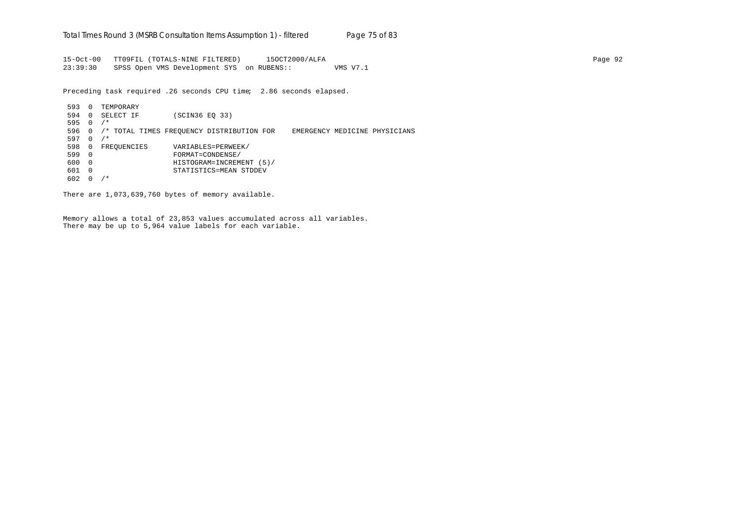15-Oct-00 TT09FIL (TOTALS-NINE FILTERED) 15OCT2000/ALFA Page 92 23:39:30 SPSS Open VMS Development SYS on RUBENS:: VMS V7.1

Preceding task required .26 seconds CPU time; 2.86 seconds elapsed.

593 0 TEMPORARY 594 0 SELECT IF (SCIN36 EQ 33) 595 0 /\* 596 0 /\* TOTAL TIMES FREQUENCY DISTRIBUTION FOR EMERGENCY MEDICINE PHYSICIANS  $597 \quad 0 \quad / *$ 598 0 FREQUENCIES VARIABLES=PERWEEK/<br>599 0 FORMAT=CONDENSE/ 599 0 FORMAT=CONDENSE/ 600 0 HISTOGRAM=INCREMENT (5)/ 601 0 STATISTICS=MEAN STDDEV 602 0 /\*

There are 1,073,639,760 bytes of memory available.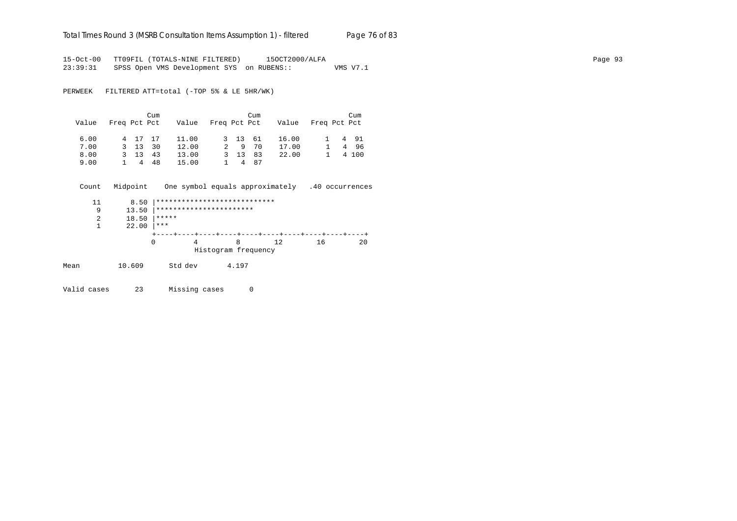#### Total Times Round 3 (MSRB Consultation Items Assumption 1) - *filtered* Page 76 of 83

15-Oct-00 TT09FIL (TOTALS-NINE FILTERED) 15OCT2000/ALFA<br>23:39:31 SPSS Open VMS Development SYS on RUBENS:: WMS V7.1 23:39:31 SPSS Open VMS Development SYS on RUBENS::

PERWEEK FILTERED ATT=total (-TOP 5% & LE 5HR/WK)

| Value | Freq Pct Pct |              | Cum    | Value Freq Pct Pct |         | Cum  | Value | Freq Pct Pct | Cum    |
|-------|--------------|--------------|--------|--------------------|---------|------|-------|--------------|--------|
| 6.00  |              | 4 17 17      |        | 11.00              | 3 13 61 |      | 16.00 |              | 1 4 91 |
| 7.00  |              | 3 13         | 30     | 12.00              |         | 9 70 | 17.00 |              | 496    |
| 8.00  |              | $3 \quad 13$ | 43     | 13.00              | 3 13    | 83   | 22.00 |              | 4 100  |
| 9.00  |              |              | 1 4 48 | 15.00              |         | 4 87 |       |              |        |

Count Midpoint One symbol equals approximately .40 occurrences

|      | 11 | 8.50   |         | **************************** |    |    |    |
|------|----|--------|---------|------------------------------|----|----|----|
|      | 9  | 13.50  |         | ***********************      |    |    |    |
|      | 2  | 18.50  | *****   |                              |    |    |    |
|      |    | 22.00  | ***     |                              |    |    |    |
|      |    |        |         |                              |    |    |    |
|      |    |        | 0       | 8                            | 12 | 16 | 20 |
|      |    |        |         | Histogram frequency          |    |    |    |
| Mean |    | 10.609 | Std dev | 4.197                        |    |    |    |

Valid cases 23 Missing cases 0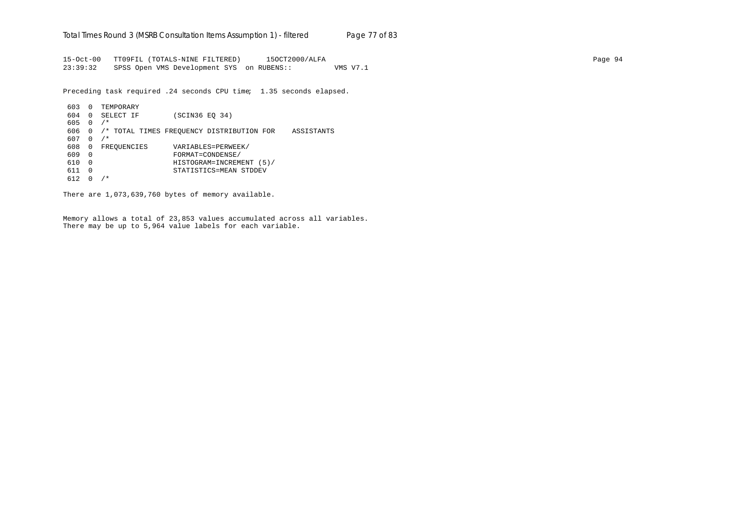15-Oct-00 TT09FIL (TOTALS-NINE FILTERED) 15OCT2000/ALFA Page 94 23:39:32 SPSS Open VMS Development SYS on RUBENS:: VMS V7.1

Preceding task required .24 seconds CPU time; 1.35 seconds elapsed.

```
603 0 TEMPORARY
604 0 SELECT IF (SCIN36 EQ 34)
605 0 /*
606 0 /* TOTAL TIMES FREQUENCY DISTRIBUTION FOR ASSISTANTS
607 \quad 0 \quad / *608 0 FREQUENCIES VARIABLES=PERWEEK/
609 0 FORMAT=CONDENSE/
610 0 HISTOGRAM=INCREMENT (5)/
611 0 STATISTICS=MEAN STDDEV
612 0 /*
```
There are 1,073,639,760 bytes of memory available.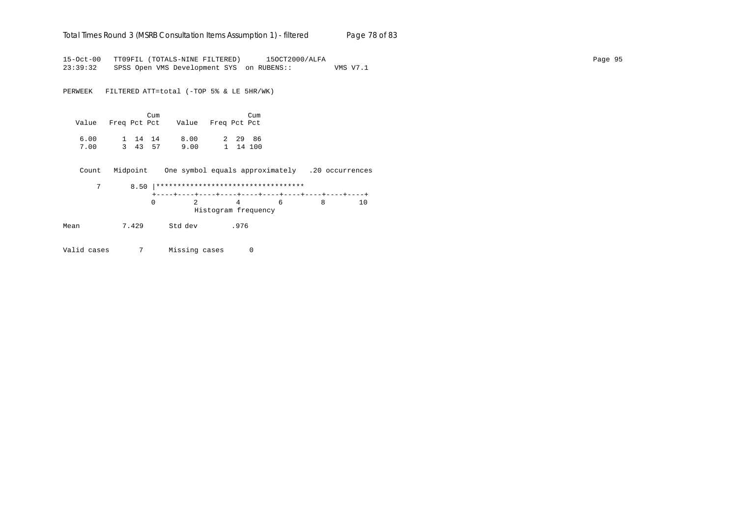### Total Times Round 3 (MSRB Consultation Items Assumption 1) - *filtered* Page 78 of 83

15-Oct-00 TT09FIL (TOTALS-NINE FILTERED) 15OCT2000/ALFA Page 95 23:39:32 SPSS Open VMS Development SYS on RUBENS:: VMS V7.1

PERWEEK FILTERED ATT=total (-TOP 5% & LE 5HR/WK)

| Value Freq Pct Pct |                    | Cum |              | Value Freq Pct Pct | Cum                 |
|--------------------|--------------------|-----|--------------|--------------------|---------------------|
| 6.00<br>7.00       | 1 14 14<br>3 43 57 |     | 8.00<br>9.00 |                    | 2 29 86<br>1 14 100 |

Count Midpoint One symbol equals approximately .20 occurrences

|  | $\overline{4}$      | h i | 1 O |
|--|---------------------|-----|-----|
|  | Histogram frequency |     |     |

Mean 7.429 Std dev .976

Valid cases 7 Missing cases 0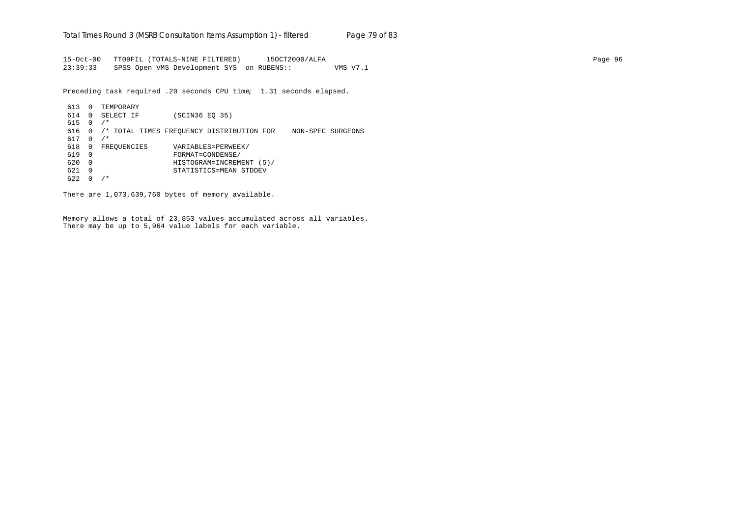15-Oct-00 TT09FIL (TOTALS-NINE FILTERED) 15OCT2000/ALFA Page 96 23:39:33 SPSS Open VMS Development SYS on RUBENS:: VMS V7.1

Preceding task required .20 seconds CPU time; 1.31 seconds elapsed.

613 0 TEMPORARY 614 0 SELECT IF (SCIN36 EQ 35) 615 0 /\* 616 0 /\* TOTAL TIMES FREQUENCY DISTRIBUTION FOR NON-SPEC SURGEONS 617 0 /\* 618 0 FREQUENCIES VARIABLES=PERWEEK/<br>619 0 FORMAT=CONDENSE/ 619 0 FORMAT=CONDENSE/ 620 0 HISTOGRAM=INCREMENT (5)/ 621 0 STATISTICS=MEAN STDDEV 622 0 /\*

There are 1,073,639,760 bytes of memory available.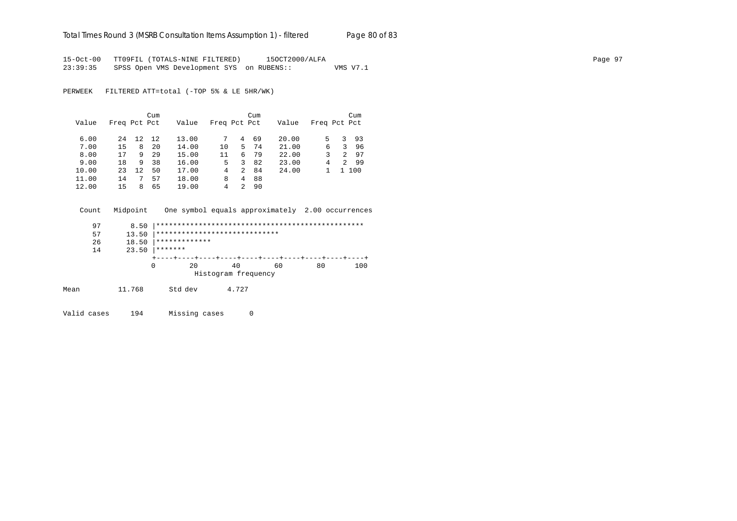#### Total Times Round 3 (MSRB Consultation Items Assumption 1) - *filtered* Page 80 of 83

15-Oct-00 TT09FIL (TOTALS-NINE FILTERED) 15OCT2000/ALFA Page 97 23:39:35 SPSS Open VMS Development SYS on RUBENS:: VMS V7.1

PERWEEK FILTERED ATT=total (-TOP 5% & LE 5HR/WK)

|       |              |    | Cum |       |              |               | Cum |       |              |               | Cum |
|-------|--------------|----|-----|-------|--------------|---------------|-----|-------|--------------|---------------|-----|
| Value | Freq Pct Pct |    |     | Value | Freq Pct Pct |               |     | Value | Freq Pct Pct |               |     |
| 6.00  | 24           | 12 | 12  | 13.00 | 7            | 4             | 69  | 20.00 | 5            | 3             | 93  |
| 7.00  | 15           | 8  | 20  | 14.00 | 10           | 5.            | 74  | 21.00 | 6            | 3             | 96  |
| 8.00  | 17           | 9  | 29  | 15.00 | 11           | 6             | 79  | 22.00 | 3            | $\mathcal{L}$ | 97  |
| 9.00  | 18           | 9  | 38  | 16.00 | 5.           | 3             | 82  | 23.00 | 4            | 2             | -99 |
| 10.00 | 23           | 12 | 50  | 17.00 | 4            | $\mathcal{L}$ | 84  | 24.00 |              |               | 100 |
| 11.00 | 14           |    | 57  | 18.00 | 8            | 4             | 88  |       |              |               |     |
| 12.00 | 15           | 8  | 65  | 19.00 | 4            | 2             | 90  |       |              |               |     |

Count Midpoint One symbol equals approximately 2.00 occurrences

|      | 97 | 8.50   |                               |                     |    |    |     |
|------|----|--------|-------------------------------|---------------------|----|----|-----|
|      | 57 | 13.50  | ***************************** |                     |    |    |     |
|      | 26 | 18.50  | *************                 |                     |    |    |     |
|      | 14 | 23.50  | *******                       |                     |    |    |     |
|      |    |        |                               |                     |    |    |     |
|      |    |        | 0<br>20                       | 40                  | 60 | 80 | 100 |
|      |    |        |                               | Histogram frequency |    |    |     |
| Mean |    | 11.768 | Std dev                       | 4.727               |    |    |     |
|      |    |        |                               |                     |    |    |     |

Valid cases 194 Missing cases 0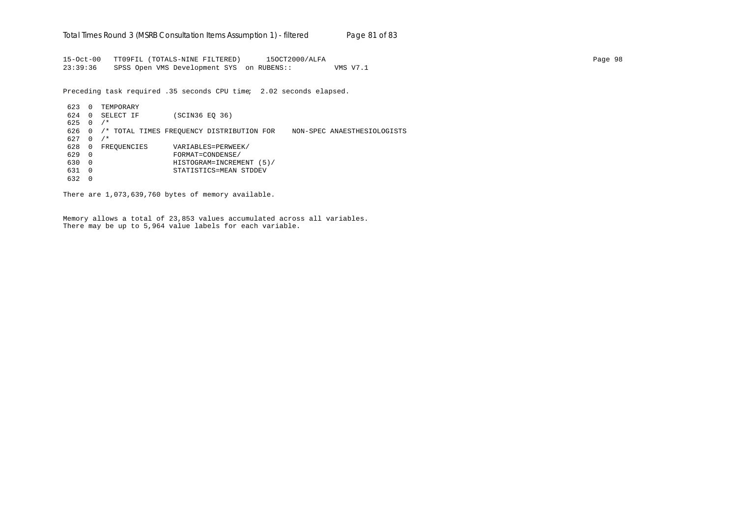15-Oct-00 TT09FIL (TOTALS-NINE FILTERED) 15OCT2000/ALFA Page 98 23:39:36 SPSS Open VMS Development SYS on RUBENS:: VMS V7.1

Preceding task required .35 seconds CPU time; 2.02 seconds elapsed.

623 0 TEMPORARY 624 0 SELECT IF (SCIN36 EQ 36)  $625 \quad 0 \quad / *$ 626 0 /\* TOTAL TIMES FREQUENCY DISTRIBUTION FOR NON-SPEC ANAESTHESIOLOGISTS  $627 \quad 0 \quad$ /\* 628 0 FREQUENCIES VARIABLES=PERWEEK/ 629 0 FORMAT=CONDENSE/ 630 0 HISTOGRAM=INCREMENT (5)/ 631 0 STATISTICS=MEAN STDDEV 632 0

There are 1,073,639,760 bytes of memory available.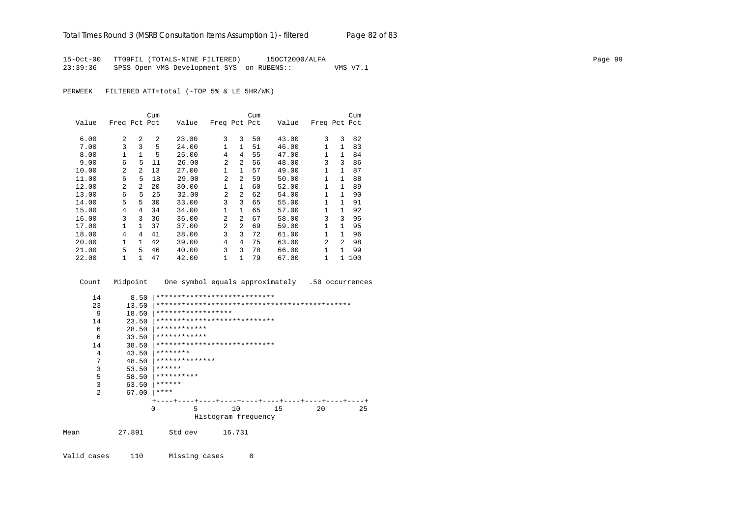15-Oct-00 TT09FIL (TOTALS-NINE FILTERED) 15OCT2000/ALFA Page 99 23:39:36 SPSS Open VMS Development SYS on RUBENS:: VMS V7.1

PERWEEK FILTERED ATT=total (-TOP 5% & LE 5HR/WK)

|       |                |                | Cum |       |                |                | Cum |       |                |              | Cum |
|-------|----------------|----------------|-----|-------|----------------|----------------|-----|-------|----------------|--------------|-----|
| Value | Freq Pct Pct   |                |     | Value | Freq Pct Pct   |                |     | Value | Freq Pct Pct   |              |     |
| 6.00  | $\overline{a}$ | 2              | 2   | 23.00 | 3              | 3              | 50  | 43.00 | 3              | 3            | 82  |
| 7.00  | 3              | 3              | 5   | 24.00 | 1              | $\mathbf{1}$   | 51  | 46.00 | 1              | $\mathbf{1}$ | 83  |
| 8.00  | 1              | $\mathbf{1}$   | 5   | 25.00 | 4              | 4              | 55  | 47.00 | 1              | 1            | 84  |
|       |                |                |     |       |                |                |     |       |                |              |     |
| 9.00  | 6              | 5              | 11  | 26.00 | $\overline{2}$ | 2              | 56  | 48.00 | 3              | 3            | 86  |
| 10.00 | $\mathfrak{D}$ | $\mathfrak{D}$ | 13  | 27.00 | 1              | $\mathbf{1}$   | 57  | 49.00 | 1              | $\mathbf{1}$ | 87  |
| 11.00 | 6              | 5              | 18  | 29.00 | $\overline{a}$ | 2              | 59  | 50.00 | 1              | $\mathbf{1}$ | 88  |
| 12.00 | $\overline{a}$ | $\overline{a}$ | 20  | 30.00 | 1              | $\mathbf{1}$   | 60  | 52.00 | 1              | $\mathbf{1}$ | 89  |
| 13.00 | 6              | 5              | 25  | 32.00 | $\mathfrak{D}$ | $\overline{a}$ | 62  | 54.00 | 1              | $\mathbf{1}$ | 90  |
| 14.00 | 5              | 5              | 30  | 33.00 | 3              | 3              | 65  | 55.00 | 1              | $\mathbf{1}$ | 91  |
| 15.00 | 4              | 4              | 34  | 34.00 | 1              | $\mathbf{1}$   | 65  | 57.00 | 1              | 1            | 92  |
| 16.00 | 3              | 3              | 36  | 36.00 | $\overline{a}$ | $\mathfrak{D}$ | 67  | 58.00 | 3              | 3            | 95  |
| 17.00 | 1              | 1              | 37  | 37.00 | 2              | $\mathfrak{D}$ | 69  | 59.00 | 1              | 1            | 95  |
| 18.00 | 4              | 4              | 41  | 38.00 | 3              | 3              | 72  | 61.00 | 1              | 1            | 96  |
| 20.00 | 1              | 1              | 42  | 39.00 | 4              | 4              | 75  | 63.00 | $\mathfrak{D}$ | 2            | 98  |
| 21.00 | 5              | 5              | 46  | 40.00 | 3              | 3              | 78  | 66.00 | 1              | 1            | 99  |
| 22.00 |                | 1              | 47  | 42.00 | 1              | 1              | 79  | 67.00 | 1              | 1            | 100 |

Count Midpoint One symbol equals approximately .50 occurrences

| 14             | 8.50   | ****************************          |
|----------------|--------|---------------------------------------|
| 23             | 13.50  |                                       |
| 9              | 18.50  | ******************                    |
| 14             | 23.50  | ****************************          |
| 6              | 28.50  | ************                          |
| 6              | 33.50  | ************                          |
| 14             | 38.50  | ****************************          |
| 4              | 43.50  | ********                              |
| 7              | 48.50  | **************                        |
| 3              | 53.50  | ******                                |
| 5              | 58.50  | **********                            |
| 3              | 63.50  | ******                                |
| $\mathfrak{D}$ | 67.00  | ****                                  |
|                |        |                                       |
|                |        | 5<br>10<br>20<br>15<br>25<br>$\Omega$ |
|                |        | Histogram frequency                   |
| Mean           | 27.891 | Std dev<br>16.731                     |
|                |        |                                       |

Valid cases 110 Missing cases 0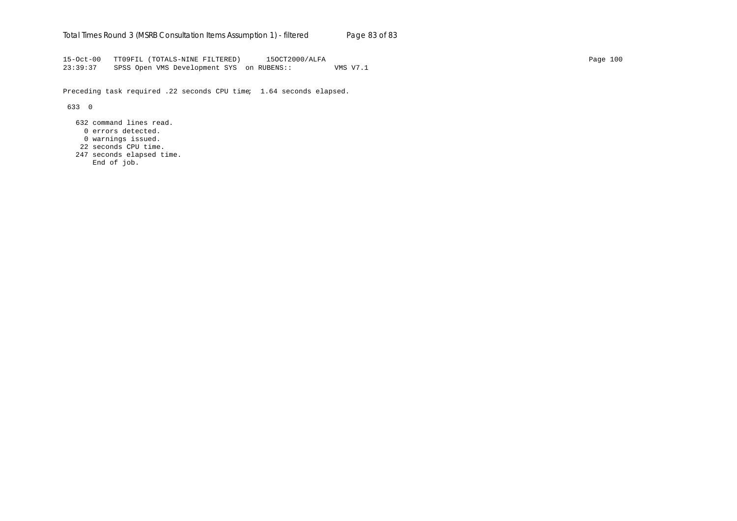15-Oct-00 TT09FIL (TOTALS-NINE FILTERED) 15OCT2000/ALFA Page 100 23:39:37 SPSS Open VMS Development SYS on RUBENS:: VMS V7.1

Preceding task required .22 seconds CPU time; 1.64 seconds elapsed.

633 0

- 632 command lines read.
- 0 errors detected.
- 0 warnings issued.
- 22 seconds CPU time.
- 247 seconds elapsed time.
	- End of job.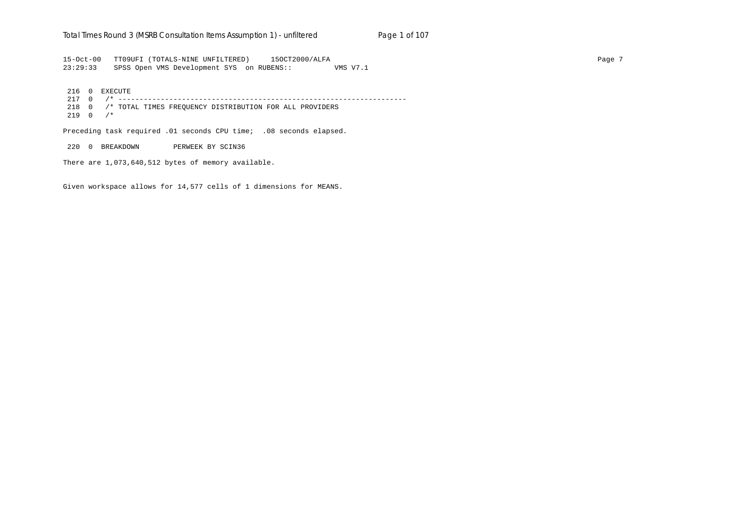### Total Times Round 3 (MSRB Consultation Items Assumption 1) - un*filtered* Page 1 of 107

15-Oct-00 TT09UFI (TOTALS-NINE UNFILTERED) 15OCT2000/ALFA Page 7 23:29:33 SPSS Open VMS Development SYS on RUBENS:: VMS V7.1

 216 0 EXECUTE 217 0 /\* -------------------------------------------------------------------- 218 0 /\* TOTAL TIMES FREQUENCY DISTRIBUTION FOR ALL PROVIDERS  $219 \quad 0 \quad$ /\*

Preceding task required .01 seconds CPU time; .08 seconds elapsed.

220 0 BREAKDOWN PERWEEK BY SCIN36

There are 1,073,640,512 bytes of memory available.

Given workspace allows for 14,577 cells of 1 dimensions for MEANS.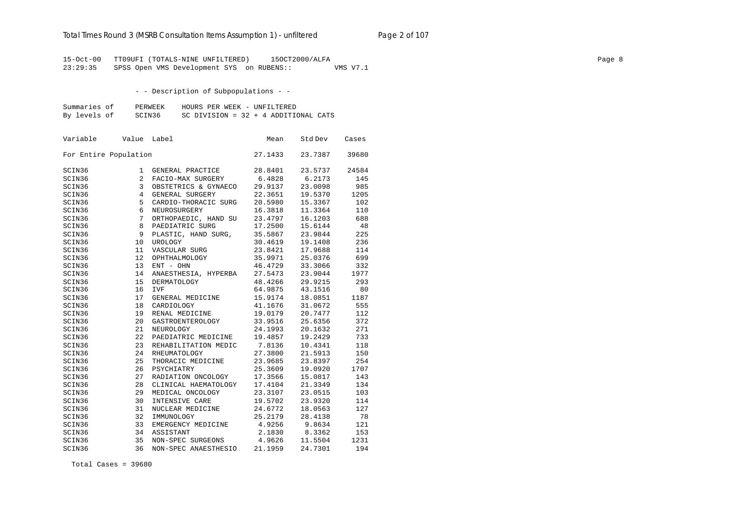### Total Times Round 3 (MSRB Consultation Items Assumption 1) - unfiltered Page 2 of 107

15-Oct-00 TT09UFI (TOTALS-NINE UNFILTERED) 15OCT2000/ALFA Page 8 23:29:35 SPSS Open VMS Development SYS on RUBENS:: VMS V7.1

- - Description of Subpopulations - -

| Summaries of | PERWEEK | HOURS PER WEEK - UNFILTERED            |
|--------------|---------|----------------------------------------|
| By levels of | SCIN36  | SC DIVISION = $32 + 4$ ADDITIONAL CATS |

| Variable              | Value | Label                | Mean    | Std Dev | Cases |
|-----------------------|-------|----------------------|---------|---------|-------|
| For Entire Population |       |                      | 27.1433 | 23.7387 | 39680 |
| SCIN36                | 1     | GENERAL PRACTICE     | 28.8401 | 23.5737 | 24584 |
| SCIN36                | 2     | FACIO-MAX SURGERY    | 6.4828  | 6.2173  | 145   |
| SCIN36                | 3     | OBSTETRICS & GYNAECO | 29.9137 | 23.0098 | 985   |
| SCIN36                | 4     | GENERAL SURGERY      | 22.3651 | 19.5370 | 1205  |
| SCIN36                | 5     | CARDIO-THORACIC SURG | 20.5980 | 15.3367 | 102   |
| SCIN36                | 6     | NEUROSURGERY         | 16.3818 | 11.3364 | 110   |
| SCIN36                | 7     | ORTHOPAEDIC, HAND SU | 23.4797 | 16.1203 | 688   |
| SCIN36                | 8     | PAEDIATRIC SURG      | 17.2500 | 15.6144 | 48    |
| SCIN36                | 9     | PLASTIC, HAND SURG,  | 35.5867 | 23.9844 | 225   |
| SCIN36                | 10    | UROLOGY              | 30.4619 | 19.1408 | 236   |
| SCIN36                | 11    | VASCULAR SURG        | 23.8421 | 17.9688 | 114   |
| SCIN36                | 12    | OPHTHALMOLOGY        | 35.9971 | 25.0376 | 699   |
| SCIN36                | 13    | ENT - OHN            | 46.4729 | 33.3066 | 332   |
| SCIN36                | 14    | ANAESTHESIA, HYPERBA | 27.5473 | 23.9044 | 1977  |
| SCIN36                | 15    | <b>DERMATOLOGY</b>   | 48.4266 | 29.9215 | 293   |
| SCIN36                | 16    | <b>IVF</b>           | 64.9875 | 43.1516 | 80    |
| SCIN36                | 17    | GENERAL MEDICINE     | 15.9174 | 18.0851 | 1187  |
| SCIN36                | 18    | CARDIOLOGY           | 41.1676 | 31.0672 | 555   |
| SCIN36                | 19    | RENAL MEDICINE       | 19.0179 | 20.7477 | 112   |
| SCIN36                | 20    | GASTROENTEROLOGY     | 33.9516 | 25.6356 | 372   |
| SCIN36                | 21    | NEUROLOGY            | 24.1993 | 20.1632 | 271   |
| SCIN36                | 22    | PAEDIATRIC MEDICINE  | 19.4857 | 19.2429 | 733   |
| SCIN36                | 23    | REHABILITATION MEDIC | 7.8136  | 10.4341 | 118   |
| SCIN36                | 24    | RHEUMATOLOGY         | 27.3800 | 21.5913 | 150   |
| SCIN36                | 25    | THORACIC MEDICINE    | 23.9685 | 23.8397 | 254   |
| SCIN36                | 26    | PSYCHIATRY           | 25.3609 | 19.0920 | 1707  |
| SCIN36                | 27    | RADIATION ONCOLOGY   | 17.3566 | 15.0817 | 143   |
| SCIN36                | 28    | CLINICAL HAEMATOLOGY | 17.4104 | 21.3349 | 134   |
| SCIN36                | 29    | MEDICAL ONCOLOGY     | 23.3107 | 23.0515 | 103   |
| SCIN36                | 30    | INTENSIVE CARE       | 19.5702 | 23.9320 | 114   |
| SCIN36                | 31    | NUCLEAR MEDICINE     | 24.6772 | 18.0563 | 127   |
| SCIN36                | 32    | IMMUNOLOGY           | 25.2179 | 28.4138 | 78    |
| SCIN36                | 33    | EMERGENCY MEDICINE   | 4.9256  | 9.8634  | 121   |
| SCIN36                | 34    | ASSISTANT            | 2.1830  | 8.3362  | 153   |
| SCIN36                | 35    | NON-SPEC SURGEONS    | 4.9626  | 11.5504 | 1231  |
| SCIN36                | 36    | NON-SPEC ANAESTHESIO | 21.1959 | 24.7301 | 194   |

Total Cases = 39680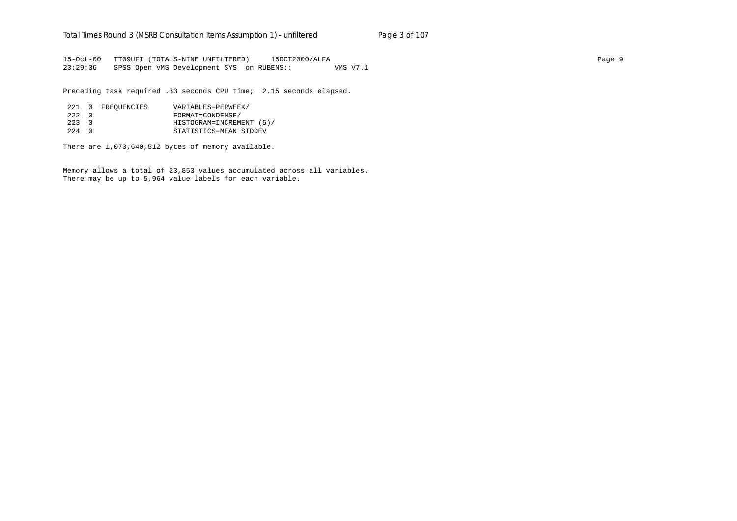15-Oct-00 TT09UFI (TOTALS-NINE UNFILTERED) 15OCT2000/ALFA Page 9 23:29:36 SPSS Open VMS Development SYS on RUBENS:: VMS V7.1

Preceding task required .33 seconds CPU time; 2.15 seconds elapsed.

|                 | 221 0 FREOUENCIES | VARIABLES=PERWEEK/       |
|-----------------|-------------------|--------------------------|
| 2.2.2 0         |                   | FORMAT=CONDENSE/         |
| $2.2.3 \quad 0$ |                   | HISTOGRAM=INCREMENT (5)/ |
| $224$ 0         |                   | STATISTICS=MEAN STDDEV   |

There are 1,073,640,512 bytes of memory available.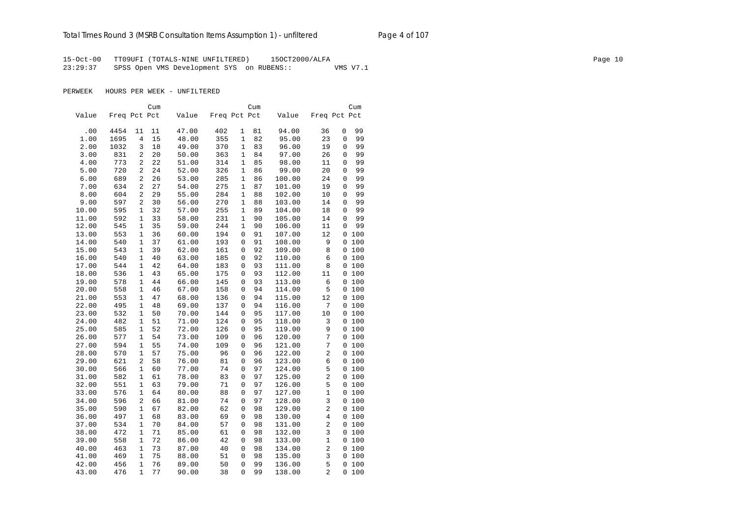## Total Times Round 3 (MSRB Consultation Items Assumption 1) - unfiltered Page 4 of 107

15-Oct-00 TT09UFI (TOTALS-NINE UNFILTERED) 15OCT2000/ALFA Page 10 23:29:37 SPSS Open VMS Development SYS on RUBENS:: VMS V7.1

PERWEEK HOURS PER WEEK - UNFILTERED

|       |              |              | Cum |       |              |              | Cum |        |                         | Cum          |
|-------|--------------|--------------|-----|-------|--------------|--------------|-----|--------|-------------------------|--------------|
| Value | Freq Pct Pct |              |     | Value | Freq Pct Pct |              |     | Value  |                         | Freq Pct Pct |
|       |              |              |     |       |              |              |     |        |                         |              |
| .00   | 4454         | 11           | 11  | 47.00 | 402          | 1            | 81  | 94.00  | 36                      | 0<br>99      |
| 1.00  | 1695         | 4            | 15  | 48.00 | 355          | 1            | 82  | 95.00  | 23                      | 0<br>99      |
| 2.00  | 1032         | 3            | 18  | 49.00 | 370          | $\mathbf{1}$ | 83  | 96.00  | 19                      | 99<br>0      |
| 3.00  | 831          | 2            | 20  | 50.00 | 363          | 1            | 84  | 97.00  | 26                      | 99<br>0      |
| 4.00  | 773          | 2            | 22  | 51.00 | 314          | $\mathbf{1}$ | 85  | 98.00  | 11                      | 0<br>99      |
| 5.00  | 720          | 2            | 24  | 52.00 | 326          | 1            | 86  | 99.00  | 20                      | 99<br>0      |
| 6.00  | 689          | 2            | 26  | 53.00 | 285          | 1            | 86  | 100.00 | 24                      | 99<br>0      |
| 7.00  | 634          | 2            | 27  | 54.00 | 275          | 1            | 87  | 101.00 | 19                      | 99<br>0      |
| 8.00  | 604          | 2            | 29  | 55.00 | 284          | 1            | 88  | 102.00 | 10                      | 99<br>0      |
| 9.00  | 597          | 2            | 30  | 56.00 | 270          | $\mathbf{1}$ | 88  | 103.00 | 14                      | 99<br>0      |
| 10.00 | 595          | 1            | 32  | 57.00 | 255          | 1            | 89  | 104.00 | 18                      | 99<br>0      |
| 11.00 | 592          | $\mathbf 1$  | 33  | 58.00 | 231          | $\mathbf{1}$ | 90  | 105.00 | 14                      | 99<br>0      |
| 12.00 | 545          | 1            | 35  | 59.00 | 244          | 1            | 90  | 106.00 | 11                      | 99<br>0      |
| 13.00 | 553          | 1            | 36  | 60.00 | 194          | 0            | 91  | 107.00 | 12                      | 0 100        |
| 14.00 | 540          | 1            | 37  | 61.00 | 193          | 0            | 91  | 108.00 | 9                       | 0 100        |
| 15.00 | 543          | 1            | 39  | 62.00 | 161          | 0            | 92  | 109.00 | 8                       | 0 100        |
| 16.00 | 540          | $\mathbf{1}$ | 40  | 63.00 | 185          | 0            | 92  | 110.00 | 6                       | 0 100        |
| 17.00 | 544          | 1            | 42  | 64.00 | 183          | 0            | 93  | 111.00 | 8                       | 0 100        |
| 18.00 | 536          | 1            | 43  | 65.00 | 175          | 0            | 93  | 112.00 | 11                      | 0 100        |
| 19.00 | 578          | 1            | 44  | 66.00 | 145          | 0            | 93  | 113.00 | 6                       | 0 100        |
| 20.00 | 558          | 1            | 46  | 67.00 | 158          | 0            | 94  | 114.00 | 5                       | 0100         |
| 21.00 | 553          | $\mathbf{1}$ | 47  | 68.00 | 136          | 0            | 94  | 115.00 | 12                      | 0 100        |
| 22.00 | 495          | 1            | 48  | 69.00 | 137          | 0            | 94  | 116.00 | 7                       | 0 100        |
| 23.00 | 532          | $\mathbf{1}$ | 50  | 70.00 | 144          | 0            | 95  | 117.00 | 10                      | 0 100        |
| 24.00 | 482          | 1            | 51  | 71.00 | 124          | 0            | 95  | 118.00 | 3                       | 0 100        |
| 25.00 | 585          | 1            | 52  | 72.00 | 126          | 0            | 95  | 119.00 | 9                       | 0 100        |
| 26.00 | 577          | $\mathbf{1}$ | 54  | 73.00 | 109          | 0            | 96  | 120.00 | $\overline{7}$          | 0 100        |
| 27.00 | 594          | 1            | 55  | 74.00 | 109          | 0            | 96  | 121.00 | 7                       | 0 100        |
| 28.00 | 570          | $\mathbf{1}$ | 57  | 75.00 | 96           | 0            | 96  | 122.00 | $\overline{2}$          | 0 100        |
| 29.00 | 621          | 2            | 58  | 76.00 | 81           | 0            | 96  | 123.00 | 6                       | 0 100        |
| 30.00 | 566          | $\mathbf{1}$ | 60  | 77.00 | 74           | $\Omega$     | 97  | 124.00 | 5                       | 0 100        |
| 31.00 | 582          | 1            | 61  | 78.00 | 83           | 0            | 97  | 125.00 | $\overline{\mathbf{c}}$ | 0 100        |
| 32.00 | 551          | 1            | 63  | 79.00 | 71           | 0            | 97  | 126.00 | 5                       | 0 100        |
| 33.00 | 576          | 1            | 64  | 80.00 | 88           | 0            | 97  | 127.00 | $\mathbf{1}$            | 0 100        |
| 34.00 | 596          | 2            | 66  | 81.00 | 74           | 0            | 97  | 128.00 | 3                       | 0 100        |
| 35.00 | 590          | $\mathbf{1}$ | 67  | 82.00 | 62           | $\Omega$     | 98  | 129.00 | 2                       | 0 100        |
| 36.00 | 497          | 1            | 68  | 83.00 | 69           | 0            | 98  | 130.00 | $\overline{4}$          | 0 100        |
| 37.00 | 534          | 1            | 70  | 84.00 | 57           | 0            | 98  | 131.00 | $\overline{2}$          | 0 100        |
| 38.00 | 472          | 1            | 71  | 85.00 | 61           | 0            | 98  | 132.00 | 3                       | 0 100        |
| 39.00 | 558          | $\mathbf{1}$ | 72  | 86.00 | 42           | 0            | 98  | 133.00 | $\mathbf{1}$            | 0 100        |
| 40.00 | 463          | 1            | 73  | 87.00 | 40           | 0            | 98  | 134.00 | 2                       | 0 100        |
| 41.00 | 469          | $\mathbf{1}$ | 75  | 88.00 | 51           | 0            | 98  | 135.00 | 3                       | 0 100        |
| 42.00 | 456          | $\mathbf{1}$ | 76  | 89.00 | 50           | 0            | 99  | 136.00 | 5                       | 0 100        |
| 43.00 | 476          | $\mathbf{1}$ | 77  | 90.00 | 38           | $\Omega$     | 99  | 138.00 | $\overline{2}$          | 0<br>100     |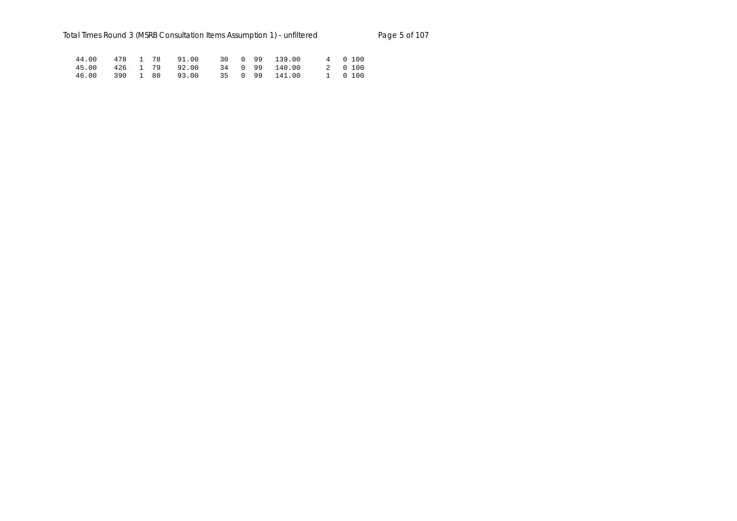|  |  | 44.00 478 1 78 91.00 30 0 99 139.00 |  |  | 4 0 100 |  |
|--|--|-------------------------------------|--|--|---------|--|
|  |  | 45.00 426 1 79 92.00 34 0 99 140.00 |  |  | 2 0 100 |  |
|  |  | 46.00 390 1 80 93.00 35 0 99 141.00 |  |  | 1 0 100 |  |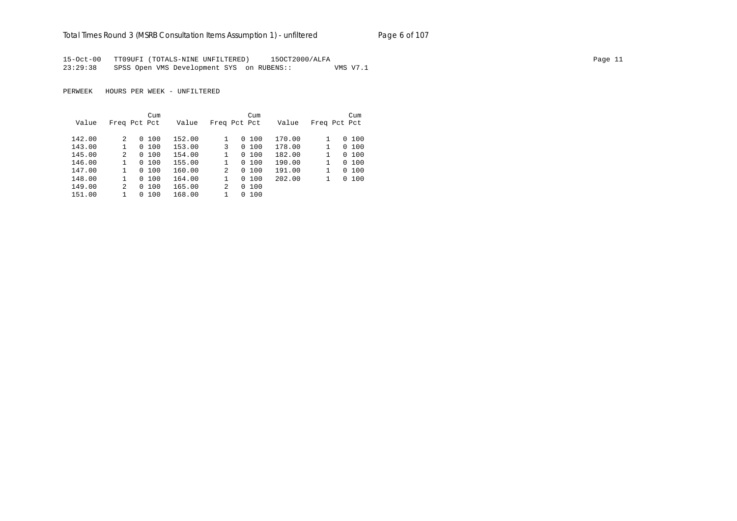## Total Times Round 3 (MSRB Consultation Items Assumption 1) - unfiltered Page 6 of 107

15-Oct-00 TT09UFI (TOTALS-NINE UNFILTERED) 15OCT2000/ALFA Page 11 23:29:38 SPSS Open VMS Development SYS on RUBENS:: VMS V7.1

PERWEEK HOURS PER WEEK - UNFILTERED

|        |              |          | Cum    |        |                | Cum          |        |              | Cum          |
|--------|--------------|----------|--------|--------|----------------|--------------|--------|--------------|--------------|
| Value  | Freq Pct Pct |          |        | Value  |                | Freq Pct Pct | Value  |              | Freq Pct Pct |
|        |              |          |        |        |                |              |        |              |              |
| 142.00 | 2            |          | 0, 100 | 152.00 |                | 100<br>0     | 170.00 |              | 0, 100       |
| 143.00 |              |          | 0, 100 | 153.00 | 3              | 100<br>0     | 178.00 | $\mathbf{1}$ | 0, 100       |
| 145.00 | 2            |          | 0, 100 | 154.00 |                | 100<br>0     | 182.00 |              | 0, 100       |
| 146.00 |              |          | 0, 100 | 155.00 |                | 100<br>0     | 190.00 | 1            | 0, 100       |
| 147.00 |              |          | 0, 100 | 160.00 | $\mathfrak{D}$ | 100<br>0     | 191.00 |              | 0, 100       |
| 148.00 |              |          | 0, 100 | 164.00 |                | 100<br>0     | 202.00 |              | 0, 100       |
| 149.00 | 2            | $\Omega$ | 100    | 165.00 | $\mathfrak{D}$ | 100<br>0     |        |              |              |
| 151.00 |              | 0        | 100    | 168.00 |                | 100<br>0     |        |              |              |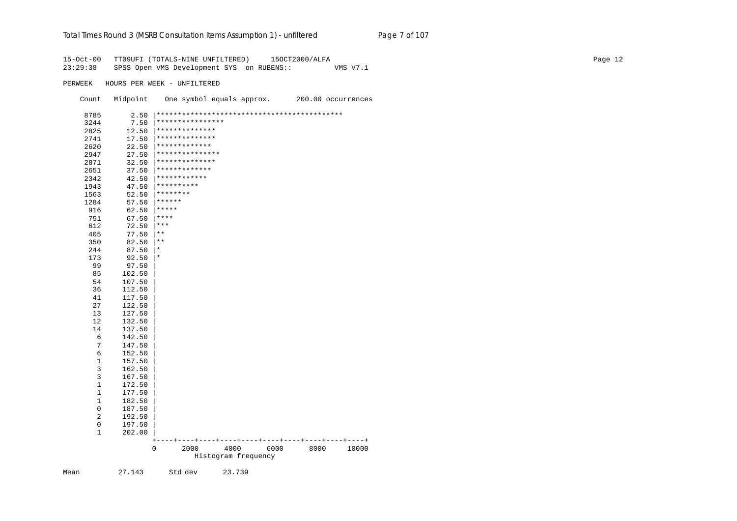# Total Times Round 3 (MSRB Consultation Items Assumption 1) - unfiltered Page 7 of 107

| $15-0ct-00$<br>23:29:38 |             | TT09UFI (TOTALS-NINE UNFILTERED)<br>150CT2000/ALFA<br>SPSS Open VMS Development SYS on RUBENS::<br>VMS V7.1 | Page 12 |
|-------------------------|-------------|-------------------------------------------------------------------------------------------------------------|---------|
| PERWEEK                 |             | HOURS PER WEEK - UNFILTERED                                                                                 |         |
| Count                   | Midpoint    | One symbol equals approx.<br>200.00 occurrences                                                             |         |
| 8785                    |             |                                                                                                             |         |
| 3244                    | 7.50        | ****************                                                                                            |         |
| 2825                    | 12.50       | **************                                                                                              |         |
| 2741                    | 17.50       | **************                                                                                              |         |
| 2620                    | 22.50       | ***********                                                                                                 |         |
| 2947                    | 27.50       | *********                                                                                                   |         |
| 2871                    | 32.50       | *************                                                                                               |         |
| 2651                    | 37.50       | ************                                                                                                |         |
| 2342                    | 42.50       | ************                                                                                                |         |
| 1943                    | 47.50       | **********                                                                                                  |         |
| 1563                    | 52.50       | $*********$                                                                                                 |         |
| 1284                    | 57.50       | ******                                                                                                      |         |
| 916                     | 62.50       | *****                                                                                                       |         |
| 751                     | 67.50       | $***$                                                                                                       |         |
| 612                     | 72.50       | $\star$ $\star$ $\star$                                                                                     |         |
| 405                     | 77.50       | $\star$ $\star$                                                                                             |         |
| 350                     | $82.50$  ** |                                                                                                             |         |
| 244                     | 87.50       | $\star$                                                                                                     |         |
| 173                     | 92.50       | $\vert *$                                                                                                   |         |
| 99                      | 97.50       |                                                                                                             |         |
| 85                      | 102.50      |                                                                                                             |         |
| 54                      | 107.50      |                                                                                                             |         |
| 36                      | 112.50      |                                                                                                             |         |
| 41                      | 117.50      |                                                                                                             |         |
| 27                      | 122.50      |                                                                                                             |         |
| 13                      | 127.50      |                                                                                                             |         |
| 12                      | 132.50      |                                                                                                             |         |
| 14                      | 137.50      |                                                                                                             |         |
| $\sqrt{6}$              | 142.50      |                                                                                                             |         |
| $\overline{7}$          | 147.50      |                                                                                                             |         |
| $\epsilon$              | 152.50      |                                                                                                             |         |
| $1\,$                   | 157.50      |                                                                                                             |         |
| 3                       | 162.50      |                                                                                                             |         |
| $\overline{3}$          | 167.50      |                                                                                                             |         |
| $\mathbf{1}$            | 172.50      |                                                                                                             |         |
| $\mathbf{1}$            | 177.50      |                                                                                                             |         |
| $\mathbf{1}$            | 182.50      |                                                                                                             |         |
| $\mathbf 0$             | 187.50      |                                                                                                             |         |
| $\boldsymbol{2}$        | 192.50      |                                                                                                             |         |
| $\mathsf 0$             | 197.50      |                                                                                                             |         |
| $\mathbf{1}$            | 202.00      |                                                                                                             |         |
|                         |             | $+ -$<br>0<br>2000<br>4000<br>6000<br>8000<br>10000<br>Histogram frequency                                  |         |

Mean 27.143 Std dev 23.739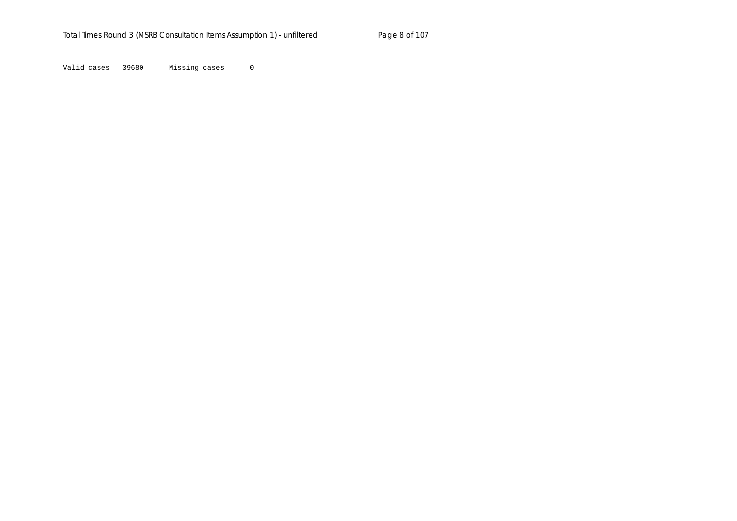Valid cases 39680 Missing cases 0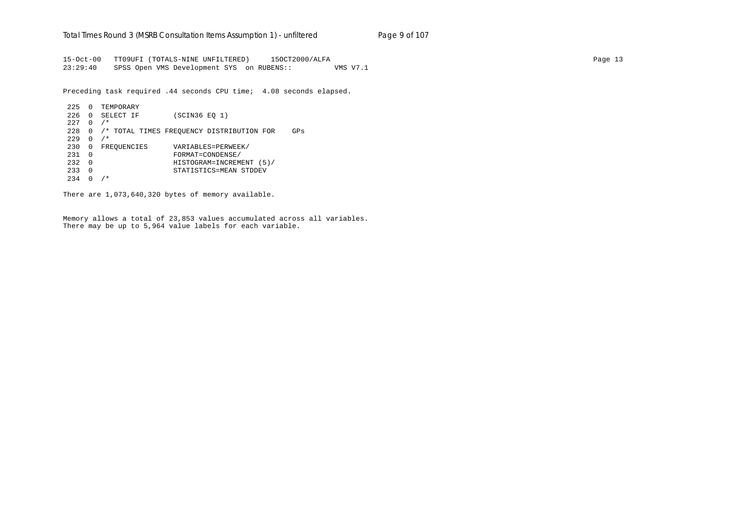15-Oct-00 TT09UFI (TOTALS-NINE UNFILTERED) 15OCT2000/ALFA Page 13 23:29:40 SPSS Open VMS Development SYS on RUBENS:: VMS V7.1

Preceding task required .44 seconds CPU time; 4.08 seconds elapsed.

```
 225 0 TEMPORARY
 226 0 SELECT IF (SCIN36 EQ 1)
227 \t 0 / * 228 0 /* TOTAL TIMES FREQUENCY DISTRIBUTION FOR GPs
229 \t 0 / * 230 0 FREQUENCIES VARIABLES=PERWEEK/
 231 0 FORMAT=CONDENSE/
 232 0 HISTOGRAM=INCREMENT (5)/
 233 0 STATISTICS=MEAN STDDEV
234 \t0 \t/*
```
There are 1,073,640,320 bytes of memory available.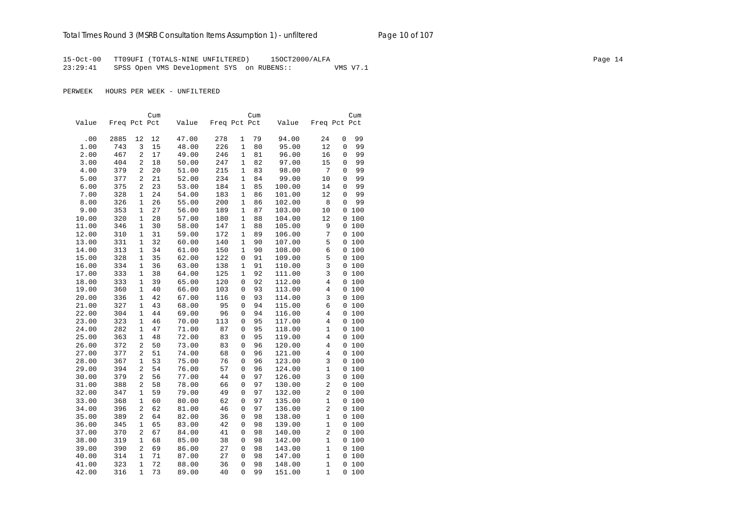15-Oct-00 TT09UFI (TOTALS-NINE UNFILTERED) 15OCT2000/ALFA Page 14 23:29:41 SPSS Open VMS Development SYS on RUBENS:: VMS V7.1

PERWEEK HOURS PER WEEK - UNFILTERED

|       |              |                | Cum |       |              |              | Cum |        |                | Cum                |    |
|-------|--------------|----------------|-----|-------|--------------|--------------|-----|--------|----------------|--------------------|----|
| Value | Freq Pct Pct |                |     | Value | Freq Pct Pct |              |     | Value  | Freq Pct Pct   |                    |    |
| .00   | 2885         | 12             | 12  | 47.00 | 278          | 1            | 79  | 94.00  | 24             | 99<br>0            |    |
| 1.00  | 743          | 3              | 15  | 48.00 | 226          | $\mathbf{1}$ | 80  | 95.00  | 12             | $\mathbf 0$        | 99 |
| 2.00  | 467          | 2              | 17  | 49.00 | 246          | 1            | 81  | 96.00  | 16             | 0                  | 99 |
| 3.00  | 404          | 2              | 18  | 50.00 | 247          | 1            | 82  | 97.00  | 15             | 99<br>$\Omega$     |    |
| 4.00  | 379          | $\overline{a}$ | 20  | 51.00 | 215          | 1            | 83  | 98.00  | 7              | 0                  | 99 |
| 5.00  | 377          | $\overline{2}$ | 21  | 52.00 | 234          | $\mathbf{1}$ |     | 99.00  | 10             | 99                 |    |
|       | 375          | 2              | 23  | 53.00 | 184          | 1            | 84  |        |                | 0<br>99<br>0       |    |
| 6.00  |              |                |     |       |              |              | 85  | 100.00 | 14             |                    |    |
| 7.00  | 328          | 1              | 24  | 54.00 | 183          | 1            | 86  | 101.00 | 12             | 0                  | 99 |
| 8.00  | 326          | 1              | 26  | 55.00 | 200          | 1            | 86  | 102.00 | 8              | $\mathbf{0}$<br>99 |    |
| 9.00  | 353          | 1              | 27  | 56.00 | 189          | 1            | 87  | 103.00 | 10             | 0 100              |    |
| 10.00 | 320          | $\mathbf{1}$   | 28  | 57.00 | 180          | 1            | 88  | 104.00 | 12             | 0 100              |    |
| 11.00 | 346          | 1              | 30  | 58.00 | 147          | 1            | 88  | 105.00 | 9              | 0 100              |    |
| 12.00 | 310          | $\mathbf{1}$   | 31  | 59.00 | 172          | 1            | 89  | 106.00 | 7              | 0 100              |    |
| 13.00 | 331          | 1              | 32  | 60.00 | 140          | $\mathbf{1}$ | 90  | 107.00 | 5              | 0 100              |    |
| 14.00 | 313          | $\mathbf{1}$   | 34  | 61.00 | 150          | 1            | 90  | 108.00 | 6              | 0 100              |    |
| 15.00 | 328          | $\mathbf{1}$   | 35  | 62.00 | 122          | 0            | 91  | 109.00 | 5              | 0 100              |    |
| 16.00 | 334          | $\mathbf{1}$   | 36  | 63.00 | 138          | 1            | 91  | 110.00 | 3              | 0 100              |    |
| 17.00 | 333          | $\mathbf{1}$   | 38  | 64.00 | 125          | $\mathbf{1}$ | 92  | 111.00 | 3              | 0 100              |    |
| 18.00 | 333          | $\mathbf{1}$   | 39  | 65.00 | 120          | 0            | 92  | 112.00 | $\overline{4}$ | 0 100              |    |
| 19.00 | 360          | $\mathbf{1}$   | 40  | 66.00 | 103          | 0            | 93  | 113.00 | 4              | 0 100              |    |
| 20.00 | 336          | 1              | 42  | 67.00 | 116          | 0            | 93  | 114.00 | 3              | 0 100              |    |
| 21.00 | 327          | $\mathbf{1}$   | 43  | 68.00 | 95           | 0            | 94  | 115.00 | б              | 0 100              |    |
| 22.00 | 304          | $\mathbf{1}$   | 44  | 69.00 | 96           | 0            | 94  | 116.00 | 4              | 0 100              |    |
| 23.00 | 323          | 1              | 46  | 70.00 | 113          | 0            | 95  | 117.00 | 4              | 0 100              |    |
| 24.00 | 282          | 1              | 47  | 71.00 | 87           | 0            | 95  | 118.00 | 1              | 0 100              |    |
| 25.00 | 363          | 1              | 48  | 72.00 | 83           | 0            | 95  | 119.00 | 4              | 0 100              |    |
| 26.00 | 372          | 2              | 50  | 73.00 | 83           | 0            | 96  | 120.00 | $\overline{4}$ | 0 100              |    |
| 27.00 | 377          | 2              | 51  | 74.00 | 68           | 0            | 96  | 121.00 | 4              | 0 100              |    |
| 28.00 | 367          | 1              | 53  | 75.00 | 76           | 0            | 96  | 123.00 | 3              | 0 100              |    |
| 29.00 | 394          | $\overline{2}$ | 54  | 76.00 | 57           | 0            | 96  | 124.00 | $\mathbf{1}$   | 0 100              |    |
| 30.00 | 379          | $\overline{2}$ | 56  | 77.00 | 44           | 0            | 97  | 126.00 | $\overline{3}$ | 0 100              |    |
| 31.00 | 388          | 2              | 58  | 78.00 | 66           | 0            | 97  | 130.00 | $\overline{2}$ | 0 100              |    |
| 32.00 | 347          | $\mathbf{1}$   | 59  | 79.00 | 49           | 0            | 97  | 132.00 | $\overline{a}$ | 0 100              |    |
| 33.00 | 368          | $\mathbf{1}$   | 60  | 80.00 | 62           | 0            | 97  | 135.00 | $\mathbf{1}$   | 0 100              |    |
| 34.00 | 396          | 2              | 62  | 81.00 | 46           | 0            | 97  | 136.00 | $\overline{a}$ | 0 100              |    |
| 35.00 | 389          | 2              | 64  | 82.00 | 36           | 0            | 98  | 138.00 | $\mathbf{1}$   | 0 100              |    |
| 36.00 | 345          | 1              | 65  | 83.00 | 42           | 0            | 98  | 139.00 | 1              | 0 100              |    |
| 37.00 | 370          | 2              | 67  | 84.00 | 41           | 0            | 98  | 140.00 | $\overline{2}$ | 0 100              |    |
| 38.00 | 319          | 1              | 68  | 85.00 | 38           | 0            | 98  | 142.00 | $\mathbf 1$    | 0 100              |    |
| 39.00 | 390          | 2              | 69  | 86.00 | 27           | 0            | 98  | 143.00 | $\mathbf{1}$   | 0 100              |    |
| 40.00 | 314          | $\mathbf{1}$   | 71  | 87.00 | 27           | 0            | 98  | 147.00 | $\mathbf{1}$   | 0 100              |    |
| 41.00 | 323          | $\mathbf{1}$   | 72  | 88.00 | 36           | 0            | 98  | 148.00 | $\mathbf{1}$   | 0 100              |    |
| 42.00 | 316          | $\mathbf{1}$   | 73  | 89.00 | 40           | 0            | 99  | 151.00 | 1              | 100<br>$\Omega$    |    |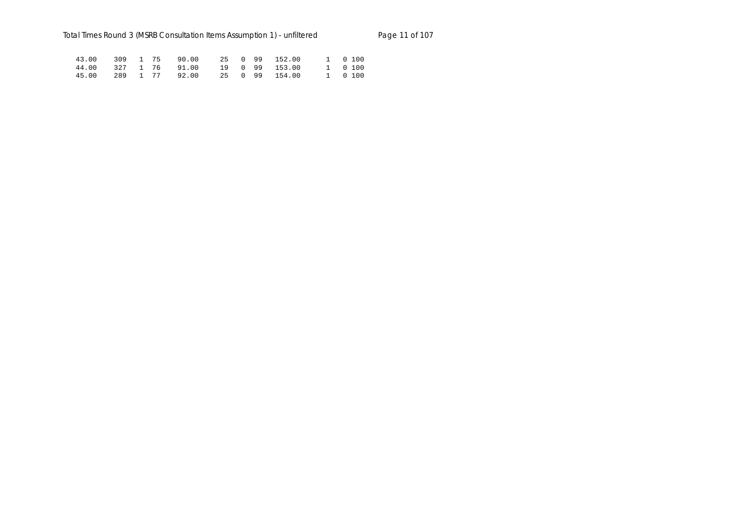|  |  | 43.00 309 1 75 90.00 25 0 99 152.00 |  |  | 1 0 100 |  |
|--|--|-------------------------------------|--|--|---------|--|
|  |  | 44.00 327 1 76 91.00 19 0 99 153.00 |  |  | 1 0 100 |  |
|  |  | 45.00 289 1 77 92.00 25 0 99 154.00 |  |  | 1 0 100 |  |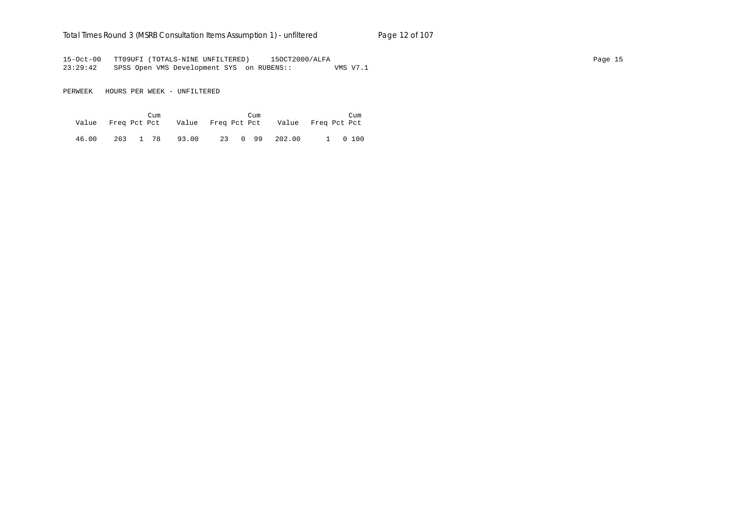## Total Times Round 3 (MSRB Consultation Items Assumption 1) - unfiltered Page 12 of 107

15-Oct-00 TT09UFI (TOTALS-NINE UNFILTERED) 15OCT2000/ALFA Page 15 23:29:42 SPSS Open VMS Development SYS on RUBENS:: VMS V7.1

PERWEEK HOURS PER WEEK - UNFILTERED

|       | Cum |  | Cum | Value Freq Pct Pct Value Freq Pct Pct Value Freq Pct Pct | Cum     |
|-------|-----|--|-----|----------------------------------------------------------|---------|
| 46.00 |     |  |     | 263 1 78 93.00 23 0 99 202.00                            | 1 0 100 |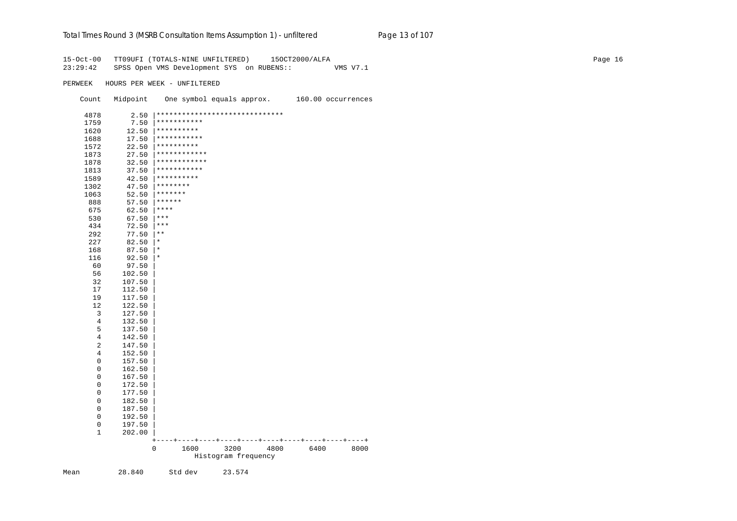# Total Times Round 3 (MSRB Consultation Items Assumption 1) - unfiltered Page 13 of 107

| $15 - Oct - 00$<br>23:29:42 |            | TT09UFI (TOTALS-NINE UNFILTERED)<br>150CT2000/ALFA<br>SPSS Open VMS Development SYS on RUBENS::<br>VMS V7.1 | Page 16 |
|-----------------------------|------------|-------------------------------------------------------------------------------------------------------------|---------|
| PERWEEK                     |            | HOURS PER WEEK - UNFILTERED                                                                                 |         |
| Count                       | Midpoint   | One symbol equals approx.<br>160.00 occurrences                                                             |         |
| 4878                        | $2.50$     | ******************************                                                                              |         |
| 1759                        | 7.50       | ***********                                                                                                 |         |
| 1620                        | 12.50      | **********                                                                                                  |         |
| 1688                        | 17.50      | ***********                                                                                                 |         |
| 1572                        | 22.50      | **********                                                                                                  |         |
| 1873                        | 27.50      | ************                                                                                                |         |
| 1878                        | 32.50      | ************                                                                                                |         |
| 1813                        | 37.50      | ***********                                                                                                 |         |
| 1589                        | 42.50      | **********                                                                                                  |         |
| 1302                        | 47.50      | ********                                                                                                    |         |
| 1063                        | 52.50      | *******                                                                                                     |         |
| 888                         | 57.50      | $******$                                                                                                    |         |
| 675                         | 62.50      | $***$                                                                                                       |         |
| 530                         | 67.50      | $ ***$                                                                                                      |         |
| 434                         | 72.50      | $\star\star\star$                                                                                           |         |
| 292                         | 77.50      | $\star$ $\star$                                                                                             |         |
| 227                         | 82.50      | $\star$                                                                                                     |         |
| 168                         | 87.50      | $\star$                                                                                                     |         |
| 116                         | $92.50$  * |                                                                                                             |         |
| 60                          | 97.50      |                                                                                                             |         |
| 56                          | 102.50     |                                                                                                             |         |
| 32                          | 107.50     |                                                                                                             |         |
| 17                          | 112.50     |                                                                                                             |         |
| 19                          | 117.50     |                                                                                                             |         |
| 12                          | 122.50     |                                                                                                             |         |
| 3                           | 127.50     |                                                                                                             |         |
| $\overline{4}$              | 132.50     |                                                                                                             |         |
| 5                           | 137.50     |                                                                                                             |         |
| $\overline{4}$              | 142.50     |                                                                                                             |         |
| 2                           | 147.50     |                                                                                                             |         |
| 4                           | 152.50     |                                                                                                             |         |
| $\mathbf 0$                 | 157.50     |                                                                                                             |         |
| $\mathsf 0$                 | 162.50     |                                                                                                             |         |
| $\mathbf 0$                 | 167.50     |                                                                                                             |         |
| $\mathsf 0$                 | 172.50     |                                                                                                             |         |
| $\mathbb O$                 | 177.50     |                                                                                                             |         |
| $\mathsf 0$                 | 182.50     |                                                                                                             |         |
| $\mathsf 0$                 | 187.50     |                                                                                                             |         |
| $\mathsf 0$                 | 192.50     |                                                                                                             |         |
| $\mathsf 0$                 | 197.50     |                                                                                                             |         |
| $\mathbf{1}$                | 202.00     |                                                                                                             |         |
|                             |            | $+ - -$<br>0<br>1600<br>3200<br>4800<br>6400<br>8000<br>Histogram frequency                                 |         |

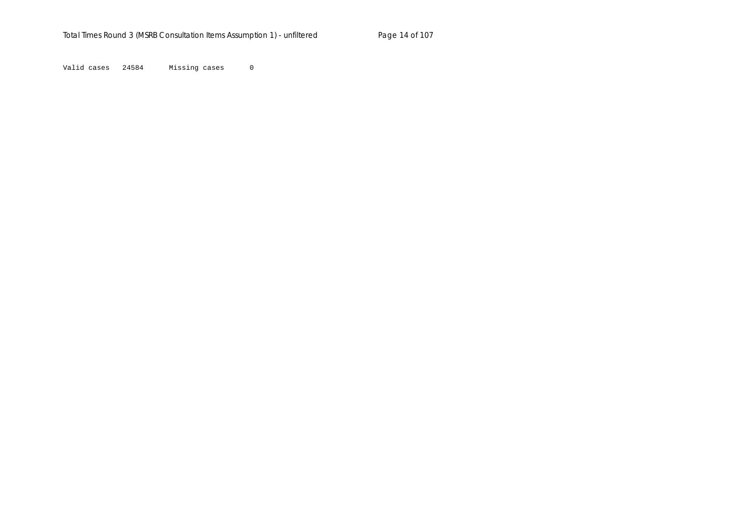Valid cases 24584 Missing cases 0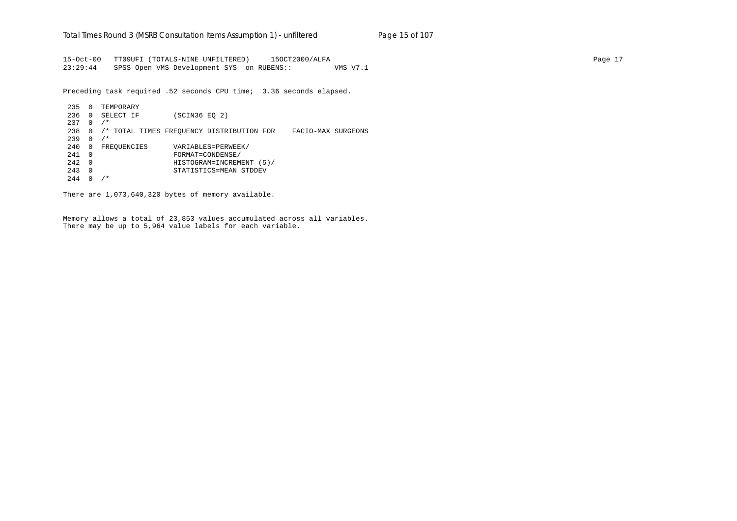15-Oct-00 TT09UFI (TOTALS-NINE UNFILTERED) 15OCT2000/ALFA Page 17 23:29:44 SPSS Open VMS Development SYS on RUBENS:: VMS V7.1

Preceding task required .52 seconds CPU time; 3.36 seconds elapsed.

 235 0 TEMPORARY 236 0 SELECT IF (SCIN36 EQ 2) 237 0 /\* 238 0 /\* TOTAL TIMES FREQUENCY DISTRIBUTION FOR FACIO-MAX SURGEONS 239 0 /\* 240 0 FREQUENCIES VARIABLES=PERWEEK/ 241 0 FORMAT=CONDENSE/ 242 0 HISTOGRAM=INCREMENT (5)/ 243 0 STATISTICS=MEAN STDDEV  $244 \t0 \t/*$ 

There are 1,073,640,320 bytes of memory available.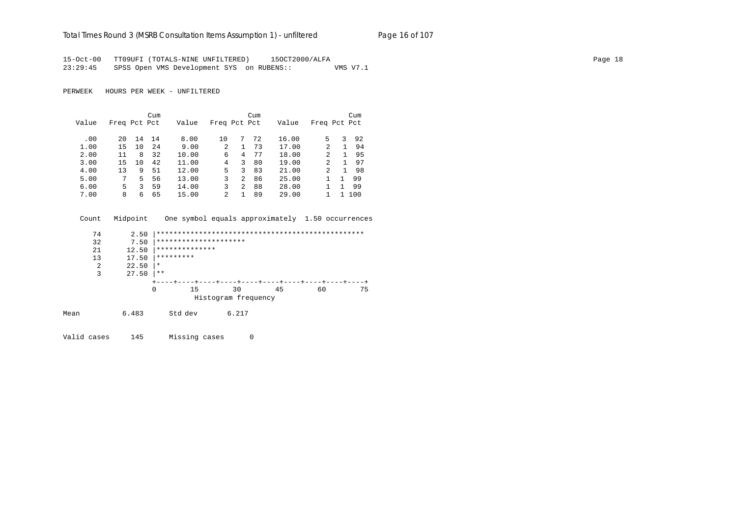#### Total Times Round 3 (MSRB Consultation Items Assumption 1) - un*filtered* Page 16 of 107

15-Oct-00 TT09UFI (TOTALS-NINE UNFILTERED) 15OCT2000/ALFA Page 18 23:29:45 SPSS Open VMS Development SYS on RUBENS:: VMS V7.1

PERWEEK HOURS PER WEEK - UNFILTERED

|       |              |    | Cum |       |              |                | Cum |       |               |   | Cum |
|-------|--------------|----|-----|-------|--------------|----------------|-----|-------|---------------|---|-----|
| Value | Freq Pct Pct |    |     | Value | Freq Pct Pct |                |     | Value | Freq Pct Pct  |   |     |
| .00   | 20           | 14 | 14  | 8.00  | 10           | 7              | 72  | 16.00 | 5.            | 3 | 92  |
| 1.00  | 15           | 10 | 24  | 9.00  | 2            |                | 73  | 17.00 | 2             | 1 | 94  |
| 2.00  | 11           | 8  | 32  | 10.00 | 6            | 4              | 77  | 18.00 | 2             |   | 95  |
| 3.00  | 15           | 10 | 42  | 11.00 | 4            | 3              | 80  | 19.00 | $\mathcal{L}$ |   | 97  |
| 4.00  | 13           | 9  | 51  | 12.00 | 5.           | 3              | 83  | 21.00 | 2             |   | 98  |
| 5.00  | 7            | .5 | 56  | 13.00 | 3            | 2              | 86  | 25.00 |               |   | 99  |
| 6.00  | 5            | ζ  | 59  | 14.00 | 3            | $\overline{a}$ | 88  | 28.00 |               |   | 99  |
| 7.00  | 8            | 6  | 65  | 15.00 | 2            |                | 89  | 29.00 |               |   | 100 |

 Count Midpoint One symbol equals approximately 1.50 occurrences 74 2.50 |\*\*\*\*\*\*\*\*\*\*\*\*\*\*\*\*\*\*\*\*\*\*\*\*\*\*\*\*\*\*\*\*\*\*\*\*\*\*\*\*\*\*\*\*\*\*\*\*\* 32 7.50 |\*\*\*\*\*\*\*\*\*\*\*\*\*\*\*\*\*\*\*\*\*\*\*<br>21 12.50 |\*\*\*\*\*\*\*\*\*\*\*\*\*\*\*

 21 12.50 |\*\*\*\*\*\*\*\*\*\*\*\*\*\* 13 17.50  $*********$ <br>2 22.50  $*$  $\begin{array}{ccc} 2 & 22.50 \ \end{array}$  \*  $27.50$  |\*\* +----+----+----+----+----+----+----+----+----+----+ 0 15 30 45 60 75 Histogram frequency Mean 6.483 Std dev 6.217

Valid cases 145 Missing cases 0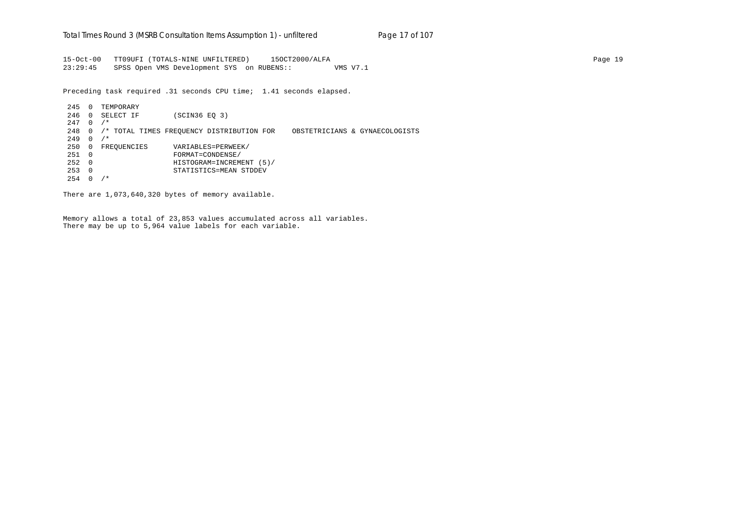15-Oct-00 TT09UFI (TOTALS-NINE UNFILTERED) 15OCT2000/ALFA Page 19 23:29:45 SPSS Open VMS Development SYS on RUBENS:: VMS V7.1

Preceding task required .31 seconds CPU time; 1.41 seconds elapsed.

 245 0 TEMPORARY 246 0 SELECT IF (SCIN36 EQ 3)  $247 \quad 0 \quad$ /\* 248 0 /\* TOTAL TIMES FREQUENCY DISTRIBUTION FOR OBSTETRICIANS & GYNAECOLOGISTS  $249 \quad 0 \quad /$ \* 250 0 FREQUENCIES VARIABLES=PERWEEK/ 251 0 FORMAT=CONDENSE/ 252 0 HISTOGRAM=INCREMENT (5)/ 253 0 STATISTICS=MEAN STDDEV  $254 \t0 \t/*$ 

There are 1,073,640,320 bytes of memory available.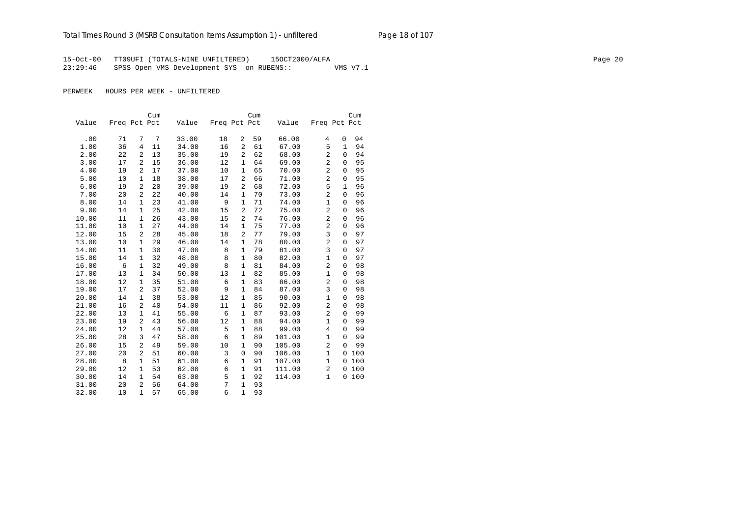## Total Times Round 3 (MSRB Consultation Items Assumption 1) - unfiltered Page 18 of 107

15-Oct-00 TT09UFI (TOTALS-NINE UNFILTERED) 15OCT2000/ALFA Page 20 23:29:46 SPSS Open VMS Development SYS on RUBENS:: VMS V7.1

PERWEEK HOURS PER WEEK - UNFILTERED

|       |              |                | Cum |       |              |                | Cum |        |                |              | Cum |
|-------|--------------|----------------|-----|-------|--------------|----------------|-----|--------|----------------|--------------|-----|
| Value | Freq Pct Pct |                |     | Value | Freq Pct Pct |                |     | Value  | Freq Pct Pct   |              |     |
|       |              |                |     |       |              |                |     |        |                |              |     |
| .00   | 71           | 7              | 7   | 33.00 | 18           | $\overline{a}$ | 59  | 66.00  | 4              | 0            | 94  |
| 1.00  | 36           | 4              | 11  | 34.00 | 16           | $\overline{a}$ | 61  | 67.00  | 5              | 1            | 94  |
| 2.00  | 22           | 2              | 13  | 35.00 | 19           | 2              | 62  | 68.00  | 2              | $\Omega$     | 94  |
| 3.00  | 17           | 2              | 15  | 36.00 | 12           | 1              | 64  | 69.00  | $\overline{a}$ | $\mathbf 0$  | 95  |
| 4.00  | 19           | 2              | 17  | 37.00 | 10           | $\mathbf{1}$   | 65  | 70.00  | $\overline{a}$ | $\mathbf 0$  | 95  |
| 5.00  | 10           | $\mathbf{1}$   | 18  | 38.00 | 17           | 2              | 66  | 71.00  | $\overline{a}$ | $\mathbf 0$  | 95  |
| 6.00  | 19           | $\overline{a}$ | 20  | 39.00 | 19           | $\overline{2}$ | 68  | 72.00  | 5              | $\mathbf{1}$ | 96  |
| 7.00  | 20           | $\overline{a}$ | 22  | 40.00 | 14           | $\mathbf{1}$   | 70  | 73.00  | $\overline{a}$ | $\mathbf 0$  | 96  |
| 8.00  | 14           | $\mathbf{1}$   | 23  | 41.00 | 9            | $\mathbf{1}$   | 71  | 74.00  | $\mathbf{1}$   | $\mathbf 0$  | 96  |
| 9.00  | 14           | $\mathbf{1}$   | 25  | 42.00 | 15           | $\overline{c}$ | 72  | 75.00  | $\overline{2}$ | $\mathbf 0$  | 96  |
| 10.00 | 11           | $\mathbf{1}$   | 26  | 43.00 | 15           | 2              | 74  | 76.00  | $\overline{2}$ | $\mathbf 0$  | 96  |
| 11.00 | $10$         | $\mathbf{1}$   | 27  | 44.00 | 14           | 1              | 75  | 77.00  | $\overline{2}$ | 0            | 96  |
| 12.00 | 15           | 2              | 28  | 45.00 | 18           | $\overline{a}$ | 77  | 79.00  | 3              | 0            | 97  |
| 13.00 | 10           | $\mathbf{1}$   | 29  | 46.00 | 14           | 1              | 78  | 80.00  | $\overline{2}$ | $\mathbf 0$  | 97  |
| 14.00 | 11           | $\mathbf{1}$   | 30  | 47.00 | 8            | 1              | 79  | 81.00  | 3              | $\mathbf 0$  | 97  |
| 15.00 | 14           | $\mathbf{1}$   | 32  | 48.00 | 8            | 1              | 80  | 82.00  | $\mathbf{1}$   | $\mathbf 0$  | 97  |
| 16.00 | 6            | $\mathbf{1}$   | 32  | 49.00 | 8            | 1              | 81  | 84.00  | 2              | $\mathbf 0$  | 98  |
| 17.00 | 13           | $\mathbf{1}$   | 34  | 50.00 | 13           | 1              | 82  | 85.00  | $\mathbf{1}$   | $\mathbf 0$  | 98  |
| 18.00 | 12           | $\mathbf{1}$   | 35  | 51.00 | 6            | $\mathbf{1}$   | 83  | 86.00  | $\overline{2}$ | $\mathbf 0$  | 98  |
| 19.00 | 17           | 2              | 37  | 52.00 | 9            | 1              | 84  | 87.00  | 3              | $\mathbf 0$  | 98  |
| 20.00 | 14           | $\mathbf{1}$   | 38  | 53.00 | 12           | $\mathbf{1}$   | 85  | 90.00  | $\mathbf{1}$   | $\mathbf 0$  | 98  |
| 21.00 | 16           | 2              | 40  | 54.00 | 11           | $\mathbf{1}$   | 86  | 92.00  | $\overline{2}$ | $\mathbf 0$  | 98  |
| 22.00 | 13           | $\mathbf{1}$   | 41  | 55.00 | 6            | $\mathbf{1}$   | 87  | 93.00  | $\overline{a}$ | $\mathbf 0$  | 99  |
| 23.00 | 19           | 2              | 43  | 56.00 | 12           | $\mathbf{1}$   | 88  | 94.00  | $\mathbf{1}$   | $\mathbf 0$  | 99  |
| 24.00 | 12           | $\mathbf{1}$   | 44  | 57.00 | 5            | $\mathbf{1}$   | 88  | 99.00  | $\overline{4}$ | $\mathbf 0$  | 99  |
| 25.00 | 28           | 3              | 47  | 58.00 | 6            | $\mathbf{1}$   | 89  | 101.00 | $\mathbf{1}$   | $\Omega$     | 99  |
| 26.00 | 15           | $\overline{a}$ | 49  | 59.00 | 10           | $\mathbf{1}$   | 90  | 105.00 | $\overline{a}$ | $\Omega$     | 99  |
| 27.00 | 20           | 2              | 51  | 60.00 | 3            | 0              | 90  | 106.00 | $\mathbf{1}$   | $\Omega$     | 100 |
| 28.00 | 8            | $\mathbf{1}$   | 51  | 61.00 | 6            | 1              | 91  | 107.00 | $\mathbf{1}$   | $\Omega$     | 100 |
| 29.00 | 12           | $\mathbf{1}$   | 53  | 62.00 | 6            | 1              | 91  | 111.00 | 2              | 0            | 100 |
| 30.00 | 14           | $\mathbf{1}$   | 54  | 63.00 | 5            | 1              | 92  | 114.00 | $\mathbf{1}$   | 0            | 100 |
| 31.00 | 20           | 2              | 56  | 64.00 | 7            | 1              | 93  |        |                |              |     |
| 32.00 | 10           | $\mathbf{1}$   | 57  | 65.00 | 6            | $\mathbf{1}$   | 93  |        |                |              |     |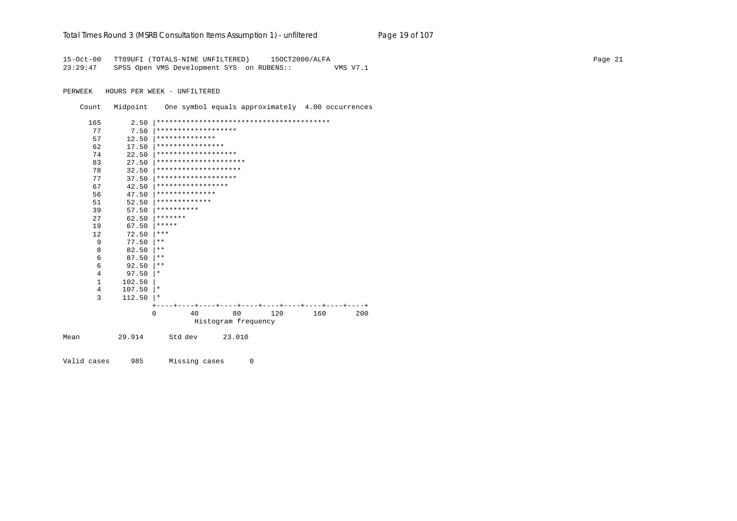### Total Times Round 3 (MSRB Consultation Items Assumption 1) - unfiltered Page 19 of 107

15-Oct-00 TT09UFI (TOTALS-NINE UNFILTERED) 15OCT2000/ALFA<br>23:29:47 SPSS Open VMS Development SYS on RUBENS:: WMS V7.1 SPSS Open VMS Development SYS on RUBENS:: VMS V7.1

PERWEEK HOURS PER WEEK - UNFILTERED

Count Midpoint One symbol equals approximately 4.00 occurrences

|      | 165 | 2.50   |            |                      |                       |     |     |     |
|------|-----|--------|------------|----------------------|-----------------------|-----|-----|-----|
|      | 77  | 7.50   |            | *******************  |                       |     |     |     |
|      | 57  | 12.50  |            | **************       |                       |     |     |     |
|      | 62  | 17.50  |            | ****************     |                       |     |     |     |
|      | 74  | 22.50  |            | *******************  |                       |     |     |     |
|      | 83  | 27.50  |            |                      | ********************* |     |     |     |
|      | 78  | 32.50  |            | ******************** |                       |     |     |     |
|      | 77  | 37.50  |            | *******************  |                       |     |     |     |
|      | 67  | 42.50  |            | *****************    |                       |     |     |     |
|      | 56  | 47.50  |            | **************       |                       |     |     |     |
|      | 51  | 52.50  |            | *************        |                       |     |     |     |
|      | 39  | 57.50  | ********** |                      |                       |     |     |     |
|      | 27  | 62.50  | *******    |                      |                       |     |     |     |
|      | 19  | 67.50  | *****      |                      |                       |     |     |     |
|      | 12  | 72.50  | $***$      |                      |                       |     |     |     |
|      | 9   | 77.50  | $***$      |                      |                       |     |     |     |
|      | 8   | 82.50  | $***$      |                      |                       |     |     |     |
|      | 6   | 87.50  | $***$      |                      |                       |     |     |     |
|      | 6   | 92.50  | $* *$      |                      |                       |     |     |     |
|      | 4   | 97.50  | $\star$    |                      |                       |     |     |     |
|      | 1   | 102.50 |            |                      |                       |     |     |     |
|      | 4   | 107.50 | $\star$    |                      |                       |     |     |     |
|      | 3   | 112.50 | ∗          |                      |                       |     |     |     |
|      |     |        |            |                      |                       |     |     |     |
|      |     |        | 0          | 40                   | 80                    | 120 | 160 | 200 |
|      |     |        |            |                      | Histogram frequency   |     |     |     |
| Mean |     | 29.914 |            | Std dev              | 23.010                |     |     |     |
|      |     |        |            |                      |                       |     |     |     |

Valid cases 985 Missing cases 0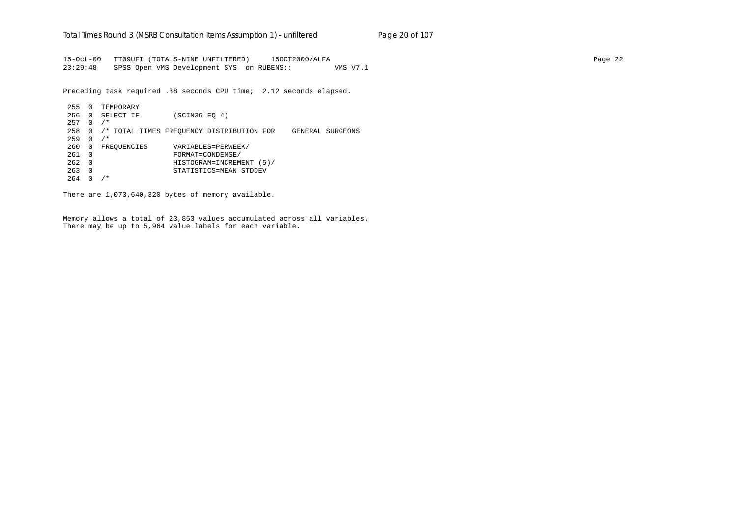15-Oct-00 TT09UFI (TOTALS-NINE UNFILTERED) 15OCT2000/ALFA Page 22 23:29:48 SPSS Open VMS Development SYS on RUBENS:: VMS V7.1

Preceding task required .38 seconds CPU time; 2.12 seconds elapsed.

 255 0 TEMPORARY 256 0 SELECT IF (SCIN36 EQ 4) 257 0 /\* 258 0 /\* TOTAL TIMES FREQUENCY DISTRIBUTION FOR GENERAL SURGEONS 259 0 /\* 260 0 FREQUENCIES VARIABLES=PERWEEK/ 261 0 FORMAT=CONDENSE/ 262 0 HISTOGRAM=INCREMENT (5)/ 263 0 STATISTICS=MEAN STDDEV  $264$  0 /\*

There are 1,073,640,320 bytes of memory available.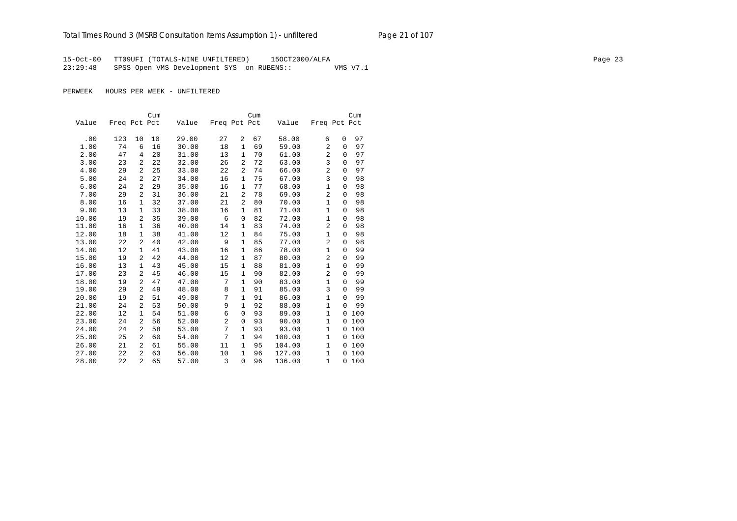15-Oct-00 TT09UFI (TOTALS-NINE UNFILTERED) 15OCT2000/ALFA Page 23 23:29:48 SPSS Open VMS Development SYS on RUBENS:: VMS V7.1

PERWEEK HOURS PER WEEK - UNFILTERED

|       |              |                | Cum |       |                |                | Cum |        |                |              | Cum |
|-------|--------------|----------------|-----|-------|----------------|----------------|-----|--------|----------------|--------------|-----|
| Value | Freq Pct Pct |                |     | Value | Freq Pct Pct   |                |     | Value  | Freq Pct Pct   |              |     |
|       |              |                |     |       |                |                |     |        |                |              |     |
| .00   | 123          | 10             | 10  | 29.00 | 27             | 2              | 67  | 58.00  | 6              | 0            | 97  |
| 1.00  | 74           | 6              | 16  | 30.00 | 18             | $\mathbf{1}$   | 69  | 59.00  | 2              | $\Omega$     | 97  |
| 2.00  | 47           | 4              | 20  | 31.00 | 13             | $\mathbf{1}$   | 70  | 61.00  | $\overline{2}$ | $\mathbf{0}$ | 97  |
| 3.00  | 23           | 2              | 22  | 32.00 | 26             | 2              | 72  | 63.00  | 3              | 0            | 97  |
| 4.00  | 29           | 2              | 25  | 33.00 | 22             | $\overline{a}$ | 74  | 66.00  | $\overline{2}$ | 0            | 97  |
| 5.00  | 24           | 2              | 27  | 34.00 | 16             | $\mathbf{1}$   | 75  | 67.00  | 3              | 0            | 98  |
| 6.00  | 24           | 2              | 29  | 35.00 | 16             | 1              | 77  | 68.00  | 1              | 0            | 98  |
| 7.00  | 29           | 2              | 31  | 36.00 | 21             | $\overline{a}$ | 78  | 69.00  | $\overline{2}$ | 0            | 98  |
| 8.00  | 16           | 1              | 32  | 37.00 | 21             | 2              | 80  | 70.00  | $\mathbf{1}$   | 0            | 98  |
| 9.00  | 13           | $\mathbf{1}$   | 33  | 38.00 | 16             | 1              | 81  | 71.00  | 1              | 0            | 98  |
| 10.00 | 19           | 2              | 35  | 39.00 | 6              | 0              | 82  | 72.00  | $\mathbf{1}$   | 0            | 98  |
| 11.00 | 16           | 1              | 36  | 40.00 | 14             | 1              | 83  | 74.00  | $\overline{2}$ | $\mathbf{0}$ | 98  |
| 12.00 | 18           | $\mathbf{1}$   | 38  | 41.00 | 12             | 1              | 84  | 75.00  | $\mathbf{1}$   | 0            | 98  |
| 13.00 | 22           | 2              | 40  | 42.00 | 9              | $\mathbf{1}$   | 85  | 77.00  | 2              | 0            | 98  |
| 14.00 | 12           | $\mathbf{1}$   | 41  | 43.00 | 16             | 1              | 86  | 78.00  | $\mathbf{1}$   | 0            | 99  |
| 15.00 | 19           | 2              | 42  | 44.00 | 12             | $\mathbf{1}$   | 87  | 80.00  | $\overline{2}$ | $\mathbf{0}$ | 99  |
| 16.00 | 13           | $\mathbf{1}$   | 43  | 45.00 | 15             | $\mathbf{1}$   | 88  | 81.00  | $\mathbf{1}$   | $\Omega$     | 99  |
| 17.00 | 23           | 2              | 45  | 46.00 | 15             | $\mathbf 1$    | 90  | 82.00  | 2              | $\mathbf 0$  | 99  |
| 18.00 | 19           | 2              | 47  | 47.00 | 7              | $\mathbf{1}$   | 90  | 83.00  | 1              | $\Omega$     | 99  |
| 19.00 | 29           | 2              | 49  | 48.00 | 8              | $\mathbf{1}$   | 91  | 85.00  | 3              | 0            | 99  |
| 20.00 | 19           | 2              | 51  | 49.00 | 7              | $\mathbf{1}$   | 91  | 86.00  | $\mathbf{1}$   | $\Omega$     | 99  |
| 21.00 | 24           | 2              | 53  | 50.00 | 9              | $\mathbf{1}$   | 92  | 88.00  | $\mathbf{1}$   | $\Omega$     | 99  |
| 22.00 | 12           | $\mathbf{1}$   | 54  | 51.00 | 6              | $\mathbf 0$    | 93  | 89.00  | $\mathbf{1}$   | 0            | 100 |
| 23.00 | 24           | 2              | 56  | 52.00 | $\overline{c}$ | 0              | 93  | 90.00  | $\mathbf{1}$   | 0            | 100 |
| 24.00 | 24           | 2              | 58  | 53.00 | 7              | 1              | 93  | 93.00  | $\mathbf{1}$   | 0            | 100 |
| 25.00 | 25           | 2              | 60  | 54.00 | 7              | $\mathbf{1}$   | 94  | 100.00 | $\mathbf{1}$   | 0            | 100 |
| 26.00 | 21           | 2              | 61  | 55.00 | 11             | 1              | 95  | 104.00 | 1              | 0            | 100 |
| 27.00 | 22           | $\overline{a}$ | 63  | 56.00 | 10             | $\mathbf{1}$   | 96  | 127.00 | $\mathbf{1}$   | 0            | 100 |
| 28.00 | 22           | $\overline{a}$ | 65  | 57.00 | 3              | $\Omega$       | 96  | 136.00 | $\mathbf{1}$   | $\Omega$     | 100 |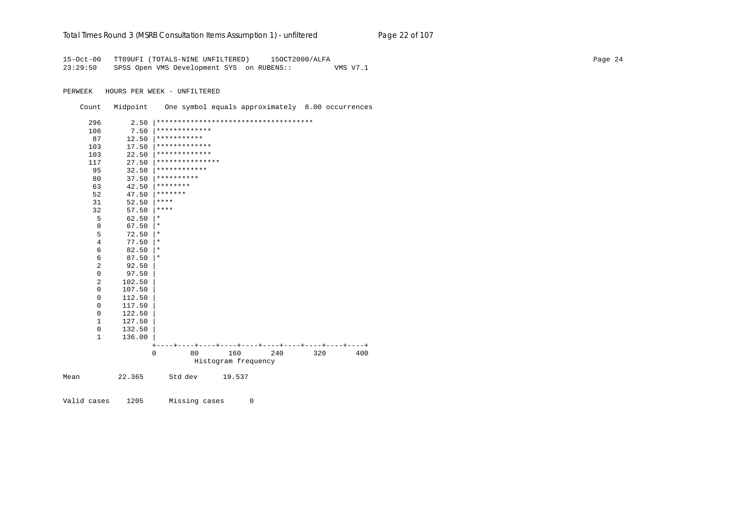### Total Times Round 3 (MSRB Consultation Items Assumption 1) - un*filtered* Page 22 of 107

15-Oct-00 TT09UFI (TOTALS-NINE UNFILTERED) 15OCT2000/ALFA Page 24 23:29:50 SPSS Open VMS Development SYS on RUBENS:: VMS V7.1

PERWEEK HOURS PER WEEK - UNFILTERED

Count Midpoint One symbol equals approximately 8.00 occurrences

| 296            | 2.50   |                 |    |                     | ************************************** |     |     |
|----------------|--------|-----------------|----|---------------------|----------------------------------------|-----|-----|
| 106            | 7.50   | *************   |    |                     |                                        |     |     |
| 87             | 12.50  | ***********     |    |                     |                                        |     |     |
| 103            | 17.50  | *************   |    |                     |                                        |     |     |
| 103            | 22.50  | *************   |    |                     |                                        |     |     |
| 117            | 27.50  | *************** |    |                     |                                        |     |     |
| 95             | 32.50  | ************    |    |                     |                                        |     |     |
| 80             | 37.50  | **********      |    |                     |                                        |     |     |
| 63             | 42.50  | ********        |    |                     |                                        |     |     |
| 52             | 47.50  | *******         |    |                     |                                        |     |     |
| 31             | 52.50  | ****            |    |                     |                                        |     |     |
| 32             | 57.50  | ****            |    |                     |                                        |     |     |
| 5              | 62.50  | $^\star$        |    |                     |                                        |     |     |
| 8              | 67.50  | $^\star$        |    |                     |                                        |     |     |
| 5              | 72.50  | $^\star$        |    |                     |                                        |     |     |
| $\overline{4}$ | 77.50  | $^\star$        |    |                     |                                        |     |     |
| 6              | 82.50  | $^\star$        |    |                     |                                        |     |     |
| 6              | 87.50  | $^\star$        |    |                     |                                        |     |     |
| 2              | 92.50  |                 |    |                     |                                        |     |     |
| $\mathbf 0$    | 97.50  |                 |    |                     |                                        |     |     |
| 2              | 102.50 |                 |    |                     |                                        |     |     |
| 0              | 107.50 |                 |    |                     |                                        |     |     |
| $\mathbf 0$    | 112.50 |                 |    |                     |                                        |     |     |
| $\mathbf 0$    | 117.50 |                 |    |                     |                                        |     |     |
| $\mathbf 0$    | 122.50 |                 |    |                     |                                        |     |     |
| 1              | 127.50 |                 |    |                     |                                        |     |     |
| 0              | 132.50 |                 |    |                     |                                        |     |     |
| 1              | 136.00 |                 |    |                     |                                        |     |     |
|                |        |                 |    |                     |                                        |     |     |
|                |        | $\mathbf 0$     | 80 | 160                 | 240                                    | 320 | 400 |
|                |        |                 |    | Histogram frequency |                                        |     |     |
| Mean           | 22.365 | Std dev         |    | 19.537              |                                        |     |     |

Valid cases 1205 Missing cases 0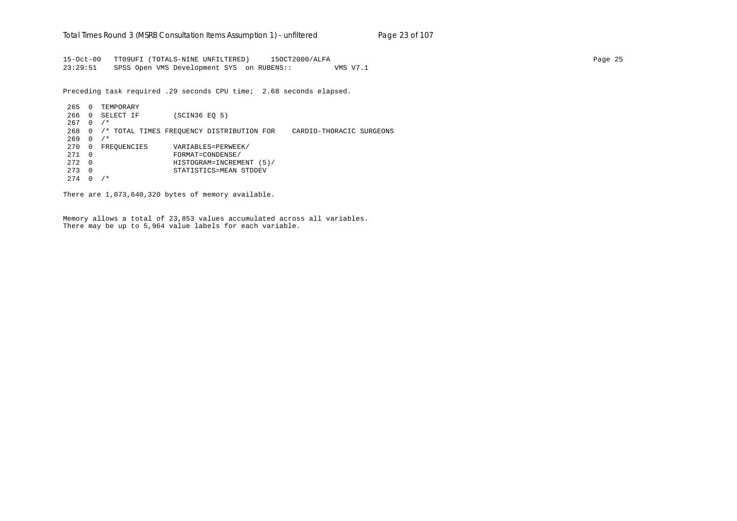15-Oct-00 TT09UFI (TOTALS-NINE UNFILTERED) 15OCT2000/ALFA Page 25 23:29:51 SPSS Open VMS Development SYS on RUBENS:: VMS V7.1

Preceding task required .29 seconds CPU time; 2.68 seconds elapsed.

 265 0 TEMPORARY 266 0 SELECT IF (SCIN36 EQ 5) 267 0 /\* 268 0 /\* TOTAL TIMES FREQUENCY DISTRIBUTION FOR CARDIO-THORACIC SURGEONS  $269 \quad 0 \quad /$ \* 270 0 FREQUENCIES VARIABLES=PERWEEK/ 271 0 FORMAT=CONDENSE/ 272 0 HISTOGRAM=INCREMENT (5)/ 273 0 STATISTICS=MEAN STDDEV  $274 \t0 \t/*$ 

There are 1,073,640,320 bytes of memory available.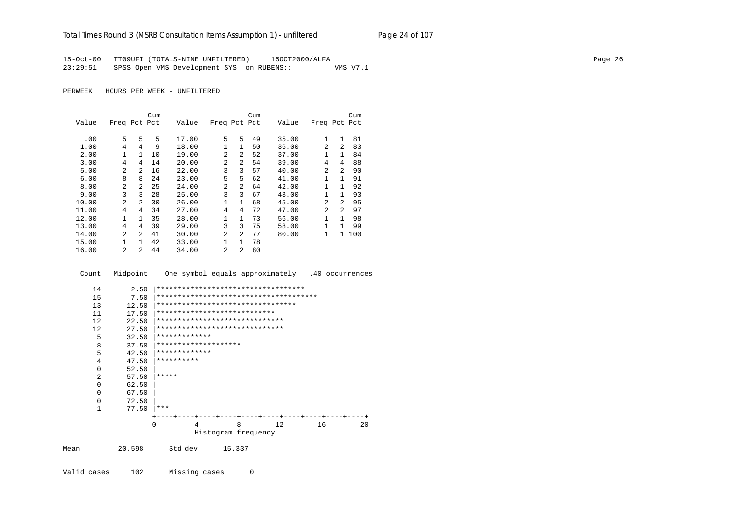### Total Times Round 3 (MSRB Consultation Items Assumption 1) - unfiltered Page 24 of 107

15-Oct-00 TT09UFI (TOTALS-NINE UNFILTERED) 15OCT2000/ALFA Page 26 23:29:51 SPSS Open VMS Development SYS on RUBENS:: VMS V7.1

PERWEEK HOURS PER WEEK - UNFILTERED

|       |                |                | Cum |       |                |                | Cum |       |                |                | Cum |
|-------|----------------|----------------|-----|-------|----------------|----------------|-----|-------|----------------|----------------|-----|
| Value | Freq Pct Pct   |                |     | Value | Freq Pct Pct   |                |     | Value | Freq Pct Pct   |                |     |
|       |                |                |     |       |                |                |     |       |                |                |     |
| .00   | 5              | 5              | 5   | 17.00 | 5              | 5.             | 49  | 35.00 | $\mathbf{1}$   | $\mathbf{1}$   | 81  |
| 1.00  | 4              | 4              | 9   | 18.00 | $\mathbf{1}$   | $\mathbf{1}$   | 50  | 36.00 | $\mathfrak{D}$ | $\mathcal{L}$  | 83  |
| 2.00  | 1              | 1              | 10  | 19.00 | $\mathfrak{D}$ | $\overline{a}$ | 52  | 37.00 | $\mathbf{1}$   | 1              | 84  |
| 3.00  | 4              | 4              | 14  | 20.00 | $\mathfrak{D}$ | 2              | 54  | 39.00 | 4              | 4              | 88  |
| 5.00  | $\mathfrak{D}$ | $\mathfrak{D}$ | 16  | 22.00 | 3              | 3              | 57  | 40.00 | $\mathfrak{D}$ | $\mathfrak{D}$ | 90  |
| 6.00  | 8              | 8              | 24  | 23.00 | 5              | 5.             | 62  | 41.00 | $\mathbf{1}$   | 1              | 91  |
| 8.00  | $\mathfrak{D}$ | 2              | 25  | 24.00 | $\mathfrak{D}$ | $\overline{a}$ | 64  | 42.00 | $\mathbf{1}$   | 1              | 92  |
| 9.00  | 3              | 3              | 28  | 25.00 | 3              | 3              | 67  | 43.00 | $\mathbf{1}$   | $\mathbf{1}$   | 93  |
| 10.00 | $\mathfrak{D}$ | 2              | 30  | 26.00 | 1              | $\mathbf{1}$   | 68  | 45.00 | $\mathfrak{D}$ | $\mathfrak{D}$ | 95  |
| 11.00 | 4              | 4              | 34  | 27.00 | $\overline{4}$ | 4              | 72  | 47.00 | $\mathfrak{D}$ | $\overline{a}$ | 97  |
| 12.00 | $\mathbf{1}$   | 1              | 35  | 28.00 | 1              | $\mathbf{1}$   | 73  | 56.00 | 1              | 1.             | 98  |
| 13.00 | 4              | 4              | 39  | 29.00 | 3              | 3              | 75  | 58.00 | $\mathbf{1}$   | 1              | 99  |
| 14.00 | 2              | $\mathfrak{D}$ | 41  | 30.00 | $\mathfrak{D}$ | $\overline{a}$ | 77  | 80.00 | $\mathbf{1}$   | $\mathbf{1}$   | 100 |
| 15.00 | 1.             | 1              | 42  | 33.00 | $\mathbf{1}$   | $\mathbf{1}$   | 78  |       |                |                |     |
| 16.00 | $\mathfrak{D}$ | 2              | 44  | 34.00 | $\mathfrak{D}$ | 2              | 80  |       |                |                |     |

Count Midpoint One symbol equals approximately .40 occurrences

| 14       | 2.50   | ************************************ |                                       |     |    |    |
|----------|--------|--------------------------------------|---------------------------------------|-----|----|----|
| 15       | 7.50   |                                      |                                       |     |    |    |
| 13       | 12.50  | *********************************    |                                       |     |    |    |
| 11       | 17.50  | ****************************         |                                       |     |    |    |
| 12       | 22.50  | ******************************       |                                       |     |    |    |
| 12       | 27.50  | ******************************       |                                       |     |    |    |
| 5        | 32.50  | *************                        |                                       |     |    |    |
| 8        | 37.50  | ********************                 |                                       |     |    |    |
| 5        | 42.50  | *************                        |                                       |     |    |    |
| 4        | 47.50  | **********                           |                                       |     |    |    |
| $\Omega$ | 52.50  |                                      |                                       |     |    |    |
| 2        | 57.50  | *****                                |                                       |     |    |    |
| $\Omega$ | 62.50  |                                      |                                       |     |    |    |
| $\Omega$ | 67.50  |                                      |                                       |     |    |    |
| $\Omega$ | 72.50  |                                      |                                       |     |    |    |
| 1        | 77.50  | ***                                  |                                       |     |    |    |
|          |        |                                      | ---+----+----+----+----+----+---+---+ |     |    |    |
|          |        | $\Omega$<br>4                        | 8                                     | 12. | 16 | 20 |
|          |        |                                      | Histogram frequency                   |     |    |    |
| Mean     | 20.598 | Std dev                              | 15.337                                |     |    |    |

Valid cases 102 Missing cases 0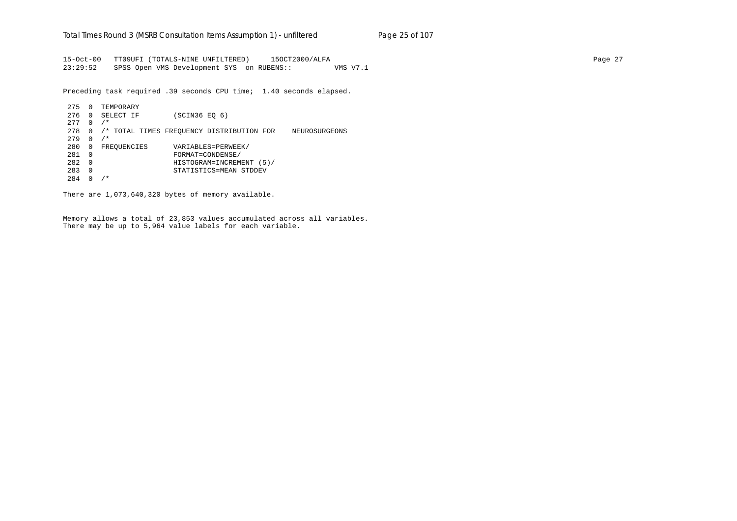15-Oct-00 TT09UFI (TOTALS-NINE UNFILTERED) 15OCT2000/ALFA Page 27 23:29:52 SPSS Open VMS Development SYS on RUBENS:: VMS V7.1

Preceding task required .39 seconds CPU time; 1.40 seconds elapsed.

 275 0 TEMPORARY 276 0 SELECT IF (SCIN36 EQ 6) 277 0 /\* 278 0 /\* TOTAL TIMES FREQUENCY DISTRIBUTION FOR NEUROSURGEONS 279 0 /\* 280 0 FREQUENCIES VARIABLES=PERWEEK/ 281 0 FORMAT=CONDENSE/ 282 0 HISTOGRAM=INCREMENT (5)/ 283 0 STATISTICS=MEAN STDDEV 284 0 /\*

There are 1,073,640,320 bytes of memory available.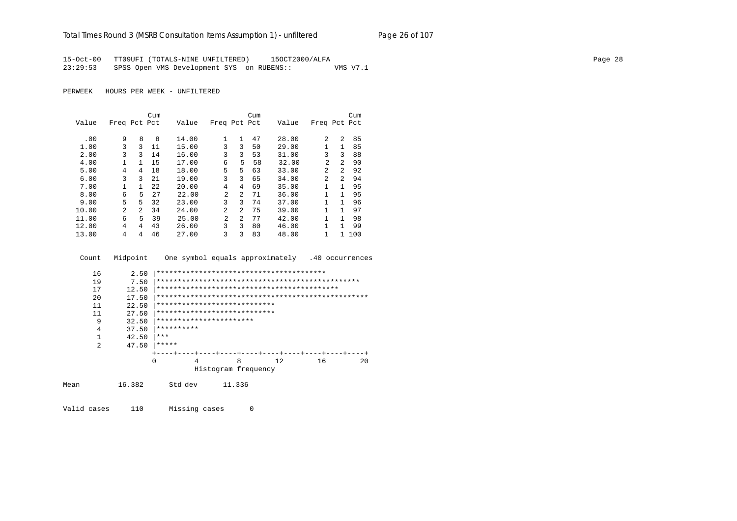### Total Times Round 3 (MSRB Consultation Items Assumption 1) - unfiltered Page 26 of 107

15-Oct-00 TT09UFI (TOTALS-NINE UNFILTERED) 15OCT2000/ALFA 23:29:53 SPSS Open VMS Development SYS on RUBENS:: VMS V7.1

PERWEEK HOURS PER WEEK - UNFILTERED

|       |                |               | Cum  |       |                |              | Cum |       |                |                | Cum |
|-------|----------------|---------------|------|-------|----------------|--------------|-----|-------|----------------|----------------|-----|
| Value | Freq Pct Pct   |               |      | Value | Freq Pct Pct   |              |     | Value | Freq Pct Pct   |                |     |
| .00   | 9              | 8             | 8    | 14.00 | $\mathbf{1}$   | $\mathbf{1}$ | 47  | 28.00 | 2              | $\mathfrak{D}$ | 85  |
| 1.00  | 3              | 3             | 11   | 15.00 | 3              | 3            | 50  | 29.00 | 1              | 1              | 85  |
| 2.00  | 3              | 3             | 14   | 16.00 | 3              | 3            | 53  | 31.00 | 3              | 3              | 88  |
| 4.00  | 1              | 1.            | 15   | 17.00 | 6              | 5            | 58  | 32.00 | $\overline{2}$ | $\mathfrak{D}$ | 90  |
| 5.00  | 4              | 4             | 18   | 18.00 | 5              | 5            | 63  | 33.00 | $\overline{2}$ | $\overline{a}$ | 92  |
| 6.00  | 3              | 3             | 21   | 19.00 | 3              | 3            | 65  | 34.00 | 2              | $\mathfrak{D}$ | 94  |
| 7.00  |                | 1             | 2.2. | 20.00 | 4              | 4            | 69  | 35.00 | 1              | 1              | 95  |
| 8.00  | 6              | 5             | 27   | 22.00 | $\mathfrak{D}$ | 2            | 71  | 36.00 | 1              | 1              | 95  |
| 9.00  | 5              | 5.            | 32   | 23.00 | 3              | 3            | 74  | 37.00 | 1              | 1              | 96  |
| 10.00 | $\mathfrak{D}$ | $\mathcal{L}$ | 34   | 24.00 | $\mathfrak{D}$ | 2            | 75  | 39.00 | 1              | 1              | 97  |
| 11.00 | 6              | 5             | 39   | 25.00 | $\mathfrak{D}$ | 2            | 77  | 42.00 | 1              | 1              | 98  |
| 12.00 | 4              | 4             | 43   | 26.00 | 3              | 3            | 80  | 46.00 | 1              | 1              | 99  |
| 13.00 | 4              | 4             | 46   | 27.00 | 3              | 3            | 83  | 48.00 | 1              | 1              | 100 |

| Count          | Midpoint              |              |         |                                                              |   |     |    | One symbol equals approximately .40 occurrences |
|----------------|-----------------------|--------------|---------|--------------------------------------------------------------|---|-----|----|-------------------------------------------------|
| 16<br>19<br>17 | 2.50<br>7.50<br>12.50 |              |         |                                                              |   |     |    |                                                 |
| 20             | 17.50                 |              |         |                                                              |   |     |    |                                                 |
| 11<br>11       | 22.50<br>27.50        |              |         | ****************************<br>**************************** |   |     |    |                                                 |
| 9<br>4         | 32.50<br>37.50        | **********   |         | ***********************                                      |   |     |    |                                                 |
| 2              | 42.50<br>47.50        | ***<br>***** |         |                                                              |   |     |    |                                                 |
|                |                       |              |         |                                                              |   |     |    |                                                 |
|                |                       | 0            | 4       | Histogram frequency                                          | 8 | 12. | 16 | 20                                              |
| Mean           | 16.382                |              | Std dev | 11.336                                                       |   |     |    |                                                 |

Valid cases 110 Missing cases 0 Page 28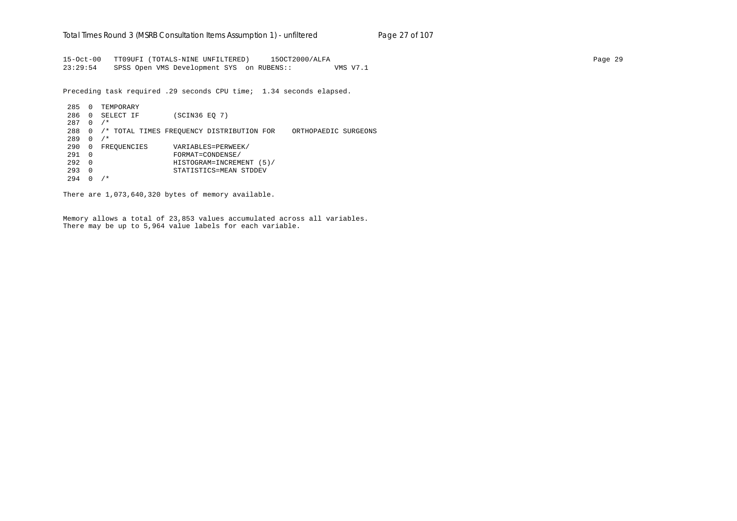15-Oct-00 TT09UFI (TOTALS-NINE UNFILTERED) 15OCT2000/ALFA Page 29 23:29:54 SPSS Open VMS Development SYS on RUBENS:: VMS V7.1

Preceding task required .29 seconds CPU time; 1.34 seconds elapsed.

 285 0 TEMPORARY 286 0 SELECT IF (SCIN36 EQ 7) 287 0 /\* 288 0 /\* TOTAL TIMES FREQUENCY DISTRIBUTION FOR ORTHOPAEDIC SURGEONS 289 0 /\* 290 0 FREQUENCIES VARIABLES=PERWEEK/ 291 0 FORMAT=CONDENSE/ 292 0 HISTOGRAM=INCREMENT (5)/ 293 0 STATISTICS=MEAN STDDEV 294 0 /\*

There are 1,073,640,320 bytes of memory available.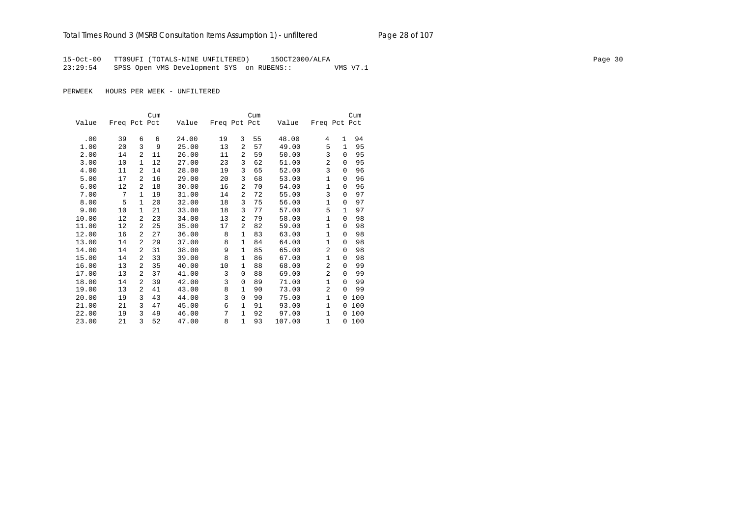15-Oct-00 TT09UFI (TOTALS-NINE UNFILTERED) 15OCT2000/ALFA Page 30 23:29:54 SPSS Open VMS Development SYS on RUBENS:: VMS V7.1

|       |              |                | Cum |       |              |                | Cum |        |                |              | Cum |
|-------|--------------|----------------|-----|-------|--------------|----------------|-----|--------|----------------|--------------|-----|
| Value | Freq Pct Pct |                |     | Value | Freq Pct Pct |                |     | Value  | Freq Pct Pct   |              |     |
|       |              |                |     |       |              |                |     |        |                |              |     |
| .00   | 39           | 6              | 6   | 24.00 | 19           | 3              | 55  | 48.00  | 4              | $\mathbf{1}$ | 94  |
| 1.00  | 20           | 3              | 9   | 25.00 | 13           | $\mathfrak{D}$ | 57  | 49.00  | 5              | $\mathbf{1}$ | 95  |
| 2.00  | 14           | 2              | 11  | 26.00 | 11           | 2              | 59  | 50.00  | 3              | $\Omega$     | 95  |
| 3.00  | 10           | 1              | 12  | 27.00 | 23           | 3              | 62  | 51.00  | 2              | 0            | 95  |
| 4.00  | 11           | 2              | 14  | 28.00 | 19           | 3              | 65  | 52.00  | 3              | 0            | 96  |
| 5.00  | 17           | $\overline{a}$ | 16  | 29.00 | 20           | 3              | 68  | 53.00  | $\mathbf{1}$   | $\Omega$     | 96  |
| 6.00  | 12           | $\overline{a}$ | 18  | 30.00 | 16           | $\overline{a}$ | 70  | 54.00  | $\mathbf{1}$   | 0            | 96  |
| 7.00  | 7            | 1              | 19  | 31.00 | 14           | $\overline{a}$ | 72  | 55.00  | 3              | $\Omega$     | 97  |
| 8.00  | 5            | 1              | 20  | 32.00 | 18           | 3              | 75  | 56.00  | $\mathbf{1}$   | $\Omega$     | 97  |
| 9.00  | 10           | 1              | 21  | 33.00 | 18           | 3              | 77  | 57.00  | 5              | $\mathbf{1}$ | 97  |
| 10.00 | 12           | 2              | 23  | 34.00 | 13           | $\overline{a}$ | 79  | 58.00  | $\mathbf{1}$   | $\Omega$     | 98  |
| 11.00 | 12           | 2              | 25  | 35.00 | 17           | $\overline{a}$ | 82  | 59.00  | $\mathbf 1$    | $\Omega$     | 98  |
| 12.00 | 16           | 2              | 27  | 36.00 | 8            | $\mathbf{1}$   | 83  | 63.00  | $\mathbf{1}$   | 0            | 98  |
| 13.00 | 14           | $\mathfrak{D}$ | 29  | 37.00 | 8            | 1              | 84  | 64.00  | 1              | $\Omega$     | 98  |
| 14.00 | 14           | $\overline{a}$ | 31  | 38.00 | 9            | 1              | 85  | 65.00  | 2              | $\Omega$     | 98  |
| 15.00 | 14           | 2              | 33  | 39.00 | 8            | 1              | 86  | 67.00  | $\mathbf{1}$   | $\Omega$     | 98  |
| 16.00 | 13           | 2              | 35  | 40.00 | 10           | 1              | 88  | 68.00  | $\overline{2}$ | $\Omega$     | 99  |
| 17.00 | 13           | 2              | 37  | 41.00 | 3            | $\Omega$       | 88  | 69.00  | 2              | $\Omega$     | 99  |
| 18.00 | 14           | $\overline{a}$ | 39  | 42.00 | 3            | $\Omega$       | 89  | 71.00  | $\mathbf{1}$   | $\Omega$     | 99  |
| 19.00 | 13           | 2              | 41  | 43.00 | 8            | 1              | 90  | 73.00  | 2              | $\Omega$     | 99  |
| 20.00 | 19           | 3              | 43  | 44.00 | 3            | 0              | 90  | 75.00  | $\mathbf{1}$   | 0            | 100 |
| 21.00 | 21           | 3              | 47  | 45.00 | 6            | 1              | 91  | 93.00  | $\mathbf{1}$   | 0            | 100 |
| 22.00 | 19           | 3              | 49  | 46.00 | 7            | 1              | 92  | 97.00  | $\mathbf{1}$   | $\Omega$     | 100 |
| 23.00 | 21           | 3              | 52  | 47.00 | 8            | $\mathbf{1}$   | 93  | 107.00 | 1              | 0            | 100 |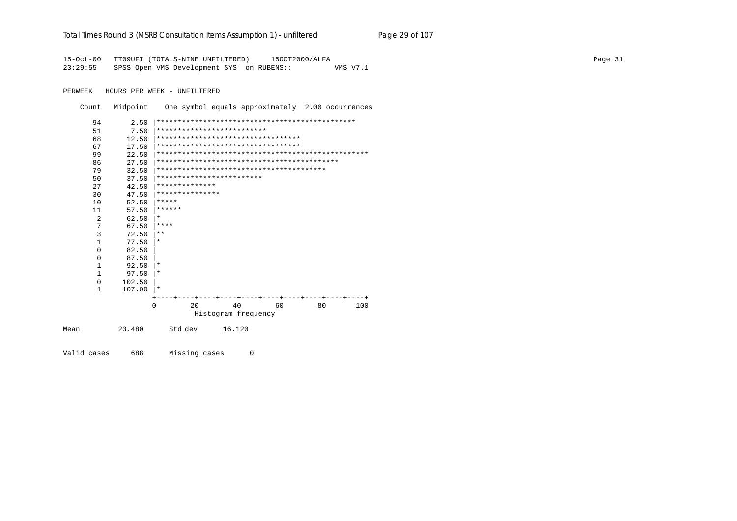| Total Times Round 3 (MSRB Consultation Items Assumption 1) - unfiltered |  | Page 29 of 107 |
|-------------------------------------------------------------------------|--|----------------|
|                                                                         |  |                |

Page 31

15-Oct-00 TT09UFI (TOTALS-NINE UNFILTERED) 150CT2000/ALFA 23:29:55 SPSS Open VMS Development SYS on RUBENS:: VMS V7.1

PERWEEK HOURS PER WEEK - UNFILTERED

Count Midpoint One symbol equals approximately 2.00 occurrences

| 94             | 2.50     |                                    |
|----------------|----------|------------------------------------|
| 51             | 7.50     | **************************         |
| 68             | 12.50    | ********************************** |
| 67             | 17.50    | ********************************** |
| 99             | 22.50    |                                    |
| 86             | 27.50    |                                    |
| 79             | 32.50    |                                    |
| 50             | 37.50    | *************************          |
| 27             | 42.50    | **************                     |
| 30             | 47.50    | ***************                    |
| 10             | 52.50    | *****                              |
| 11             | 57.50    | ******                             |
| $\overline{2}$ | 62.50    | $\ast$                             |
| 7              | 67.50    | ****                               |
| $\overline{3}$ | 72.50    | $***$                              |
| $\mathbf{1}$   | 77.50    | $\ast$                             |
| $\Omega$       | 82.50    |                                    |
| $\Omega$       | 87.50    |                                    |
| $\mathbf{1}$   | 92.50    | $\ast$                             |
| $\mathbf{1}$   | 97.50    | $\ast$                             |
| $\Omega$       | 102.50   |                                    |
| $\mathbf{1}$   | 107.00   | $\star$                            |
|                |          |                                    |
|                | $\Omega$ | 2.0<br>40<br>60<br>80<br>100       |
|                |          | Histogram frequency                |
| Mean           | 23.480   | 16.120<br>Std dev                  |

Valid cases 688 Missing cases  $\overline{0}$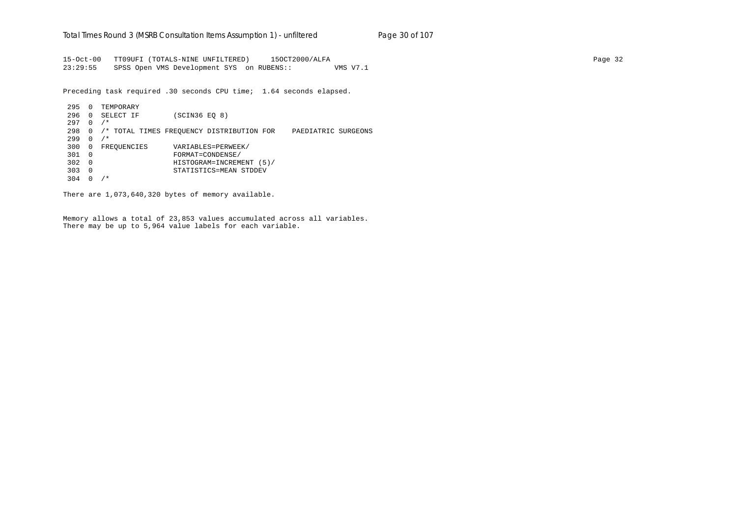15-Oct-00 TT09UFI (TOTALS-NINE UNFILTERED) 15OCT2000/ALFA Page 32 23:29:55 SPSS Open VMS Development SYS on RUBENS:: VMS V7.1

Preceding task required .30 seconds CPU time; 1.64 seconds elapsed.

 295 0 TEMPORARY 296 0 SELECT IF (SCIN36 EQ 8) 297 0 /\* 298 0 /\* TOTAL TIMES FREQUENCY DISTRIBUTION FOR PAEDIATRIC SURGEONS 299 0 /\* 300 0 FREQUENCIES VARIABLES=PERWEEK/ 301 0 FORMAT=CONDENSE/ 302 0 HISTOGRAM=INCREMENT (5)/ 303 0 STATISTICS=MEAN STDDEV 304 0 /\*

There are 1,073,640,320 bytes of memory available.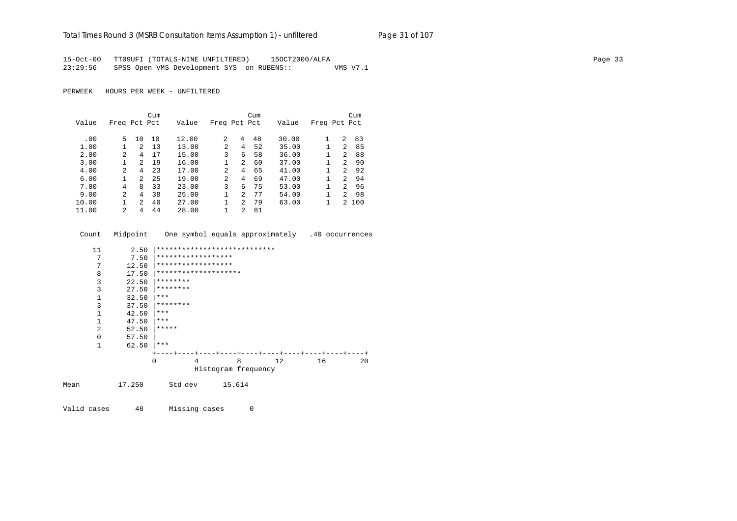# Total Times Round 3 (MSRB Consultation Items Assumption 1) - unfiltered Page 31 of 107

15-Oct-00 TT09UFI (TOTALS-NINE UNFILTERED) 15OCT2000/ALFA Page 33 23:29:56 SPSS Open VMS Development SYS on RUBENS:: VMS V7.1

PERWEEK HOURS PER WEEK - UNFILTERED

|       |                |                | Cum |       |              |                | Cum |       |              |                | Cum |
|-------|----------------|----------------|-----|-------|--------------|----------------|-----|-------|--------------|----------------|-----|
| Value | Freq Pct Pct   |                |     | Value | Freq Pct Pct |                |     | Value | Freq Pct Pct |                |     |
|       |                |                |     |       |              |                |     |       |              |                |     |
| .00   | 5.             | 10             | 10  | 12.00 | 2            | 4              | 48  | 30.00 |              | 2              | 83  |
| 1.00  |                | $2^{1}$        | 13  | 13.00 | 2            | 4              | 52  | 35.00 |              | 2              | 85  |
| 2.00  | 2              | 4              | 17  | 15.00 | 3            | 6              | 58  | 36.00 |              | 2              | 88  |
| 3.00  |                | $\overline{2}$ | 19  | 16.00 | 1            | $\overline{a}$ | 60  | 37.00 |              | $2^{1}$        | 90  |
| 4.00  | $\mathfrak{D}$ | 4              | 23  | 17.00 | 2            | 4              | 65  | 41.00 |              | $\mathfrak{D}$ | 92  |
| 6.00  |                | $\mathcal{L}$  | 25  | 19.00 | 2            | 4              | 69  | 47.00 |              | $\mathfrak{D}$ | 94  |
| 7.00  | 4              | 8              | 33  | 23.00 | 3            | 6              | 75  | 53.00 |              | $\mathcal{L}$  | 96  |
| 9.00  | $\overline{a}$ | 4              | 38  | 25.00 | 1            | 2              | 77  | 54.00 |              | $\mathfrak{D}$ | 98  |
| 10.00 |                | $\overline{2}$ | 40  | 27.00 |              | 2              | 79  | 63.00 |              | $2^{\circ}$    | 100 |
| 11.00 | $\mathfrak{D}$ | 4              | 44  | 28.00 |              | $\mathfrak{D}$ | 81  |       |              |                |     |

| Count          | Midpoint |                              |   |                     |   | One symbol equals approximately .40 occurrences |    |    |
|----------------|----------|------------------------------|---|---------------------|---|-------------------------------------------------|----|----|
| 11             | 2.50     | **************************** |   |                     |   |                                                 |    |    |
| 7              | 7.50     | ******************           |   |                     |   |                                                 |    |    |
| 7              | 12.50    | ******************           |   |                     |   |                                                 |    |    |
| 8              | 17.50    | ********************         |   |                     |   |                                                 |    |    |
| 3              | 22.50    | ********                     |   |                     |   |                                                 |    |    |
| 3              | 27.50    | ********                     |   |                     |   |                                                 |    |    |
| 1              | 32.50    | $***$                        |   |                     |   |                                                 |    |    |
| 3              | 37.50    | ********                     |   |                     |   |                                                 |    |    |
| $\mathbf 1$    | 42.50    | ***                          |   |                     |   |                                                 |    |    |
| 1              | 47.50    | ***                          |   |                     |   |                                                 |    |    |
| $\overline{a}$ | 52.50    | *****                        |   |                     |   |                                                 |    |    |
| $\mathbf 0$    | 57.50    |                              |   |                     |   |                                                 |    |    |
| $\mathbf 1$    | 62.50    | ***                          |   |                     |   |                                                 |    |    |
|                |          |                              |   |                     |   |                                                 |    |    |
|                |          | $\Omega$                     | 4 |                     | 8 | 12                                              | 16 | 20 |
|                |          |                              |   | Histogram frequency |   |                                                 |    |    |
| Mean           | 17.250   | Std dev                      |   | 15.614              |   |                                                 |    |    |

Valid cases 48 Missing cases 0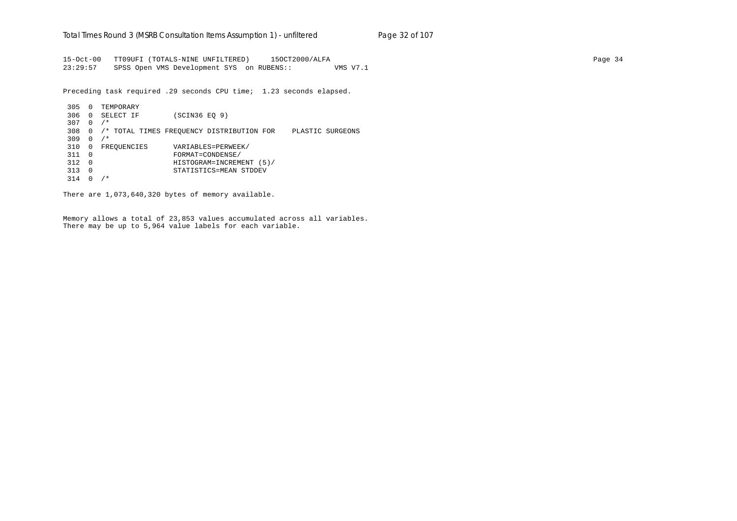15-Oct-00 TT09UFI (TOTALS-NINE UNFILTERED) 15OCT2000/ALFA Page 34 23:29:57 SPSS Open VMS Development SYS on RUBENS:: VMS V7.1

Preceding task required .29 seconds CPU time; 1.23 seconds elapsed.

 305 0 TEMPORARY 306 0 SELECT IF (SCIN36 EQ 9) 307 0 /\* 308 0 /\* TOTAL TIMES FREQUENCY DISTRIBUTION FOR PLASTIC SURGEONS 309 0 /\* 310 0 FREQUENCIES VARIABLES=PERWEEK/ 311 0 FORMAT=CONDENSE/ 312 0 HISTOGRAM=INCREMENT (5)/ 313 0 STATISTICS=MEAN STDDEV 314 0 /\*

There are 1,073,640,320 bytes of memory available.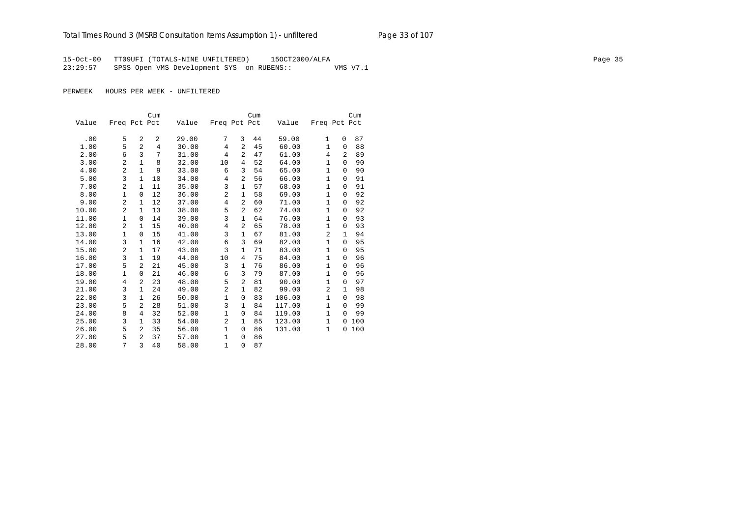15-Oct-00 TT09UFI (TOTALS-NINE UNFILTERED) 15OCT2000/ALFA Page 35 23:29:57 SPSS Open VMS Development SYS on RUBENS:: VMS V7.1

|       |                |                | Cum            |       |                |                | Cum |        |                |          | Cum |
|-------|----------------|----------------|----------------|-------|----------------|----------------|-----|--------|----------------|----------|-----|
| Value | Freq Pct Pct   |                |                | Value | Freq Pct Pct   |                |     | Value  | Freq Pct Pct   |          |     |
|       |                |                |                |       |                |                |     |        |                |          |     |
| .00   | 5              | 2              | 2              | 29.00 | 7              | 3              | 44  | 59.00  | 1              | $\Omega$ | 87  |
| 1.00  | 5              | $\overline{a}$ | $\overline{4}$ | 30.00 | $\overline{4}$ | $\overline{a}$ | 45  | 60.00  | $\mathbf{1}$   | 0        | 88  |
| 2.00  | 6              | 3              | 7              | 31.00 | 4              | 2              | 47  | 61.00  | 4              | 2        | 89  |
| 3.00  | $\overline{a}$ | $\mathbf{1}$   | 8              | 32.00 | 10             | 4              | 52  | 64.00  | $\mathbf{1}$   | $\Omega$ | 90  |
| 4.00  | $\overline{a}$ | $\mathbf{1}$   | 9              | 33.00 | 6              | 3              | 54  | 65.00  | $\mathbf{1}$   | 0        | 90  |
| 5.00  | 3              | $\mathbf{1}$   | 10             | 34.00 | 4              | $\overline{a}$ | 56  | 66.00  | $\mathbf{1}$   | 0        | 91  |
| 7.00  | $\overline{a}$ | $\mathbf{1}$   | 11             | 35.00 | 3              | $\mathbf{1}$   | 57  | 68.00  | $\mathbf{1}$   | 0        | 91  |
| 8.00  | 1              | $\mathbf 0$    | 12             | 36.00 | $\overline{c}$ | 1              | 58  | 69.00  | $\mathbf 1$    | $\Omega$ | 92  |
| 9.00  | $\overline{a}$ | 1              | 12             | 37.00 | 4              | $\overline{a}$ | 60  | 71.00  | $\mathbf{1}$   | 0        | 92  |
| 10.00 | $\overline{a}$ | $\mathbf{1}$   | 13             | 38.00 | 5              | $\overline{a}$ | 62  | 74.00  | $\mathbf{1}$   | 0        | 92  |
| 11.00 | $\mathbf 1$    | 0              | 14             | 39.00 | 3              | $\mathbf{1}$   | 64  | 76.00  | $\mathbf{1}$   | 0        | 93  |
| 12.00 | $\overline{a}$ | $\mathbf{1}$   | 15             | 40.00 | 4              | $\overline{a}$ | 65  | 78.00  | 1              | 0        | 93  |
| 13.00 | $\mathbf{1}$   | 0              | 15             | 41.00 | 3              | 1              | 67  | 81.00  | 2              | 1        | 94  |
| 14.00 | 3              | $\mathbf{1}$   | 16             | 42.00 | 6              | 3              | 69  | 82.00  | $\mathbf{1}$   | $\Omega$ | 95  |
| 15.00 | $\overline{2}$ | $\mathbf{1}$   | 17             | 43.00 | 3              | $\mathbf{1}$   | 71  | 83.00  | $\mathbf{1}$   | $\Omega$ | 95  |
| 16.00 | 3              | $\mathbf{1}$   | 19             | 44.00 | 10             | $\overline{4}$ | 75  | 84.00  | $\mathbf{1}$   | 0        | 96  |
| 17.00 | 5              | $\overline{2}$ | 21             | 45.00 | 3              | $\mathbf{1}$   | 76  | 86.00  | $\mathbf{1}$   | 0        | 96  |
| 18.00 | $\mathbf{1}$   | 0              | 21             | 46.00 | 6              | 3              | 79  | 87.00  | $\mathbf{1}$   | $\Omega$ | 96  |
| 19.00 | 4              | 2              | 23             | 48.00 | 5              | $\overline{a}$ | 81  | 90.00  | $\mathbf{1}$   | 0        | 97  |
| 21.00 | 3              | 1              | 24             | 49.00 | $\overline{2}$ | 1              | 82  | 99.00  | $\overline{a}$ | 1        | 98  |
| 22.00 | 3              | $\mathbf{1}$   | 26             | 50.00 | $\mathbf{1}$   | $\mathbf 0$    | 83  | 106.00 | $\mathbf{1}$   | $\Omega$ | 98  |
| 23.00 | 5              | $\overline{a}$ | 28             | 51.00 | 3              | 1              | 84  | 117.00 | $\mathbf{1}$   | $\Omega$ | 99  |
| 24.00 | 8              | 4              | 32             | 52.00 | 1              | 0              | 84  | 119.00 | $\mathbf{1}$   | $\Omega$ | 99  |
| 25.00 | 3              | $\mathbf{1}$   | 33             | 54.00 | $\overline{a}$ | 1              | 85  | 123.00 | $\mathbf{1}$   | 0        | 100 |
| 26.00 | 5              | 2              | 35             | 56.00 | $\mathbf{1}$   | 0              | 86  | 131.00 | $\mathbf{1}$   | 0        | 100 |
| 27.00 | 5              | $\overline{a}$ | 37             | 57.00 | 1              | 0              | 86  |        |                |          |     |
| 28.00 | 7              | 3              | 40             | 58.00 | $\mathbf{1}$   | 0              | 87  |        |                |          |     |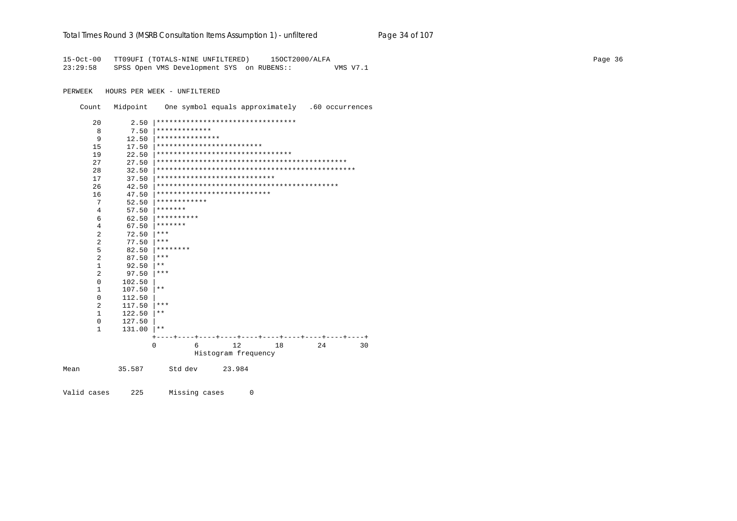#### Total Times Round 3 (MSRB Consultation Items Assumption 1) - unfiltered Page 34 of 107

15-Oct-00 TT09UFI (TOTALS-NINE UNFILTERED) 15OCT2000/ALFA 23:29:58 SPSS Open VMS Development SYS on RUBENS:: VMS V7.1

PERWEEK HOURS PER WEEK - UNFILTERED

Count Midpoint One symbol equals approximately .60 occurrences

| 20           | 2.50   | ********************************* |          |
|--------------|--------|-----------------------------------|----------|
| 8            | 7.50   | *************                     |          |
| 9            | 12.50  | ***************                   |          |
| 15           | 17.50  | *************************         |          |
| 19           | 22.50  | ********************************  |          |
| 27           | 27.50  |                                   |          |
| 28           | 32.50  |                                   |          |
| 17           | 37.50  | ****************************      |          |
| 26           | 42.50  |                                   |          |
| 16           | 47.50  | ***************************       |          |
| 7            | 52.50  | ************                      |          |
| 4            | 57.50  | *******                           |          |
| 6            | 62.50  | **********                        |          |
| 4            | 67.50  | *******                           |          |
| 2            | 72.50  | $***$                             |          |
| 2            | 77.50  | ***                               |          |
| 5            | 82.50  | ********                          |          |
| 2            | 87.50  | ***                               |          |
| $\mathbf{1}$ | 92.50  | $***$                             |          |
| 2            | 97.50  | ***                               |          |
| $\Omega$     | 102.50 |                                   |          |
| 1            | 107.50 | $* *$                             |          |
| $\mathbf 0$  | 112.50 |                                   |          |
| 2            | 117.50 | ***                               |          |
| 1            | 122.50 | $***$                             |          |
| $\Omega$     | 127.50 |                                   |          |
| $\mathbf{1}$ | 131.00 | $* *$                             |          |
|              |        |                                   |          |
|              |        | 12<br>6<br>18<br>$\mathbf 0$      | 24<br>30 |
|              |        | Histogram frequency               |          |
| Mean         | 35.587 | Std dev<br>23.984                 |          |

Valid cases 225 Missing cases  $\mathbb O$ 

Page 36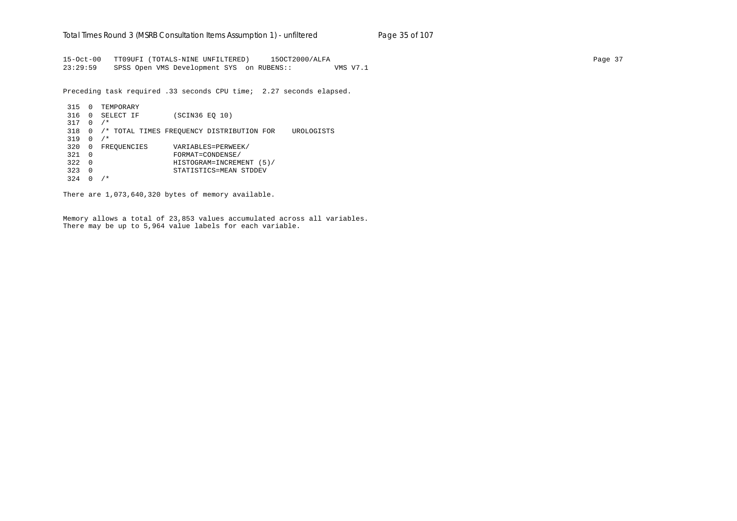15-Oct-00 TT09UFI (TOTALS-NINE UNFILTERED) 15OCT2000/ALFA Page 37 23:29:59 SPSS Open VMS Development SYS on RUBENS:: VMS V7.1

Preceding task required .33 seconds CPU time; 2.27 seconds elapsed.

```
 315 0 TEMPORARY
316 0 SELECT IF (SCIN36 EQ 10)
317 0 /*
318 0 /* TOTAL TIMES FREQUENCY DISTRIBUTION FOR UROLOGISTS
319 0 /*
320 0 FREQUENCIES VARIABLES=PERWEEK/
321 0 FORMAT=CONDENSE/
322 0 HISTOGRAM=INCREMENT (5)/
323 0 STATISTICS=MEAN STDDEV
324 0 /*
```
There are 1,073,640,320 bytes of memory available.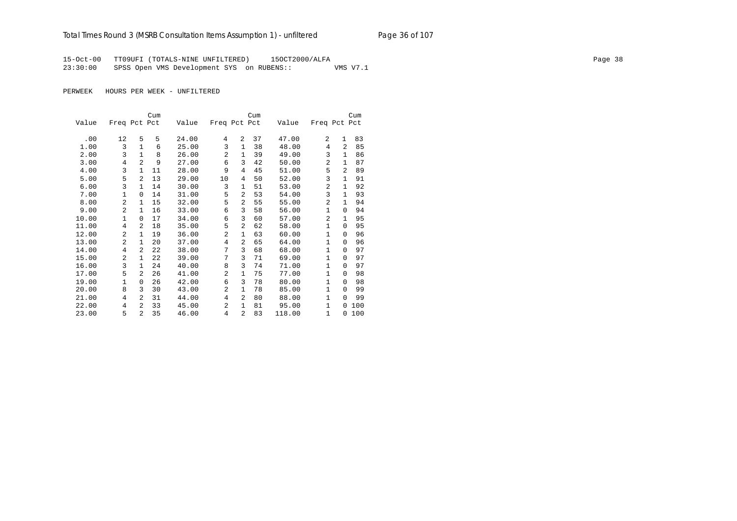15-Oct-00 TT09UFI (TOTALS-NINE UNFILTERED) 15OCT2000/ALFA Page 38 23:30:00 SPSS Open VMS Development SYS on RUBENS:: VMS V7.1

|       |                |                | Cum |       |                |                | Cum |        |              |                | Cum |
|-------|----------------|----------------|-----|-------|----------------|----------------|-----|--------|--------------|----------------|-----|
| Value | Freq Pct Pct   |                |     | Value | Freq Pct Pct   |                |     | Value  | Freq Pct Pct |                |     |
|       |                |                |     |       |                |                |     |        |              |                |     |
| .00   | 12             | 5              | 5   | 24.00 | 4              | $\mathfrak{D}$ | 37  | 47.00  | 2            | $\mathbf{1}$   | 83  |
| 1.00  | 3              | $\mathbf{1}$   | 6   | 25.00 | 3              | 1              | 38  | 48.00  | 4            | $\overline{2}$ | 85  |
| 2.00  | 3              | $\mathbf{1}$   | 8   | 26.00 | $\overline{a}$ | 1              | 39  | 49.00  | 3            | $\mathbf{1}$   | 86  |
| 3.00  | 4              | $\overline{a}$ | 9   | 27.00 | 6              | 3              | 42  | 50.00  | 2            | $\mathbf{1}$   | 87  |
| 4.00  | 3              | $\mathbf{1}$   | 11  | 28.00 | 9              | 4              | 45  | 51.00  | 5            | $\overline{2}$ | 89  |
| 5.00  | 5              | $\overline{a}$ | 13  | 29.00 | 10             | 4              | 50  | 52.00  | 3            | 1              | 91  |
| 6.00  | $\overline{3}$ | $\mathbf{1}$   | 14  | 30.00 | 3              | 1              | 51  | 53.00  | 2            | 1              | 92  |
| 7.00  | 1              | 0              | 14  | 31.00 | 5              | $\overline{a}$ | 53  | 54.00  | 3            | 1              | 93  |
| 8.00  | $\overline{a}$ | $\mathbf{1}$   | 15  | 32.00 | 5              | $\overline{a}$ | 55  | 55.00  | 2            | 1              | 94  |
| 9.00  | $\overline{a}$ | $\mathbf{1}$   | 16  | 33.00 | 6              | 3              | 58  | 56.00  | $\mathbf{1}$ | $\Omega$       | 94  |
| 10.00 | $\mathbf{1}$   | 0              | 17  | 34.00 | 6              | 3              | 60  | 57.00  | 2            | 1              | 95  |
| 11.00 | 4              | 2              | 18  | 35.00 | 5              | 2              | 62  | 58.00  | $\mathbf{1}$ | $\Omega$       | 95  |
| 12.00 | $\overline{a}$ | $\mathbf{1}$   | 19  | 36.00 | $\overline{a}$ | 1              | 63  | 60.00  | 1            | $\Omega$       | 96  |
| 13.00 | $\overline{a}$ | $\mathbf{1}$   | 20  | 37.00 | 4              | $\overline{a}$ | 65  | 64.00  | $\mathbf{1}$ | $\Omega$       | 96  |
| 14.00 | 4              | $\overline{a}$ | 22  | 38.00 | 7              | 3              | 68  | 68.00  | $\mathbf{1}$ | $\Omega$       | 97  |
| 15.00 | 2              | $\mathbf{1}$   | 22  | 39.00 | 7              | 3              | 71  | 69.00  | $\mathbf{1}$ | $\Omega$       | 97  |
| 16.00 | 3              | $\mathbf{1}$   | 24  | 40.00 | 8              | 3              | 74  | 71.00  | $\mathbf{1}$ | $\Omega$       | 97  |
| 17.00 | 5              | $\overline{a}$ | 26  | 41.00 | $\overline{c}$ | $\mathbf 1$    | 75  | 77.00  | $\mathbf{1}$ | $\Omega$       | 98  |
| 19.00 | 1              | 0              | 26  | 42.00 | 6              | 3              | 78  | 80.00  | 1            | $\Omega$       | 98  |
| 20.00 | 8              | 3              | 30  | 43.00 | $\overline{a}$ | $\mathbf{1}$   | 78  | 85.00  | $\mathbf{1}$ | $\Omega$       | 99  |
| 21.00 | 4              | 2              | 31  | 44.00 | 4              | 2              | 80  | 88.00  | $\mathbf{1}$ | $\Omega$       | 99  |
| 22.00 | 4              | $\overline{a}$ | 33  | 45.00 | $\overline{a}$ | 1              | 81  | 95.00  | $\mathbf{1}$ | $\Omega$       | 100 |
| 23.00 | 5              | $\overline{a}$ | 35  | 46.00 | 4              | $\overline{2}$ | 83  | 118.00 | $\mathbf{1}$ | $\Omega$       | 100 |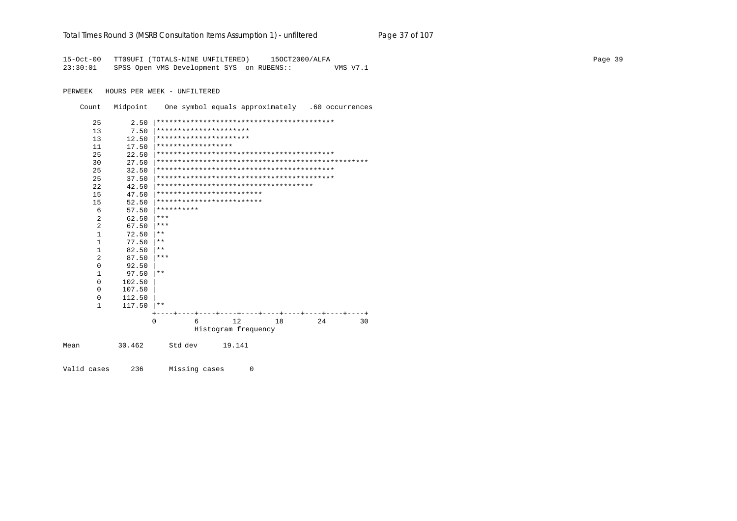|  | Total Times Round 3 (MSRB Consultation Items Assumption 1) - un <i>filtered</i> | Page 37 of 107 |
|--|---------------------------------------------------------------------------------|----------------|

Page 39

15-Oct-00 TT09UFI (TOTALS-NINE UNFILTERED) 150CT2000/ALFA 23:30:01 SPSS Open VMS Development SYS on RUBENS:: VMS V7.1

PERWEEK HOURS PER WEEK - UNFILTERED

Count Midpoint One symbol equals approximately .60 occurrences

| 25           | 2.50   |                                        |                     |        |    |                                    |    |
|--------------|--------|----------------------------------------|---------------------|--------|----|------------------------------------|----|
| 13           | 7.50   | **********************                 |                     |        |    |                                    |    |
| 13           | 12.50  | **********************                 |                     |        |    |                                    |    |
| 11           | 17.50  | ******************                     |                     |        |    |                                    |    |
| 25           | 22.50  |                                        |                     |        |    |                                    |    |
| 30           | 27.50  |                                        |                     |        |    |                                    |    |
| 25           | 32.50  |                                        |                     |        |    |                                    |    |
| 25           | 37.50  |                                        |                     |        |    |                                    |    |
| 22           | 42.50  | ************************************** |                     |        |    |                                    |    |
| 15           | 47.50  | *************************              |                     |        |    |                                    |    |
| 15           | 52.50  | *************************              |                     |        |    |                                    |    |
| 6            | 57.50  | **********                             |                     |        |    |                                    |    |
| 2            | 62.50  | ***                                    |                     |        |    |                                    |    |
| 2            | 67.50  | ***                                    |                     |        |    |                                    |    |
| $\mathbf{1}$ | 72.50  | $* *$                                  |                     |        |    |                                    |    |
| $\mathbf{1}$ | 77.50  | $* *$                                  |                     |        |    |                                    |    |
| 1            | 82.50  | $* *$                                  |                     |        |    |                                    |    |
| 2            | 87.50  | ***                                    |                     |        |    |                                    |    |
| $\Omega$     | 92.50  |                                        |                     |        |    |                                    |    |
| $\mathbf{1}$ | 97.50  | $* *$                                  |                     |        |    |                                    |    |
| $\Omega$     | 102.50 |                                        |                     |        |    |                                    |    |
| $\Omega$     | 107.50 |                                        |                     |        |    |                                    |    |
| $\mathbf 0$  | 112.50 |                                        |                     |        |    |                                    |    |
| $\mathbf{1}$ | 117.50 | $* *$                                  |                     |        |    |                                    |    |
|              |        |                                        |                     |        |    | ----+----+----+----+----+----+---+ |    |
|              |        | $\Omega$                               | 6                   | 12     | 18 | 24                                 | 30 |
|              |        |                                        | Histogram frequency |        |    |                                    |    |
| Mean         | 30.462 | Std dev                                |                     | 19.141 |    |                                    |    |

Valid cases 236 Missing cases  $\overline{0}$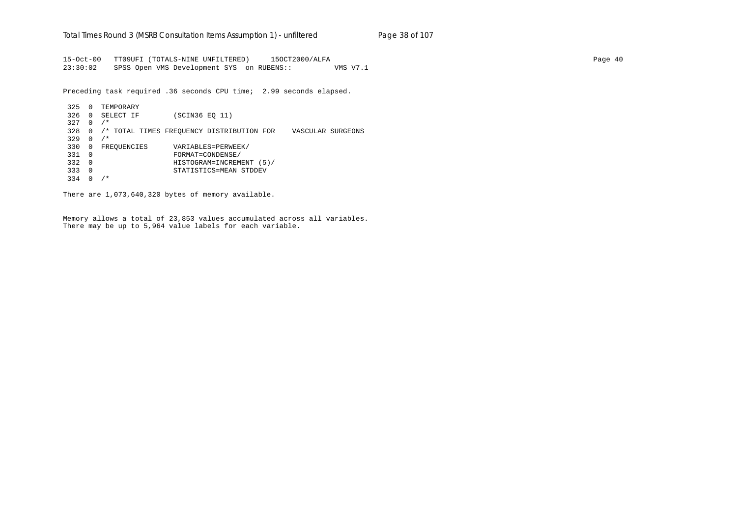15-Oct-00 TT09UFI (TOTALS-NINE UNFILTERED) 15OCT2000/ALFA Page 40 23:30:02 SPSS Open VMS Development SYS on RUBENS:: VMS V7.1

Preceding task required .36 seconds CPU time; 2.99 seconds elapsed.

 325 0 TEMPORARY 326 0 SELECT IF (SCIN36 EQ 11) 327 0 /\* 328 0 /\* TOTAL TIMES FREQUENCY DISTRIBUTION FOR VASCULAR SURGEONS 329 0 /\* 330 0 FREQUENCIES VARIABLES=PERWEEK/ 331 0 FORMAT=CONDENSE/ 332 0 HISTOGRAM=INCREMENT (5)/ 333 0 STATISTICS=MEAN STDDEV 334 0 /\*

There are 1,073,640,320 bytes of memory available.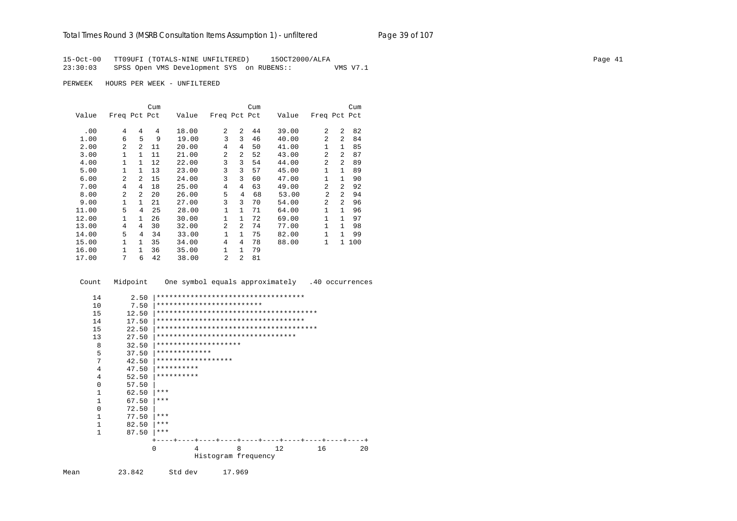15-Oct-00 TT09UFI (TOTALS-NINE UNFILTERED) 15OCT2000/ALFA Page 41 23:30:03 SPSS Open VMS Development SYS on RUBENS:: VMS V7.1

PERWEEK HOURS PER WEEK - UNFILTERED

|       |                |                | Cum |       |                |                | Cum |       |                |                | Cum |
|-------|----------------|----------------|-----|-------|----------------|----------------|-----|-------|----------------|----------------|-----|
| Value | Freq Pct Pct   |                |     | Value | Freq Pct Pct   |                |     | Value | Freq Pct Pct   |                |     |
| .00   | 4              | 4              | 4   | 18.00 | 2              | $\mathfrak{D}$ | 44  | 39.00 | $\overline{a}$ | 2              | 82  |
| 1.00  | 6              | 5              | 9   | 19.00 | 3              | 3              | 46  | 40.00 | $\overline{a}$ | $\overline{a}$ | 84  |
| 2.00  | $\mathfrak{D}$ | 2              | 11  | 20.00 | $\overline{4}$ | 4              | 50  | 41.00 | $\mathbf{1}$   | $\mathbf{1}$   | 85  |
| 3.00  | 1              | 1              | 11  | 21.00 | 2              | 2              | 52  | 43.00 | 2              | $\mathfrak{D}$ | 87  |
| 4.00  | 1              | 1              | 12  | 22.00 | 3              | 3              | 54  | 44.00 | $\overline{a}$ | 2              | 89  |
| 5.00  | $\mathbf{1}$   | 1              | 13  | 23.00 | 3              | 3              | 57  | 45.00 | $\mathbf{1}$   | $\mathbf{1}$   | 89  |
| 6.00  | $\mathfrak{D}$ | $\mathfrak{D}$ | 15  | 24.00 | 3              | 3              | 60  | 47.00 | $\mathbf{1}$   | $\mathbf{1}$   | 90  |
| 7.00  | 4              | 4              | 18  | 25.00 | $\overline{4}$ | 4              | 63  | 49.00 | $\overline{a}$ | $\mathfrak{D}$ | 92  |
| 8.00  | $\mathfrak{D}$ | 2              | 20  | 26.00 | 5              | 4              | 68  | 53.00 | $\mathfrak{D}$ | 2              | 94  |
| 9.00  | $\mathbf{1}$   | 1              | 21  | 27.00 | 3              | 3              | 70  | 54.00 | $\mathfrak{D}$ | $\mathcal{L}$  | 96  |
| 11.00 | 5              | 4              | 25  | 28.00 | 1              | $\mathbf{1}$   | 71  | 64.00 | $\mathbf{1}$   | $\mathbf{1}$   | 96  |
| 12.00 | 1              | 1.             | 26  | 30.00 | 1              | $\mathbf{1}$   | 72  | 69.00 | 1              | $\mathbf{1}$   | 97  |
| 13.00 | 4              | 4              | 30  | 32.00 | $\overline{2}$ | 2              | 74  | 77.00 | $\mathbf{1}$   | $\mathbf{1}$   | 98  |
| 14.00 | 5              | 4              | 34  | 33.00 | 1              | $\mathbf{1}$   | 75  | 82.00 | 1              | $\mathbf{1}$   | 99  |
| 15.00 | $\mathbf{1}$   | $\mathbf{1}$   | 35  | 34.00 | 4              | 4              | 78  | 88.00 | $\mathbf{1}$   | $\mathbf{1}$   | 100 |
| 16.00 | 1              | 1              | 36  | 35.00 | 1              | $\mathbf{1}$   | 79  |       |                |                |     |
| 17.00 | 7              | 6              | 42  | 38.00 | 2              | 2              | 81  |       |                |                |     |

Count Midpoint One symbol equals approximately .40 occurrences

| 14           | 2.50  |               |                                   |                     | *********************************** |    |    |
|--------------|-------|---------------|-----------------------------------|---------------------|-------------------------------------|----|----|
| 10           | 7.50  |               | *************************         |                     |                                     |    |    |
| 15           | 12.50 |               |                                   |                     |                                     |    |    |
| 14           | 17.50 |               |                                   |                     | *********************************** |    |    |
| 15           | 22.50 |               |                                   |                     |                                     |    |    |
|              |       |               | ********************************* |                     |                                     |    |    |
| 13           | 27.50 |               |                                   |                     |                                     |    |    |
| 8            | 32.50 |               | ********************              |                     |                                     |    |    |
| 5            | 37.50 | ************* |                                   |                     |                                     |    |    |
| 7            | 42.50 |               | ******************                |                     |                                     |    |    |
| 4            | 47.50 | **********    |                                   |                     |                                     |    |    |
| 4            | 52.50 | **********    |                                   |                     |                                     |    |    |
| $\Omega$     | 57.50 |               |                                   |                     |                                     |    |    |
| $\mathbf{1}$ | 62.50 | ***           |                                   |                     |                                     |    |    |
| $\mathbf{1}$ | 67.50 | ***           |                                   |                     |                                     |    |    |
| $\Omega$     | 72.50 |               |                                   |                     |                                     |    |    |
| 1            | 77.50 | ***           |                                   |                     |                                     |    |    |
| $\mathbf{1}$ | 82.50 | $***$         |                                   |                     |                                     |    |    |
| $\mathbf{1}$ | 87.50 | $***$         |                                   |                     |                                     |    |    |
|              |       |               |                                   | $- + - - -$         | -+----+---                          |    |    |
|              |       | $\Omega$      | 4                                 | 8                   | 12                                  | 16 | 20 |
|              |       |               |                                   | Histogram frequency |                                     |    |    |
|              |       |               |                                   |                     |                                     |    |    |

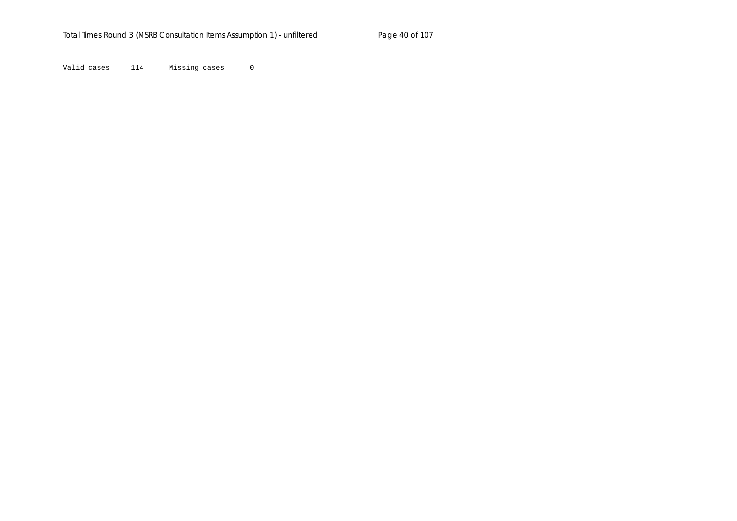Valid cases 114 Missing cases 0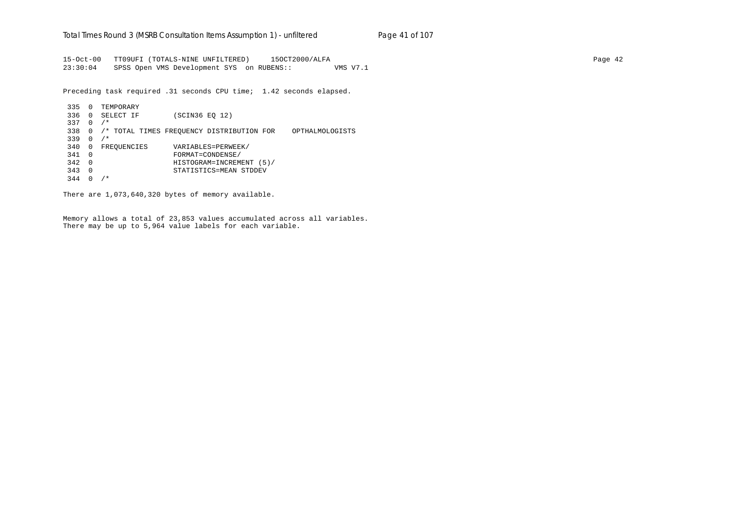15-Oct-00 TT09UFI (TOTALS-NINE UNFILTERED) 15OCT2000/ALFA Page 42 23:30:04 SPSS Open VMS Development SYS on RUBENS:: VMS V7.1

Preceding task required .31 seconds CPU time; 1.42 seconds elapsed.

 335 0 TEMPORARY 336 0 SELECT IF (SCIN36 EQ 12) 337 0 /\* 338 0 /\* TOTAL TIMES FREQUENCY DISTRIBUTION FOR OPTHALMOLOGISTS 339 0 /\* 340 0 FREQUENCIES VARIABLES=PERWEEK/ 341 0 FORMAT=CONDENSE/ 342 0 HISTOGRAM=INCREMENT (5)/ 343 0 STATISTICS=MEAN STDDEV 344 0 /\*

There are 1,073,640,320 bytes of memory available.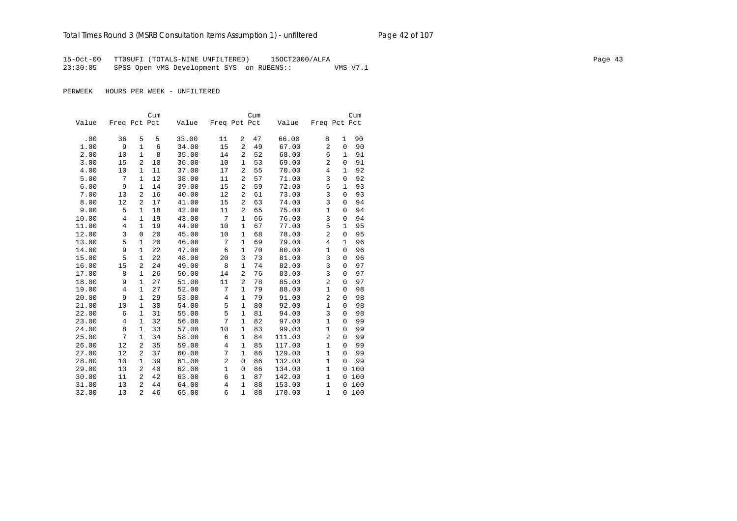15-Oct-00 TT09UFI (TOTALS-NINE UNFILTERED) 15OCT2000/ALFA Page 43 23:30:05 SPSS Open VMS Development SYS on RUBENS:: VMS V7.1

|       |                |                | Cum |       |              |                | Cum |        |                |              | Cum |
|-------|----------------|----------------|-----|-------|--------------|----------------|-----|--------|----------------|--------------|-----|
| Value | Freq Pct Pct   |                |     | Value | Freq Pct Pct |                |     | Value  | Freq Pct Pct   |              |     |
|       |                |                |     |       |              |                |     |        |                |              |     |
| .00   | 36             | 5              | 5   | 33.00 | 11           | 2              | 47  | 66.00  | 8              | 1            | 90  |
| 1.00  | 9              | 1              | 6   | 34.00 | 15           | 2              | 49  | 67.00  | 2              | $\mathbf{0}$ | 90  |
| 2.00  | 10             | $\mathbf{1}$   | 8   | 35.00 | 14           | 2              | 52  | 68.00  | 6              | 1            | 91  |
| 3.00  | 15             | 2              | 10  | 36.00 | 10           | $\mathbf{1}$   | 53  | 69.00  | $\overline{2}$ | $\mathbf{0}$ | 91  |
| 4.00  | 10             | 1              | 11  | 37.00 | 17           | 2              | 55  | 70.00  | $\overline{4}$ | $\mathbf 1$  | 92  |
| 5.00  | 7              | $\mathbf{1}$   | 12  | 38.00 | 11           | 2              | 57  | 71.00  | 3              | $\mathsf 0$  | 92  |
| 6.00  | 9              | 1              | 14  | 39.00 | 15           | $\overline{c}$ | 59  | 72.00  | 5              | 1            | 93  |
| 7.00  | 13             | 2              | 16  | 40.00 | 12           | 2              | 61  | 73.00  | 3              | $\mathsf 0$  | 93  |
| 8.00  | 12             | 2              | 17  | 41.00 | 15           | $\overline{c}$ | 63  | 74.00  | 3              | $\mathbf{0}$ | 94  |
| 9.00  | 5              | 1              | 18  | 42.00 | 11           | 2              | 65  | 75.00  | $\mathbf{1}$   | $\mathbf{0}$ | 94  |
| 10.00 | $\overline{4}$ | $\mathbf{1}$   | 19  | 43.00 | 7            | 1              | 66  | 76.00  | $\overline{3}$ | $\mathbf{0}$ | 94  |
| 11.00 | 4              | 1              | 19  | 44.00 | 10           | 1              | 67  | 77.00  | 5              | 1            | 95  |
| 12.00 | 3              | $\mathbf 0$    | 20  | 45.00 | 10           | 1              | 68  | 78.00  | $\overline{2}$ | 0            | 95  |
| 13.00 | 5              | $\mathbf{1}$   | 20  | 46.00 | 7            | $\mathbf{1}$   | 69  | 79.00  | $\overline{4}$ | $\mathbf 1$  | 96  |
| 14.00 | 9              | $\mathbf{1}$   | 22  | 47.00 | 6            | $\mathbf{1}$   | 70  | 80.00  | $\mathbf{1}$   | 0            | 96  |
| 15.00 | 5              | $\mathbf{1}$   | 22  | 48.00 | 20           | 3              | 73  | 81.00  | 3              | $\mathbf{0}$ | 96  |
| 16.00 | 15             | 2              | 24  | 49.00 | 8            | 1              | 74  | 82.00  | 3              | $\mathbf{0}$ | 97  |
| 17.00 | 8              | $\mathbf{1}$   | 26  | 50.00 | 14           | $\overline{2}$ | 76  | 83.00  | 3              | $\mathbf{0}$ | 97  |
| 18.00 | 9              | $\mathbf{1}$   | 27  | 51.00 | 11           | $\overline{c}$ | 78  | 85.00  | $\overline{2}$ | $\mathsf 0$  | 97  |
| 19.00 | $\overline{4}$ | 1              | 27  | 52.00 | 7            | $\mathbf{1}$   | 79  | 88.00  | $\mathbf{1}$   | $\mathbf{0}$ | 98  |
| 20.00 | 9              | $\mathbf{1}$   | 29  | 53.00 | 4            | $\mathbf{1}$   | 79  | 91.00  | $\overline{a}$ | $\mathsf 0$  | 98  |
| 21.00 | 10             | 1              | 30  | 54.00 | 5            | $\mathbf{1}$   | 80  | 92.00  | $\mathbf{1}$   | $\mathbf 0$  | 98  |
| 22.00 | 6              | 1              | 31  | 55.00 | 5            | $\mathbf{1}$   | 81  | 94.00  | 3              | $\mathbf 0$  | 98  |
| 23.00 | 4              | $\mathbf{1}$   | 32  | 56.00 | 7            | $\mathbf{1}$   | 82  | 97.00  | $\mathbf{1}$   | $\mathbf{0}$ | 99  |
| 24.00 | 8              | $\mathbf{1}$   | 33  | 57.00 | 10           | $\mathbf{1}$   | 83  | 99.00  | $\mathbf{1}$   | 0            | 99  |
| 25.00 | 7              | $\mathbf{1}$   | 34  | 58.00 | 6            | $\mathbf{1}$   | 84  | 111.00 | $\overline{2}$ | 0            | 99  |
| 26.00 | 12             | 2              | 35  | 59.00 | 4            | $\mathbf{1}$   | 85  | 117.00 | $\mathbf 1$    | 0            | 99  |
| 27.00 | 12             | $\overline{a}$ | 37  | 60.00 | 7            | $\mathbf{1}$   | 86  | 129.00 | $\mathbf{1}$   | $\mathbf{0}$ | 99  |
| 28.00 | 10             | $\mathbf{1}$   | 39  | 61.00 | 2            | $\mathbf 0$    | 86  | 132.00 | $\mathbf 1$    | $\Omega$     | 99  |
| 29.00 | 13             | 2              | 40  | 62.00 | $\mathbf 1$  | $\mathbf 0$    | 86  | 134.00 | $\mathbf 1$    | $\mathbf{0}$ | 100 |
| 30.00 | 11             | 2              | 42  | 63.00 | 6            | $\mathbf{1}$   | 87  | 142.00 | $\mathbf{1}$   | $\mathbf{0}$ | 100 |
| 31.00 | 13             | $\overline{2}$ | 44  | 64.00 | 4            | $\mathbf{1}$   | 88  | 153.00 | $\mathbf{1}$   | $\mathbf{0}$ | 100 |
| 32.00 | 13             | $\overline{a}$ | 46  | 65.00 | 6            | $\mathbf{1}$   | 88  | 170.00 | $\mathbf{1}$   | $\Omega$     | 100 |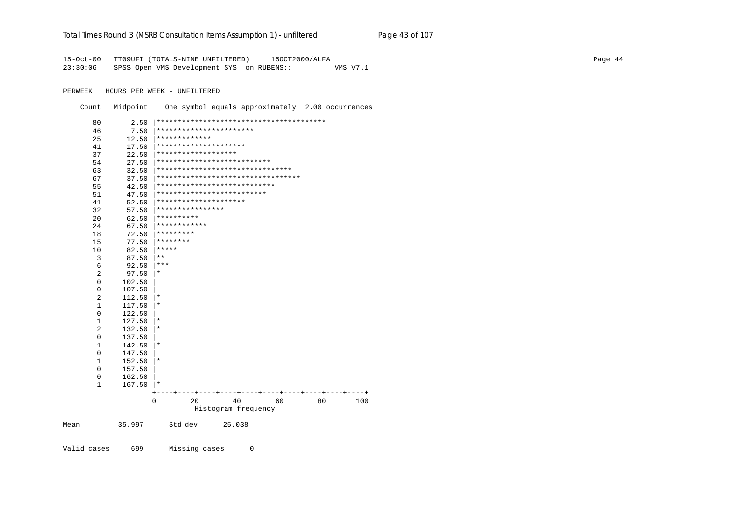#### Total Times Round 3 (MSRB Consultation Items Assumption 1) - unfiltered Page 43 of 107

15-Oct-00 TT09UFI (TOTALS-NINE UNFILTERED) 150CT2000/ALFA 23:30:06 SPSS Open VMS Development SYS on RUBENS:: VMS V7.1

PERWEEK HOURS PER WEEK - UNFILTERED

Count Midpoint One symbol equals approximately 2.00 occurrences

| 80             | 2.50   |                                       |
|----------------|--------|---------------------------------------|
| 46             | 7.50   | ***********************               |
| 25             | 12.50  | *************                         |
| 41             | 17.50  | *********************                 |
| 37             | 22.50  | * * * * * * * * * * * * * * * * * * * |
| 54             | 27.50  | ***************************           |
| 63             | 32.50  | ********************************      |
| 67             | 37.50  | ***********************************   |
| 55             | 42.50  | ****************************          |
| 51             | 47.50  | **************************            |
| 41             | 52.50  | *********************                 |
| 32             | 57.50  | ****************                      |
| 20             | 62.50  | **********                            |
| 24             | 67.50  | ************                          |
| 18             | 72.50  | *********                             |
| 15             | 77.50  | ********                              |
| 10             | 82.50  | *****                                 |
| 3              | 87.50  | $***$                                 |
| 6              | 92.50  | ***                                   |
| $\overline{2}$ | 97.50  | $^\ast$                               |
| 0              | 102.50 |                                       |
| 0              | 107.50 |                                       |
| 2              | 112.50 | *                                     |
| 1              | 117.50 | $^\star$                              |
| 0              | 122.50 |                                       |
| 1              | 127.50 | $^\star$                              |
| 2              | 132.50 | *                                     |
| $\mathbf 0$    | 137.50 |                                       |
| 1              | 142.50 | $^\star$                              |
| $\mathbf 0$    | 147.50 |                                       |
| 1              | 152.50 | $^\star$                              |
| $\mathbf 0$    | 157.50 |                                       |
| 0              | 162.50 |                                       |
| $\mathbf{1}$   | 167.50 | $\star$                               |
|                |        |                                       |
|                |        | 20<br>40<br>80<br>0<br>60<br>100      |
|                |        | Histogram frequency                   |
| Mean           | 35.997 | 25.038<br>Std dev                     |
| Valid cases    | 699    | Missing cases<br>0                    |

Page 44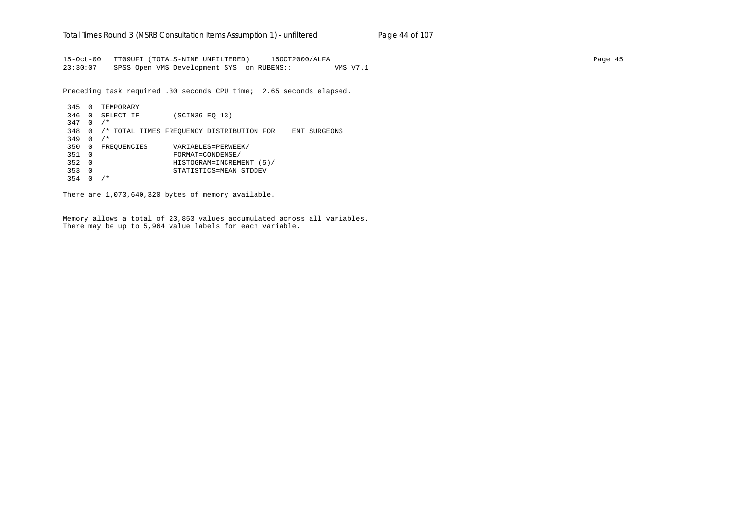15-Oct-00 TT09UFI (TOTALS-NINE UNFILTERED) 15OCT2000/ALFA Page 45 23:30:07 SPSS Open VMS Development SYS on RUBENS:: VMS V7.1

Preceding task required .30 seconds CPU time; 2.65 seconds elapsed.

 345 0 TEMPORARY 346 0 SELECT IF (SCIN36 EQ 13) 347 0 /\* 348 0 /\* TOTAL TIMES FREQUENCY DISTRIBUTION FOR ENT SURGEONS 349 0 /\* 350 0 FREQUENCIES VARIABLES=PERWEEK/ 351 0 FORMAT=CONDENSE/ 352 0 HISTOGRAM=INCREMENT (5)/ 353 0 STATISTICS=MEAN STDDEV 354 0 /\*

There are 1,073,640,320 bytes of memory available.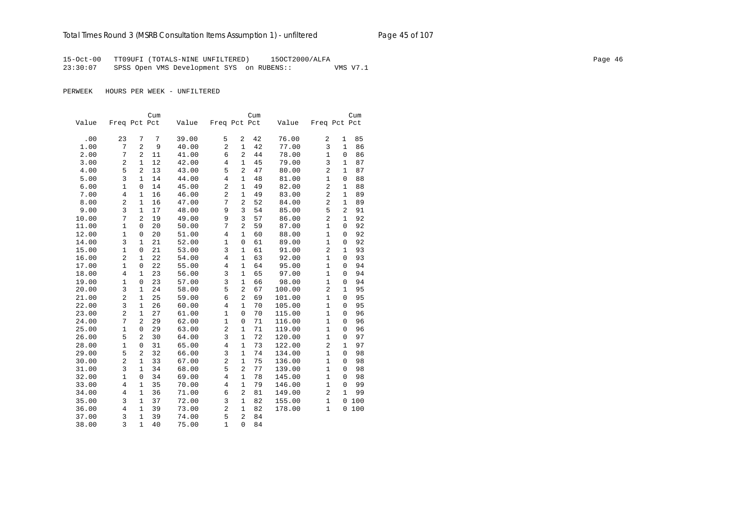15-Oct-00 TT09UFI (TOTALS-NINE UNFILTERED) 15OCT2000/ALFA Page 46 23:30:07 SPSS Open VMS Development SYS on RUBENS:: VMS V7.1

|       |                |                | Cum |       |                |                | Cum |        |                |              | Cum |
|-------|----------------|----------------|-----|-------|----------------|----------------|-----|--------|----------------|--------------|-----|
| Value | Freq Pct Pct   |                |     | Value | Freq Pct Pct   |                |     | Value  | Freq Pct Pct   |              |     |
|       |                |                |     |       |                |                |     |        |                |              |     |
| .00   | 23             | 7              | 7   | 39.00 | 5              | 2              | 42  | 76.00  | 2              | $\mathbf 1$  | 85  |
| 1.00  | 7              | $\overline{2}$ | 9   | 40.00 | $\overline{2}$ | $\mathbf{1}$   | 42  | 77.00  | 3              | $\mathbf{1}$ | 86  |
| 2.00  | 7              | 2              | 11  | 41.00 | 6              | 2              | 44  | 78.00  | $\mathbf 1$    | 0            | 86  |
| 3.00  | $\overline{c}$ | $\mathbf{1}$   | 12  | 42.00 | $\overline{4}$ | $\mathbf{1}$   | 45  | 79.00  | 3              | $\mathbf 1$  | 87  |
| 4.00  | 5              | $\overline{2}$ | 13  | 43.00 | 5              | $\overline{a}$ | 47  | 80.00  | $\overline{2}$ | $\mathbf{1}$ | 87  |
| 5.00  | 3              | $\mathbf{1}$   | 14  | 44.00 | $\,4$          | $\mathbf{1}$   | 48  | 81.00  | $\mathbf{1}$   | $\mathbf 0$  | 88  |
| 6.00  | $\mathbf{1}$   | $\overline{0}$ | 14  | 45.00 | $\overline{2}$ | $\mathbf{1}$   | 49  | 82.00  | 2              | $\mathbf{1}$ | 88  |
| 7.00  | $\overline{4}$ | $\mathbf{1}$   | 16  | 46.00 | $\overline{2}$ | $\mathbf{1}$   | 49  | 83.00  | $\overline{2}$ | $\mathbf{1}$ | 89  |
| 8.00  | $\overline{2}$ | $\mathbf{1}$   | 16  | 47.00 | 7              | 2              | 52  | 84.00  | $\overline{a}$ | $\mathbf{1}$ | 89  |
| 9.00  | 3              | $\mathbf{1}$   | 17  | 48.00 | 9              | 3              | 54  | 85.00  | 5              | 2            | 91  |
| 10.00 | 7              | $\overline{a}$ | 19  | 49.00 | 9              | 3              | 57  | 86.00  | $\overline{a}$ | $\mathbf{1}$ | 92  |
| 11.00 | $\mathbf 1$    | $\mathbf 0$    | 20  | 50.00 | 7              | $\overline{a}$ | 59  | 87.00  | $\mathbf{1}$   | $\mathbf 0$  | 92  |
| 12.00 | $\mathbf 1$    | 0              | 20  | 51.00 | $\overline{4}$ | $\mathbf{1}$   | 60  | 88.00  | $\mathbf{1}$   | 0            | 92  |
| 14.00 | 3              | $\mathbf{1}$   | 21  | 52.00 | $\mathbf{1}$   | $\mathsf 0$    | 61  | 89.00  | $\mathbf{1}$   | $\mathsf 0$  | 92  |
| 15.00 | $\mathbf{1}$   | $\mathbf 0$    | 21  | 53.00 | 3              | $\mathbf{1}$   | 61  | 91.00  | $\overline{a}$ | $\mathbf{1}$ | 93  |
| 16.00 | $\overline{2}$ | $\mathbf{1}$   | 22  | 54.00 | $\,4$          | $\mathbf{1}$   | 63  | 92.00  | $\mathbf{1}$   | $\Omega$     | 93  |
| 17.00 | $\mathbf{1}$   | $\mathbf 0$    | 22  | 55.00 | $\overline{4}$ | $\mathbf{1}$   | 64  | 95.00  | $\mathbf{1}$   | $\mathbf 0$  | 94  |
| 18.00 | $\overline{4}$ | $\mathbf{1}$   | 23  | 56.00 | 3              | $\mathbf{1}$   | 65  | 97.00  | 1              | 0            | 94  |
| 19.00 | 1              | $\mathbf 0$    | 23  | 57.00 | 3              | $\mathbf{1}$   | 66  | 98.00  | 1              | 0            | 94  |
| 20.00 | 3              | $\mathbf{1}$   | 24  | 58.00 | 5              | $\overline{a}$ | 67  | 100.00 | $\overline{2}$ | $\mathbf{1}$ | 95  |
| 21.00 | $\overline{2}$ | $\mathbf{1}$   | 25  | 59.00 | 6              | $\overline{a}$ | 69  | 101.00 | $\mathbf{1}$   | $\mathbf 0$  | 95  |
| 22.00 | 3              | $\mathbf{1}$   | 26  | 60.00 | $\overline{4}$ | $\mathbf{1}$   | 70  | 105.00 | $\mathbf{1}$   | $\mathbf 0$  | 95  |
| 23.00 | $\overline{c}$ | $\mathbf{1}$   | 27  | 61.00 | $\mathbf{1}$   | $\mathbf 0$    | 70  | 115.00 | $\mathbf{1}$   | $\mathbf{0}$ | 96  |
| 24.00 | 7              | $\overline{a}$ | 29  | 62.00 | $\mathbf{1}$   | $\mathbf 0$    | 71  | 116.00 | $\mathbf{1}$   | $\mathbf{0}$ | 96  |
| 25.00 | $\mathbf{1}$   | $\mathbf 0$    | 29  | 63.00 | $\overline{2}$ | $\mathbf{1}$   | 71  | 119.00 | $\mathbf{1}$   | $\Omega$     | 96  |
| 26.00 | 5              | $\overline{a}$ | 30  | 64.00 | 3              | $\mathbf{1}$   | 72  | 120.00 | $\mathbf{1}$   | $\mathbf{0}$ | 97  |
| 28.00 | $\mathbf{1}$   | 0              | 31  | 65.00 | $\overline{4}$ | $\mathbf{1}$   | 73  | 122.00 | $\overline{a}$ | $\mathbf{1}$ | 97  |
| 29.00 | 5              | 2              | 32  | 66.00 | 3              | $\mathbf{1}$   | 74  | 134.00 | $\mathbf{1}$   | $\mathbf 0$  | 98  |
| 30.00 | $\overline{2}$ | $\mathbf{1}$   | 33  | 67.00 | $\overline{2}$ | $\mathbf{1}$   | 75  | 136.00 | $\mathbf{1}$   | $\mathbf 0$  | 98  |
| 31.00 | 3              | $\mathbf{1}$   | 34  | 68.00 | 5              | $\overline{a}$ | 77  | 139.00 | $\mathbf{1}$   | $\mathbf 0$  | 98  |
| 32.00 | $\mathbf{1}$   | $\mathbf 0$    | 34  | 69.00 | $\overline{4}$ | $\mathbf{1}$   | 78  | 145.00 | $\mathbf{1}$   | $\mathbf 0$  | 98  |
| 33.00 | 4              | $\mathbf{1}$   | 35  | 70.00 | $\overline{4}$ | $\mathbf{1}$   | 79  | 146.00 | $\mathbf{1}$   | 0            | 99  |
| 34.00 | $\overline{4}$ | $\mathbf{1}$   | 36  | 71.00 | 6              | 2              | 81  | 149.00 | 2              | $\mathbf{1}$ | 99  |
| 35.00 | 3              | $\mathbf 1$    | 37  | 72.00 | 3              | $\mathbf 1$    | 82  | 155.00 | $\mathbf 1$    | 0            | 100 |
| 36.00 | $\overline{4}$ | $\mathbf{1}$   | 39  | 73.00 | $\overline{c}$ | $\mathbf{1}$   | 82  | 178.00 | $\mathbf{1}$   | $\Omega$     | 100 |
| 37.00 | 3              | $\mathbf{1}$   | 39  | 74.00 | 5              | $\overline{a}$ | 84  |        |                |              |     |
| 38.00 | 3              | $\mathbf{1}$   | 40  | 75.00 | $\mathbf{1}$   | 0              | 84  |        |                |              |     |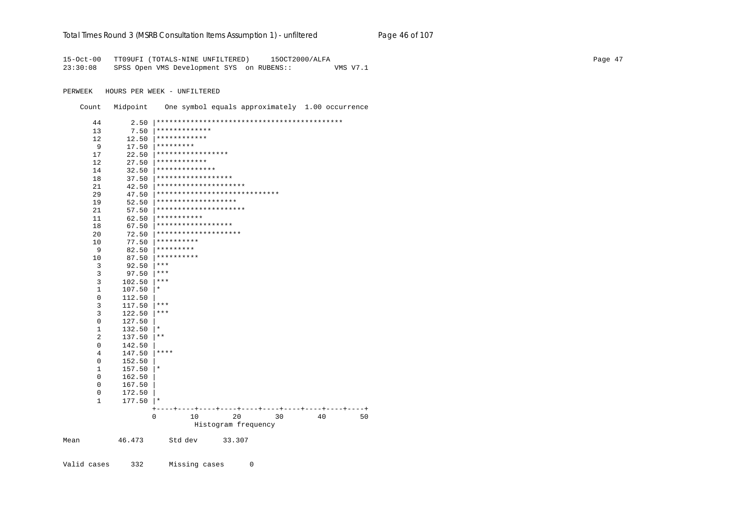#### Total Times Round 3 (MSRB Consultation Items Assumption 1) - unfiltered Page 46 of 107

15-Oct-00 TT09UFI (TOTALS-NINE UNFILTERED) 150CT2000/ALFA 23:30:08 SPSS Open VMS Development SYS on RUBENS:: VMS V7.1

PERWEEK HOURS PER WEEK - UNFILTERED

Count Midpoint One symbol equals approximately 1.00 occurrence

| 44             | 2.50   |                               |    |
|----------------|--------|-------------------------------|----|
| 13             | 7.50   | *************                 |    |
| 12             | 12.50  | ************                  |    |
| 9              | 17.50  | *********                     |    |
| 17             | 22.50  | *****************             |    |
| 12             | 27.50  | ************                  |    |
| 14             | 32.50  | **************                |    |
| 18             | 37.50  | ******************            |    |
| 21             | 42.50  | *********************         |    |
| 29             | 47.50  | ***************************** |    |
| 19             | 52.50  | *******************           |    |
| 21             | 57.50  | *********************         |    |
| 11             | 62.50  | ***********                   |    |
| 18             | 67.50  | ******************            |    |
| 20             | 72.50  | ********************          |    |
| 10             | 77.50  | **********                    |    |
| 9              | 82.50  | *********                     |    |
| 10             | 87.50  | **********                    |    |
| 3              | 92.50  | ***                           |    |
| 3              | 97.50  | $***$                         |    |
| 3              | 102.50 | $***$                         |    |
| 1              | 107.50 | $^\star$                      |    |
| $\mathbf 0$    | 112.50 |                               |    |
| 3              | 117.50 | $***$                         |    |
| 3              | 122.50 | $***$                         |    |
| $\mathbf 0$    | 127.50 |                               |    |
| $\mathbf{1}$   | 132.50 | $^\star$                      |    |
| $\overline{2}$ | 137.50 | $\star\star$                  |    |
| $\mathbf 0$    | 142.50 |                               |    |
| 4              | 147.50 | ****                          |    |
| 0              | 152.50 |                               |    |
| $1\,$          | 157.50 | $^\star$                      |    |
| $\mathbf 0$    | 162.50 |                               |    |
| 0              | 167.50 |                               |    |
| 0              | 172.50 |                               |    |
| $\mathbf{1}$   | 177.50 | $\star$                       |    |
|                |        | +                             |    |
|                |        | 20<br>0<br>10<br>30<br>40     | 50 |
|                |        | Histogram frequency           |    |
| Mean           | 46.473 | 33.307<br>Std dev             |    |

Valid cases 332 Missing cases  $\mathbb O$  Page 47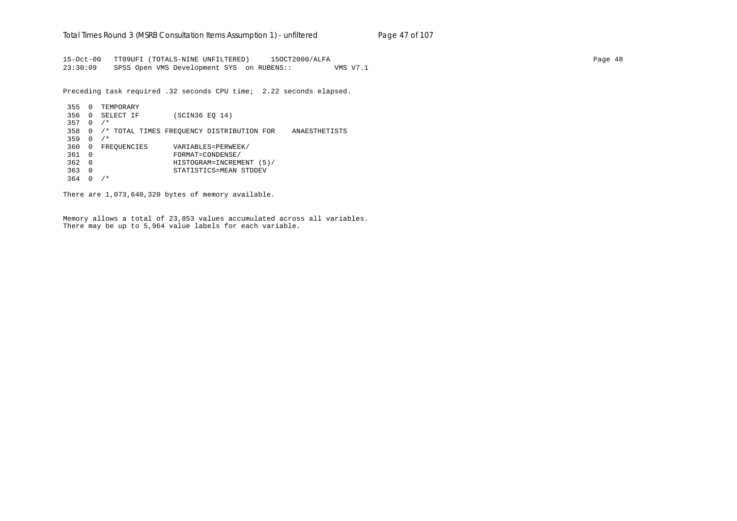15-Oct-00 TT09UFI (TOTALS-NINE UNFILTERED) 15OCT2000/ALFA Page 48 23:30:09 SPSS Open VMS Development SYS on RUBENS:: VMS V7.1

Preceding task required .32 seconds CPU time; 2.22 seconds elapsed.

 355 0 TEMPORARY 356 0 SELECT IF (SCIN36 EQ 14) 357 0 /\* 358 0 /\* TOTAL TIMES FREQUENCY DISTRIBUTION FOR ANAESTHETISTS 359 0 /\* 360 0 FREQUENCIES VARIABLES=PERWEEK/ 361 0 FORMAT=CONDENSE/ 362 0 HISTOGRAM=INCREMENT (5)/ 363 0 STATISTICS=MEAN STDDEV 364 0 /\*

There are 1,073,640,320 bytes of memory available.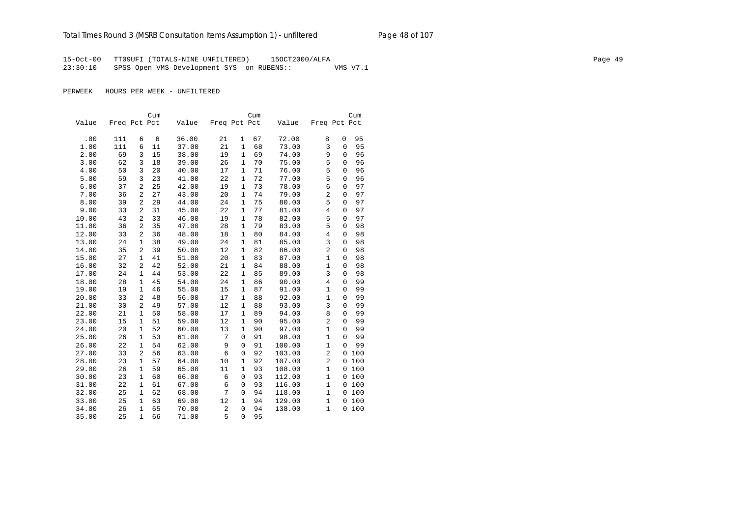15-Oct-00 TT09UFI (TOTALS-NINE UNFILTERED) 15OCT2000/ALFA Page 49 23:30:10 SPSS Open VMS Development SYS on RUBENS:: VMS V7.1

|       |              |                | Cum |       |              |              | Cum |        |                |              | Cum |
|-------|--------------|----------------|-----|-------|--------------|--------------|-----|--------|----------------|--------------|-----|
| Value | Freq Pct Pct |                |     | Value | Freq Pct Pct |              |     | Value  | Freq Pct Pct   |              |     |
|       |              |                |     |       |              |              |     |        |                |              |     |
| .00   | 111          | 6              | 6   | 36.00 | 21           | $\mathbf{1}$ | 67  | 72.00  | 8              | $\mathbf 0$  | 95  |
| 1.00  | 111          | 6              | 11  | 37.00 | 21           | $\mathbf{1}$ | 68  | 73.00  | 3              | $\mathbf 0$  | 95  |
| 2.00  | 69           | 3              | 15  | 38.00 | 19           | 1            | 69  | 74.00  | 9              | $\mathbf 0$  | 96  |
| 3.00  | 62           | 3              | 18  | 39.00 | 26           | $\mathbf{1}$ | 70  | 75.00  | 5              | $\mathbf 0$  | 96  |
| 4.00  | 50           | 3              | 20  | 40.00 | 17           | 1            | 71  | 76.00  | 5              | $\mathbf 0$  | 96  |
| 5.00  | 59           | 3              | 23  | 41.00 | 22           | $\mathbf{1}$ | 72  | 77.00  | 5              | $\mathbf 0$  | 96  |
| 6.00  | 37           | $\overline{2}$ | 25  | 42.00 | 19           | 1            | 73  | 78.00  | 6              | $\mathbf 0$  | 97  |
| 7.00  | 36           | $\overline{2}$ | 27  | 43.00 | 20           | $\mathbf{1}$ | 74  | 79.00  | $\overline{2}$ | $\mathbf 0$  | 97  |
| 8.00  | 39           | $\overline{a}$ | 29  | 44.00 | 24           | $\mathbf{1}$ | 75  | 80.00  | 5              | $\Omega$     | 97  |
| 9.00  | 33           | $\overline{2}$ | 31  | 45.00 | 22           | $\mathbf 1$  | 77  | 81.00  | $\overline{4}$ | $\mathbf 0$  | 97  |
| 10.00 | 43           | $\overline{2}$ | 33  | 46.00 | 19           | $\mathbf{1}$ | 78  | 82.00  | 5              | $\mathbf 0$  | 97  |
| 11.00 | 36           | 2              | 35  | 47.00 | 28           | $\mathbf{1}$ | 79  | 83.00  | 5              | $\mathbf 0$  | 98  |
| 12.00 | 33           | $\overline{2}$ | 36  | 48.00 | 18           | 1            | 80  | 84.00  | $\,4$          | $\mathbf 0$  | 98  |
| 13.00 | 24           | $\mathbf{1}$   | 38  | 49.00 | 24           | 1            | 81  | 85.00  | 3              | $\mathbf 0$  | 98  |
| 14.00 | 35           | 2              | 39  | 50.00 | 12           | $\mathbf{1}$ | 82  | 86.00  | $\overline{a}$ | $\mathbf 0$  | 98  |
| 15.00 | 27           | $\mathbf{1}$   | 41  | 51.00 | 20           | 1            | 83  | 87.00  | $\mathbf{1}$   | $\mathbf 0$  | 98  |
| 16.00 | 32           | 2              | 42  | 52.00 | 21           | $\mathbf{1}$ | 84  | 88.00  | $\mathbf{1}$   | $\mathbf 0$  | 98  |
| 17.00 | 24           | $\mathbf{1}$   | 44  | 53.00 | 22           | 1            | 85  | 89.00  | 3              | $\mathbf 0$  | 98  |
| 18.00 | 28           | $\mathbf{1}$   | 45  | 54.00 | 24           | $\mathbf{1}$ | 86  | 90.00  | $\overline{4}$ | $\mathbf 0$  | 99  |
| 19.00 | 19           | 1              | 46  | 55.00 | 15           | 1            | 87  | 91.00  | 1              | $\mathbf 0$  | 99  |
| 20.00 | 33           | $\overline{2}$ | 48  | 56.00 | 17           | 1            | 88  | 92.00  | $\mathbf{1}$   | $\mathbf 0$  | 99  |
| 21.00 | 30           | 2              | 49  | 57.00 | 12           | 1            | 88  | 93.00  | 3              | $\mathbf 0$  | 99  |
| 22.00 | 21           | $\mathbf 1$    | 50  | 58.00 | 17           | $\mathbf 1$  | 89  | 94.00  | 8              | 0            | 99  |
| 23.00 | 15           | $\mathbf{1}$   | 51  | 59.00 | 12           | $\mathbf{1}$ | 90  | 95.00  | 2              | $\mathbf 0$  | 99  |
| 24.00 | 20           | $\mathbf{1}$   | 52  | 60.00 | 13           | $\mathbf{1}$ | 90  | 97.00  | $\mathbf{1}$   | $\mathbf 0$  | 99  |
| 25.00 | 26           | $\mathbf 1$    | 53  | 61.00 | 7            | $\mathbf 0$  | 91  | 98.00  | $\mathbf{1}$   | $\mathbf 0$  | 99  |
| 26.00 | 22           | $\mathbf{1}$   | 54  | 62.00 | 9            | $\mathbf 0$  | 91  | 100.00 | $\mathbf{1}$   | $\mathbf 0$  | 99  |
| 27.00 | 33           | $\overline{a}$ | 56  | 63.00 | 6            | $\mathbf 0$  | 92  | 103.00 | $\overline{2}$ | $\mathbf{0}$ | 100 |
| 28.00 | 23           | $\mathbf{1}$   | 57  | 64.00 | 10           | 1            | 92  | 107.00 | $\overline{2}$ | $\mathbf{0}$ | 100 |
| 29.00 | 26           | $\mathbf{1}$   | 59  | 65.00 | 11           | $\mathbf{1}$ | 93  | 108.00 | $\mathbf{1}$   | $\mathbf{0}$ | 100 |
| 30.00 | 23           | $\mathbf{1}$   | 60  | 66.00 | 6            | $\mathbf 0$  | 93  | 112.00 | $\mathbf{1}$   | $\mathbf{0}$ | 100 |
| 31.00 | 22           | $\mathbf{1}$   | 61  | 67.00 | 6            | $\mathbf 0$  | 93  | 116.00 | $\mathbf 1$    | $\mathbf 0$  | 100 |
| 32.00 | 25           | $\mathbf{1}$   | 62  | 68.00 | 7            | $\mathbf 0$  | 94  | 118.00 | $\mathbf{1}$   | 0            | 100 |
| 33.00 | 25           | $\mathbf{1}$   | 63  | 69.00 | 12           | 1            | 94  | 129.00 | $\mathbf{1}$   | $\mathbf 0$  | 100 |
| 34.00 | 26           | $\mathbf{1}$   | 65  | 70.00 | 2            | $\mathbf 0$  | 94  | 138.00 | $\mathbf{1}$   | $\Omega$     | 100 |
| 35.00 | 25           | $\mathbf{1}$   | 66  | 71.00 | 5            | $\mathbf 0$  | 95  |        |                |              |     |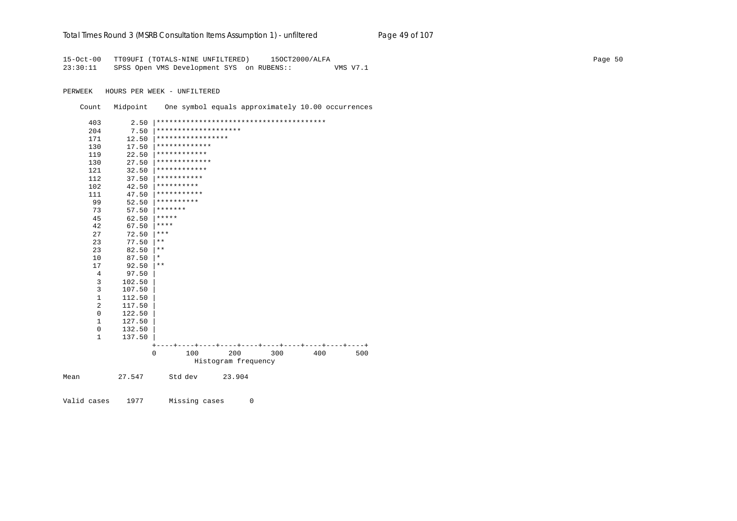## Total Times Round 3 (MSRB Consultation Items Assumption 1) - unfiltered Page 49 of 107

15-Oct-00 TT09UFI (TOTALS-NINE UNFILTERED) 15OCT2000/ALFA Page 50 23:30:11 SPSS Open VMS Development SYS on RUBENS:: VMS V7.1

PERWEEK HOURS PER WEEK - UNFILTERED

Count Midpoint One symbol equals approximately 10.00 occurrences

| 1              | 137.50           |            |                      |  |  |
|----------------|------------------|------------|----------------------|--|--|
| $\mathbf 0$    | 132.50           |            |                      |  |  |
| 0<br>1         | 122.50<br>127.50 |            |                      |  |  |
| $\overline{c}$ | 117.50           |            |                      |  |  |
| $1\,$          | 112.50           |            |                      |  |  |
| 3              | 107.50           |            |                      |  |  |
| 3              | 102.50           |            |                      |  |  |
| 4              | 97.50            |            |                      |  |  |
| 17             | 92.50            | $* *$      |                      |  |  |
| 10             | 87.50            | $^\ast$    |                      |  |  |
| 23             | 82.50            | $***$      |                      |  |  |
| 23             | 77.50            | $* *$      |                      |  |  |
| 27             | 72.50            | ***        |                      |  |  |
| 42             | 67.50            | ****       |                      |  |  |
| 45             | 62.50            | *****      |                      |  |  |
| 73             | 57.50            | *******    |                      |  |  |
| 99             | 52.50            | ********** |                      |  |  |
| 111            | 47.50            |            | ***********          |  |  |
| 102            | 42.50            | ********** |                      |  |  |
| 112            | 37.50            |            | ***********          |  |  |
| 121            | 32.50            |            | ************         |  |  |
| 130            | 27.50            |            | *************        |  |  |
| 119            | 22.50            |            | ************         |  |  |
| 130            | 17.50            |            | *************        |  |  |
| 171            | 12.50            |            | *****************    |  |  |
| 204            | 7.50             |            | ******************** |  |  |
| 403            | 2.50             |            |                      |  |  |

Mean 27.547 Std dev 23.904

Valid cases 1977 Missing cases 0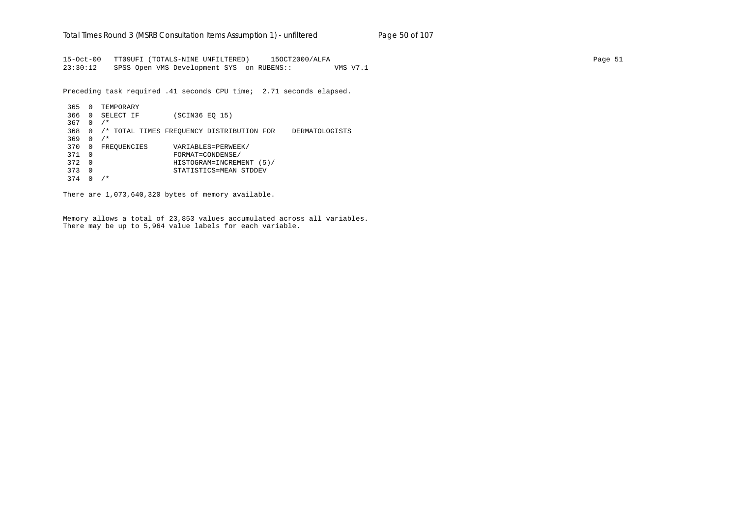15-Oct-00 TT09UFI (TOTALS-NINE UNFILTERED) 15OCT2000/ALFA Page 51 23:30:12 SPSS Open VMS Development SYS on RUBENS:: VMS V7.1

Preceding task required .41 seconds CPU time; 2.71 seconds elapsed.

 365 0 TEMPORARY 366 0 SELECT IF (SCIN36 EQ 15) 367 0 /\* 368 0 /\* TOTAL TIMES FREQUENCY DISTRIBUTION FOR DERMATOLOGISTS 369 0 /\* 370 0 FREQUENCIES VARIABLES=PERWEEK/ 371 0 FORMAT=CONDENSE/ 372 0 HISTOGRAM=INCREMENT (5)/ 373 0 STATISTICS=MEAN STDDEV 374 0 /\*

There are 1,073,640,320 bytes of memory available.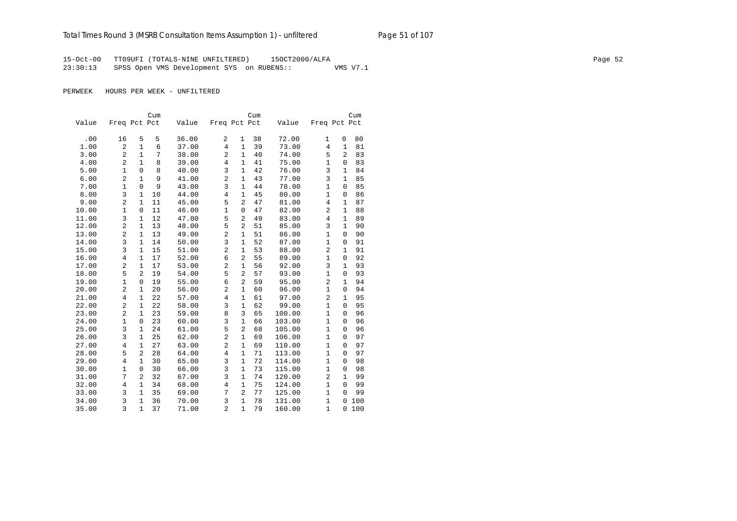15-Oct-00 TT09UFI (TOTALS-NINE UNFILTERED) 15OCT2000/ALFA Page 52 23:30:13 SPSS Open VMS Development SYS on RUBENS:: VMS V7.1

|       |                |                | Cum |       |                  |                | Cum |        |                |                | Cum |
|-------|----------------|----------------|-----|-------|------------------|----------------|-----|--------|----------------|----------------|-----|
| Value | Freq Pct Pct   |                |     | Value | Freq Pct Pct     |                |     | Value  | Freq Pct Pct   |                |     |
|       |                |                |     |       |                  |                |     |        |                |                |     |
| .00   | 16             | 5              | 5   | 36.00 | 2                | 1              | 38  | 72.00  | 1              | $\mathsf 0$    | 80  |
| 1.00  | $\overline{2}$ | $\mathbf{1}$   | 6   | 37.00 | $\overline{4}$   | $\mathbf{1}$   | 39  | 73.00  | $\overline{4}$ | $\mathbf{1}$   | 81  |
| 3.00  | $\overline{2}$ | $\mathbf{1}$   | 7   | 38.00 | $\overline{2}$   | $\mathbf{1}$   | 40  | 74.00  | 5              | $\overline{2}$ | 83  |
| 4.00  | $\overline{c}$ | $\mathbf{1}$   | 8   | 39.00 | 4                | $\mathbf{1}$   | 41  | 75.00  | $\mathbf{1}$   | 0              | 83  |
| 5.00  | $\mathbf{1}$   | $\mathbf 0$    | 8   | 40.00 | 3                | $\mathbf{1}$   | 42  | 76.00  | 3              | $\mathbf{1}$   | 84  |
| 6.00  | $\overline{a}$ | $\mathbf{1}$   | 9   | 41.00 | $\overline{a}$   | $\mathbf{1}$   | 43  | 77.00  | 3              | $\mathbf{1}$   | 85  |
| 7.00  | $\mathbf{1}$   | $\mathbf 0$    | 9   | 43.00 | 3                | $\mathbf{1}$   | 44  | 78.00  | $\mathbf{1}$   | 0              | 85  |
| 8.00  | 3              | $\mathbf{1}$   | 10  | 44.00 | 4                | $\mathbf{1}$   | 45  | 80.00  | $\mathbf{1}$   | $\mathbf 0$    | 86  |
| 9.00  | $\overline{c}$ | $\mathbf{1}$   | 11  | 45.00 | 5                | 2              | 47  | 81.00  | 4              | $\mathbf{1}$   | 87  |
| 10.00 | 1              | $\mathbf 0$    | 11  | 46.00 | $\mathbf{1}$     | $\mathbf 0$    | 47  | 82.00  | 2              | $\mathbf{1}$   | 88  |
| 11.00 | 3              | $\mathbf{1}$   | 12  | 47.00 | 5                | $\overline{a}$ | 49  | 83.00  | 4              | $\mathbf{1}$   | 89  |
| 12.00 | $\overline{c}$ | $\mathbf{1}$   | 13  | 48.00 | 5                | $\overline{2}$ | 51  | 85.00  | 3              | $\mathbf{1}$   | 90  |
| 13.00 | $\overline{c}$ | $\mathbf{1}$   | 13  | 49.00 | $\overline{c}$   | 1              | 51  | 86.00  | $\mathbf{1}$   | 0              | 90  |
| 14.00 | 3              | $\mathbf{1}$   | 14  | 50.00 | 3                | $\mathbf{1}$   | 52  | 87.00  | $\mathbf{1}$   | 0              | 91  |
| 15.00 | 3              | 1              | 15  | 51.00 | $\overline{c}$   | $\mathbf 1$    | 53  | 88.00  | 2              | $\mathbf{1}$   | 91  |
| 16.00 | 4              | $\mathbf 1$    | 17  | 52.00 | 6                | $\overline{c}$ | 55  | 89.00  | $\mathbf 1$    | 0              | 92  |
| 17.00 | $\overline{2}$ | $\mathbf{1}$   | 17  | 53.00 | $\overline{2}$   | $\mathbf{1}$   | 56  | 92.00  | 3              | $\mathbf{1}$   | 93  |
| 18.00 | 5              | 2              | 19  | 54.00 | 5                | $\overline{c}$ | 57  | 93.00  | $\mathbf{1}$   | 0              | 93  |
| 19.00 | $\mathbf{1}$   | $\overline{0}$ | 19  | 55.00 | 6                | $\overline{2}$ | 59  | 95.00  | 2              | $\mathbf{1}$   | 94  |
| 20.00 | $\overline{c}$ | $\mathbf{1}$   | 20  | 56.00 | $\overline{2}$   | $\mathbf{1}$   | 60  | 96.00  | $\mathbf{1}$   | 0              | 94  |
| 21.00 | $\overline{4}$ | 1              | 22  | 57.00 | $\overline{4}$   | $\mathbf 1$    | 61  | 97.00  | 2              | $\mathbf{1}$   | 95  |
| 22.00 | $\overline{c}$ | $\mathbf{1}$   | 22  | 58.00 | 3                | $\mathbf{1}$   | 62  | 99.00  | $\mathbf{1}$   | 0              | 95  |
| 23.00 | $\overline{c}$ | $\mathbf{1}$   | 23  | 59.00 | 8                | $\overline{3}$ | 65  | 100.00 | $\mathbf{1}$   | 0              | 96  |
| 24.00 | $\mathbf{1}$   | 0              | 23  | 60.00 | 3                | $\mathbf{1}$   | 66  | 103.00 | $\mathbf{1}$   | 0              | 96  |
| 25.00 | 3              | $\mathbf{1}$   | 24  | 61.00 | 5                | $\overline{c}$ | 68  | 105.00 | $\mathbf{1}$   | 0              | 96  |
| 26.00 | 3              | $\mathbf{1}$   | 25  | 62.00 | $\boldsymbol{2}$ | $\mathbf{1}$   | 69  | 106.00 | $\mathbf{1}$   | 0              | 97  |
| 27.00 | $\overline{4}$ | $\mathbf{1}$   | 27  | 63.00 | $\overline{a}$   | $\mathbf{1}$   | 69  | 110.00 | $\mathbf{1}$   | 0              | 97  |
| 28.00 | 5              | $\overline{2}$ | 28  | 64.00 | $\overline{4}$   | $\mathbf{1}$   | 71  | 113.00 | $\mathbf{1}$   | 0              | 97  |
| 29.00 | $\overline{4}$ | $\mathbf{1}$   | 30  | 65.00 | 3                | $\mathbf{1}$   | 72  | 114.00 | $\mathbf{1}$   | 0              | 98  |
| 30.00 | 1              | $\mathbf 0$    | 30  | 66.00 | 3                | $\mathbf{1}$   | 73  | 115.00 | $\mathbf{1}$   | 0              | 98  |
| 31.00 | 7              | 2              | 32  | 67.00 | 3                | $\mathbf{1}$   | 74  | 120.00 | 2              | $\mathbf{1}$   | 99  |
| 32.00 | 4              | $\mathbf{1}$   | 34  | 68.00 | $\overline{4}$   | $\mathbf{1}$   | 75  | 124.00 | $\mathbf{1}$   | $\Omega$       | 99  |
| 33.00 | 3              | $\mathbf{1}$   | 35  | 69.00 | 7                | $\overline{2}$ | 77  | 125.00 | $\mathbf{1}$   | $\overline{0}$ | 99  |
| 34.00 | 3              | $\mathbf{1}$   | 36  | 70.00 | 3                | $\mathbf{1}$   | 78  | 131.00 | $\mathbf{1}$   | 0              | 100 |
| 35.00 | 3              | $\mathbf{1}$   | 37  | 71.00 | $\overline{a}$   | $\mathbf{1}$   | 79  | 160.00 | $\mathbf{1}$   | 0              | 100 |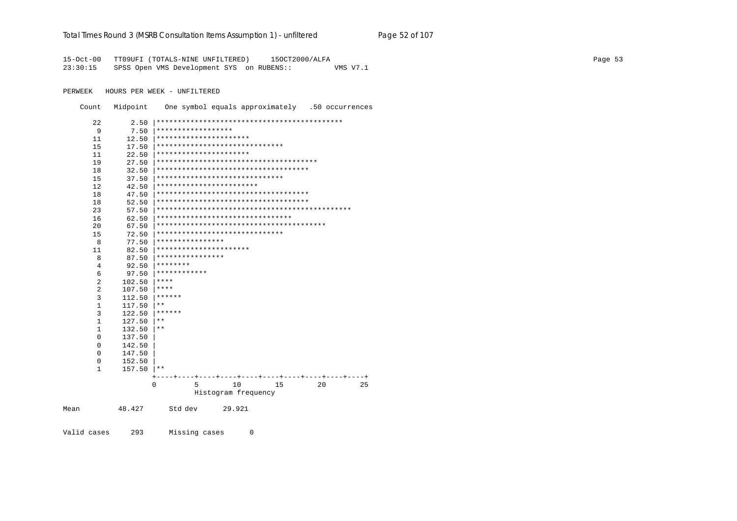#### Total Times Round 3 (MSRB Consultation Items Assumption 1) - unfiltered Page 52 of 107

15-Oct-00 TT09UFI (TOTALS-NINE UNFILTERED) 15OCT2000/ALFA 23:30:15 SPSS Open VMS Development SYS on RUBENS:: VMS V7.1

PERWEEK HOURS PER WEEK - UNFILTERED

Count Midpoint One symbol equals approximately .50 occurrences

| 22             | 2.50   |                    |                                       |    |    |    |
|----------------|--------|--------------------|---------------------------------------|----|----|----|
| 9              | 7.50   | ****************** |                                       |    |    |    |
| 11             | 12.50  |                    | **********************                |    |    |    |
| 15             | 17.50  |                    | ******************************        |    |    |    |
| 11             | 22.50  |                    | **********************                |    |    |    |
| 19             | 27.50  |                    |                                       |    |    |    |
| 18             | 32.50  |                    | ************************************  |    |    |    |
| 15             | 37.50  |                    | ******************************        |    |    |    |
| 12             | 42.50  |                    | ************************              |    |    |    |
| 18             | 47.50  |                    | ************************************* |    |    |    |
| 18             | 52.50  |                    | ************************************* |    |    |    |
| 23             | 57.50  |                    |                                       |    |    |    |
| 16             | 62.50  |                    | ********************************      |    |    |    |
| 20             | 67.50  |                    |                                       |    |    |    |
| 15             | 72.50  |                    | ******************************        |    |    |    |
| 8              | 77.50  | ****************   |                                       |    |    |    |
| 11             | 82.50  |                    | **********************                |    |    |    |
| 8              | 87.50  | ****************   |                                       |    |    |    |
| 4              | 92.50  | ********           |                                       |    |    |    |
| 6              | 97.50  | ************       |                                       |    |    |    |
| $\overline{2}$ | 102.50 | ****               |                                       |    |    |    |
| 2              | 107.50 | ****               |                                       |    |    |    |
| 3              | 112.50 | ******             |                                       |    |    |    |
| $\mathbf{1}$   | 117.50 | $***$              |                                       |    |    |    |
| $\overline{3}$ | 122.50 | ******             |                                       |    |    |    |
| $\mathbf{1}$   | 127.50 | $***$              |                                       |    |    |    |
| $\mathbf{1}$   | 132.50 | $***$              |                                       |    |    |    |
| 0              | 137.50 |                    |                                       |    |    |    |
| 0              | 142.50 |                    |                                       |    |    |    |
| 0              | 147.50 |                    |                                       |    |    |    |
| 0              | 152.50 |                    |                                       |    |    |    |
| 1              | 157.50 | $* *$              |                                       |    |    |    |
|                |        |                    |                                       |    |    |    |
|                |        | 5<br>0             | 10                                    | 15 | 20 | 25 |
|                |        |                    | Histogram frequency                   |    |    |    |
| Mean           | 48.427 | Std dev            | 29.921                                |    |    |    |
|                |        |                    |                                       |    |    |    |

Valid cases 293 Missing cases  $\overline{0}$  Page 53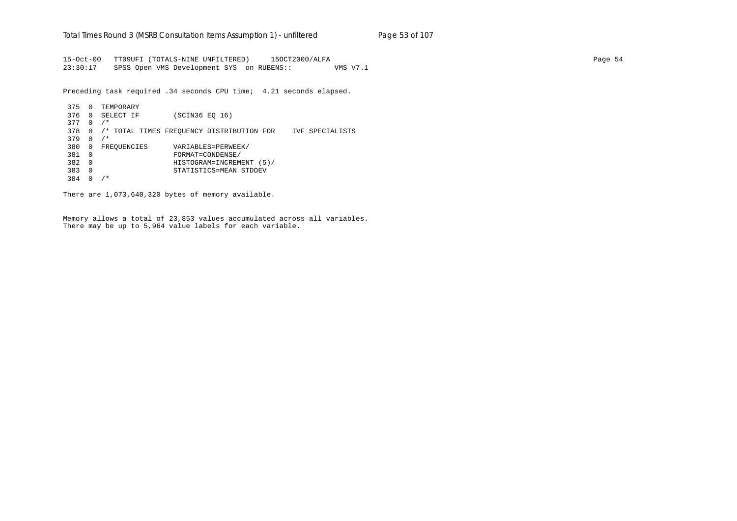15-Oct-00 TT09UFI (TOTALS-NINE UNFILTERED) 15OCT2000/ALFA Page 54 23:30:17 SPSS Open VMS Development SYS on RUBENS:: VMS V7.1

Preceding task required .34 seconds CPU time; 4.21 seconds elapsed.

 375 0 TEMPORARY 376 0 SELECT IF (SCIN36 EQ 16) 377 0 /\* 378 0 /\* TOTAL TIMES FREQUENCY DISTRIBUTION FOR IVF SPECIALISTS 379 0 /\* 380 0 FREQUENCIES VARIABLES=PERWEEK/ 381 0 FORMAT=CONDENSE/ 382 0 HISTOGRAM=INCREMENT (5)/ 383 0 STATISTICS=MEAN STDDEV 384 0 /\*

There are 1,073,640,320 bytes of memory available.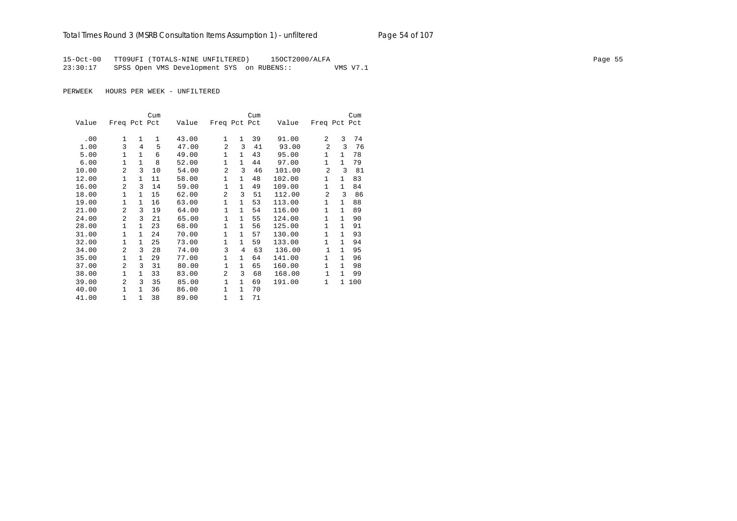15-Oct-00 TT09UFI (TOTALS-NINE UNFILTERED) 15OCT2000/ALFA Page 55 23:30:17 SPSS Open VMS Development SYS on RUBENS:: VMS V7.1

|       |                |               | Cum |       |                |              | Cum |        |                |              | Cum |
|-------|----------------|---------------|-----|-------|----------------|--------------|-----|--------|----------------|--------------|-----|
| Value | Freq Pct Pct   |               |     | Value | Freq Pct Pct   |              |     | Value  | Freq Pct Pct   |              |     |
| .00   | $\mathbf{1}$   | 1             | 1   | 43.00 | $\mathbf{1}$   | $\mathbf{1}$ | 39  | 91.00  | 2              | 3            | 74  |
| 1.00  | 3              | 4             | 5   | 47.00 | $\overline{a}$ | 3            | 41  | 93.00  | $\overline{a}$ | 3            | 76  |
|       | $\mathbf{1}$   | $\mathbf{1}$  | 6   |       | 1              | $\mathbf{1}$ | 43  |        | 1              | 1            | 78  |
| 5.00  |                |               |     | 49.00 |                |              |     | 95.00  |                |              |     |
| 6.00  | 1              | $\mathbf{1}$  | 8   | 52.00 | $\mathbf{1}$   | $\mathbf{1}$ | 44  | 97.00  | 1              | $\mathbf{1}$ | 79  |
| 10.00 | $\overline{2}$ | 3             | 10  | 54.00 | $\overline{a}$ | 3            | 46  | 101.00 | $\overline{a}$ | 3            | 81  |
| 12.00 | 1              | 1             | 11  | 58.00 | $\mathbf{1}$   | $\mathbf{1}$ | 48  | 102.00 | 1              | 1            | 83  |
| 16.00 | $\overline{2}$ | 3             | 14  | 59.00 | $\mathbf{1}$   | $\mathbf{1}$ | 49  | 109.00 | 1              | $\mathbf{1}$ | 84  |
| 18.00 | 1              | 1             | 15  | 62.00 | $\overline{2}$ | 3            | 51  | 112.00 | 2              | 3            | 86  |
| 19.00 | $\mathbf{1}$   | 1             | 16  | 63.00 | 1              | $\mathbf{1}$ | 53  | 113.00 | 1              | $\mathbf{1}$ | 88  |
| 21.00 | $\overline{2}$ | 3             | 19  | 64.00 | $\mathbf{1}$   | $\mathbf{1}$ | 54  | 116.00 | 1              | $\mathbf{1}$ | 89  |
| 24.00 | $\mathfrak{D}$ | $\mathcal{L}$ | 21  | 65.00 | $\mathbf{1}$   | $\mathbf{1}$ | 55  | 124.00 | 1              | $\mathbf{1}$ | 90  |
| 28.00 | $\mathbf{1}$   | 1             | 23  | 68.00 | 1              | $\mathbf{1}$ | 56  | 125.00 | 1              | 1            | 91  |
| 31.00 | 1              | 1             | 24  | 70.00 | $\mathbf{1}$   | $\mathbf{1}$ | 57  | 130.00 | 1              | $\mathbf{1}$ | 93  |
| 32.00 | $\mathbf{1}$   | $\mathbf{1}$  | 25  | 73.00 | $\mathbf{1}$   | $\mathbf{1}$ | 59  | 133.00 | 1              | $\mathbf{1}$ | 94  |
| 34.00 | $\overline{2}$ | 3             | 28  | 74.00 | 3              | 4            | 63  | 136.00 | $\mathbf{1}$   | $\mathbf{1}$ | 95  |
| 35.00 | 1              | 1             | 29  | 77.00 | 1              | $\mathbf{1}$ | 64  | 141.00 | 1              | 1            | 96  |
| 37.00 | $\overline{2}$ | 3             | 31  | 80.00 | $\mathbf{1}$   | $\mathbf{1}$ | 65  | 160.00 | 1              | $\mathbf{1}$ | 98  |
| 38.00 | $\mathbf{1}$   | 1             | 33  | 83.00 | $\overline{2}$ | 3            | 68  | 168.00 | 1              | $\mathbf{1}$ | 99  |
| 39.00 | $\overline{a}$ | $\mathcal{L}$ | 35  | 85.00 | $\mathbf{1}$   | $\mathbf{1}$ | 69  | 191.00 | 1              | 1            | 100 |
| 40.00 | 1              | $\mathbf{1}$  | 36  | 86.00 | 1              | $\mathbf{1}$ | 70  |        |                |              |     |
| 41.00 | 1              | 1             | 38  | 89.00 | 1              | $\mathbf{1}$ | 71  |        |                |              |     |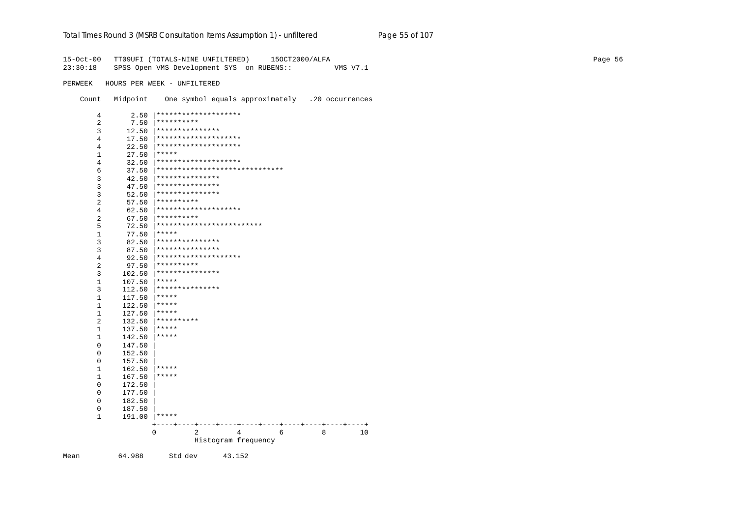#### Total Times Round 3 (MSRB Consultation Items Assumption 1) - unfiltered Page 55 of 107

15-Oct-00 TT09UFI (TOTALS-NINE UNFILTERED) 15OCT2000/ALFA 23:30:18 SPSS Open VMS Development SYS on RUBENS:: VMS V7.1 PERWEEK HOURS PER WEEK - UNFILTERED Count Midpoint One symbol equals approximately .20 occurrences  $2.50$  |\*\*\*\*\*\*\*\*\*\*\*\*\*\*\*\*\*\*\*\*\*  $\overline{4}$ 7.50 \*\*\*\*\*\*\*\*\*\*  $\overline{2}$  $12.50$  |\*\*\*\*\*\*\*\*\*\*\*\*\*\*\*\*  $\overline{3}$  $17.50$  |\*\*\*\*\*\*\*\*\*\*\*\*\*\*\*\*\*\*\*\*\*\*  $\overline{4}$  $22.50$  |\*\*\*\*\*\*\*\*\*\*\*\*\*\*\*\*\*\*\*\*\*\*  $\overline{4}$  $27.50$  \*\*\*\*\*  $1$  $32.50$  |\*\*\*\*\*\*\*\*\*\*\*\*\*\*\*\*\*\*\*\*\*\*  $\overline{4}$  $37.50$   $*******************************************$ 6  $42.50$  |\*\*\*\*\*\*\*\*\*\*\*\*\*\*\*\*  $\mathcal{R}$  $47.50$  |\*\*\*\*\*\*\*\*\*\*\*\*\*\*\*\*  $\overline{3}$  $52.50$  |\*\*\*\*\*\*\*\*\*\*\*\*\*\*\*\*  $\overline{3}$  $57.50$  | \*\*\*\*\*\*\*\*\*\*  $\overline{2}$  $62.50$  |\*\*\*\*\*\*\*\*\*\*\*\*\*\*\*\*\*\*\*\*\*  $\overline{4}$  $67.50$  \*\*\*\*\*\*\*\*\*\*  $\overline{2}$  $72.50$  \*\*\*\*\*\*\*\*\*\*\*\*\*\*\*\*\*\*\*\*\*\*\*\*\*\*  $5^{\circ}$  $77.50$  \*\*\*\*\*  $\mathbf{1}$  $82.50$  |\*\*\*\*\*\*\*\*\*\*\*\*\*\*\*\*  $\overline{3}$  $87.50$  |\*\*\*\*\*\*\*\*\*\*\*\*\*\*\*\*  $\overline{3}$ 92.50  $\vert$ \*\*\*\*\*\*\*\*\*\*\*\*\*\*\*\*\*\*\*\*\*  $4\overline{ }$ 97.50  $*********$  $2^{\circ}$  $102.50$  |\*\*\*\*\*\*\*\*\*\*\*\*\*\*\*\*  $\overline{3}$  $107.50$  |\*\*\*\*\*  $1$  $112.50$  |\*\*\*\*\*\*\*\*\*\*\*\*\*\*\*\*  $3<sup>7</sup>$  $117.50$  |\*\*\*\*\*  $1$  $122.50$  |\*\*\*\*\*  $1$  $127.50$  |\*\*\*\*\*  $1$  $132.50$  \*\*\*\*\*\*\*\*\*\*  $2^{\circ}$  $137.50$  \*\*\*\*\*  $1$  $1$  $142.50$  |\*\*\*\*\*  $\overline{0}$ 147.50  $0$ 152.50 157.50  $\overline{0}$  $162.50$  |\*\*\*\*\*  $1$  $167.50$  \*\*\*\*\*  $1$ 172.50  $\overline{0}$  $\Omega$ 177.50  $\Omega$ 182.50 187.50  $\Omega$ 191.00 |\*\*\*\*\*  $\mathbf{1}$  $\overline{0}$ 2 4 6 8 10 Histogram frequency

Mean

64.988 Std dev 43.152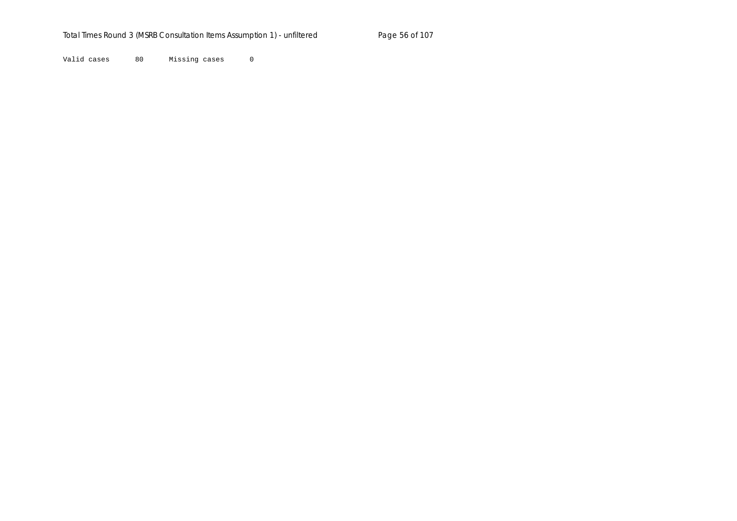Valid cases 80 Missing cases 0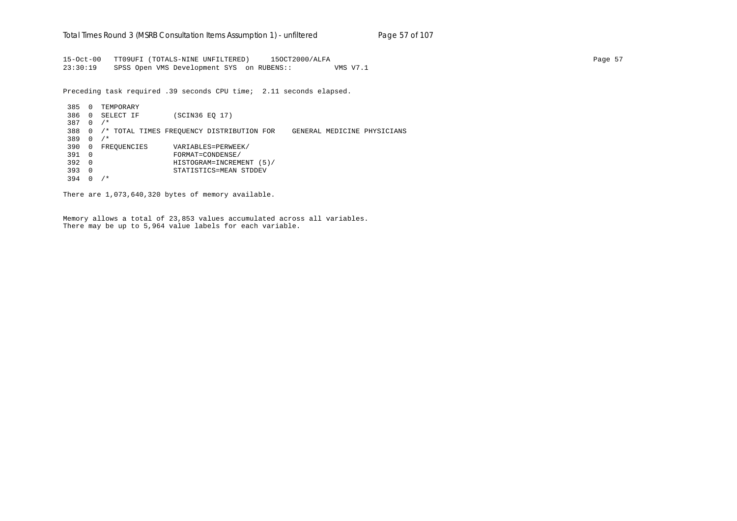15-Oct-00 TT09UFI (TOTALS-NINE UNFILTERED) 15OCT2000/ALFA Page 57 23:30:19 SPSS Open VMS Development SYS on RUBENS:: VMS V7.1

Preceding task required .39 seconds CPU time; 2.11 seconds elapsed.

 385 0 TEMPORARY 386 0 SELECT IF (SCIN36 EQ 17) 387 0 /\* 388 0 /\* TOTAL TIMES FREQUENCY DISTRIBUTION FOR GENERAL MEDICINE PHYSICIANS 389 0 /\* 390 0 FREQUENCIES VARIABLES=PERWEEK/ 391 0 FORMAT=CONDENSE/ 392 0 HISTOGRAM=INCREMENT (5)/ 393 0 STATISTICS=MEAN STDDEV 394 0 /\*

There are 1,073,640,320 bytes of memory available.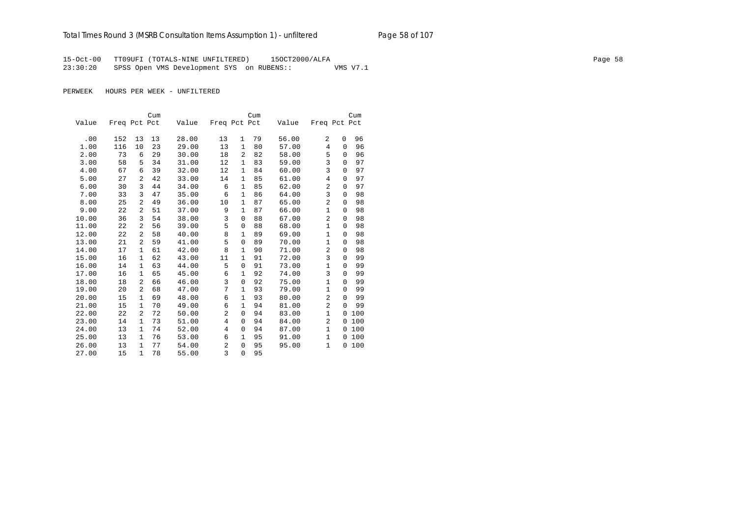15-Oct-00 TT09UFI (TOTALS-NINE UNFILTERED) 15OCT2000/ALFA Page 58 23:30:20 SPSS Open VMS Development SYS on RUBENS:: VMS V7.1

|       |              |              | Cum |       |                |              | Cum |       |                |             | Cum |
|-------|--------------|--------------|-----|-------|----------------|--------------|-----|-------|----------------|-------------|-----|
| Value | Freq Pct Pct |              |     | Value | Freq Pct Pct   |              |     | Value | Freq Pct Pct   |             |     |
|       |              |              |     |       |                |              |     |       |                |             |     |
| .00   | 152          | 13           | 13  | 28.00 | 13             | 1            | 79  | 56.00 | 2              | 0           | 96  |
| 1.00  | 116          | 10           | 23  | 29.00 | 13             | 1            | 80  | 57.00 | $\overline{4}$ | $\Omega$    | 96  |
| 2.00  | 73           | 6            | 29  | 30.00 | 18             | 2            | 82  | 58.00 | 5              | 0           | 96  |
| 3.00  | 58           | 5            | 34  | 31.00 | 12             | 1            | 83  | 59.00 | 3              | $\Omega$    | 97  |
| 4.00  | 67           | 6            | 39  | 32.00 | 12             | $\mathbf{1}$ | 84  | 60.00 | 3              | $\Omega$    | 97  |
| 5.00  | 27           | 2            | 42  | 33.00 | 14             | 1            | 85  | 61.00 | 4              | $\Omega$    | 97  |
| 6.00  | 30           | 3            | 44  | 34.00 | 6              | $\mathbf{1}$ | 85  | 62.00 | $\overline{2}$ | $\mathbf 0$ | 97  |
| 7.00  | 33           | 3            | 47  | 35.00 | 6              | $\mathbf{1}$ | 86  | 64.00 | 3              | $\Omega$    | 98  |
| 8.00  | 25           | 2            | 49  | 36.00 | 10             | $\mathbf{1}$ | 87  | 65.00 | $\overline{2}$ | $\Omega$    | 98  |
| 9.00  | 22           | 2            | 51  | 37.00 | 9              | $\mathbf{1}$ | 87  | 66.00 | $\mathbf{1}$   | 0           | 98  |
| 10.00 | 36           | 3            | 54  | 38.00 | 3              | 0            | 88  | 67.00 | $\overline{2}$ | $\Omega$    | 98  |
| 11.00 | 22           | 2            | 56  | 39.00 | 5              | 0            | 88  | 68.00 | $\mathbf{1}$   | $\Omega$    | 98  |
| 12.00 | 22           | 2            | 58  | 40.00 | 8              | 1            | 89  | 69.00 | $\mathbf{1}$   | $\Omega$    | 98  |
| 13.00 | 21           | 2            | 59  | 41.00 | 5              | 0            | 89  | 70.00 | $\mathbf{1}$   | $\Omega$    | 98  |
| 14.00 | 17           | $\mathbf{1}$ | 61  | 42.00 | 8              | $\mathbf{1}$ | 90  | 71.00 | $\overline{a}$ | 0           | 98  |
| 15.00 | 16           | $\mathbf{1}$ | 62  | 43.00 | 11             | $\mathbf{1}$ | 91  | 72.00 | 3              | $\Omega$    | 99  |
| 16.00 | 14           | 1            | 63  | 44.00 | 5              | 0            | 91  | 73.00 | $\mathbf{1}$   | 0           | 99  |
| 17.00 | 16           | 1            | 65  | 45.00 | 6              | 1            | 92  | 74.00 | 3              | $\Omega$    | 99  |
| 18.00 | 18           | 2            | 66  | 46.00 | 3              | 0            | 92  | 75.00 | $\mathbf{1}$   | $\Omega$    | 99  |
| 19.00 | 20           | 2            | 68  | 47.00 | 7              | $\mathbf{1}$ | 93  | 79.00 | $\mathbf{1}$   | $\Omega$    | 99  |
| 20.00 | 15           | $\mathbf{1}$ | 69  | 48.00 | 6              | $\mathbf{1}$ | 93  | 80.00 | $\overline{2}$ | $\Omega$    | 99  |
| 21.00 | 15           | $\mathbf{1}$ | 70  | 49.00 | 6              | $\mathbf{1}$ | 94  | 81.00 | $\overline{a}$ | $\Omega$    | 99  |
| 22.00 | 22           | 2            | 72  | 50.00 | 2              | 0            | 94  | 83.00 | $\mathbf{1}$   | 0           | 100 |
| 23.00 | 14           | $\mathbf{1}$ | 73  | 51.00 | $\overline{4}$ | 0            | 94  | 84.00 | 2              | 0           | 100 |
| 24.00 | 13           | $\mathbf{1}$ | 74  | 52.00 | $\overline{4}$ | 0            | 94  | 87.00 | $\mathbf{1}$   | $\Omega$    | 100 |
| 25.00 | 13           | 1            | 76  | 53.00 | 6              | 1            | 95  | 91.00 | $\mathbf{1}$   | 0           | 100 |
| 26.00 | 13           | $\mathbf{1}$ | 77  | 54.00 | 2              | 0            | 95  | 95.00 | $\mathbf{1}$   | 0           | 100 |
| 27.00 | 15           | $\mathbf{1}$ | 78  | 55.00 | 3              | $\Omega$     | 95  |       |                |             |     |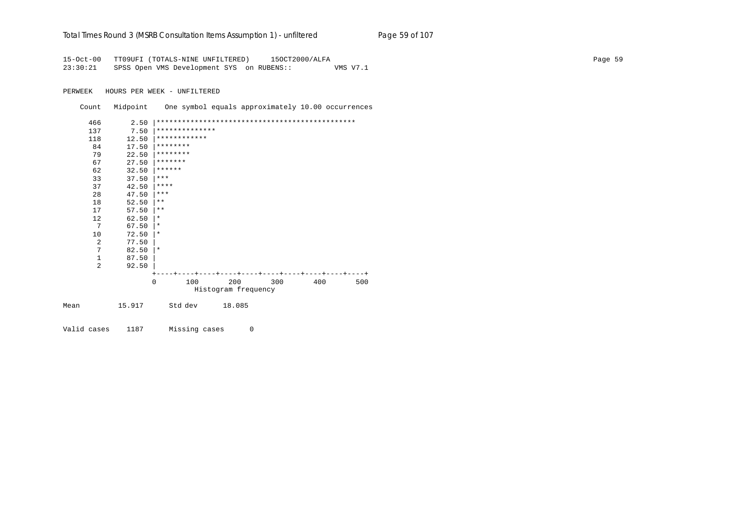|  |  | Total Times Round 3 (MSRB Consultation Items Assumption 1) - unfiltered | Page 59 of 107 |
|--|--|-------------------------------------------------------------------------|----------------|
|--|--|-------------------------------------------------------------------------|----------------|

15-Oct-00 TT09UFI (TOTALS-NINE UNFILTERED) 15OCT2000/ALFA Page 59 23:30:21 SPSS Open VMS Development SYS on RUBENS:: VMS V7.1

PERWEEK HOURS PER WEEK - UNFILTERED

Count Midpoint One symbol equals approximately 10.00 occurrences

|      | 466 | 2.50   |                |     |                     |     |     |     |
|------|-----|--------|----------------|-----|---------------------|-----|-----|-----|
|      | 137 | 7.50   | ************** |     |                     |     |     |     |
|      | 118 | 12.50  | ************   |     |                     |     |     |     |
|      | 84  | 17.50  | ********       |     |                     |     |     |     |
|      | 79  | 22.50  | ********       |     |                     |     |     |     |
|      | 67  | 27.50  | *******        |     |                     |     |     |     |
|      | 62  | 32.50  | ******         |     |                     |     |     |     |
|      | 33  | 37.50  | $***$          |     |                     |     |     |     |
|      | 37  | 42.50  | $***$ * * *    |     |                     |     |     |     |
|      | 28  | 47.50  | $***$          |     |                     |     |     |     |
|      | 18  | 52.50  | $***$          |     |                     |     |     |     |
|      | 17  | 57.50  | $* *$          |     |                     |     |     |     |
|      | 12  | 62.50  | $^\star$       |     |                     |     |     |     |
|      | 7   | 67.50  | $^\star$       |     |                     |     |     |     |
|      | 10  | 72.50  | $\ast$         |     |                     |     |     |     |
|      | 2   | 77.50  |                |     |                     |     |     |     |
|      | 7   | 82.50  | $\ast$         |     |                     |     |     |     |
|      | 1   | 87.50  |                |     |                     |     |     |     |
|      | 2   | 92.50  |                |     |                     |     |     |     |
|      |     |        |                |     |                     |     |     |     |
|      |     |        | $\Omega$       | 100 | 200                 | 300 | 400 | 500 |
|      |     |        |                |     | Histogram frequency |     |     |     |
| Mean |     | 15.917 | Std dev        |     | 18.085              |     |     |     |
|      |     |        |                |     |                     |     |     |     |
|      |     |        |                |     |                     |     |     |     |

Valid cases 1187 Missing cases 0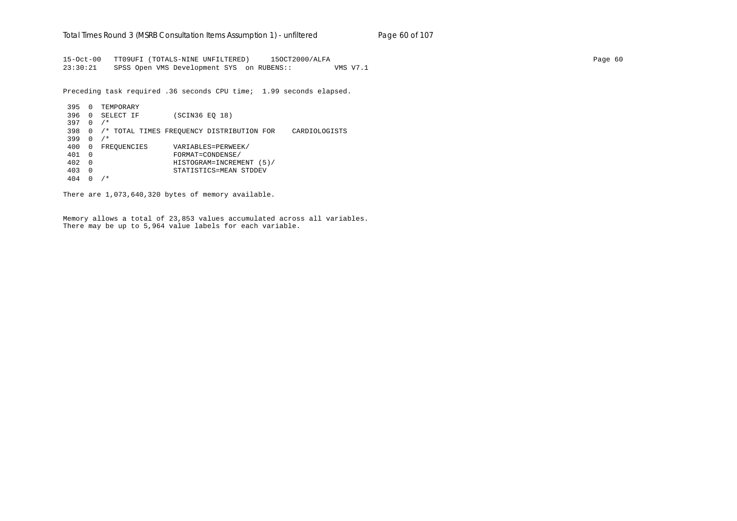15-Oct-00 TT09UFI (TOTALS-NINE UNFILTERED) 15OCT2000/ALFA Page 60 23:30:21 SPSS Open VMS Development SYS on RUBENS:: VMS V7.1

Preceding task required .36 seconds CPU time; 1.99 seconds elapsed.

 395 0 TEMPORARY 396 0 SELECT IF (SCIN36 EQ 18) 397 0 /\* 398 0 /\* TOTAL TIMES FREQUENCY DISTRIBUTION FOR CARDIOLOGISTS 399 0 /\* 400 0 FREQUENCIES VARIABLES=PERWEEK/ 401 0 FORMAT=CONDENSE/ 402 0 HISTOGRAM=INCREMENT (5)/ 403 0 STATISTICS=MEAN STDDEV 404 0 /\*

There are 1,073,640,320 bytes of memory available.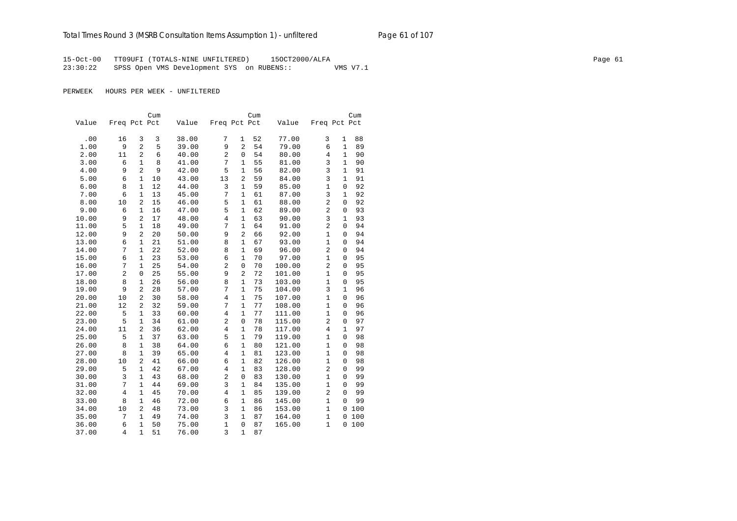15-Oct-00 TT09UFI (TOTALS-NINE UNFILTERED) 15OCT2000/ALFA Page 61 23:30:22 SPSS Open VMS Development SYS on RUBENS:: VMS V7.1

|       |                |                | Cum |       |                |                | Cum |        |                |                | Cum |
|-------|----------------|----------------|-----|-------|----------------|----------------|-----|--------|----------------|----------------|-----|
| Value | Freq Pct Pct   |                |     | Value | Freq Pct Pct   |                |     | Value  | Freq Pct Pct   |                |     |
|       |                |                |     |       |                |                |     |        |                |                |     |
| .00   | 16             | 3              | 3   | 38.00 | 7              | 1              | 52  | 77.00  | 3              | 1              | 88  |
| 1.00  | 9              | $\overline{a}$ | 5   | 39.00 | 9              | $\overline{2}$ | 54  | 79.00  | 6              | $\mathbf{1}$   | 89  |
| 2.00  | 11             | $\overline{2}$ | 6   | 40.00 | $\overline{a}$ | $\mathbf 0$    | 54  | 80.00  | $\overline{4}$ | $\mathbf{1}$   | 90  |
| 3.00  | 6              | $\mathbf{1}$   | 8   | 41.00 | 7              | 1              | 55  | 81.00  | 3              | $\mathbf{1}$   | 90  |
| 4.00  | 9              | $\overline{2}$ | 9   | 42.00 | 5              | 1              | 56  | 82.00  | 3              | 1              | 91  |
| 5.00  | 6              | 1              | 10  | 43.00 | 13             | $\overline{2}$ | 59  | 84.00  | 3              | $\mathbf{1}$   | 91  |
| 6.00  | 8              | $\mathbf{1}$   | 12  | 44.00 | 3              | $\mathbf{1}$   | 59  | 85.00  | $\mathbf{1}$   | $\mathbf 0$    | 92  |
| 7.00  | 6              | $\mathbf{1}$   | 13  | 45.00 | 7              | $\mathbf{1}$   | 61  | 87.00  | 3              | $\mathbf{1}$   | 92  |
| 8.00  | 10             | 2              | 15  | 46.00 | 5              | $\mathbf{1}$   | 61  | 88.00  | $\overline{2}$ | $\mathbf 0$    | 92  |
| 9.00  | 6              | $\mathbf{1}$   | 16  | 47.00 | 5              | $\mathbf{1}$   | 62  | 89.00  | $\overline{2}$ | $\mathbf 0$    | 93  |
| 10.00 | 9              | 2              | 17  | 48.00 | $\,4$          | $\mathbf{1}$   | 63  | 90.00  | 3              | $\mathbf{1}$   | 93  |
| 11.00 | 5              | $\mathbf{1}$   | 18  | 49.00 | 7              | $\mathbf{1}$   | 64  | 91.00  | $\overline{2}$ | 0              | 94  |
| 12.00 | 9              | $\overline{2}$ | 20  | 50.00 | 9              | $\overline{2}$ | 66  | 92.00  | $\mathbf{1}$   | $\mathbf 0$    | 94  |
| 13.00 | 6              | $\mathbf{1}$   | 21  | 51.00 | 8              | $\mathbf{1}$   | 67  | 93.00  | $\mathbf{1}$   | $\overline{0}$ | 94  |
| 14.00 | 7              | $\mathbf{1}$   | 22  | 52.00 | 8              | $\mathbf{1}$   | 69  | 96.00  | $\overline{a}$ | $\overline{0}$ | 94  |
| 15.00 | 6              | $\mathbf{1}$   | 23  | 53.00 | 6              | $\mathbf{1}$   | 70  | 97.00  | $\mathbf{1}$   | 0              | 95  |
| 16.00 | 7              | $\mathbf{1}$   | 25  | 54.00 | $\overline{c}$ | $\mathbf 0$    | 70  | 100.00 | $\overline{a}$ | 0              | 95  |
| 17.00 | $\overline{2}$ | $\overline{0}$ | 25  | 55.00 | 9              | $\overline{2}$ | 72  | 101.00 | $\mathbf{1}$   | 0              | 95  |
| 18.00 | 8              | $\mathbf{1}$   | 26  | 56.00 | 8              | $\mathbf{1}$   | 73  | 103.00 | $\mathbf{1}$   | $\mathbf 0$    | 95  |
| 19.00 | 9              | $\overline{2}$ | 28  | 57.00 | 7              | $\mathbf{1}$   | 75  | 104.00 | 3              | $\mathbf{1}$   | 96  |
| 20.00 | 10             | 2              | 30  | 58.00 | $\,4$          | $\mathbf{1}$   | 75  | 107.00 | $\mathbf{1}$   | $\Omega$       | 96  |
| 21.00 | 12             | $\overline{2}$ | 32  | 59.00 | 7              | $\mathbf{1}$   | 77  | 108.00 | $\mathbf{1}$   | 0              | 96  |
| 22.00 | 5              | $\mathbf{1}$   | 33  | 60.00 | $\overline{4}$ | $\mathbf{1}$   | 77  | 111.00 | $\mathbf{1}$   | 0              | 96  |
| 23.00 | 5              | $\mathbf{1}$   | 34  | 61.00 | $\overline{2}$ | $\mathbf 0$    | 78  | 115.00 | $\overline{a}$ | $\overline{0}$ | 97  |
| 24.00 | 11             | $\overline{2}$ | 36  | 62.00 | $\overline{4}$ | $\mathbf{1}$   | 78  | 117.00 | $\overline{4}$ | $\mathbf{1}$   | 97  |
| 25.00 | 5              | $\mathbf{1}$   | 37  | 63.00 | 5              | $\mathbf{1}$   | 79  | 119.00 | $\mathbf{1}$   | 0              | 98  |
| 26.00 | 8              | $\mathbf{1}$   | 38  | 64.00 | 6              | $\mathbf{1}$   | 80  | 121.00 | $\mathbf{1}$   | $\mathbf 0$    | 98  |
| 27.00 | 8              | $\mathbf{1}$   | 39  | 65.00 | $\overline{4}$ | $\mathbf{1}$   | 81  | 123.00 | $\mathbf{1}$   | $\Omega$       | 98  |
| 28.00 | 10             | 2              | 41  | 66.00 | 6              | $\mathbf{1}$   | 82  | 126.00 | $\mathbf{1}$   | 0              | 98  |
| 29.00 | 5              | $\mathbf{1}$   | 42  | 67.00 | $\overline{4}$ | $\mathbf{1}$   | 83  | 128.00 | $\overline{a}$ | 0              | 99  |
| 30.00 | 3              | $\mathbf{1}$   | 43  | 68.00 | $\overline{a}$ | $\mathbf 0$    | 83  | 130.00 | $\mathbf{1}$   | $\overline{0}$ | 99  |
| 31.00 | 7              | $\mathbf{1}$   | 44  | 69.00 | 3              | $\mathbf{1}$   | 84  | 135.00 | $\mathbf{1}$   | 0              | 99  |
| 32.00 | 4              | $\mathbf{1}$   | 45  | 70.00 | $\overline{4}$ | $\mathbf{1}$   | 85  | 139.00 | 2              | $\mathbf{0}$   | 99  |
| 33.00 | 8              | 1              | 46  | 72.00 | 6              | $\mathbf{1}$   | 86  | 145.00 | $\mathbf{1}$   | 0              | 99  |
| 34.00 | 10             | $\overline{2}$ | 48  | 73.00 | 3              | $\mathbf{1}$   | 86  | 153.00 | $\mathbf{1}$   | 0              | 100 |
| 35.00 | 7              | $\mathbf{1}$   | 49  | 74.00 | 3              | $\mathbf{1}$   | 87  | 164.00 | $\mathbf{1}$   | 0              | 100 |
| 36.00 | 6              | $\mathbf{1}$   | 50  | 75.00 | $\mathbf{1}$   | $\mathsf 0$    | 87  | 165.00 | $\mathbf{1}$   | 0              | 100 |
| 37.00 | $\overline{4}$ | $\mathbf{1}$   | 51  | 76.00 | $\overline{3}$ | $\mathbf{1}$   | 87  |        |                |                |     |
|       |                |                |     |       |                |                |     |        |                |                |     |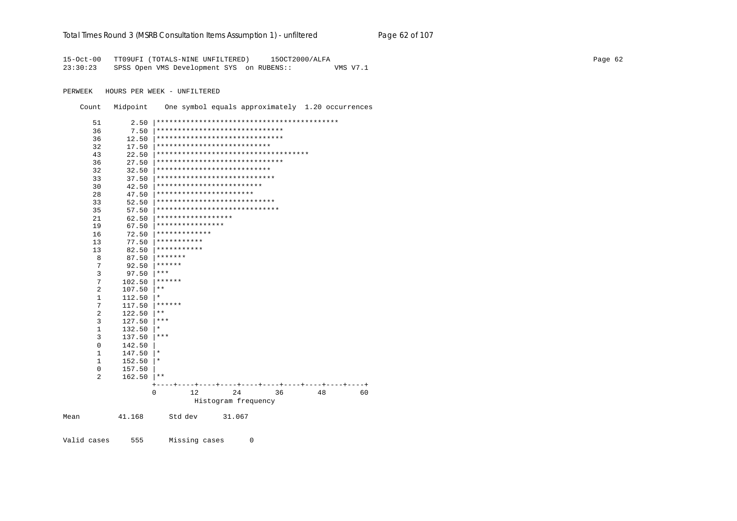#### Total Times Round 3 (MSRB Consultation Items Assumption 1) - unfiltered Page 62 of 107

15-Oct-00 TT09UFI (TOTALS-NINE UNFILTERED) 150CT2000/ALFA 23:30:23 SPSS Open VMS Development SYS on RUBENS:: VMS V7.1

PERWEEK HOURS PER WEEK - UNFILTERED

Count Midpoint One symbol equals approximately 1.20 occurrences

| 51             | 2.50   |                                         |            |
|----------------|--------|-----------------------------------------|------------|
| 36             | 7.50   | ******************************          |            |
| 36             | 12.50  | ******************************          |            |
| 32             | 17.50  | ***************************             |            |
| 43             | 22.50  | *************************************   |            |
| 36             | 27.50  | ******************************          |            |
| 32             | 32.50  | ***************************             |            |
| 33             | 37.50  | ****************************            |            |
| 30             | 42.50  | *************************               |            |
| 28             | 47.50  | ***********************                 |            |
| 33             | 52.50  | ****************************            |            |
| 35             | 57.50  | *****************************           |            |
| 21             | 62.50  | ******************                      |            |
| 19             | 67.50  | ****************                        |            |
| 16             | 72.50  | * * * * * * * * * * * * *               |            |
| 13             | 77.50  | ***********                             |            |
| 13             | 82.50  | ***********                             |            |
| 8              | 87.50  | * * * * * * *                           |            |
| 7              | 92.50  | ******                                  |            |
| 3              | 97.50  | ***                                     |            |
| 7              | 102.50 | ******                                  |            |
| $\overline{2}$ | 107.50 | $* *$                                   |            |
| $\mathbf 1$    | 112.50 | *                                       |            |
| 7              | 117.50 | ******                                  |            |
| 2              | 122.50 | * *                                     |            |
| 3              | 127.50 | ***                                     |            |
| $\mathbf{1}$   | 132.50 | *                                       |            |
| 3              | 137.50 | ***                                     |            |
| $\mathbf 0$    | 142.50 |                                         |            |
| $\mathbf{1}$   | 147.50 | $^\star$                                |            |
| $\mathbf{1}$   | 152.50 | $^\star$                                |            |
| $\mathsf 0$    | 157.50 |                                         |            |
| $\overline{2}$ | 162.50 | * *                                     |            |
|                |        | ----+----+----+----+----+<br>----+----+ | ----+----+ |
|                |        | 0<br>12<br>24<br>36<br>48               | 60         |
|                |        | Histogram frequency                     |            |
| Mean           | 41.168 | Std dev<br>31.067                       |            |

Valid cases 555 Missing cases  $\overline{0}$  Page 62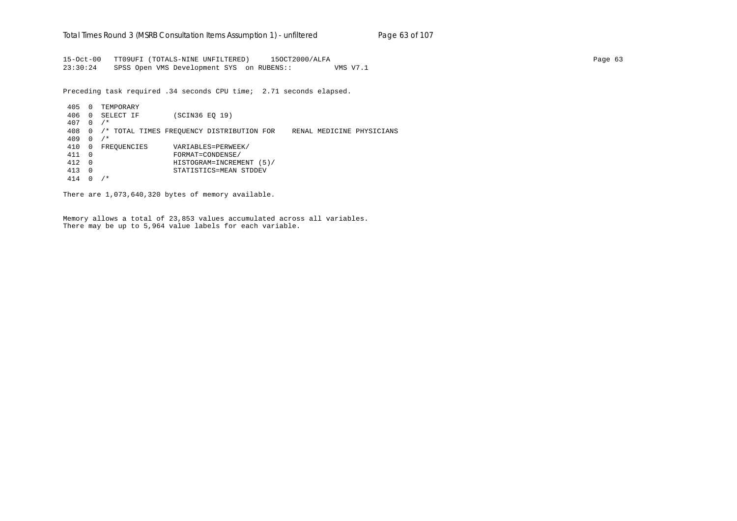15-Oct-00 TT09UFI (TOTALS-NINE UNFILTERED) 15OCT2000/ALFA Page 63 23:30:24 SPSS Open VMS Development SYS on RUBENS:: VMS V7.1

Preceding task required .34 seconds CPU time; 2.71 seconds elapsed.

 405 0 TEMPORARY 406 0 SELECT IF (SCIN36 EQ 19) 407 0 /\* 408 0 /\* TOTAL TIMES FREQUENCY DISTRIBUTION FOR RENAL MEDICINE PHYSICIANS 409 0 /\* 410 0 FREQUENCIES VARIABLES=PERWEEK/ 411 0 FORMAT=CONDENSE/ 412 0 HISTOGRAM=INCREMENT (5)/ 413 0 STATISTICS=MEAN STDDEV 414 0 /\*

There are 1,073,640,320 bytes of memory available.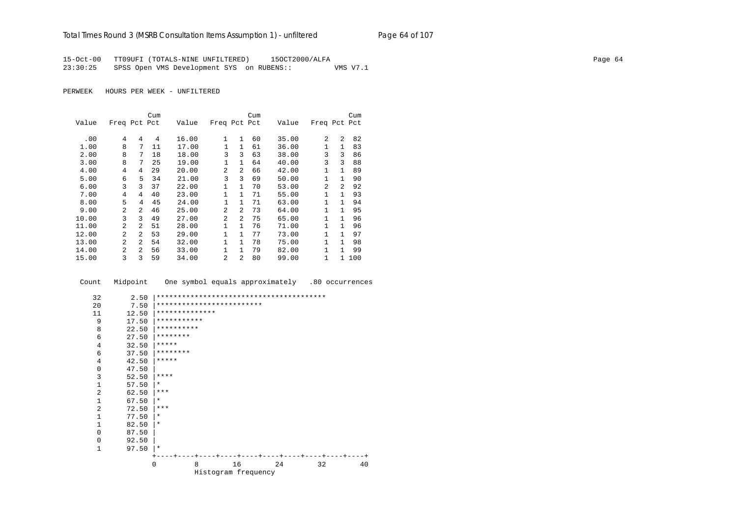15-Oct-00 TT09UFI (TOTALS-NINE UNFILTERED) 15OCT2000/ALFA Page 64 23:30:25 SPSS Open VMS Development SYS on RUBENS:: VMS V7.1

PERWEEK HOURS PER WEEK - UNFILTERED

|       |                |                | Cum |       |              |                | Cum |       |                |                | Cum |
|-------|----------------|----------------|-----|-------|--------------|----------------|-----|-------|----------------|----------------|-----|
| Value | Freq Pct Pct   |                |     | Value | Freq Pct Pct |                |     | Value | Freq Pct Pct   |                |     |
|       |                |                |     |       |              |                |     |       |                |                |     |
| .00   | 4              | 4              | 4   | 16.00 | $\mathbf{1}$ | $\mathbf{1}$   | 60  | 35.00 | 2              | 2              | 82  |
| 1.00  | 8              | 7              | 11  | 17.00 | 1            | $\mathbf{1}$   | 61  | 36.00 | 1              | $\mathbf{1}$   | 83  |
| 2.00  | 8              | 7              | 18  | 18.00 | 3            | 3              | 63  | 38.00 | 3              | 3              | 86  |
| 3.00  | 8              | 7              | 25  | 19.00 | $\mathbf{1}$ | $\mathbf{1}$   | 64  | 40.00 | 3              | 3              | 88  |
| 4.00  | 4              | 4              | 29  | 20.00 | 2            | $\overline{a}$ | 66  | 42.00 | 1              | $\mathbf{1}$   | 89  |
| 5.00  | 6              | 5              | 34  | 21.00 | 3            | 3              | 69  | 50.00 | 1              | $\mathbf{1}$   | 90  |
| 6.00  | 3              | ς              | 37  | 22.00 | 1            | 1              | 70  | 53.00 | $\overline{a}$ | $\mathfrak{D}$ | 92  |
| 7.00  | 4              | 4              | 40  | 23.00 | $\mathbf{1}$ | 1              | 71  | 55.00 | 1              | 1              | 93  |
| 8.00  | 5              | 4              | 45  | 24.00 | 1            | $\mathbf{1}$   | 71  | 63.00 | 1              | 1              | 94  |
| 9.00  | $\overline{a}$ | $\mathfrak{D}$ | 46  | 25.00 | 2            | $\mathfrak{D}$ | 73  | 64.00 | 1              | 1              | 95  |
| 10.00 | 3              | ς              | 49  | 27.00 | 2            | 2              | 75  | 65.00 | 1              | 1              | 96  |
| 11.00 | $\overline{a}$ | $\mathfrak{D}$ | 51  | 28.00 | 1            | $\mathbf{1}$   | 76  | 71.00 | 1              | 1              | 96  |
| 12.00 | $\mathfrak{D}$ | $\mathfrak{D}$ | 53  | 29.00 | 1            | $\mathbf{1}$   | 77  | 73.00 | 1              | 1              | 97  |
| 13.00 | $\mathfrak{D}$ | $\mathfrak{D}$ | 54  | 32.00 | 1            | $\mathbf{1}$   | 78  | 75.00 | 1              | 1              | 98  |
| 14.00 | $\overline{a}$ | $\mathfrak{D}$ | 56  | 33.00 | 1            | $\mathbf{1}$   | 79  | 82.00 | 1              | 1              | 99  |
| 15.00 | 3              | 3              | 59  | 34.00 | 2            | 2              | 80  | 99.00 | 1              | 1              | 100 |

Count Midpoint One symbol equals approximately .80 occurrences

| 32             | 2.50  |                           |   |                     |    |    |    |
|----------------|-------|---------------------------|---|---------------------|----|----|----|
| 20             | 7.50  | ************************* |   |                     |    |    |    |
| 11             | 12.50 | **************            |   |                     |    |    |    |
| 9              | 17.50 | ***********               |   |                     |    |    |    |
| 8              | 22.50 | **********                |   |                     |    |    |    |
| 6              | 27.50 | ********                  |   |                     |    |    |    |
| 4              | 32.50 | *****                     |   |                     |    |    |    |
| 6              | 37.50 | ********                  |   |                     |    |    |    |
| 4              | 42.50 | *****                     |   |                     |    |    |    |
| 0              | 47.50 |                           |   |                     |    |    |    |
| 3              | 52.50 | ****                      |   |                     |    |    |    |
| 1              | 57.50 | $\star$                   |   |                     |    |    |    |
| $\overline{a}$ | 62.50 | $***$                     |   |                     |    |    |    |
| 1              | 67.50 | $\ast$                    |   |                     |    |    |    |
| 2              | 72.50 | $***$                     |   |                     |    |    |    |
| $\mathbf{1}$   | 77.50 | $\star$                   |   |                     |    |    |    |
| 1              | 82.50 | $\star$                   |   |                     |    |    |    |
| 0              | 87.50 |                           |   |                     |    |    |    |
| 0              | 92.50 |                           |   |                     |    |    |    |
| $\mathbf{1}$   | 97.50 | $\star$                   |   |                     |    |    |    |
|                |       |                           |   |                     |    |    |    |
|                |       | 0                         | 8 | 16                  | 24 | 32 | 40 |
|                |       |                           |   | Histogram frequency |    |    |    |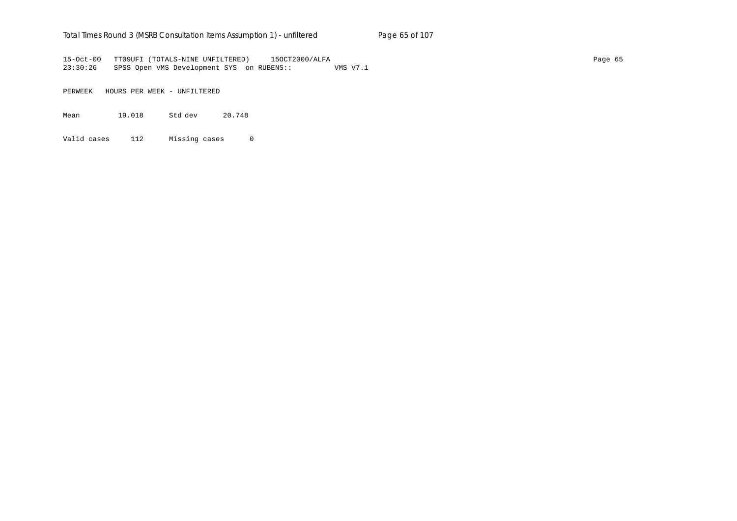## Total Times Round 3 (MSRB Consultation Items Assumption 1) - unfiltered Page 65 of 107

15-Oct-00 TT09UFI (TOTALS-NINE UNFILTERED) 15OCT2000/ALFA Page 65 23:30:26 SPSS Open VMS Development SYS on RUBENS:: VMS V7.1

PERWEEK HOURS PER WEEK - UNFILTERED

Mean 19.018 Std dev 20.748

Valid cases 112 Missing cases 0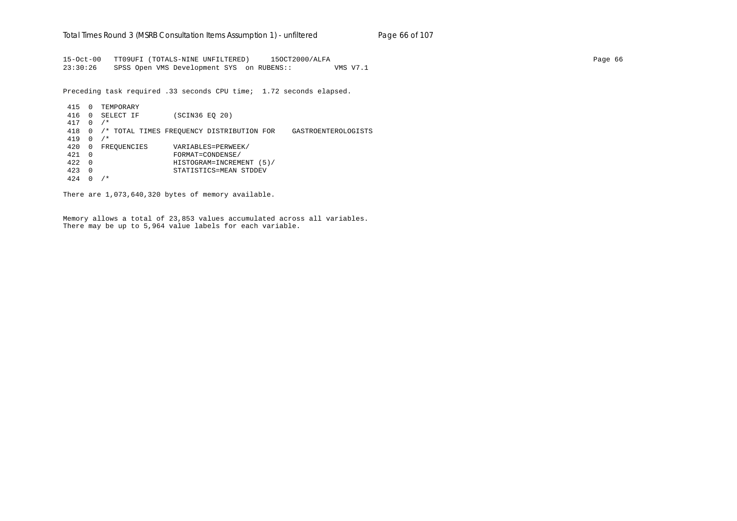15-Oct-00 TT09UFI (TOTALS-NINE UNFILTERED) 15OCT2000/ALFA Page 66 23:30:26 SPSS Open VMS Development SYS on RUBENS:: VMS V7.1

Preceding task required .33 seconds CPU time; 1.72 seconds elapsed.

 415 0 TEMPORARY 416 0 SELECT IF (SCIN36 EQ 20) 417 0 /\* 418 0 /\* TOTAL TIMES FREQUENCY DISTRIBUTION FOR GASTROENTEROLOGISTS 419 0 /\* 420 0 FREQUENCIES VARIABLES=PERWEEK/ 421 0 FORMAT=CONDENSE/ 422 0 HISTOGRAM=INCREMENT (5)/ 423 0 STATISTICS=MEAN STDDEV 424 0 /\*

There are 1,073,640,320 bytes of memory available.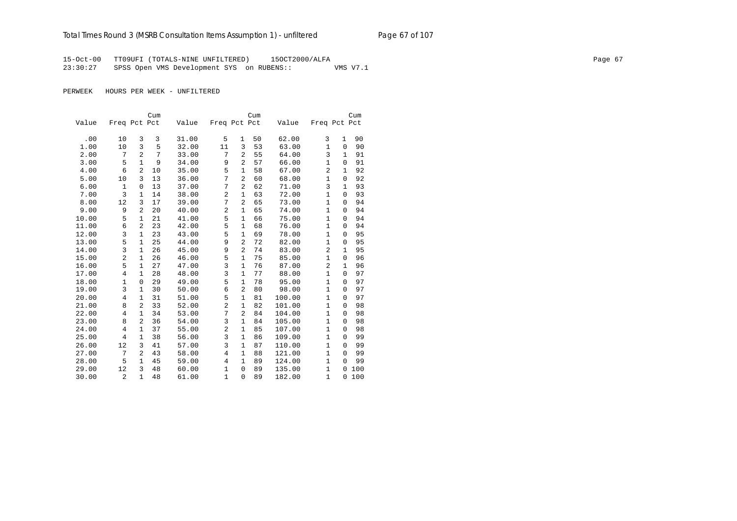15-Oct-00 TT09UFI (TOTALS-NINE UNFILTERED) 15OCT2000/ALFA Page 67 23:30:27 SPSS Open VMS Development SYS on RUBENS:: VMS V7.1

|       |                |                | Cum |       |                |                | Cum |        |                |              | Cum |
|-------|----------------|----------------|-----|-------|----------------|----------------|-----|--------|----------------|--------------|-----|
| Value | Freq Pct Pct   |                |     | Value | Freq Pct Pct   |                |     | Value  | Freq Pct Pct   |              |     |
|       |                |                |     |       |                |                |     |        |                |              |     |
| .00   | 10             | 3              | 3   | 31.00 | 5              | 1              | 50  | 62.00  | 3              | $\mathbf{1}$ | 90  |
| 1.00  | 10             | 3              | 5   | 32.00 | 11             | 3              | 53  | 63.00  | $\mathbf{1}$   | $\mathbf 0$  | 90  |
| 2.00  | 7              | $\overline{a}$ | 7   | 33.00 | 7              | $\overline{a}$ | 55  | 64.00  | 3              | $\mathbf{1}$ | 91  |
| 3.00  | 5              | $\mathbf{1}$   | 9   | 34.00 | 9              | $\overline{c}$ | 57  | 66.00  | $\mathbf{1}$   | 0            | 91  |
| 4.00  | 6              | 2              | 10  | 35.00 | 5              | 1              | 58  | 67.00  | 2              | $\mathbf{1}$ | 92  |
| 5.00  | 10             | 3              | 13  | 36.00 | 7              | $\overline{2}$ | 60  | 68.00  | $\mathbf{1}$   | $\mathsf 0$  | 92  |
| 6.00  | $\mathbf{1}$   | 0              | 13  | 37.00 | 7              | $\overline{c}$ | 62  | 71.00  | 3              | $\mathbf{1}$ | 93  |
| 7.00  | 3              | $\mathbf{1}$   | 14  | 38.00 | $\overline{2}$ | $\mathbf{1}$   | 63  | 72.00  | $\mathbf{1}$   | $\mathbf 0$  | 93  |
| 8.00  | 12             | 3              | 17  | 39.00 | 7              | $\overline{c}$ | 65  | 73.00  | $\mathbf{1}$   | $\Omega$     | 94  |
| 9.00  | 9              | $\overline{a}$ | 20  | 40.00 | $\overline{c}$ | $\mathbf 1$    | 65  | 74.00  | $\mathbf{1}$   | $\Omega$     | 94  |
| 10.00 | 5              | $\mathbf{1}$   | 21  | 41.00 | 5              | $\mathbf{1}$   | 66  | 75.00  | $\mathbf{1}$   | $\mathbf 0$  | 94  |
| 11.00 | 6              | 2              | 23  | 42.00 | 5              | 1              | 68  | 76.00  | $\mathbf{1}$   | $\mathbf 0$  | 94  |
| 12.00 | 3              | $\mathbf{1}$   | 23  | 43.00 | 5              | 1              | 69  | 78.00  | $\mathbf{1}$   | 0            | 95  |
| 13.00 | 5              | $\mathbf{1}$   | 25  | 44.00 | 9              | $\overline{a}$ | 72  | 82.00  | $\mathbf{1}$   | $\mathbf 0$  | 95  |
| 14.00 | 3              | $\mathbf{1}$   | 26  | 45.00 | 9              | $\overline{a}$ | 74  | 83.00  | 2              | $\mathbf{1}$ | 95  |
| 15.00 | $\overline{2}$ | $\mathbf{1}$   | 26  | 46.00 | 5              | $\mathbf{1}$   | 75  | 85.00  | $\mathbf{1}$   | $\mathbf 0$  | 96  |
| 16.00 | 5              | $\mathbf{1}$   | 27  | 47.00 | 3              | $\mathbf 1$    | 76  | 87.00  | $\overline{2}$ | $\mathbf{1}$ | 96  |
| 17.00 | 4              | $\mathbf{1}$   | 28  | 48.00 | 3              | $\mathbf{1}$   | 77  | 88.00  | $\mathbf{1}$   | $\mathbf 0$  | 97  |
| 18.00 | 1              | 0              | 29  | 49.00 | 5              | $\mathbf{1}$   | 78  | 95.00  | $\mathbf{1}$   | $\Omega$     | 97  |
| 19.00 | 3              | $\mathbf{1}$   | 30  | 50.00 | 6              | $\overline{a}$ | 80  | 98.00  | $\mathbf{1}$   | $\mathbf 0$  | 97  |
| 20.00 | $\overline{4}$ | $\mathbf 1$    | 31  | 51.00 | 5              | 1              | 81  | 100.00 | $\mathbf 1$    | 0            | 97  |
| 21.00 | 8              | 2              | 33  | 52.00 | $\overline{2}$ | 1              | 82  | 101.00 | $\mathbf{1}$   | $\mathbf 0$  | 98  |
| 22.00 | 4              | $\mathbf{1}$   | 34  | 53.00 | 7              | 2              | 84  | 104.00 | 1              | $\mathbf 0$  | 98  |
| 23.00 | 8              | $\overline{a}$ | 36  | 54.00 | 3              | 1              | 84  | 105.00 | $\mathbf{1}$   | $\Omega$     | 98  |
| 24.00 | 4              | $\mathbf{1}$   | 37  | 55.00 | $\overline{2}$ | $\mathbf{1}$   | 85  | 107.00 | $\mathbf{1}$   | $\mathbf 0$  | 98  |
| 25.00 | $\overline{4}$ | $\mathbf{1}$   | 38  | 56.00 | 3              | $\mathbf{1}$   | 86  | 109.00 | $\mathbf{1}$   | $\mathbf 0$  | 99  |
| 26.00 | 12             | 3              | 41  | 57.00 | 3              | $\mathbf{1}$   | 87  | 110.00 | $\mathbf{1}$   | $\mathbf 0$  | 99  |
| 27.00 | 7              | 2              | 43  | 58.00 | $\overline{4}$ | 1              | 88  | 121.00 | $\mathbf{1}$   | $\Omega$     | 99  |
| 28.00 | 5              | $\mathbf{1}$   | 45  | 59.00 | 4              | $\mathbf{1}$   | 89  | 124.00 | $\mathbf{1}$   | $\Omega$     | 99  |
| 29.00 | 12             | 3              | 48  | 60.00 | $\mathbf{1}$   | 0              | 89  | 135.00 | $\mathbf{1}$   | $\Omega$     | 100 |
| 30.00 | 2              | $\mathbf{1}$   | 48  | 61.00 | $\mathbf{1}$   | $\mathbf 0$    | 89  | 182.00 | $\mathbf{1}$   | $\mathbf 0$  | 100 |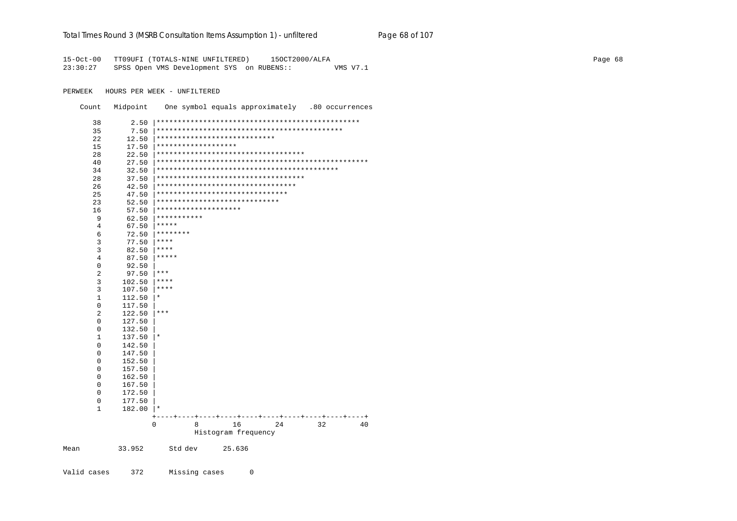#### Total Times Round 3 (MSRB Consultation Items Assumption 1) - unfiltered Page 68 of 107

15-Oct-00 TT09UFI (TOTALS-NINE UNFILTERED) 15OCT2000/ALFA 23:30:27 SPSS Open VMS Development SYS on RUBENS:: VMS V7.1

PERWEEK HOURS PER WEEK - UNFILTERED

Count Midpoint One symbol equals approximately .80 occurrences

| 38             | 2.50        |                                                                 |
|----------------|-------------|-----------------------------------------------------------------|
| 35             | 7.50        |                                                                 |
| 22             | 12.50       | ****************************                                    |
| 15             | 17.50       | *******************                                             |
| 28             | 22.50       | ***********************************                             |
| 40             | 27.50       |                                                                 |
| 34             | 32.50       |                                                                 |
| 28             | 37.50       | ***********************************                             |
| 26             | 42.50       | *********************************                               |
| 25             | 47.50       | *******************************                                 |
| 23             | 52.50       | *****************************                                   |
| 16             | 57.50       | ********************                                            |
| 9              | 62.50       | ***********                                                     |
| 4              | 67.50       | *****                                                           |
| 6              | 72.50       | ********                                                        |
| 3              | 77.50       | ****                                                            |
| 3              | 82.50       | ****                                                            |
| 4              | 87.50       | *****                                                           |
| 0              | 92.50       |                                                                 |
| $\overline{2}$ | 97.50       | $***$                                                           |
| 3              | 102.50      | ****                                                            |
| 3              | 107.50      | ****                                                            |
| $\mathbf 1$    | 112.50      | $\star$                                                         |
| $\mathbf 0$    | 117.50      |                                                                 |
| 2              | 122.50      | $***$                                                           |
| 0              | 127.50      |                                                                 |
| 0              | 132.50      |                                                                 |
| $1\,$          | 137.50      | $\star$                                                         |
| $\mathbf 0$    | 142.50      |                                                                 |
| 0              | 147.50      |                                                                 |
| 0              | 152.50      |                                                                 |
| 0              | 157.50      |                                                                 |
| 0              | 162.50      |                                                                 |
| 0              | 167.50      |                                                                 |
| 0              | 172.50      |                                                                 |
| $\mathsf 0$    | 177.50      |                                                                 |
| 1              | 182.00      | $^\star$                                                        |
|                | $^{+}$<br>0 | $- - - - +$<br>$-+$<br>$- + - - -$<br>16<br>8<br>24<br>32<br>40 |
|                |             | Histogram frequency                                             |
|                |             |                                                                 |
|                | 33.952      | Std dev<br>25.636                                               |

Valid cases 372 Missing cases  $\overline{0}$ 

Mean

Page 68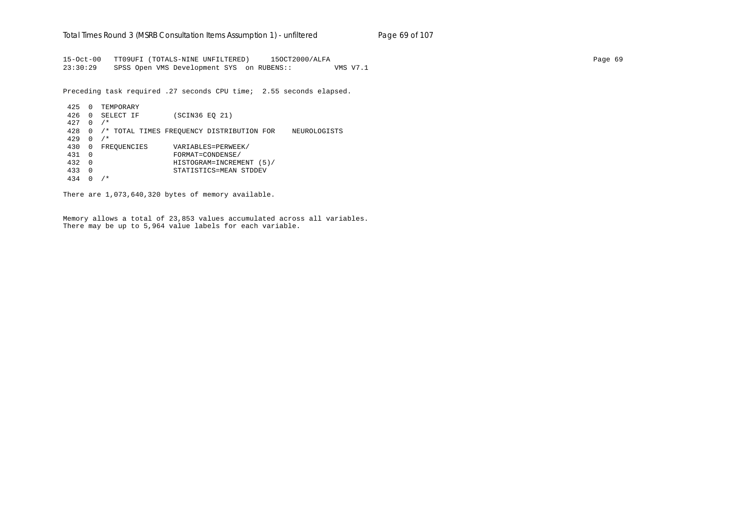15-Oct-00 TT09UFI (TOTALS-NINE UNFILTERED) 15OCT2000/ALFA Page 69 23:30:29 SPSS Open VMS Development SYS on RUBENS:: VMS V7.1

Preceding task required .27 seconds CPU time; 2.55 seconds elapsed.

 425 0 TEMPORARY 426 0 SELECT IF (SCIN36 EQ 21) 427 0 /\* 428 0 /\* TOTAL TIMES FREQUENCY DISTRIBUTION FOR NEUROLOGISTS 429 0 /\* 430 0 FREQUENCIES VARIABLES=PERWEEK/ 431 0 FORMAT=CONDENSE/ 432 0 HISTOGRAM=INCREMENT (5)/ 433 0 STATISTICS=MEAN STDDEV 434 0 /\*

There are 1,073,640,320 bytes of memory available.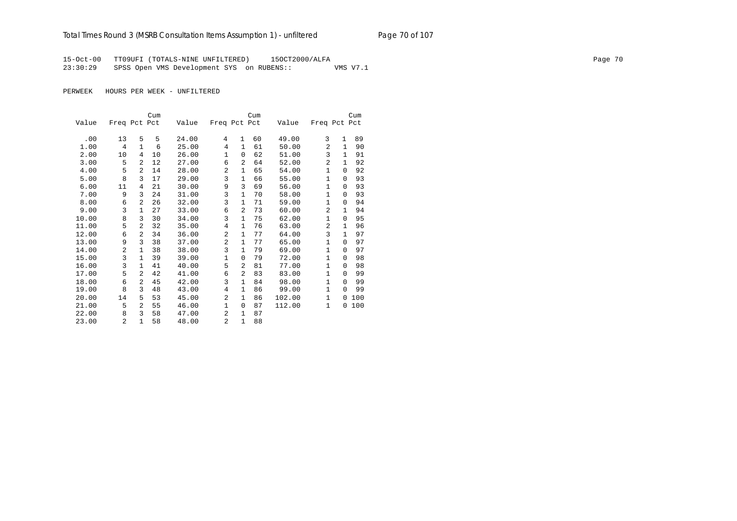# Total Times Round 3 (MSRB Consultation Items Assumption 1) - unfiltered Page 70 of 107

15-Oct-00 TT09UFI (TOTALS-NINE UNFILTERED) 15OCT2000/ALFA Page 70 23:30:29 SPSS Open VMS Development SYS on RUBENS:: VMS V7.1

|       |              |                | Cum |       |                |                | Cum |        |                |              | Cum |
|-------|--------------|----------------|-----|-------|----------------|----------------|-----|--------|----------------|--------------|-----|
| Value | Freq Pct Pct |                |     | Value | Freq Pct Pct   |                |     | Value  | Freq Pct Pct   |              |     |
|       |              |                |     |       |                |                |     |        |                |              |     |
| .00   | 13           | 5              | 5   | 24.00 | 4              | $\mathbf{1}$   | 60  | 49.00  | 3              | $\mathbf{1}$ | 89  |
| 1.00  | 4            | $\mathbf{1}$   | 6   | 25.00 | 4              | $\mathbf{1}$   | 61  | 50.00  | $\overline{2}$ | 1            | 90  |
| 2.00  | 10           | 4              | 10  | 26.00 | 1              | 0              | 62  | 51.00  | 3              | 1            | 91  |
| 3.00  | 5            | 2              | 12  | 27.00 | 6              | $\overline{a}$ | 64  | 52.00  | 2              | $\mathbf{1}$ | 92  |
| 4.00  | 5            | 2              | 14  | 28.00 | $\overline{a}$ | 1              | 65  | 54.00  | $\mathbf{1}$   | $\Omega$     | 92  |
| 5.00  | 8            | 3              | 17  | 29.00 | 3              | 1              | 66  | 55.00  | 1              | $\Omega$     | 93  |
| 6.00  | 11           | 4              | 21  | 30.00 | 9              | 3              | 69  | 56.00  | 1              | $\Omega$     | 93  |
| 7.00  | 9            | 3              | 24  | 31.00 | 3              | $\mathbf{1}$   | 70  | 58.00  | $\mathbf{1}$   | $\Omega$     | 93  |
| 8.00  | 6            | $\overline{a}$ | 26  | 32.00 | 3              | $\mathbf{1}$   | 71  | 59.00  | $\mathbf{1}$   | $\Omega$     | 94  |
| 9.00  | 3            | $\mathbf{1}$   | 27  | 33.00 | 6              | 2              | 73  | 60.00  | 2              | $\mathbf{1}$ | 94  |
| 10.00 | 8            | 3              | 30  | 34.00 | 3              | $\mathbf{1}$   | 75  | 62.00  | $\mathbf{1}$   | $\Omega$     | 95  |
| 11.00 | 5            | $\overline{2}$ | 32  | 35.00 | 4              | 1              | 76  | 63.00  | 2              | $\mathbf{1}$ | 96  |
| 12.00 | 6            | $\overline{a}$ | 34  | 36.00 | 2              | $\mathbf 1$    | 77  | 64.00  | 3              | $\mathbf{1}$ | 97  |
| 13.00 | 9            | 3              | 38  | 37.00 | 2              | $\mathbf{1}$   | 77  | 65.00  | $\mathbf{1}$   | $\Omega$     | 97  |
| 14.00 | 2            | $\mathbf{1}$   | 38  | 38.00 | 3              | 1              | 79  | 69.00  | $\mathbf{1}$   | $\Omega$     | 97  |
| 15.00 | 3            | $\mathbf{1}$   | 39  | 39.00 | 1              | 0              | 79  | 72.00  | $\mathbf{1}$   | $\Omega$     | 98  |
| 16.00 | 3            | $\mathbf{1}$   | 41  | 40.00 | 5              | $\overline{a}$ | 81  | 77.00  | 1              | $\Omega$     | 98  |
| 17.00 | 5            | 2              | 42  | 41.00 | 6              | $\overline{a}$ | 83  | 83.00  | $\mathbf{1}$   | $\Omega$     | 99  |
| 18.00 | 6            | 2              | 45  | 42.00 | 3              | 1              | 84  | 98.00  | $\mathbf{1}$   | $\Omega$     | 99  |
| 19.00 | 8            | 3              | 48  | 43.00 | $\overline{4}$ | 1              | 86  | 99.00  | $\mathbf{1}$   | $\Omega$     | 99  |
| 20.00 | 14           | 5              | 53  | 45.00 | $\overline{a}$ | 1              | 86  | 102.00 | $\mathbf{1}$   | $\Omega$     | 100 |
| 21.00 | 5            | $\overline{a}$ | 55  | 46.00 | 1              | $\mathbf 0$    | 87  | 112.00 | $\mathbf{1}$   | 0            | 100 |
| 22.00 | 8            | 3              | 58  | 47.00 | $\overline{a}$ | $\mathbf{1}$   | 87  |        |                |              |     |
| 23.00 | 2            | $\mathbf{1}$   | 58  | 48.00 | $\overline{a}$ | $\mathbf{1}$   | 88  |        |                |              |     |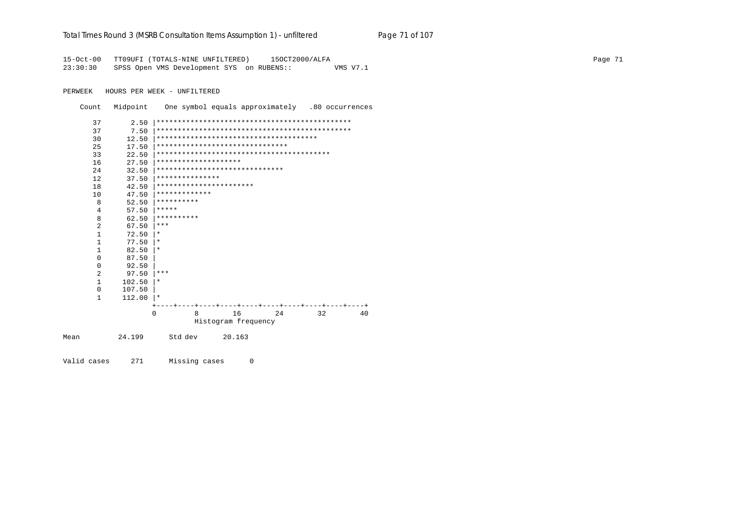|  |  | Total Times Round 3 (MSRB Consultation Items Assumption 1) - unfiltered |  |  | Page 71 of 107 |
|--|--|-------------------------------------------------------------------------|--|--|----------------|
|--|--|-------------------------------------------------------------------------|--|--|----------------|

15-Oct-00 TT09UFI (TOTALS-NINE UNFILTERED) 150CT2000/ALFA 23:30:30 SPSS Open VMS Development SYS on RUBENS:: VMS V7.1

PERWEEK HOURS PER WEEK - UNFILTERED

Count Midpoint One symbol equals approximately .80 occurrences 37 37  $30$  $17.50$  \*\*\*\*\*\*\*\*\*\*\*\*\*\*\*\*\*\*\*\*\*\*\*\*\*\*\*\*\*\*\*\*\*  $25$ 33  $27.50$  \*\*\*\*\*\*\*\*\*\*\*\*\*\*\*\*\*\*\*\*\* 16  $32.50$   $*******************************************$ 24  $37.50$  |\*\*\*\*\*\*\*\*\*\*\*\*\*\*\*\* 12  $42.50$  |\*\*\*\*\*\*\*\*\*\*\*\*\*\*\*\*\*\*\*\*\*\*\*\* 1.8  $47.50$  |\*\*\*\*\*\*\*\*\*\*\*\*\*\* 10  $52.50$  |\*\*\*\*\*\*\*\*\*\*\*  $\mathbf{8}$  $57.50$  \*\*\*\*\*  $\overline{4}$  $62.50$  \*\*\*\*\*\*\*\*\*\*  $\mathbf{8}$  $67.50$  \*\*\*  $\overline{2}$  $\mathbf{1}$  $72.50 \mid *$  $\mathbf{1}$  $77.50$  |\*  $82.50 \,$   $\pm$  $1$  $\overline{0}$ 87.50  $\mathbf{0}$ 92.50 97.50  $**$  $\overline{a}$  $\mathbf{1}$  $102.50$  |\*  $\overline{0}$ 107.50  $\mathbf{1}$  $112.00$  |\* 8 16 24  $32$  $40$  $\Omega$ Histogram frequency 24.199 Std dev 20.163 Mean

Valid cases 271 Missing cases  $\overline{0}$  Page 71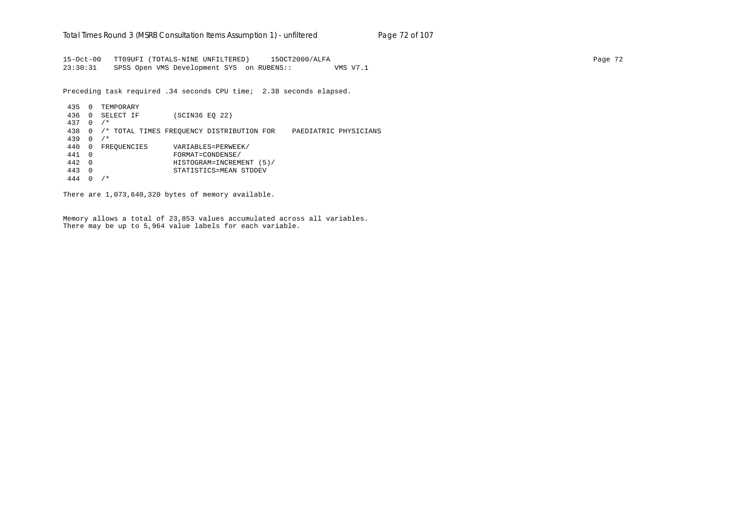15-Oct-00 TT09UFI (TOTALS-NINE UNFILTERED) 15OCT2000/ALFA Page 72 23:30:31 SPSS Open VMS Development SYS on RUBENS:: VMS V7.1

Preceding task required .34 seconds CPU time; 2.38 seconds elapsed.

 435 0 TEMPORARY 436 0 SELECT IF (SCIN36 EQ 22) 437 0 /\* 438 0 /\* TOTAL TIMES FREQUENCY DISTRIBUTION FOR PAEDIATRIC PHYSICIANS 439 0 /\* 440 0 FREQUENCIES VARIABLES=PERWEEK/ 441 0 FORMAT=CONDENSE/ 442 0 HISTOGRAM=INCREMENT (5)/ 443 0 STATISTICS=MEAN STDDEV 444 0 /\*

There are 1,073,640,320 bytes of memory available.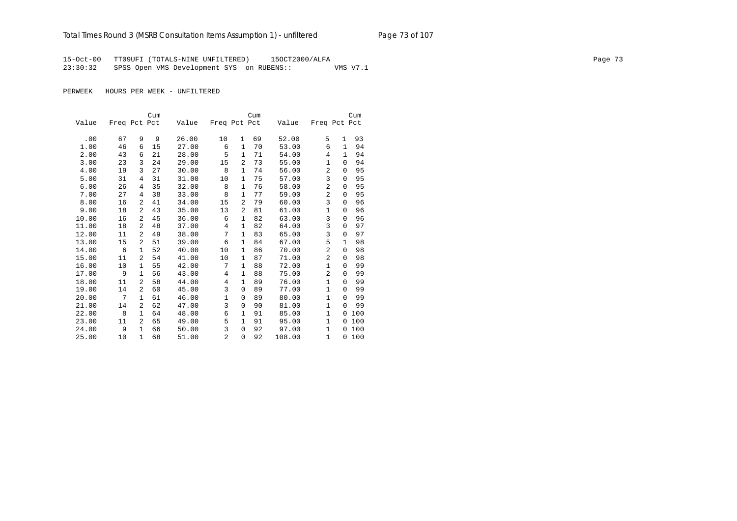# Total Times Round 3 (MSRB Consultation Items Assumption 1) - unfiltered Page 73 of 107

15-Oct-00 TT09UFI (TOTALS-NINE UNFILTERED) 15OCT2000/ALFA Page 73 23:30:32 SPSS Open VMS Development SYS on RUBENS:: VMS V7.1

|       |              |              | Cum |       |                |                | Cum |        |                |              | Cum    |
|-------|--------------|--------------|-----|-------|----------------|----------------|-----|--------|----------------|--------------|--------|
| Value | Freq Pct Pct |              |     | Value | Freq Pct Pct   |                |     | Value  | Freq Pct Pct   |              |        |
|       |              |              |     |       |                |                |     |        |                |              |        |
| .00   | 67           | 9            | 9   | 26.00 | 10             | 1              | 69  | 52.00  | 5              | 1            | 93     |
| 1.00  | 46           | 6            | 15  | 27.00 | 6              | 1              | 70  | 53.00  | 6              | 1            | 94     |
| 2.00  | 43           | 6            | 21  | 28.00 | 5              | $\mathbf{1}$   | 71  | 54.00  | 4              | $\mathbf{1}$ | 94     |
| 3.00  | 23           | 3            | 24  | 29.00 | 15             | 2              | 73  | 55.00  | 1              | 0            | 94     |
| 4.00  | 19           | 3            | 27  | 30.00 | 8              | 1              | 74  | 56.00  | $\overline{a}$ | $\Omega$     | 95     |
| 5.00  | 31           | 4            | 31  | 31.00 | 10             | $\mathbf{1}$   | 75  | 57.00  | 3              | $\Omega$     | 95     |
| 6.00  | 26           | 4            | 35  | 32.00 | 8              | 1              | 76  | 58.00  | $\overline{a}$ | $\Omega$     | 95     |
| 7.00  | 27           | 4            | 38  | 33.00 | 8              | $\mathbf 1$    | 77  | 59.00  | $\overline{2}$ | $\Omega$     | 95     |
| 8.00  | 16           | 2            | 41  | 34.00 | 15             | 2              | 79  | 60.00  | 3              | $\Omega$     | 96     |
| 9.00  | 18           | 2            | 43  | 35.00 | 13             | $\overline{a}$ | 81  | 61.00  | $\mathbf{1}$   | 0            | 96     |
| 10.00 | 16           | 2            | 45  | 36.00 | 6              | 1              | 82  | 63.00  | 3              | 0            | 96     |
| 11.00 | 18           | 2            | 48  | 37.00 | 4              | 1              | 82  | 64.00  | 3              | $\Omega$     | 97     |
| 12.00 | 11           | 2            | 49  | 38.00 | 7              | $\mathbf{1}$   | 83  | 65.00  | 3              | 0            | 97     |
| 13.00 | 15           | 2            | 51  | 39.00 | 6              | $\mathbf{1}$   | 84  | 67.00  | 5              | $\mathbf{1}$ | 98     |
| 14.00 | 6            | $\mathbf{1}$ | 52  | 40.00 | 10             | $\mathbf{1}$   | 86  | 70.00  | $\overline{2}$ | 0            | 98     |
| 15.00 | 11           | 2            | 54  | 41.00 | 10             | 1              | 87  | 71.00  | 2              | 0            | 98     |
| 16.00 | 10           | $\mathbf{1}$ | 55  | 42.00 | 7              | 1              | 88  | 72.00  | $\mathbf{1}$   | 0            | 99     |
| 17.00 | 9            | $\mathbf{1}$ | 56  | 43.00 | 4              | 1              | 88  | 75.00  | $\overline{a}$ | 0            | 99     |
| 18.00 | 11           | 2            | 58  | 44.00 | 4              | $\mathbf{1}$   | 89  | 76.00  | $\mathbf{1}$   | $\Omega$     | 99     |
| 19.00 | 14           | 2            | 60  | 45.00 | 3              | 0              | 89  | 77.00  | $\mathbf{1}$   | $\Omega$     | 99     |
| 20.00 | 7            | $\mathbf{1}$ | 61  | 46.00 | 1              | 0              | 89  | 80.00  | $\mathbf{1}$   | $\Omega$     | 99     |
| 21.00 | 14           | 2            | 62  | 47.00 | 3              | 0              | 90  | 81.00  | $\mathbf{1}$   | $\Omega$     | 99     |
| 22.00 | 8            | $\mathbf{1}$ | 64  | 48.00 | 6              | 1              | 91  | 85.00  | $\mathbf{1}$   | 0            | 100    |
| 23.00 | 11           | 2            | 65  | 49.00 | 5              | 1              | 91  | 95.00  | $\mathbf{1}$   | 0            | 100    |
| 24.00 | 9            | $\mathbf{1}$ | 66  | 50.00 | 3              | 0              | 92  | 97.00  | $\mathbf{1}$   | 0            | 100    |
| 25.00 | 10           | $\mathbf{1}$ | 68  | 51.00 | $\overline{2}$ | $\mathbf 0$    | 92  | 108.00 | $\mathbf{1}$   |              | 0, 100 |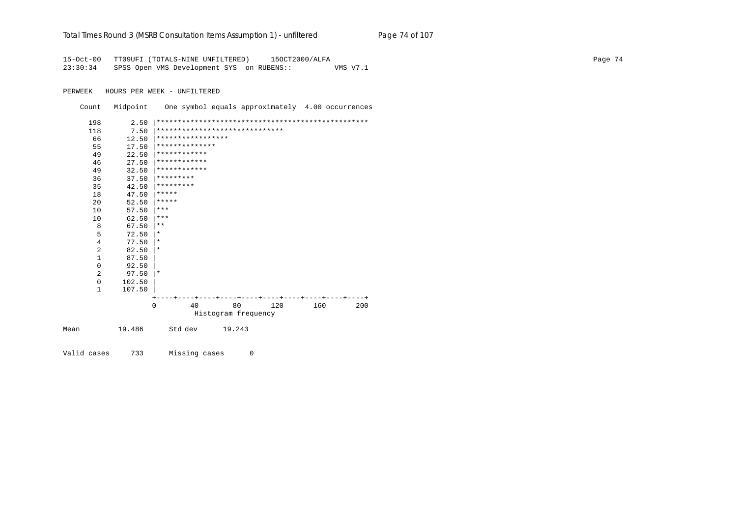| Total Times Round 3 (MSRB Consultation Items Assumption 1) - unfiltered |  | Page 74 of 107 |
|-------------------------------------------------------------------------|--|----------------|
|                                                                         |  |                |

15-Oct-00 TT09UFI (TOTALS-NINE UNFILTERED) 150CT2000/ALFA 23:30:34 SPSS Open VMS Development SYS on RUBENS:: VMS V7.1

PERWEEK HOURS PER WEEK - UNFILTERED

Count Midpoint One symbol equals approximately 4.00 occurrences 198 118  $12.50$  \*\*\*\*\*\*\*\*\*\*\*\*\*\*\*\*\*\*\* 66  $17.50$  \*\*\*\*\*\*\*\*\*\*\*\*\*\*\*  $55$  $22.50$  \*\*\*\*\*\*\*\*\*\*\*\*\* 49  $27.50$  \*\*\*\*\*\*\*\*\*\*\*\*\* 46  $32.50$  \*\*\*\*\*\*\*\*\*\*\*\*\* 49  $37.50$  \*\*\*\*\*\*\*\*\* 36  $42.50$  \*\*\*\*\*\*\*\*\* 35  $47.50$  \*\*\*\*\* 18  $52.50$  \*\*\*\*\*  $20$  $57.50$  \*\*\*  $10$  $62.50$  |\*\*\*  $10$  $67.50$   $**$  $\mathsf{R}$  $5^{\circ}$  $72.50 \pm$  $\overline{4}$  $77.50 \mid *$  $82.50 \mid$ \* 2  $1$ 87.50  $\overline{0}$ 92.50  $\overline{2}$ 97.50  $\vert$  \*  $\Omega$ 102.50  $1$ 107.50 40 80 120  $160$  $\Omega$  $200$ Histogram frequency 19.486 Std dev 19.243 Mean

Valid cases 733 Missing cases  $\mathbb O$  Page 74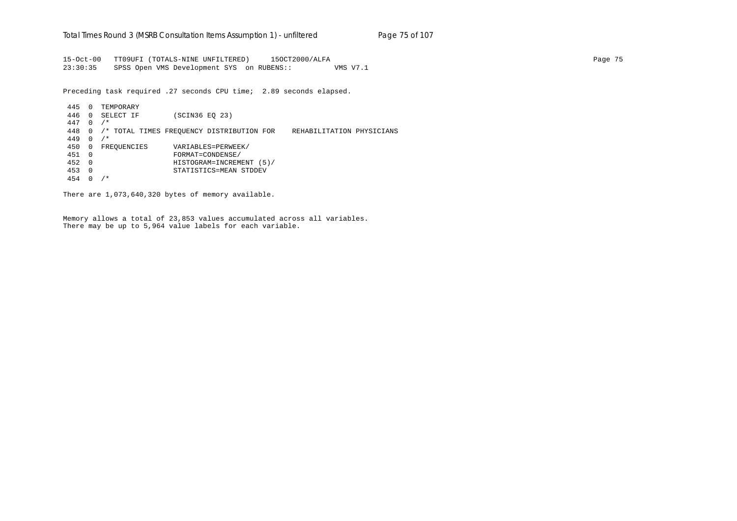15-Oct-00 TT09UFI (TOTALS-NINE UNFILTERED) 15OCT2000/ALFA Page 75 23:30:35 SPSS Open VMS Development SYS on RUBENS:: VMS V7.1

Preceding task required .27 seconds CPU time; 2.89 seconds elapsed.

 445 0 TEMPORARY 446 0 SELECT IF (SCIN36 EQ 23) 447 0 /\* 448 0 /\* TOTAL TIMES FREQUENCY DISTRIBUTION FOR REHABILITATION PHYSICIANS 449 0 /\* 450 0 FREQUENCIES VARIABLES=PERWEEK/ 451 0 FORMAT=CONDENSE/ 452 0 HISTOGRAM=INCREMENT (5)/ 453 0 STATISTICS=MEAN STDDEV 454 0 /\*

There are 1,073,640,320 bytes of memory available.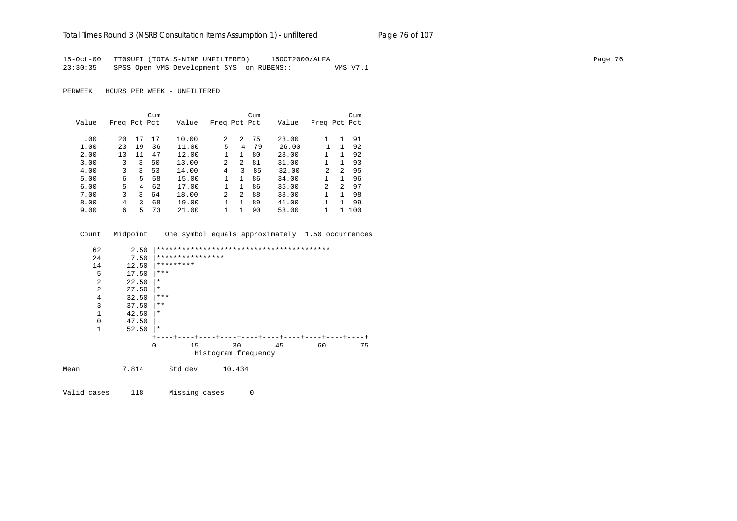## Total Times Round 3 (MSRB Consultation Items Assumption 1) - unfiltered Page 76 of 107

15-Oct-00 TT09UFI (TOTALS-NINE UNFILTERED) 15OCT2000/ALFA Page 76 23:30:35 SPSS Open VMS Development SYS on RUBENS:: VMS V7.1

PERWEEK HOURS PER WEEK - UNFILTERED

Valid cases 118 Missing cases 0

|       |              |    | Cum |       |              |                | Cum |       |                |               | Cum |
|-------|--------------|----|-----|-------|--------------|----------------|-----|-------|----------------|---------------|-----|
| Value | Freq Pct Pct |    |     | Value | Freq Pct Pct |                |     | Value | Freq Pct Pct   |               |     |
|       |              |    |     |       |              |                |     |       |                |               |     |
| .00   | 20           | 17 | 17  | 10.00 | 2            | 2              | 75  | 23.00 |                |               | 91  |
| 1.00  | 23           | 19 | 36  | 11.00 | 5            | 4              | 79  | 26.00 |                | 1             | 92  |
| 2.00  | 13           | 11 | 47  | 12.00 |              | 1.             | 80  | 28.00 |                |               | 92  |
| 3.00  | 3            | 3  | 50  | 13.00 | 2            | 2              | 81  | 31.00 |                |               | 93  |
| 4.00  | ζ            | 3  | 53  | 14.00 | 4            | 3              | 85  | 32.00 | 2              | $\mathcal{L}$ | 95  |
| 5.00  | 6            | 5. | 58  | 15.00 |              | 1              | 86  | 34.00 |                | 1.            | 96  |
| 6.00  | 5            | 4  | 62  | 17.00 |              | 1              | 86  | 35.00 | $\mathfrak{D}$ | $\mathcal{P}$ | 97  |
| 7.00  | 3            | 3  | 64  | 18.00 | 2            | $\overline{a}$ | 88  | 38.00 |                |               | 98  |
| 8.00  | 4            | ζ  | 68  | 19.00 |              |                | 89  | 41.00 |                |               | 99  |
| 9.00  | 6            | 5  | 73  | 21.00 |              |                | 90  | 53.00 |                |               | 100 |

| Count |                | Midpoint |                  |        | One symbol equals approximately 1.50 occurrences |    |    |    |
|-------|----------------|----------|------------------|--------|--------------------------------------------------|----|----|----|
|       | 62             | 2.50     |                  |        |                                                  |    |    |    |
|       | 24             | 7.50     | **************** |        |                                                  |    |    |    |
|       | 14             | 12.50    | *********        |        |                                                  |    |    |    |
|       | 5              | 17.50    | ***              |        |                                                  |    |    |    |
|       | $\overline{a}$ | 22.50    | $\star$          |        |                                                  |    |    |    |
|       | $\overline{2}$ | 27.50    | $\star$          |        |                                                  |    |    |    |
|       | $\overline{4}$ | 32.50    | ***              |        |                                                  |    |    |    |
|       | 3              | 37.50    | $***$            |        |                                                  |    |    |    |
|       | $\mathbf 1$    | 42.50    | $\star$          |        |                                                  |    |    |    |
|       | $\mathbf 0$    | 47.50    |                  |        |                                                  |    |    |    |
|       | 1              | 52.50    | ∗                |        |                                                  |    |    |    |
|       |                |          |                  |        |                                                  |    |    |    |
|       |                |          | $\Omega$<br>15   | 30     |                                                  | 45 | 60 | 75 |
|       |                |          |                  |        | Histogram frequency                              |    |    |    |
| Mean  |                | 7.814    | Std dev          | 10.434 |                                                  |    |    |    |
|       |                |          |                  |        |                                                  |    |    |    |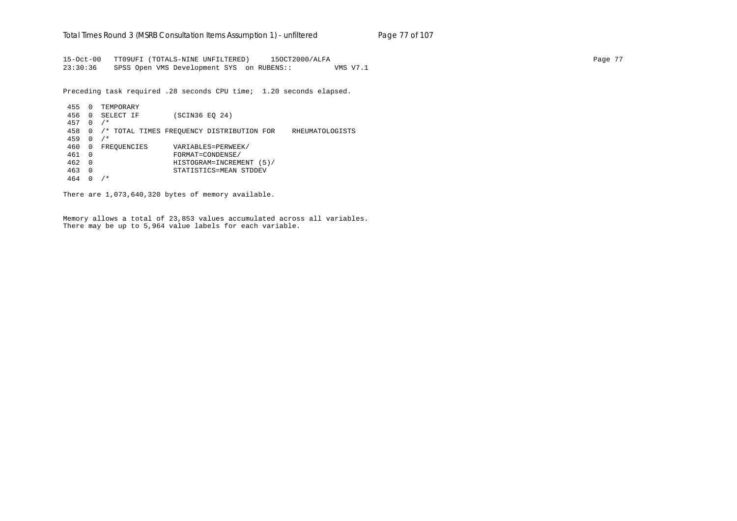15-Oct-00 TT09UFI (TOTALS-NINE UNFILTERED) 15OCT2000/ALFA Page 77 23:30:36 SPSS Open VMS Development SYS on RUBENS:: VMS V7.1

Preceding task required .28 seconds CPU time; 1.20 seconds elapsed.

 455 0 TEMPORARY 456 0 SELECT IF (SCIN36 EQ 24) 457 0 /\* 458 0 /\* TOTAL TIMES FREQUENCY DISTRIBUTION FOR RHEUMATOLOGISTS 459 0 /\* 460 0 FREQUENCIES VARIABLES=PERWEEK/ 461 0 FORMAT=CONDENSE/ 462 0 HISTOGRAM=INCREMENT (5)/ 463 0 STATISTICS=MEAN STDDEV 464 0 /\*

There are 1,073,640,320 bytes of memory available.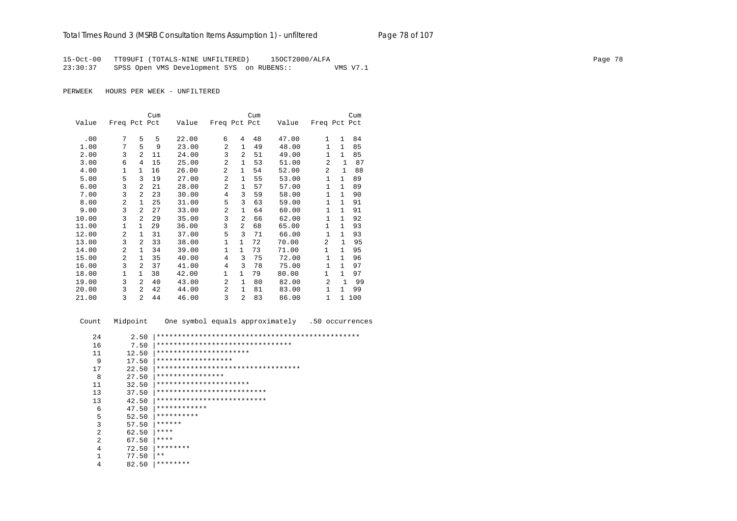15-Oct-00 TT09UFI (TOTALS-NINE UNFILTERED) 15OCT2000/ALFA Page 78 23:30:37 SPSS Open VMS Development SYS on RUBENS:: VMS V7.1

PERWEEK HOURS PER WEEK - UNFILTERED

|       |              |                | Cum |       |                |                | Cum |       |                |              | Cum   |
|-------|--------------|----------------|-----|-------|----------------|----------------|-----|-------|----------------|--------------|-------|
| Value | Freq Pct Pct |                |     | Value | Freq Pct Pct   |                |     | Value | Freq Pct Pct   |              |       |
| .00   | 7            | 5              | 5   | 22.00 | 6              | 4              | 48  | 47.00 | $\mathbf{1}$   | $\mathbf{1}$ | 84    |
| 1.00  | 7            | 5              | 9   | 23.00 | $\overline{2}$ | 1              | 49  | 48.00 | $\mathbf{1}$   | $\mathbf{1}$ | 85    |
| 2.00  | 3            | $\overline{a}$ | 11  | 24.00 | 3              | $\overline{a}$ | 51  | 49.00 | $\mathbf{1}$   | $\mathbf{1}$ | 85    |
| 3.00  | 6            | 4              | 15  | 25.00 | $\overline{2}$ | $\mathbf{1}$   | 53  | 51.00 | $\overline{a}$ | $\mathbf{1}$ | 87    |
| 4.00  | 1            | 1              | 16  | 26.00 | $\overline{a}$ | 1              | 54  | 52.00 | $\overline{a}$ | $\mathbf{1}$ | 88    |
| 5.00  | 5            | 3              | 19  | 27.00 | $\overline{a}$ | 1              | 55  | 53.00 | 1              | $\mathbf{1}$ | 89    |
| 6.00  | 3            | 2              | 21  | 28.00 | $\overline{a}$ | 1              | 57  | 57.00 | $\mathbf{1}$   | $\mathbf{1}$ | 89    |
| 7.00  | 3            | $\overline{a}$ | 23  | 30.00 | 4              | 3              | 59  | 58.00 | $\mathbf{1}$   | $\mathbf{1}$ | 90    |
| 8.00  | 2            | $\mathbf{1}$   | 25  | 31.00 | 5              | 3              | 63  | 59.00 | $\mathbf{1}$   | $\mathbf{1}$ | 91    |
| 9.00  | 3            | $\overline{a}$ | 27  | 33.00 | $\overline{a}$ | $\mathbf{1}$   | 64  | 60.00 | $\mathbf{1}$   | $\mathbf{1}$ | 91    |
| 10.00 | 3            | $\mathfrak{D}$ | 29  | 35.00 | 3              | $\overline{a}$ | 66  | 62.00 | $\mathbf{1}$   | $\mathbf{1}$ | 92    |
| 11.00 | $\mathbf{1}$ | $\mathbf{1}$   | 29  | 36.00 | 3              | $\overline{a}$ | 68  | 65.00 | 1              | $\mathbf{1}$ | 93    |
| 12.00 | 2            | $\mathbf{1}$   | 31  | 37.00 | 5              | 3              | 71  | 66.00 | $\mathbf{1}$   | $\mathbf{1}$ | 93    |
| 13.00 | 3            | 2              | 33  | 38.00 | $\mathbf{1}$   | $\mathbf{1}$   | 72  | 70.00 | 2              | $\mathbf{1}$ | 95    |
| 14.00 | 2            | 1              | 34  | 39.00 | 1              | $\mathbf{1}$   | 73  | 71.00 | 1              | $\mathbf{1}$ | 95    |
| 15.00 | 2            | $\mathbf{1}$   | 35  | 40.00 | 4              | 3              | 75  | 72.00 | $\mathbf{1}$   | $\mathbf{1}$ | 96    |
| 16.00 | 3            | 2              | 37  | 41.00 | 4              | 3              | 78  | 75.00 | $\mathbf{1}$   | $\mathbf{1}$ | 97    |
| 18.00 | 1            | $\mathbf{1}$   | 38  | 42.00 | 1              | $\mathbf{1}$   | 79  | 80.00 | 1              | $\mathbf{1}$ | 97    |
| 19.00 | 3            | $\overline{a}$ | 40  | 43.00 | $\overline{a}$ | $\mathbf{1}$   | 80  | 82.00 | $\overline{a}$ | 1            | 99    |
| 20.00 | 3            | $\overline{a}$ | 42  | 44.00 | $\overline{a}$ | 1              | 81  | 83.00 | $\mathbf{1}$   | $\mathbf{1}$ | 99    |
| 21.00 | 3            | 2              | 44  | 46.00 | 3              | 2              | 83  | 86.00 | $\mathbf{1}$   |              | 1 100 |

 Count Midpoint One symbol equals approximately .50 occurrences 24 2.50 |\*\*\*\*\*\*\*\*\*\*\*\*\*\*\*\*\*\*\*\*\*\*\*\*\*\*\*\*\*\*\*\*\*\*\*\*\*\*\*\*\*\*\*\*\*\*\*\* 16 7.50 |\*\*\*\*\*\*\*\*\*\*\*\*\*\*\*\*\*\*\*\*\*\*\*\*\*\*\*\*\*\*\*\* 11 12.50 |\*\*\*\*\*\*\*\*\*\*\*\*\*\*\*\*\*\*\*\*\*\* 9 17.50 |\*\*\*\*\*\*\*\*\*\*\*\*\*\*\*\*\*\* 17 22.50 |\*\*\*\*\*\*\*\*\*\*\*\*\*\*\*\*\*\*\*\*\*\*\*\*\*\*\*\*\*\*\*\*\*\* 8 27.50 |\*\*\*\*\*\*\*\*\*\*\*\*\*\*\*\* 11 32.50 |\*\*\*\*\*\*\*\*\*\*\*\*\*\*\*\*\*\*\*\*\*\* 13 37.50 |\*\*\*\*\*\*\*\*\*\*\*\*\*\*\*\*\*\*\*\*\*\*\*\*\*\* 13 42.50 |\*\*\*\*\*\*\*\*\*\*\*\*\*\*\*\*\*\*\*\*\*\*\*\*\*\*\*\*<br>6 47.50 |\*\*\*\*\*\*\*\*\*\*\*\* 6  $47.50$   $**************$ <br>5 52.50 \*\*\*\*\*\*\*\*\*\*\* 5 52.50  $***********$ <br>3 57.50 \*\*\*\*\*\*\*  $57.50$   $*****$ 2 62.50  $****$ <br>2 67.50  $****$ 2 67.50  $****$ <br>4 72.50  $****$ 4 72.50  $********$ <br>1 77.50  $**$  $\begin{array}{ccc} 1 & 77.50 & \ast \ast \\ 4 & 82.50 & \ast \ast \ast \end{array}$ 4 82.50 |\*\*\*\*\*\*\*\*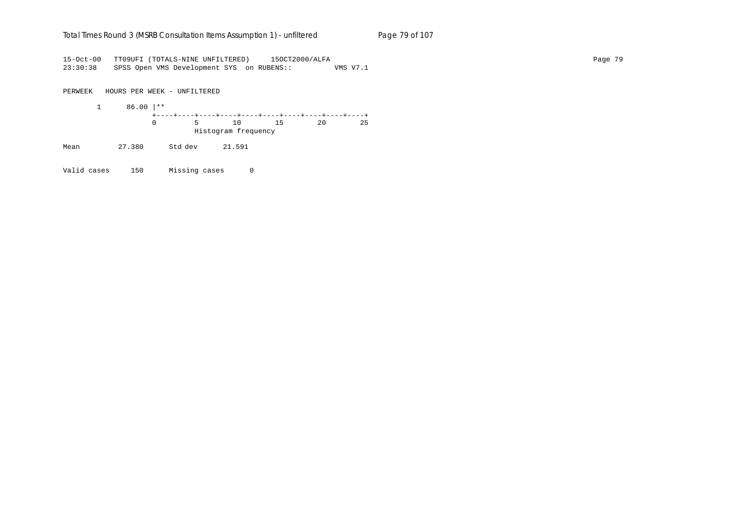### Total Times Round 3 (MSRB Consultation Items Assumption 1) - un*filtered* Page 79 of 107

15-Oct-00 TT09UFI (TOTALS-NINE UNFILTERED) 15OCT2000/ALFA Page 79 23:30:38 SPSS Open VMS Development SYS on RUBENS:: VMS V7.1

PERWEEK HOURS PER WEEK - UNFILTERED

 1 86.00 |\*\* +----+----+----+----+----+----+----+----+----+----+ 0 5 10 15 20 25 Histogram frequency

Mean 27.380 Std dev 21.591

Valid cases 150 Missing cases 0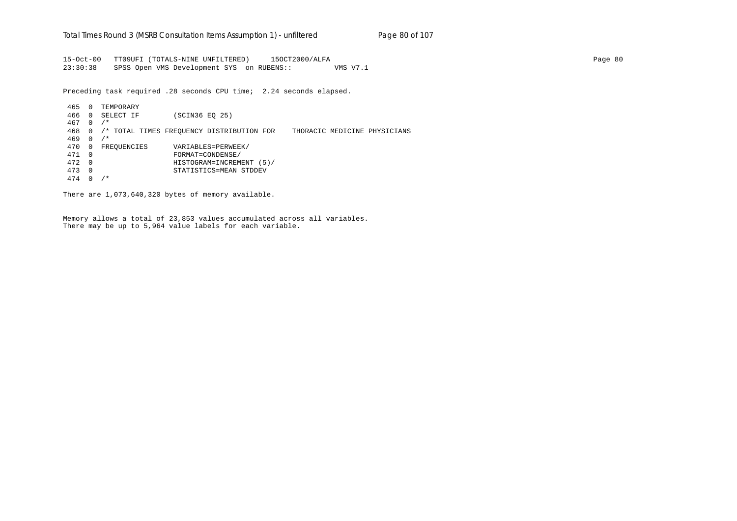15-Oct-00 TT09UFI (TOTALS-NINE UNFILTERED) 15OCT2000/ALFA Page 80 23:30:38 SPSS Open VMS Development SYS on RUBENS:: VMS V7.1

Preceding task required .28 seconds CPU time; 2.24 seconds elapsed.

 465 0 TEMPORARY 466 0 SELECT IF (SCIN36 EQ 25) 467 0 /\* 468 0 /\* TOTAL TIMES FREQUENCY DISTRIBUTION FOR THORACIC MEDICINE PHYSICIANS 469 0 /\* 470 0 FREQUENCIES VARIABLES=PERWEEK/ 471 0 FORMAT=CONDENSE/ 472 0 HISTOGRAM=INCREMENT (5)/ 473 0 STATISTICS=MEAN STDDEV 474 0 /\*

There are 1,073,640,320 bytes of memory available.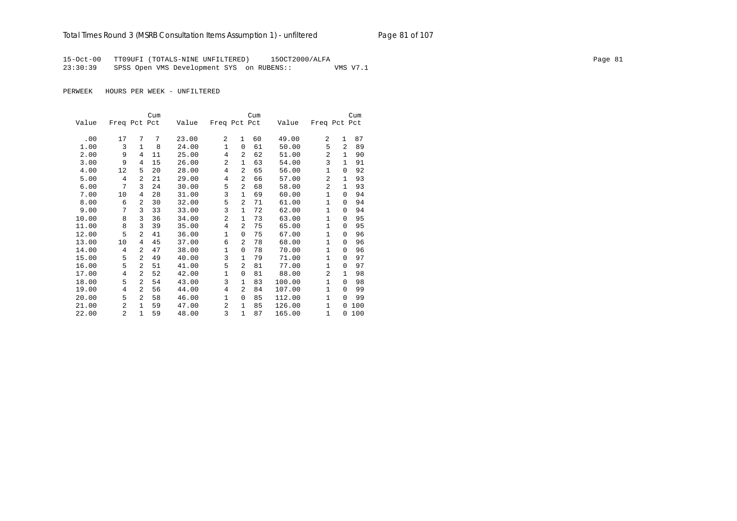15-Oct-00 TT09UFI (TOTALS-NINE UNFILTERED) 15OCT2000/ALFA Page 81 23:30:39 SPSS Open VMS Development SYS on RUBENS:: VMS V7.1

|       |              |                | Cum |       |                |                | Cum |        |                |              | Cum |
|-------|--------------|----------------|-----|-------|----------------|----------------|-----|--------|----------------|--------------|-----|
| Value | Freq Pct Pct |                |     | Value | Freq Pct Pct   |                |     | Value  | Freq Pct Pct   |              |     |
|       |              |                |     |       |                |                |     |        |                |              |     |
| .00   | 17           | 7              | 7   | 23.00 | 2              | $\mathbf{1}$   | 60  | 49.00  | 2              | $\mathbf{1}$ | 87  |
| 1.00  | 3            | $\mathbf{1}$   | 8   | 24.00 | $\mathbf{1}$   | $\Omega$       | 61  | 50.00  | 5              | 2            | 89  |
| 2.00  | 9            | 4              | 11  | 25.00 | 4              | 2              | 62  | 51.00  | 2              | $\mathbf{1}$ | 90  |
| 3.00  | 9            | 4              | 15  | 26.00 | $\overline{a}$ | 1              | 63  | 54.00  | 3              | 1            | 91  |
| 4.00  | 12           | 5              | 20  | 28.00 | 4              | 2              | 65  | 56.00  | 1              | $\Omega$     | 92  |
| 5.00  | 4            | $\overline{a}$ | 21  | 29.00 | 4              | $\overline{2}$ | 66  | 57.00  | $\overline{a}$ | $\mathbf{1}$ | 93  |
| 6.00  | 7            | 3              | 24  | 30.00 | 5              | $\overline{2}$ | 68  | 58.00  | $\overline{2}$ | $\mathbf{1}$ | 93  |
| 7.00  | 10           | 4              | 28  | 31.00 | 3              | $\mathbf{1}$   | 69  | 60.00  | $\mathbf{1}$   | $\Omega$     | 94  |
| 8.00  | 6            | $\overline{a}$ | 30  | 32.00 | 5              | $\overline{a}$ | 71  | 61.00  | $\mathbf{1}$   | $\Omega$     | 94  |
| 9.00  | 7            | 3              | 33  | 33.00 | 3              | $\mathbf{1}$   | 72  | 62.00  | $\mathbf{1}$   | $\Omega$     | 94  |
| 10.00 | 8            | 3              | 36  | 34.00 | $\overline{a}$ | 1              | 73  | 63.00  | $\mathbf{1}$   | $\Omega$     | 95  |
| 11.00 | 8            | 3              | 39  | 35.00 | $\overline{4}$ | 2              | 75  | 65.00  | $\mathbf{1}$   | $\Omega$     | 95  |
| 12.00 | 5            | 2              | 41  | 36.00 | $\mathbf 1$    | 0              | 75  | 67.00  | 1              | 0            | 96  |
| 13.00 | 10           | 4              | 45  | 37.00 | 6              | 2              | 78  | 68.00  | 1              | $\Omega$     | 96  |
| 14.00 | 4            | $\overline{a}$ | 47  | 38.00 | $\mathbf 1$    | 0              | 78  | 70.00  | $\mathbf{1}$   | $\Omega$     | 96  |
| 15.00 | 5            | $\overline{a}$ | 49  | 40.00 | 3              | 1              | 79  | 71.00  | $\mathbf{1}$   | $\Omega$     | 97  |
| 16.00 | 5            | $\overline{a}$ | 51  | 41.00 | 5              | $\overline{a}$ | 81  | 77.00  | $\mathbf{1}$   | $\Omega$     | 97  |
| 17.00 | 4            | $\overline{a}$ | 52  | 42.00 | $\mathbf 1$    | $\mathbf 0$    | 81  | 88.00  | 2              | $\mathbf{1}$ | 98  |
| 18.00 | 5            | $\overline{a}$ | 54  | 43.00 | 3              | 1              | 83  | 100.00 | $\mathbf{1}$   | $\Omega$     | 98  |
| 19.00 | 4            | $\overline{a}$ | 56  | 44.00 | 4              | 2              | 84  | 107.00 | $\mathbf{1}$   | $\Omega$     | 99  |
| 20.00 | 5            | 2              | 58  | 46.00 | $\mathbf{1}$   | 0              | 85  | 112.00 | $\mathbf{1}$   | $\Omega$     | 99  |
| 21.00 | 2            | $\mathbf{1}$   | 59  | 47.00 | $\overline{a}$ | $\mathbf{1}$   | 85  | 126.00 | $\mathbf{1}$   | $\Omega$     | 100 |
| 22.00 | 2            | $\mathbf{1}$   | 59  | 48.00 | 3              | $\mathbf{1}$   | 87  | 165.00 | $\mathbf{1}$   | $\Omega$     | 100 |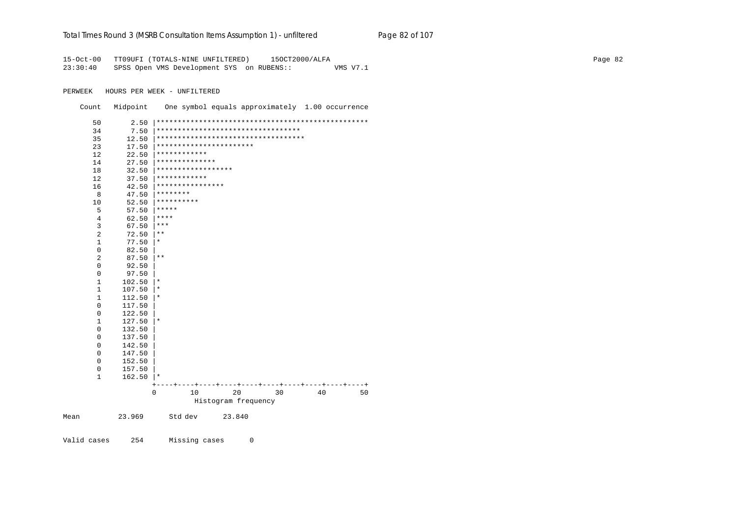### Total Times Round 3 (MSRB Consultation Items Assumption 1) - unfiltered Page 82 of 107

15-Oct-00 TT09UFI (TOTALS-NINE UNFILTERED) 15OCT2000/ALFA Page 82 23:30:40 SPSS Open VMS Development SYS on RUBENS:: VMS V7.1

PERWEEK HOURS PER WEEK - UNFILTERED

Count Midpoint One symbol equals approximately 1.00 occurrence

|      | 50             | 2.50   |              |                    |                                     |    |    |    |
|------|----------------|--------|--------------|--------------------|-------------------------------------|----|----|----|
|      | 34             | 7.50   |              |                    | **********************************  |    |    |    |
|      | 35             | 12.50  |              |                    | *********************************** |    |    |    |
|      | 23             | 17.50  |              |                    | ***********************             |    |    |    |
|      | 12             | 22.50  | ************ |                    |                                     |    |    |    |
|      | 14             | 27.50  |              | **************     |                                     |    |    |    |
|      | 18             | 32.50  |              | ****************** |                                     |    |    |    |
|      | 12             | 37.50  | ************ |                    |                                     |    |    |    |
|      | 16             | 42.50  |              | ****************   |                                     |    |    |    |
|      | 8              | 47.50  | ********     |                    |                                     |    |    |    |
|      | 10             | 52.50  | **********   |                    |                                     |    |    |    |
|      | 5              | 57.50  | *****        |                    |                                     |    |    |    |
|      | 4              | 62.50  | ****         |                    |                                     |    |    |    |
|      | 3              | 67.50  | ***          |                    |                                     |    |    |    |
|      | $\overline{a}$ | 72.50  | $***$        |                    |                                     |    |    |    |
|      | 1              | 77.50  | $^\star$     |                    |                                     |    |    |    |
|      | $\mathbf 0$    | 82.50  |              |                    |                                     |    |    |    |
|      | 2              | 87.50  | $\star\star$ |                    |                                     |    |    |    |
|      | 0              | 92.50  |              |                    |                                     |    |    |    |
|      | 0              | 97.50  |              |                    |                                     |    |    |    |
|      | $1\,$          | 102.50 | $^\star$     |                    |                                     |    |    |    |
|      | $\mathbf 1$    | 107.50 | $^\star$     |                    |                                     |    |    |    |
|      | $1\,$          | 112.50 | $^\star$     |                    |                                     |    |    |    |
|      | $\mathbf 0$    | 117.50 |              |                    |                                     |    |    |    |
|      | $\mathbf 0$    | 122.50 |              |                    |                                     |    |    |    |
|      | $1\,$          | 127.50 | $^\star$     |                    |                                     |    |    |    |
|      | $\mathbf 0$    | 132.50 |              |                    |                                     |    |    |    |
|      | $\mathbf 0$    | 137.50 |              |                    |                                     |    |    |    |
|      | $\mathbf 0$    | 142.50 |              |                    |                                     |    |    |    |
|      | 0              | 147.50 |              |                    |                                     |    |    |    |
|      | $\mathbf 0$    | 152.50 |              |                    |                                     |    |    |    |
|      | 0              | 157.50 |              |                    |                                     |    |    |    |
|      | $\mathbf 1$    | 162.50 | $^\star$     |                    |                                     |    |    |    |
|      |                |        |              |                    |                                     |    |    |    |
|      |                |        | 0            | 10                 | 20                                  | 30 | 40 | 50 |
|      |                |        |              |                    | Histogram frequency                 |    |    |    |
| Mean |                | 23.969 | Std dev      |                    | 23.840                              |    |    |    |

Valid cases 254 Missing cases 0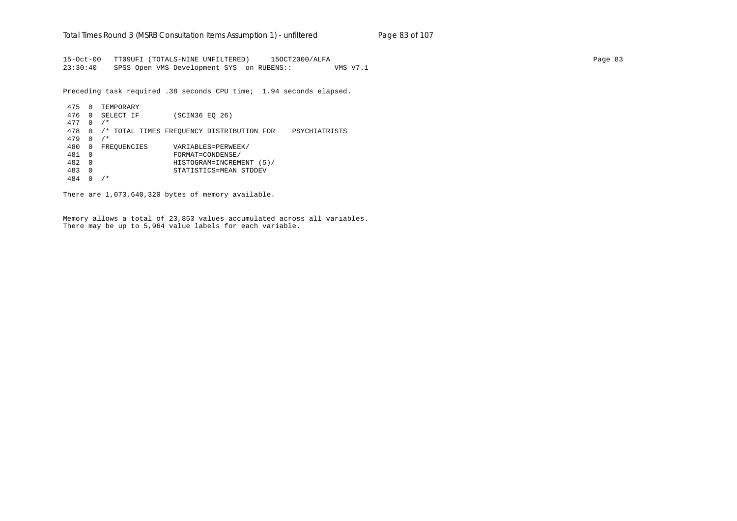15-Oct-00 TT09UFI (TOTALS-NINE UNFILTERED) 15OCT2000/ALFA Page 83 23:30:40 SPSS Open VMS Development SYS on RUBENS:: VMS V7.1

Preceding task required .38 seconds CPU time; 1.94 seconds elapsed.

 475 0 TEMPORARY 476 0 SELECT IF (SCIN36 EQ 26) 477 0 /\* 478 0 /\* TOTAL TIMES FREQUENCY DISTRIBUTION FOR PSYCHIATRISTS 479 0 /\* 480 0 FREQUENCIES VARIABLES=PERWEEK/ 481 0 FORMAT=CONDENSE/ 482 0 HISTOGRAM=INCREMENT (5)/ 483 0 STATISTICS=MEAN STDDEV 484 0 /\*

There are 1,073,640,320 bytes of memory available.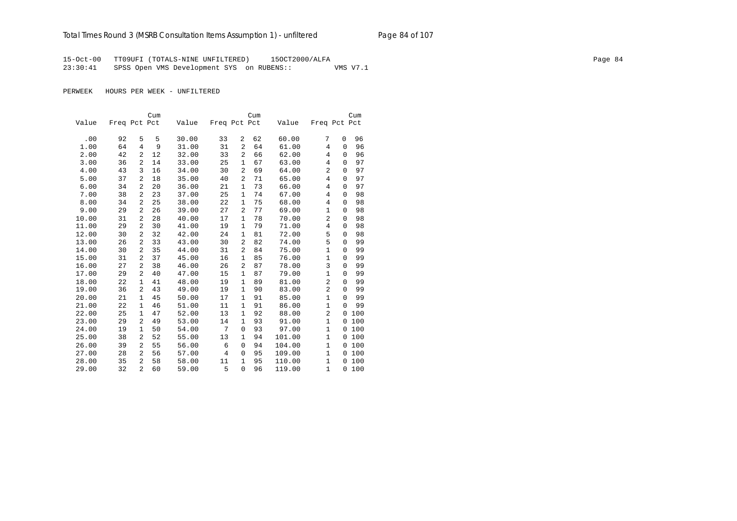15-Oct-00 TT09UFI (TOTALS-NINE UNFILTERED) 15OCT2000/ALFA Page 84 23:30:41 SPSS Open VMS Development SYS on RUBENS:: VMS V7.1

|       |              |              | Cum |       |              |                | Cum |        |                |             | Cum |
|-------|--------------|--------------|-----|-------|--------------|----------------|-----|--------|----------------|-------------|-----|
| Value | Freq Pct Pct |              |     | Value | Freq Pct Pct |                |     | Value  | Freq Pct Pct   |             |     |
|       |              |              |     |       |              |                |     |        |                |             |     |
| .00   | 92           | 5            | 5   | 30.00 | 33           | 2              | 62  | 60.00  | 7              | 0           | 96  |
| 1.00  | 64           | 4            | 9   | 31.00 | 31           | $\overline{a}$ | 64  | 61.00  | 4              | 0           | 96  |
| 2.00  | 42           | 2            | 12  | 32.00 | 33           | $\overline{a}$ | 66  | 62.00  | 4              | $\mathbf 0$ | 96  |
| 3.00  | 36           | 2            | 14  | 33.00 | 25           | $\mathbf{1}$   | 67  | 63.00  | $\overline{4}$ | 0           | 97  |
| 4.00  | 43           | 3            | 16  | 34.00 | 30           | $\overline{a}$ | 69  | 64.00  | 2              | 0           | 97  |
| 5.00  | 37           | 2            | 18  | 35.00 | 40           | $\overline{a}$ | 71  | 65.00  | 4              | 0           | 97  |
| 6.00  | 34           | 2            | 20  | 36.00 | 21           | 1              | 73  | 66.00  | 4              | 0           | 97  |
| 7.00  | 38           | 2            | 23  | 37.00 | 25           | 1              | 74  | 67.00  | 4              | 0           | 98  |
| 8.00  | 34           | 2            | 25  | 38.00 | 22           | 1              | 75  | 68.00  | 4              | 0           | 98  |
| 9.00  | 29           | 2            | 26  | 39.00 | 27           | $\overline{2}$ | 77  | 69.00  | $\mathbf{1}$   | 0           | 98  |
| 10.00 | 31           | 2            | 28  | 40.00 | 17           | $\mathbf{1}$   | 78  | 70.00  | $\overline{2}$ | 0           | 98  |
| 11.00 | 29           | 2            | 30  | 41.00 | 19           | $\mathbf{1}$   | 79  | 71.00  | $\overline{4}$ | 0           | 98  |
| 12.00 | 30           | 2            | 32  | 42.00 | 24           | 1              | 81  | 72.00  | 5              | 0           | 98  |
| 13.00 | 26           | 2            | 33  | 43.00 | 30           | 2              | 82  | 74.00  | 5              | 0           | 99  |
| 14.00 | 30           | 2            | 35  | 44.00 | 31           | 2              | 84  | 75.00  | $\mathbf 1$    | 0           | 99  |
| 15.00 | 31           | 2            | 37  | 45.00 | 16           | 1              | 85  | 76.00  | $\mathbf{1}$   | 0           | 99  |
| 16.00 | 27           | 2            | 38  | 46.00 | 26           | 2              | 87  | 78.00  | 3              | $\mathbf 0$ | 99  |
| 17.00 | 29           | 2            | 40  | 47.00 | 15           | $\mathbf 1$    | 87  | 79.00  | 1              | 0           | 99  |
| 18.00 | 22           | $\mathbf{1}$ | 41  | 48.00 | 19           | $\mathbf{1}$   | 89  | 81.00  | 2              | $\mathbf 0$ | 99  |
| 19.00 | 36           | 2            | 43  | 49.00 | 19           | 1              | 90  | 83.00  | $\overline{2}$ | 0           | 99  |
| 20.00 | 21           | $\mathbf{1}$ | 45  | 50.00 | 17           | $\mathbf{1}$   | 91  | 85.00  | $\mathbf{1}$   | $\Omega$    | 99  |
| 21.00 | 22           | $\mathbf{1}$ | 46  | 51.00 | 11           | $\mathbf{1}$   | 91  | 86.00  | 1              | $\Omega$    | 99  |
| 22.00 | 25           | $\mathbf{1}$ | 47  | 52.00 | 13           | $\mathbf 1$    | 92  | 88.00  | $\overline{c}$ | $\mathbf 0$ | 100 |
| 23.00 | 29           | 2            | 49  | 53.00 | 14           | $\mathbf 1$    | 93  | 91.00  | 1              | $\mathbf 0$ | 100 |
| 24.00 | 19           | $\mathbf{1}$ | 50  | 54.00 | 7            | $\mathbf 0$    | 93  | 97.00  | 1              | 0           | 100 |
| 25.00 | 38           | 2            | 52  | 55.00 | 13           | 1              | 94  | 101.00 | $\mathbf{1}$   | 0           | 100 |
| 26.00 | 39           | 2            | 55  | 56.00 | 6            | 0              | 94  | 104.00 | $\mathbf{1}$   | 0           | 100 |
| 27.00 | 28           | 2            | 56  | 57.00 | 4            | 0              | 95  | 109.00 | 1              | 0           | 100 |
| 28.00 | 35           | 2            | 58  | 58.00 | 11           | 1              | 95  | 110.00 | $\mathbf{1}$   | 0           | 100 |
| 29.00 | 32           | 2            | 60  | 59.00 | 5            | $\mathbf 0$    | 96  | 119.00 | $\mathbf{1}$   | 0           | 100 |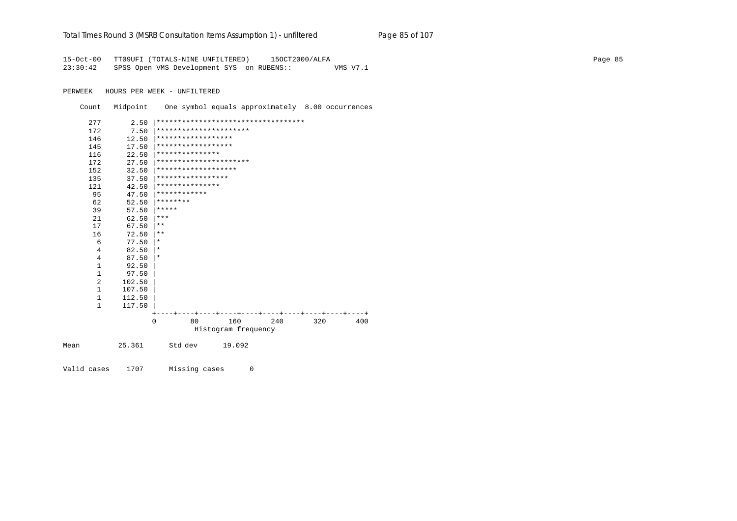#### Total Times Round 3 (MSRB Consultation Items Assumption 1) - unfiltered Page 85 of 107

15-Oct-00 TT09UFI (TOTALS-NINE UNFILTERED) 15OCT2000/ALFA 23:30:42 SPSS Open VMS Development SYS on RUBENS:: VMS V7.1

PERWEEK HOURS PER WEEK - UNFILTERED

Count Midpoint One symbol equals approximately 8.00 occurrences

| 277            | 2.50   |                        | *********************************** |     |                               |       |
|----------------|--------|------------------------|-------------------------------------|-----|-------------------------------|-------|
| 172            | 7.50   | ********************** |                                     |     |                               |       |
| 146            | 12.50  | ******************     |                                     |     |                               |       |
| 145            | 17.50  | ******************     |                                     |     |                               |       |
| 116            | 22.50  | ***************        |                                     |     |                               |       |
| 172            | 27.50  | ********************** |                                     |     |                               |       |
| 152            | 32.50  | *******************    |                                     |     |                               |       |
| 135            | 37.50  | *****************      |                                     |     |                               |       |
| 121            | 42.50  | ***************        |                                     |     |                               |       |
| 95             | 47.50  | ************           |                                     |     |                               |       |
| 62             | 52.50  | ********               |                                     |     |                               |       |
| 39             | 57.50  | *****                  |                                     |     |                               |       |
| 21             | 62.50  | ***                    |                                     |     |                               |       |
| 17             | 67.50  | $***$                  |                                     |     |                               |       |
| 16             | 72.50  | $***$                  |                                     |     |                               |       |
| 6              | 77.50  | $^\star$               |                                     |     |                               |       |
| 4              | 82.50  | $^\star$               |                                     |     |                               |       |
| 4              | 87.50  | $^\star$               |                                     |     |                               |       |
| $\mathbf{1}$   | 92.50  |                        |                                     |     |                               |       |
| 1              | 97.50  |                        |                                     |     |                               |       |
| $\overline{2}$ | 102.50 |                        |                                     |     |                               |       |
| 1              | 107.50 |                        |                                     |     |                               |       |
| $\mathbf{1}$   | 112.50 |                        |                                     |     |                               |       |
| $\mathbf{1}$   | 117.50 |                        |                                     |     |                               |       |
|                |        |                        |                                     |     | ----+----+----+----+----+---- | ----+ |
|                |        | $\Omega$<br>80         | 160                                 | 240 | 320                           | 400   |
|                |        |                        | Histogram frequency                 |     |                               |       |
| Mean           | 25.361 | Std dev                | 19.092                              |     |                               |       |

Valid cases 1707 Missing cases  $\overline{0}$  Page 85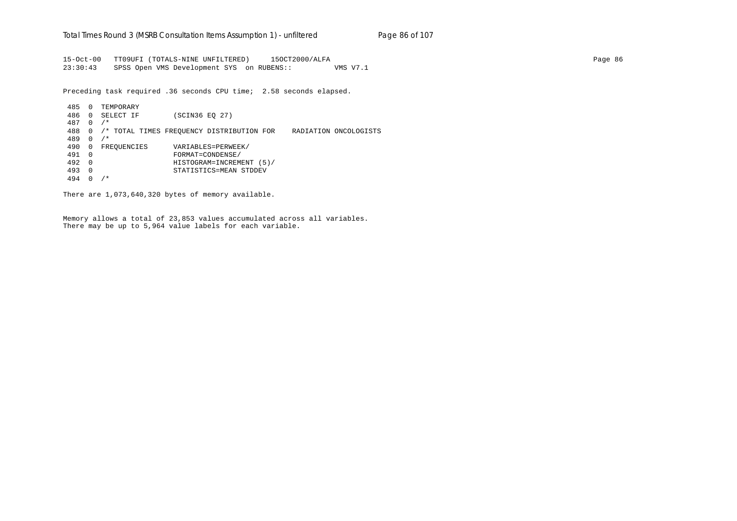15-Oct-00 TT09UFI (TOTALS-NINE UNFILTERED) 15OCT2000/ALFA Page 86 23:30:43 SPSS Open VMS Development SYS on RUBENS:: VMS V7.1

Preceding task required .36 seconds CPU time; 2.58 seconds elapsed.

 485 0 TEMPORARY 486 0 SELECT IF (SCIN36 EQ 27) 487 0 /\* 488 0 /\* TOTAL TIMES FREQUENCY DISTRIBUTION FOR RADIATION ONCOLOGISTS 489 0 /\* 490 0 FREQUENCIES VARIABLES=PERWEEK/ 491 0 FORMAT=CONDENSE/ 492 0 HISTOGRAM=INCREMENT (5)/ 493 0 STATISTICS=MEAN STDDEV 494 0 /\*

There are 1,073,640,320 bytes of memory available.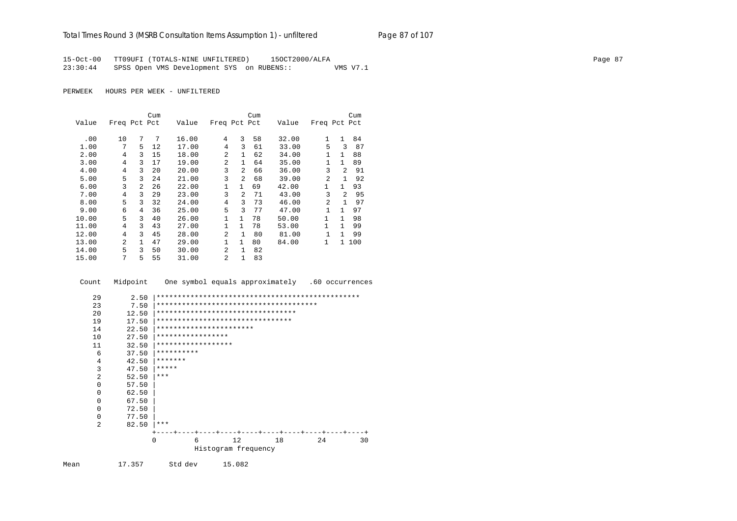15-Oct-00 TT09UFI (TOTALS-NINE UNFILTERED) 15OCT2000/ALFA 23:30:44 SPSS Open VMS Development SYS on RUBENS:: VMS V7.1

|       |              |                | Cum |       |                |                | Cum |       |                |                | Cum |
|-------|--------------|----------------|-----|-------|----------------|----------------|-----|-------|----------------|----------------|-----|
| Value | Freq Pct Pct |                |     | Value | Freq Pct Pct   |                |     | Value | Freq Pct Pct   |                |     |
|       |              |                |     |       |                |                |     |       |                |                |     |
| .00   | 10           | 7              | 7   | 16.00 | 4              | 3              | 58  | 32.00 | 1              | $\mathbf{1}$   | 84  |
| 1.00  | 7            | 5              | 12  | 17.00 | 4              | 3              | 61  | 33.00 | 5              | ζ              | 87  |
| 2.00  | 4            | 3              | 15  | 18.00 | $\mathfrak{D}$ | $\mathbf{1}$   | 62  | 34.00 | $\mathbf{1}$   | $\mathbf{1}$   | 88  |
| 3.00  | 4            | 3              | 17  | 19.00 | $\overline{a}$ | 1              | 64  | 35.00 | 1              | $\mathbf{1}$   | 89  |
| 4.00  | 4            | 3              | 20  | 20.00 | 3              | $\mathfrak{D}$ | 66  | 36.00 | 3              | $\mathfrak{D}$ | 91  |
| 5.00  | 5            | 3              | 24  | 21.00 | 3              | $\mathfrak{D}$ | 68  | 39.00 | $\mathfrak{D}$ | 1              | 92  |
| 6.00  | 3            | $\overline{a}$ | 26  | 22.00 | $\mathbf{1}$   | $\mathbf{1}$   | 69  | 42.00 | 1              | $\mathbf{1}$   | 93  |
| 7.00  | 4            | 3              | 29  | 23.00 | 3              | $\mathfrak{D}$ | 71  | 43.00 | 3              | 2              | 95  |
| 8.00  | 5            | 3              | 32  | 24.00 | 4              | ζ              | 73  | 46.00 | $\mathfrak{D}$ | 1              | 97  |
| 9.00  | 6            | 4              | 36  | 25.00 | 5              | ζ              | 77  | 47.00 | 1              | $\mathbf{1}$   | 97  |
| 10.00 | 5            | 3              | 40  | 26.00 | 1              | $\mathbf{1}$   | 78  | 50.00 | 1              | 1              | 98  |
| 11.00 | 4            | 3              | 43  | 27.00 | $\mathbf{1}$   | $\mathbf{1}$   | 78  | 53.00 | $\mathbf{1}$   | 1              | 99  |
| 12.00 | 4            | 3              | 45  | 28.00 | $\mathfrak{D}$ | 1              | 80  | 81.00 | $\mathbf{1}$   | 1              | 99  |
| 13.00 | 2            | 1              | 47  | 29.00 | 1              | $\mathbf{1}$   | 80  | 84.00 | 1              | $\mathbf{1}$   | 100 |
| 14.00 | 5            | 3              | 50  | 30.00 | $\mathfrak{D}$ | 1              | 82  |       |                |                |     |
| 15.00 | 7            | 5              | 55  | 31.00 | $\overline{a}$ | 1              | 83  |       |                |                |     |

| Count          | Midpoint     | One symbol equals approximately   |    |                     |    | .60 occurrences |  |
|----------------|--------------|-----------------------------------|----|---------------------|----|-----------------|--|
| 29<br>23       | 2.50<br>7.50 |                                   |    |                     |    |                 |  |
| 20             | 12.50        | ********************************* |    |                     |    |                 |  |
| 19             | 17.50        | ********************************  |    |                     |    |                 |  |
| 14             | 22.50        | ***********************           |    |                     |    |                 |  |
| 10             | 27.50        | *****************                 |    |                     |    |                 |  |
| 11             | 32.50        | ******************                |    |                     |    |                 |  |
| 6              | 37.50        | **********                        |    |                     |    |                 |  |
| 4              | 42.50        | *******                           |    |                     |    |                 |  |
| 3              | 47.50        | *****                             |    |                     |    |                 |  |
| 2              | 52.50        | ***                               |    |                     |    |                 |  |
| 0              | 57.50        |                                   |    |                     |    |                 |  |
| $\Omega$       | 62.50        |                                   |    |                     |    |                 |  |
| $\Omega$       | 67.50        |                                   |    |                     |    |                 |  |
| 0              | 72.50        |                                   |    |                     |    |                 |  |
| 0              | 77.50        |                                   |    |                     |    |                 |  |
| $\mathfrak{D}$ | 82.50        | ***                               |    |                     |    |                 |  |
|                |              |                                   |    |                     |    |                 |  |
|                |              | $\Omega$<br>6                     | 12 |                     | 18 | 24<br>30        |  |
|                |              |                                   |    | Histogram frequency |    |                 |  |
|                |              |                                   |    |                     |    |                 |  |

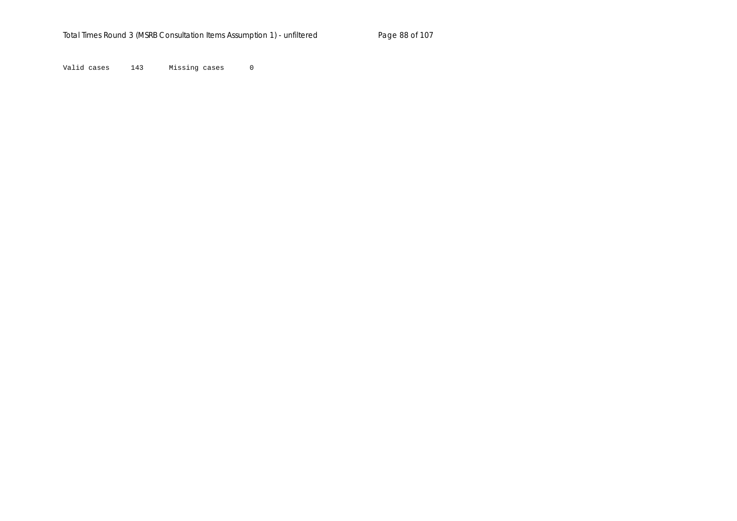Valid cases 143 Missing cases 0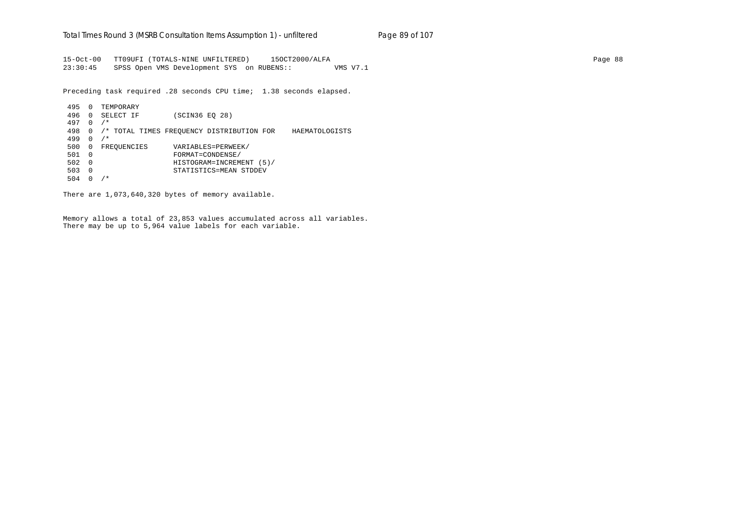15-Oct-00 TT09UFI (TOTALS-NINE UNFILTERED) 15OCT2000/ALFA Page 88 23:30:45 SPSS Open VMS Development SYS on RUBENS:: VMS V7.1

Preceding task required .28 seconds CPU time; 1.38 seconds elapsed.

 495 0 TEMPORARY 496 0 SELECT IF (SCIN36 EQ 28) 497 0 /\* 498 0 /\* TOTAL TIMES FREQUENCY DISTRIBUTION FOR HAEMATOLOGISTS 499 0 /\* 500 0 FREQUENCIES VARIABLES=PERWEEK/ 501 0 FORMAT=CONDENSE/ 502 0 HISTOGRAM=INCREMENT (5)/ 503 0 STATISTICS=MEAN STDDEV 504 0 /\*

There are 1,073,640,320 bytes of memory available.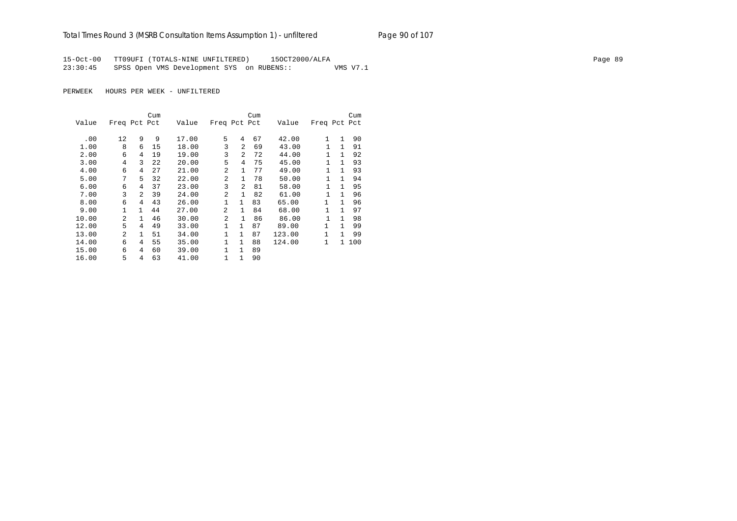# Total Times Round 3 (MSRB Consultation Items Assumption 1) - unfiltered Page 90 of 107

15-Oct-00 TT09UFI (TOTALS-NINE UNFILTERED) 15OCT2000/ALFA Page 89 23:30:45 SPSS Open VMS Development SYS on RUBENS:: VMS V7.1

|       |                |                | Cum |       |              |                | Cum |        |              |   | Cum   |
|-------|----------------|----------------|-----|-------|--------------|----------------|-----|--------|--------------|---|-------|
| Value | Freq Pct Pct   |                |     | Value | Freq Pct Pct |                |     | Value  | Freq Pct Pct |   |       |
| .00   | 12             | 9              | 9   | 17.00 | 5            | 4              | 67  | 42.00  | 1            | 1 | 90    |
| 1.00  | 8              | 6              | 15  | 18.00 | 3            | $\mathfrak{D}$ | 69  | 43.00  | 1            | 1 | 91    |
| 2.00  | 6              | 4              | 19  | 19.00 | 3            | $\mathfrak{D}$ | 72  | 44.00  | 1            | 1 | 92    |
| 3.00  | 4              | 3              | 22  | 20.00 | 5            | $\overline{4}$ | 75  | 45.00  | 1            |   | 93    |
| 4.00  | 6              | 4              | 27  | 21.00 | 2            | $\mathbf{1}$   | 77  | 49.00  | 1            | 1 | 93    |
| 5.00  | 7              | 5              | 32  | 22.00 | 2            | $\mathbf{1}$   | 78  | 50.00  | 1            | 1 | 94    |
| 6.00  | 6              | 4              | 37  | 23.00 | 3            | $\mathfrak{D}$ | 81  | 58.00  | 1            | 1 | 95    |
| 7.00  | 3              | $\mathfrak{D}$ | 39  | 24.00 | 2            | 1              | 82  | 61.00  | 1            | 1 | 96    |
| 8.00  | 6              | 4              | 43  | 26.00 | $\mathbf{1}$ | $\mathbf{1}$   | 83  | 65.00  | $\mathbf{1}$ | 1 | 96    |
| 9.00  |                | 1              | 44  | 27.00 | 2            | $\mathbf{1}$   | 84  | 68.00  | 1            | 1 | 97    |
| 10.00 | 2              | 1.             | 46  | 30.00 | 2            | $\mathbf{1}$   | 86  | 86.00  | 1            | 1 | 98    |
| 12.00 | 5              | 4              | 49  | 33.00 | 1            | $\mathbf{1}$   | 87  | 89.00  | 1            | 1 | 99    |
| 13.00 | $\mathfrak{D}$ | 1              | 51  | 34.00 | 1            | $\mathbf{1}$   | 87  | 123.00 | 1            | 1 | 99    |
| 14.00 | 6              | 4              | 55  | 35.00 | 1            | $\mathbf{1}$   | 88  | 124.00 | $\mathbf{1}$ |   | 1 100 |
| 15.00 | 6              | 4              | 60  | 39.00 | 1            | $\mathbf{1}$   | 89  |        |              |   |       |
| 16.00 | 5              | 4              | 63  | 41.00 | 1            | $\mathbf{1}$   | 90  |        |              |   |       |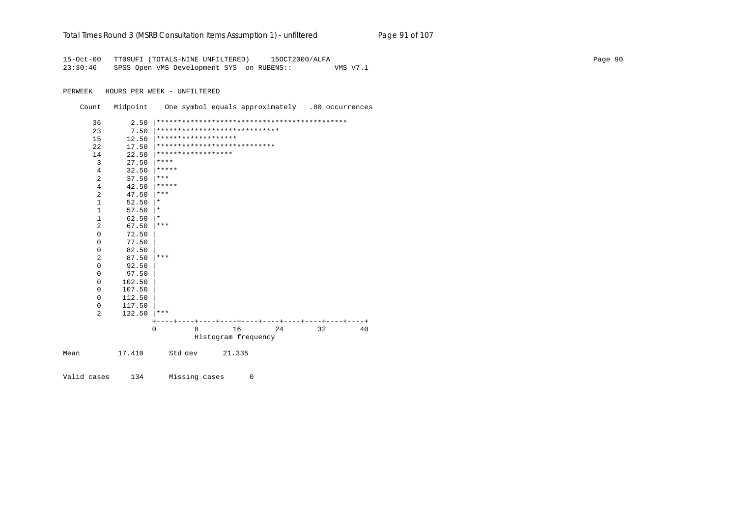### Total Times Round 3 (MSRB Consultation Items Assumption 1) - unfiltered Page 91 of 107

15-Oct-00 TT09UFI (TOTALS-NINE UNFILTERED) 15OCT2000/ALFA Page 90 23:30:46 SPSS Open VMS Development SYS on RUBENS:: VMS V7.1

PERWEEK HOURS PER WEEK - UNFILTERED

Count Midpoint One symbol equals approximately .80 occurrences

| 36             | 2.50   |          |                     |                               |    |    |    |
|----------------|--------|----------|---------------------|-------------------------------|----|----|----|
| 23             | 7.50   |          |                     | ***************************** |    |    |    |
| 15             | 12.50  |          | ******************* |                               |    |    |    |
| 22             | 17.50  |          |                     | ****************************  |    |    |    |
| 14             | 22.50  |          | ******************  |                               |    |    |    |
| 3              | 27.50  | ****     |                     |                               |    |    |    |
| 4              | 32.50  | *****    |                     |                               |    |    |    |
| $\overline{2}$ | 37.50  | $***$    |                     |                               |    |    |    |
| 4              | 42.50  | *****    |                     |                               |    |    |    |
| $\overline{2}$ | 47.50  | $***$    |                     |                               |    |    |    |
| $\mathbf{1}$   | 52.50  | $^\star$ |                     |                               |    |    |    |
| $\mathbf{1}$   | 57.50  | $^\star$ |                     |                               |    |    |    |
| $\mathbf 1$    | 62.50  | $^\star$ |                     |                               |    |    |    |
| $\overline{2}$ | 67.50  | ***      |                     |                               |    |    |    |
| 0              | 72.50  |          |                     |                               |    |    |    |
| 0              | 77.50  |          |                     |                               |    |    |    |
| $\mathbf 0$    | 82.50  |          |                     |                               |    |    |    |
| $\overline{2}$ | 87.50  | $***$    |                     |                               |    |    |    |
| 0              | 92.50  |          |                     |                               |    |    |    |
| 0              | 97.50  |          |                     |                               |    |    |    |
| $\mathbf 0$    | 102.50 |          |                     |                               |    |    |    |
| 0              | 107.50 |          |                     |                               |    |    |    |
| $\mathbf 0$    | 112.50 |          |                     |                               |    |    |    |
| 0              | 117.50 |          |                     |                               |    |    |    |
| 2              | 122.50 | ***      |                     |                               |    |    |    |
|                |        |          |                     |                               |    |    |    |
|                |        | $\Omega$ | 8                   | 16                            | 24 | 32 | 40 |
|                |        |          |                     | Histogram frequency           |    |    |    |
| Mean           | 17.410 |          | Std dev             | 21.335                        |    |    |    |

Valid cases 134 Missing cases 0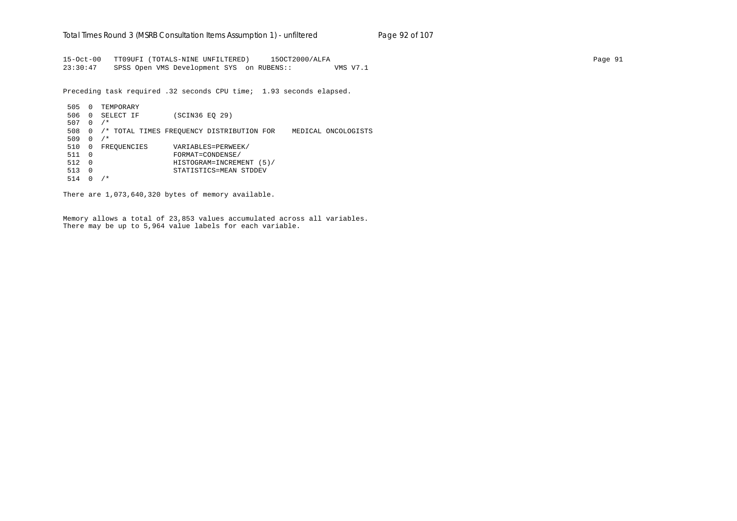15-Oct-00 TT09UFI (TOTALS-NINE UNFILTERED) 15OCT2000/ALFA Page 91 23:30:47 SPSS Open VMS Development SYS on RUBENS:: VMS V7.1

Preceding task required .32 seconds CPU time; 1.93 seconds elapsed.

 505 0 TEMPORARY 506 0 SELECT IF (SCIN36 EQ 29) 507 0 /\* 508 0 /\* TOTAL TIMES FREQUENCY DISTRIBUTION FOR MEDICAL ONCOLOGISTS 509 0 /\* 510 0 FREQUENCIES VARIABLES=PERWEEK/ 511 0 FORMAT=CONDENSE/ 512 0 HISTOGRAM=INCREMENT (5)/ 513 0 STATISTICS=MEAN STDDEV 514 0 /\*

There are 1,073,640,320 bytes of memory available.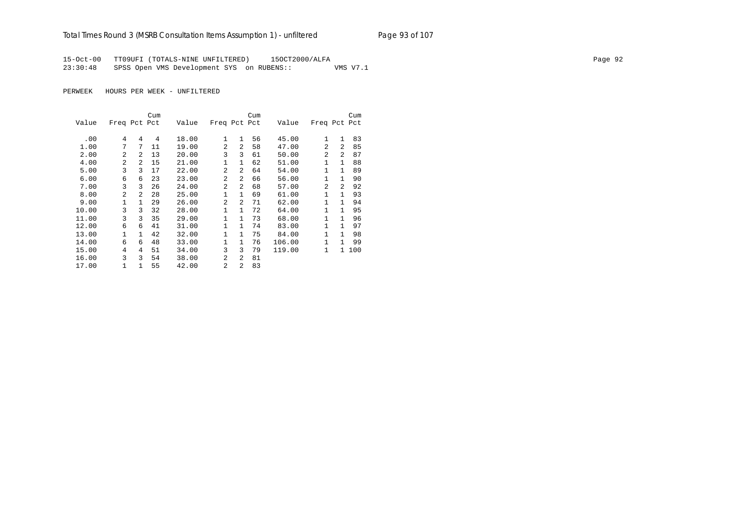# Total Times Round 3 (MSRB Consultation Items Assumption 1) - unfiltered Page 93 of 107

15-Oct-00 TT09UFI (TOTALS-NINE UNFILTERED) 15OCT2000/ALFA Page 92 23:30:48 SPSS Open VMS Development SYS on RUBENS:: VMS V7.1

|       |                |                | Cum |       |                |              | Cum |        |              |                | Cum |
|-------|----------------|----------------|-----|-------|----------------|--------------|-----|--------|--------------|----------------|-----|
| Value | Freq Pct Pct   |                |     | Value | Freq Pct Pct   |              |     | Value  | Freq Pct Pct |                |     |
| .00   | 4              | 4              | 4   | 18.00 | 1              | 1            | 56  | 45.00  | $\mathbf{1}$ | $\mathbf{1}$   | 83  |
| 1.00  | 7              | 7              | 11  | 19.00 | $\overline{a}$ | 2            | 58  | 47.00  | 2            | $\overline{a}$ | 85  |
| 2.00  | $\overline{a}$ | $\overline{a}$ | 13  | 20.00 | 3              | 3            | 61  | 50.00  | 2            | $\overline{a}$ | 87  |
| 4.00  | $\overline{2}$ | $\overline{a}$ | 15  | 21.00 | $\mathbf{1}$   | $\mathbf{1}$ | 62  | 51.00  | 1            | $\mathbf{1}$   | 88  |
| 5.00  | 3              | 3              | 17  | 22.00 | $\overline{2}$ | 2            | 64  | 54.00  | $\mathbf{1}$ | $\mathbf{1}$   | 89  |
| 6.00  | 6              | 6              | 23  | 23.00 | $\overline{a}$ | 2            | 66  | 56.00  | 1            | 1              | 90  |
| 7.00  | 3              | ζ              | 26  | 24.00 | $\overline{2}$ | 2            | 68  | 57.00  | 2            | 2              | 92  |
| 8.00  | $\overline{a}$ | 2              | 28  | 25.00 | 1              | $\mathbf{1}$ | 69  | 61.00  | 1            | 1              | 93  |
| 9.00  | $\mathbf{1}$   | 1.             | 29  | 26.00 | $\mathfrak{D}$ | 2            | 71  | 62.00  | 1            | 1              | 94  |
| 10.00 | 3              | 3              | 32  | 28.00 | $\mathbf{1}$   | $\mathbf{1}$ | 72  | 64.00  | 1            | 1              | 95  |
| 11.00 | 3              | 3              | 35  | 29.00 | 1              | $\mathbf{1}$ | 73  | 68.00  | $\mathbf{1}$ | $\mathbf{1}$   | 96  |
| 12.00 | 6              | 6              | 41  | 31.00 | 1              | $\mathbf{1}$ | 74  | 83.00  | 1            | 1              | 97  |
| 13.00 | 1              | 1              | 42  | 32.00 | 1              | $\mathbf{1}$ | 75  | 84.00  | 1            | $\mathbf{1}$   | 98  |
| 14.00 | 6              | 6              | 48  | 33.00 | $\mathbf{1}$   | $\mathbf{1}$ | 76  | 106.00 | 1            | 1              | 99  |
| 15.00 | 4              | 4              | 51  | 34.00 | 3              | 3            | 79  | 119.00 | $\mathbf{1}$ | 1              | 100 |
| 16.00 | 3              | 3              | 54  | 38.00 | $\overline{2}$ | 2            | 81  |        |              |                |     |
| 17.00 | 1              | 1              | 55  | 42.00 | $\mathfrak{D}$ | 2            | 83  |        |              |                |     |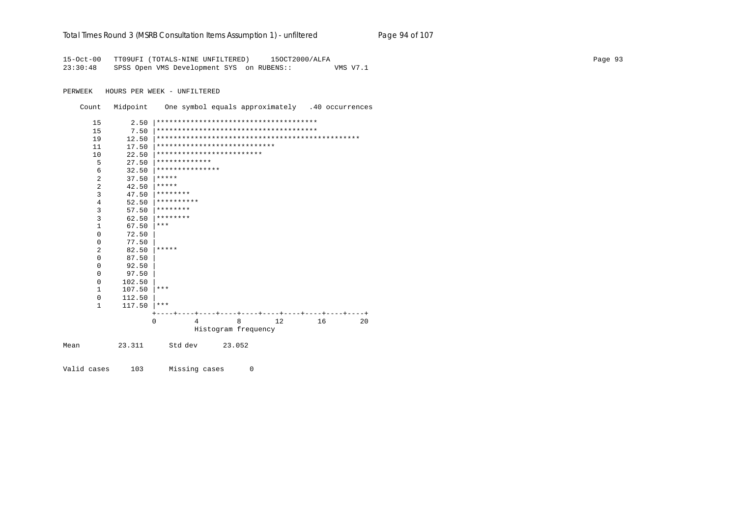|  | Total Times Round 3 (MSRB Consultation Items Assumption 1) - unfiltered | Page 94 of 107 |
|--|-------------------------------------------------------------------------|----------------|
|--|-------------------------------------------------------------------------|----------------|

15-Oct-00 TT09UFI (TOTALS-NINE UNFILTERED) 15OCT2000/ALFA 23:30:48 SPSS Open VMS Development SYS on RUBENS:: VMS V7.1

PERWEEK HOURS PER WEEK - UNFILTERED

Count Midpoint One symbol equals approximately .40 occurrences

| 15             | 2.50   |               |                 |                              |    |    |    |
|----------------|--------|---------------|-----------------|------------------------------|----|----|----|
| 15             | 7.50   |               |                 |                              |    |    |    |
| 19             | 12.50  |               |                 |                              |    |    |    |
| 11             | 17.50  |               |                 | **************************** |    |    |    |
| 10             | 22.50  |               |                 | *************************    |    |    |    |
| 5              | 27.50  | ************* |                 |                              |    |    |    |
| 6              | 32.50  |               | *************** |                              |    |    |    |
| $\overline{2}$ | 37.50  | *****         |                 |                              |    |    |    |
| $\overline{2}$ | 42.50  | *****         |                 |                              |    |    |    |
| 3              | 47.50  | ********      |                 |                              |    |    |    |
| 4              | 52.50  | **********    |                 |                              |    |    |    |
| 3              | 57.50  | ********      |                 |                              |    |    |    |
| $\overline{3}$ | 62.50  | ********      |                 |                              |    |    |    |
| $\mathbf{1}$   | 67.50  | $***$         |                 |                              |    |    |    |
| 0              | 72.50  |               |                 |                              |    |    |    |
| $\mathbf 0$    | 77.50  |               |                 |                              |    |    |    |
| 2              | 82.50  | *****         |                 |                              |    |    |    |
| $\mathbf 0$    | 87.50  |               |                 |                              |    |    |    |
| 0              | 92.50  |               |                 |                              |    |    |    |
| $\mathbf 0$    | 97.50  |               |                 |                              |    |    |    |
| $\mathbf 0$    | 102.50 |               |                 |                              |    |    |    |
| $\mathbf{1}$   | 107.50 | ***           |                 |                              |    |    |    |
| $\mathbf 0$    | 112.50 |               |                 |                              |    |    |    |
| $\mathbf{1}$   | 117.50 | ***           |                 |                              |    |    |    |
|                |        |               |                 |                              |    |    |    |
|                |        | $\Omega$      | $\overline{4}$  | 8                            | 12 | 16 | 20 |
|                |        |               |                 | Histogram frequency          |    |    |    |
| Mean           | 23.311 | Std dev       |                 | 23.052                       |    |    |    |

Valid cases 103 Missing cases  $\overline{0}$  Page 93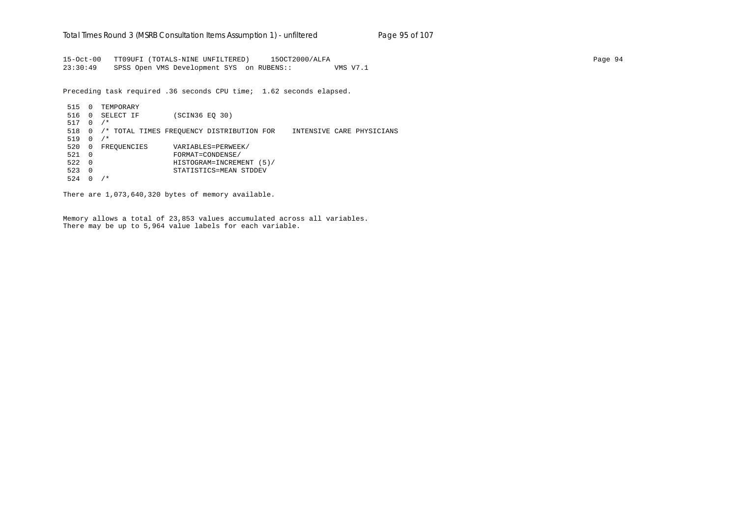15-Oct-00 TT09UFI (TOTALS-NINE UNFILTERED) 15OCT2000/ALFA Page 94 23:30:49 SPSS Open VMS Development SYS on RUBENS:: VMS V7.1

Preceding task required .36 seconds CPU time; 1.62 seconds elapsed.

 515 0 TEMPORARY 516 0 SELECT IF (SCIN36 EQ 30) 517 0 /\* 518 0 /\* TOTAL TIMES FREQUENCY DISTRIBUTION FOR INTENSIVE CARE PHYSICIANS 519 0 /\* 520 0 FREQUENCIES VARIABLES=PERWEEK/ 521 0 FORMAT=CONDENSE/ 522 0 HISTOGRAM=INCREMENT (5)/ 523 0 STATISTICS=MEAN STDDEV 524 0 /\*

There are 1,073,640,320 bytes of memory available.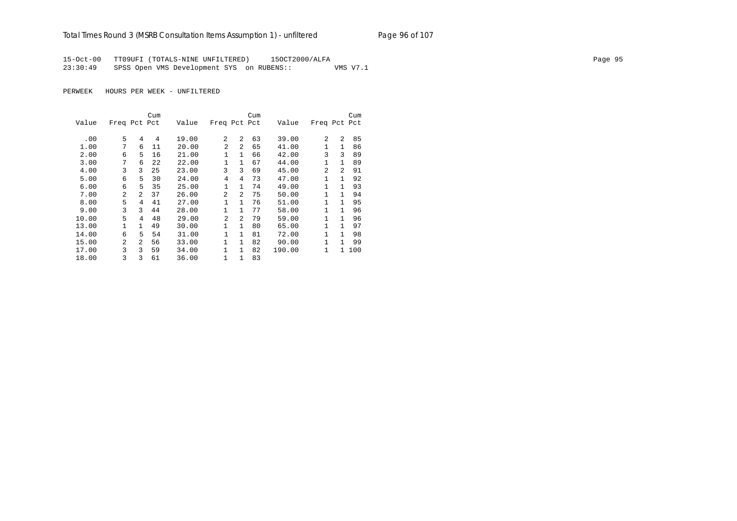# Total Times Round 3 (MSRB Consultation Items Assumption 1) - unfiltered Page 96 of 107

15-Oct-00 TT09UFI (TOTALS-NINE UNFILTERED) 15OCT2000/ALFA Page 95 23:30:49 SPSS Open VMS Development SYS on RUBENS:: VMS V7.1

|       |                |                | Cum |       |                |              | Cum |        |              |                | Cum |
|-------|----------------|----------------|-----|-------|----------------|--------------|-----|--------|--------------|----------------|-----|
| Value | Freq Pct Pct   |                |     | Value | Freq Pct Pct   |              |     | Value  | Freq Pct Pct |                |     |
|       |                |                |     |       | $\overline{a}$ | 2            |     |        | 2            | $\mathfrak{D}$ |     |
| .00   | 5              | 4              | 4   | 19.00 |                |              | 63  | 39.00  |              |                | 85  |
| 1.00  | 7              | 6              | 11  | 20.00 | $\overline{a}$ | 2            | 65  | 41.00  |              | 1              | 86  |
| 2.00  | 6              | 5              | 16  | 21.00 | 1              | $\mathbf{1}$ | 66  | 42.00  | 3            | 3              | 89  |
| 3.00  | 7              | 6              | 22  | 22.00 | 1              | $\mathbf{1}$ | 67  | 44.00  | 1            | $\mathbf{1}$   | 89  |
| 4.00  | 3              | 3              | 25  | 23.00 | 3              | 3            | 69  | 45.00  | 2            | $\mathfrak{D}$ | 91  |
| 5.00  | 6              | 5              | 30  | 24.00 | $\overline{4}$ | 4            | 73  | 47.00  | 1            | 1              | 92  |
| 6.00  | 6              | 5              | 35  | 25.00 | 1              | $\mathbf{1}$ | 74  | 49.00  | $\mathbf{1}$ | 1              | 93  |
| 7.00  | $\mathfrak{D}$ | $\mathfrak{D}$ | 37  | 26.00 | $\overline{a}$ | 2            | 75  | 50.00  | $\mathbf{1}$ | 1              | 94  |
| 8.00  | 5              | 4              | 41  | 27.00 | 1              | $\mathbf{1}$ | 76  | 51.00  | $\mathbf{1}$ | 1              | 95  |
| 9.00  | 3              | 3              | 44  | 28.00 | $\mathbf{1}$   | $\mathbf{1}$ | 77  | 58.00  | 1            | 1              | 96  |
| 10.00 | 5              | 4              | 48  | 29.00 | 2              | 2            | 79  | 59.00  | 1            | 1              | 96  |
| 13.00 |                | 1              | 49  | 30.00 | $\mathbf{1}$   | $\mathbf{1}$ | 80  | 65.00  | 1            | 1              | 97  |
| 14.00 | 6              | 5              | 54  | 31.00 | 1              | $\mathbf{1}$ | 81  | 72.00  | 1            | 1              | 98  |
| 15.00 | $\overline{a}$ | $\mathfrak{D}$ | 56  | 33.00 | $\mathbf{1}$   | $\mathbf{1}$ | 82  | 90.00  | 1            | 1              | 99  |
| 17.00 | 3              | ς              | 59  | 34.00 | 1              | $\mathbf{1}$ | 82  | 190.00 | 1            | 1.             | 100 |
| 18.00 | 3              | 3              | 61  | 36.00 | 1              | 1            | 83  |        |              |                |     |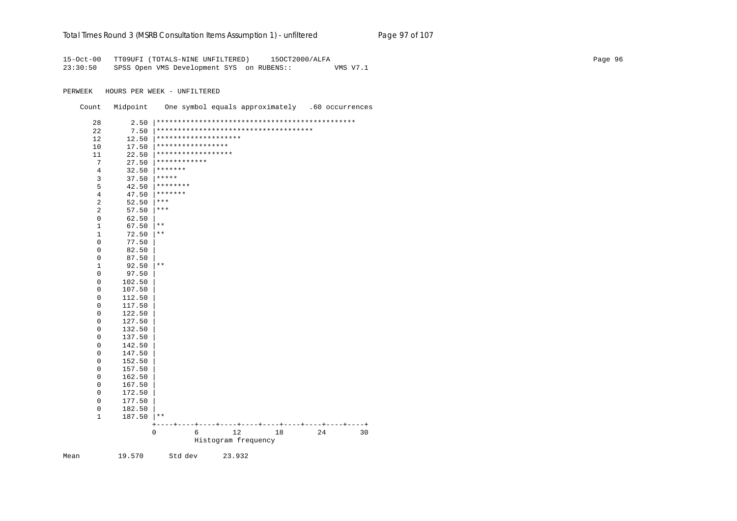#### Total Times Round 3 (MSRB Consultation Items Assumption 1) - unfiltered Page 97 of 107

15-Oct-00 TT09UFI (TOTALS-NINE UNFILTERED) 15OCT2000/ALFA Page 96 23:30:50 SPSS Open VMS Development SYS on RUBENS:: VMS V7.1

PERWEEK HOURS PER WEEK - UNFILTERED

Count Midpoint One symbol equals approximately .60 occurrences

|    |                                  | 0                                       | 6 | 12<br>Histogram frequency | 18                                     | 24 | 30      |
|----|----------------------------------|-----------------------------------------|---|---------------------------|----------------------------------------|----|---------|
|    |                                  |                                         |   |                           | ----+----+----+----+----+----+         |    | -+----+ |
|    | $\mathbf{1}$<br>187.50           | $\star$ $\star$                         |   |                           |                                        |    |         |
|    | $\mathbf 0$<br>182.50            |                                         |   |                           |                                        |    |         |
|    | 177.50<br>0                      |                                         |   |                           |                                        |    |         |
|    | $\mathbf{0}$<br>172.50           |                                         |   |                           |                                        |    |         |
|    | $\mathbf 0$<br>167.50            |                                         |   |                           |                                        |    |         |
|    | $\mathsf 0$<br>162.50            |                                         |   |                           |                                        |    |         |
|    | $\mathbf 0$<br>157.50            |                                         |   |                           |                                        |    |         |
|    | 152.50<br>$\mathbf 0$            |                                         |   |                           |                                        |    |         |
|    | $\mathbf 0$<br>147.50            |                                         |   |                           |                                        |    |         |
|    | 142.50<br>$\mathsf 0$            |                                         |   |                           |                                        |    |         |
|    | $\mathsf 0$<br>137.50            |                                         |   |                           |                                        |    |         |
|    | 132.50<br>0                      |                                         |   |                           |                                        |    |         |
|    | $\mathbf 0$<br>127.50            |                                         |   |                           |                                        |    |         |
|    | $\mathbf 0$<br>122.50            |                                         |   |                           |                                        |    |         |
|    | $\mathbf 0$<br>117.50            |                                         |   |                           |                                        |    |         |
|    | $\mathbf 0$<br>112.50            |                                         |   |                           |                                        |    |         |
|    | $\mathbf 0$<br>107.50            |                                         |   |                           |                                        |    |         |
|    | $\mathbf 0$<br>102.50            |                                         |   |                           |                                        |    |         |
|    | $\mathsf 0$<br>97.50             |                                         |   |                           |                                        |    |         |
|    | $1\,$<br>92.50                   | $***$                                   |   |                           |                                        |    |         |
|    | 0<br>0<br>87.50                  |                                         |   |                           |                                        |    |         |
|    | $\mathbf 0$<br>77.50<br>82.50    |                                         |   |                           |                                        |    |         |
|    |                                  |                                         |   |                           |                                        |    |         |
|    | 67.50<br>$1\,$<br>72.50          | $\star\star$                            |   |                           |                                        |    |         |
|    | $\mathsf 0$<br>62.50<br>$1\,$    | $\star\star$                            |   |                           |                                        |    |         |
|    | 2<br>57.50                       |                                         |   |                           |                                        |    |         |
|    | $\overline{\mathbf{c}}$<br>52.50 | $***$<br>$***$                          |   |                           |                                        |    |         |
|    | $\overline{4}$<br>47.50          | *******                                 |   |                           |                                        |    |         |
|    | 5<br>42.50                       |                                         |   |                           |                                        |    |         |
|    | 3<br>37.50                       | ********                                |   |                           |                                        |    |         |
|    | $\overline{4}$<br>32.50          | *****                                   |   |                           |                                        |    |         |
|    | 7<br>27.50                       | *******                                 |   |                           |                                        |    |         |
| 11 | 22.50                            | ************                            |   |                           |                                        |    |         |
| 10 | 17.50                            | *****************<br>****************** |   |                           |                                        |    |         |
| 12 | 12.50                            | ********************                    |   |                           |                                        |    |         |
| 22 | 7.50                             |                                         |   |                           | ************************************** |    |         |
| 28 | 2.50                             |                                         |   |                           |                                        |    |         |

Mean 19.570 Std dev 23.932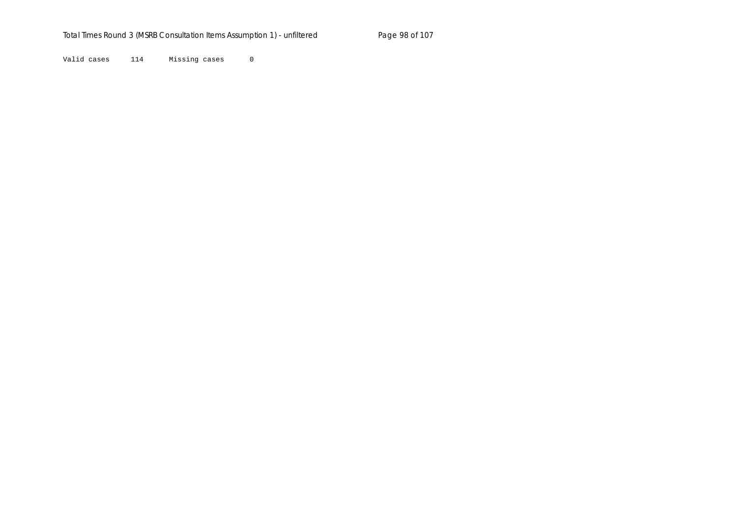Valid cases 114 Missing cases 0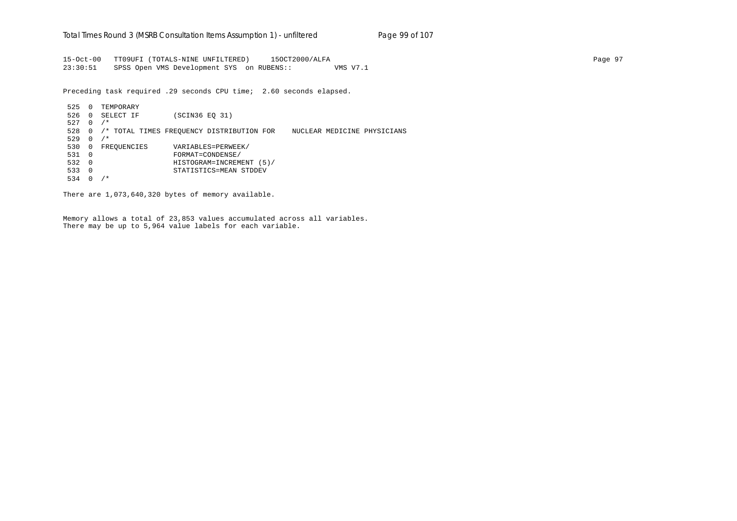15-Oct-00 TT09UFI (TOTALS-NINE UNFILTERED) 15OCT2000/ALFA Page 97 23:30:51 SPSS Open VMS Development SYS on RUBENS:: VMS V7.1

Preceding task required .29 seconds CPU time; 2.60 seconds elapsed.

 525 0 TEMPORARY 526 0 SELECT IF (SCIN36 EQ 31) 527 0 /\* 528 0 /\* TOTAL TIMES FREQUENCY DISTRIBUTION FOR NUCLEAR MEDICINE PHYSICIANS 529 0 /\* 530 0 FREQUENCIES VARIABLES=PERWEEK/ 531 0 FORMAT=CONDENSE/ 532 0 HISTOGRAM=INCREMENT (5)/ 533 0 STATISTICS=MEAN STDDEV 534 0 /\*

There are 1,073,640,320 bytes of memory available.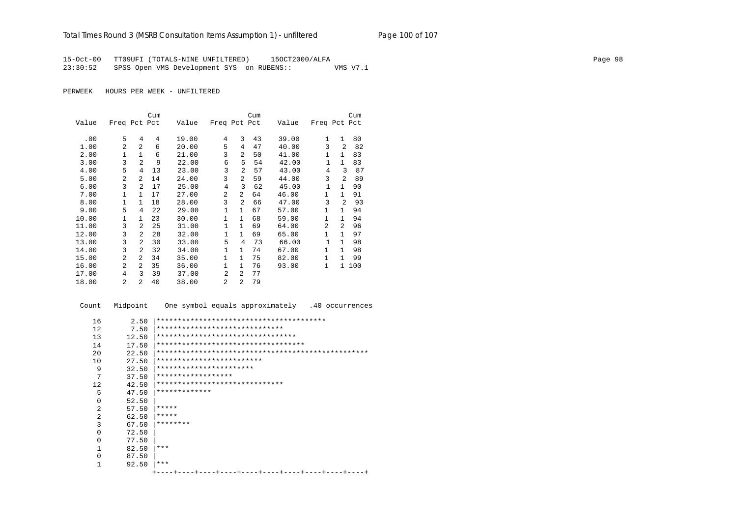15-Oct-00 TT09UFI (TOTALS-NINE UNFILTERED) 15OCT2000/ALFA Page 98 23:30:52 SPSS Open VMS Development SYS on RUBENS:: VMS V7.1

PERWEEK HOURS PER WEEK - UNFILTERED

|       |                |                | Cum |       |                |                | Cum |       |                |                | Cum |
|-------|----------------|----------------|-----|-------|----------------|----------------|-----|-------|----------------|----------------|-----|
| Value | Freq Pct Pct   |                |     | Value | Freq Pct Pct   |                |     | Value | Freq Pct Pct   |                |     |
|       |                |                |     |       |                |                |     |       |                |                |     |
| .00   | 5              | 4              | 4   | 19.00 | 4              | 3              | 43  | 39.00 | $\mathbf{1}$   | $\mathbf{1}$   | 80  |
| 1.00  | $\mathfrak{D}$ | $\overline{a}$ | 6   | 20.00 | 5              | 4              | 47  | 40.00 | 3              | $\overline{a}$ | 82  |
| 2.00  | 1              | $\mathbf{1}$   | 6   | 21.00 | 3              | 2              | 50  | 41.00 | 1              | 1              | 83  |
| 3.00  | 3              | $\overline{a}$ | 9   | 22.00 | 6              | 5              | 54  | 42.00 | $\mathbf{1}$   | $\mathbf{1}$   | 83  |
| 4.00  | 5              | 4              | 13  | 23.00 | 3              | 2              | 57  | 43.00 | $\overline{4}$ | 3              | 87  |
| 5.00  | $\mathfrak{D}$ | $\overline{a}$ | 14  | 24.00 | 3              | 2              | 59  | 44.00 | 3              | $\mathfrak{D}$ | 89  |
| 6.00  | 3              | 2              | 17  | 25.00 | $\overline{4}$ | 3              | 62  | 45.00 | $\mathbf{1}$   | $\mathbf{1}$   | 90  |
| 7.00  | 1              | 1              | 17  | 27.00 | 2              | 2              | 64  | 46.00 | $\mathbf{1}$   | 1              | 91  |
| 8.00  | $\mathbf{1}$   | $\mathbf{1}$   | 18  | 28.00 | 3              | 2              | 66  | 47.00 | 3              | $\overline{a}$ | 93  |
| 9.00  | 5              | 4              | 22  | 29.00 | $\mathbf 1$    | $\mathbf{1}$   | 67  | 57.00 | 1              | 1              | 94  |
| 10.00 | 1              | 1              | 23  | 30.00 | $\mathbf{1}$   | $\mathbf{1}$   | 68  | 59.00 | $\mathbf{1}$   | $\mathbf{1}$   | 94  |
| 11.00 | 3              | $\overline{a}$ | 25  | 31.00 | $\mathbf 1$    | $\mathbf{1}$   | 69  | 64.00 | $\mathfrak{D}$ | $\overline{a}$ | 96  |
| 12.00 | 3              | 2              | 28  | 32.00 | 1              | $\mathbf{1}$   | 69  | 65.00 | $\mathbf{1}$   | $\mathbf{1}$   | 97  |
| 13.00 | 3              | $\overline{a}$ | 30  | 33.00 | 5              | $\overline{4}$ | 73  | 66.00 | $\mathbf{1}$   | $\mathbf{1}$   | 98  |
| 14.00 | 3              | 2              | 32  | 34.00 | $\mathbf 1$    | $\mathbf{1}$   | 74  | 67.00 | $\mathbf{1}$   | $\mathbf{1}$   | 98  |
| 15.00 | $\overline{2}$ | $\overline{a}$ | 34  | 35.00 | $\mathbf{1}$   | $\mathbf{1}$   | 75  | 82.00 | $\mathbf{1}$   | 1              | 99  |
| 16.00 | $\overline{a}$ | $\overline{a}$ | 35  | 36.00 | $\mathbf{1}$   | $\mathbf{1}$   | 76  | 93.00 | $\mathbf{1}$   | 1.             | 100 |
| 17.00 | 4              | 3              | 39  | 37.00 | $\overline{2}$ | 2              | 77  |       |                |                |     |
| 18.00 | 2              | $\mathfrak{D}$ | 40  | 38.00 | $\overline{2}$ | $\overline{a}$ | 79  |       |                |                |     |

 Count Midpoint One symbol equals approximately .40 occurrences 16 2.50 |\*\*\*\*\*\*\*\*\*\*\*\*\*\*\*\*\*\*\*\*\*\*\*\*\*\*\*\*\*\*\*\*\*\*\*\*\*\*\*\* 12 7.50 |\*\*\*\*\*\*\*\*\*\*\*\*\*\*\*\*\*\*\*\*\*\*\*\*\*\*\*\*\*\*\*\*\*<br>13 12.50 |\*\*\*\*\*\*\*\*\*\*\*\*\*\*\*\*\*\*\*\*\*\*\*\*\*\*\*\*\*\*\*\* 13 12.50 |\*\*\*\*\*\*\*\*\*\*\*\*\*\*\*\*\*\*\*\*\*\*\*\*\*\*\*\*\*\*\*\*\* 14 17.50 |\*\*\*\*\*\*\*\*\*\*\*\*\*\*\*\*\*\*\*\*\*\*\*\*\*\*\*\*\*\*\*\*\*\*\* 20 22.50 |\*\*\*\*\*\*\*\*\*\*\*\*\*\*\*\*\*\*\*\*\*\*\*\*\*\*\*\*\*\*\*\*\*\*\*\*\*\*\*\*\*\*\*\*\*\*\*\*\*\* 10 27.50 |\*\*\*\*\*\*\*\*\*\*\*\*\*\*\*\*\*\*\*\*\*\*\*\*\*\*\*<br>9 32.50 |\*\*\*\*\*\*\*\*\*\*\*\*\*\*\*\*\*\*\*\*\*\*\*\* 9 32.50 |\*\*\*\*\*\*\*\*\*\*\*\*\*\*\*\*\*\*\*\*\*\*\*  $\begin{array}{cc}\n7 & 37.50 & \rightarrow\n\begin{array}{c}\n7.50 & \rightarrow\n\end{array}\n\leftarrow\n\begin{array}{c}\n7.50 & \rightarrow\n\end{array}\n\leftarrow\n\begin{array}{c}\n\end{array}\n\leftarrow\n\begin{array}{c}\n\end{array}\n\leftarrow\n\begin{array}{c}\n\end{array}\n\leftarrow\n\end{array}\n\leftarrow\n\begin{array}{c}\n\end{array}\n\leftarrow\n\begin{array}{c}\n\end{array}\n\leftarrow\n\begin{array}{c}\n\end{array}\n\leftarrow\n\begin{array}{c}\n\end{array}\n\leftarrow\n\begin{array}{c}\n\$  12 42.50 |\*\*\*\*\*\*\*\*\*\*\*\*\*\*\*\*\*\*\*\*\*\*\*\*\*\*\*\*\*\* 5 47.50  $*****************$  $\begin{array}{ccc} 0 & 52.50 \\ 2 & 57.50 \end{array}$ 2  $57.50$   $****$ <br>2  $62.50$   $****$ 2 62.50  $*****$ <br>3 67.50  $*****$  3 67.50 |\*\*\*\*\*\*\*\*  $0$  72.50<br>0 77.50  $\begin{array}{ccc} 0 & & 77.50 \\ 1 & & 82.50 \end{array}$  $\begin{array}{ccc} 1 & 82.50 & \ast \ast \ast \\ 0 & 87.50 & \end{array}$  0 87.50 |  $1$  92.50  $***$ +----+----+----+----+----+----+----+----+----+----+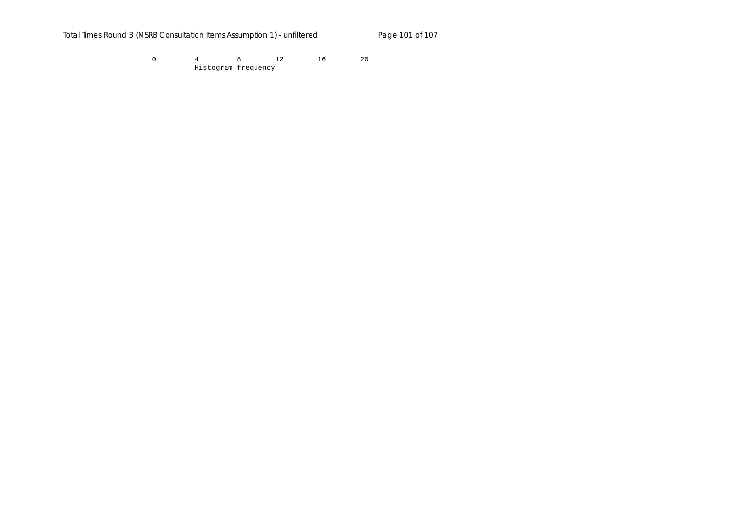Total Times Round 3 (MSRB Consultation Items Assumption 1) - unfiltered Page 101 of 107

 0 4 8 12 16 20 Histogram frequency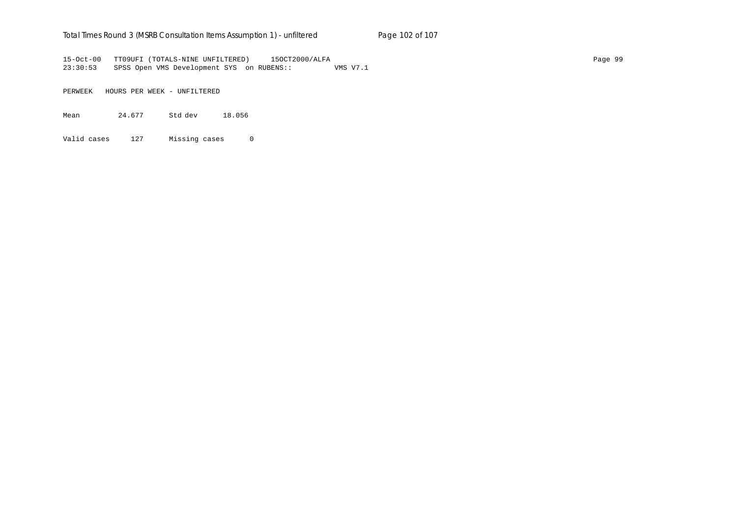#### Total Times Round 3 (MSRB Consultation Items Assumption 1) - un*filtered* Page 102 of 107

15-Oct-00 TT09UFI (TOTALS-NINE UNFILTERED) 15OCT2000/ALFA Page 99 23:30:53 SPSS Open VMS Development SYS on RUBENS:: VMS V7.1

PERWEEK HOURS PER WEEK - UNFILTERED

Mean 24.677 Std dev 18.056

Valid cases 127 Missing cases 0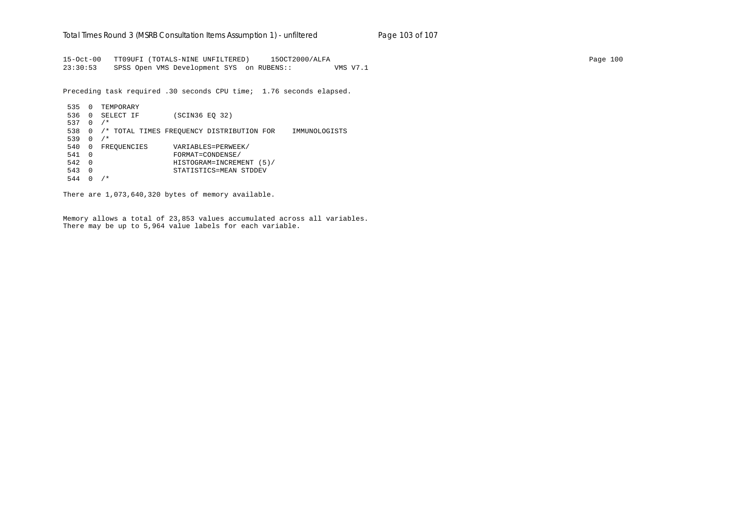15-Oct-00 TT09UFI (TOTALS-NINE UNFILTERED) 15OCT2000/ALFA Page 100 23:30:53 SPSS Open VMS Development SYS on RUBENS:: VMS V7.1

Preceding task required .30 seconds CPU time; 1.76 seconds elapsed.

 535 0 TEMPORARY 536 0 SELECT IF (SCIN36 EQ 32) 537 0 /\* 538 0 /\* TOTAL TIMES FREQUENCY DISTRIBUTION FOR IMMUNOLOGISTS 539 0 /\* 540 0 FREQUENCIES VARIABLES=PERWEEK/ 541 0 FORMAT=CONDENSE/ 542 0 HISTOGRAM=INCREMENT (5)/ 543 0 STATISTICS=MEAN STDDEV 544 0 /\*

There are 1,073,640,320 bytes of memory available.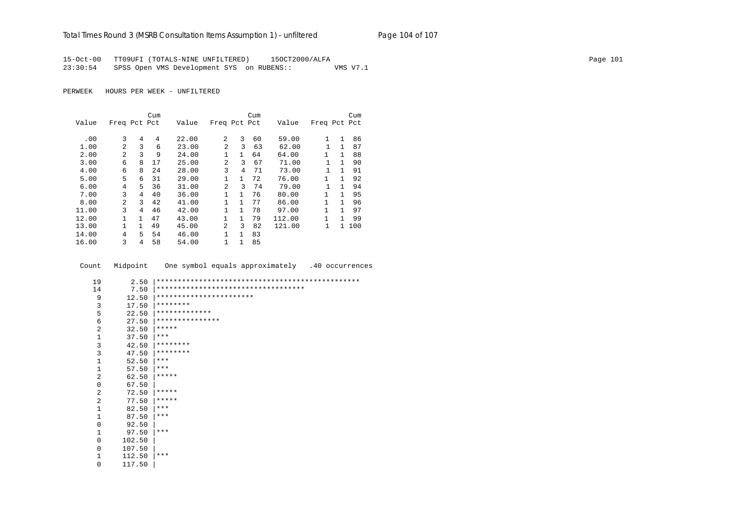### Total Times Round 3 (MSRB Consultation Items Assumption 1) - unfiltered Page 104 of 107

15-Oct-00 TT09UFI (TOTALS-NINE UNFILTERED) 15OCT2000/ALFA Page 101 23:30:54 SPSS Open VMS Development SYS on RUBENS:: VMS V7.1

PERWEEK HOURS PER WEEK - UNFILTERED

|       |                |              | Cum |       |                |              | Cum |        |              |              | Cum   |
|-------|----------------|--------------|-----|-------|----------------|--------------|-----|--------|--------------|--------------|-------|
| Value | Freq Pct Pct   |              |     | Value | Freq Pct Pct   |              |     | Value  | Freq Pct Pct |              |       |
|       |                |              |     |       |                |              |     |        |              |              |       |
| .00   | 3              | 4            | 4   | 22.00 | 2              | 3            | 60  | 59.00  | 1            | 1            | 86    |
| 1.00  | $\overline{a}$ | 3            | 6   | 23.00 | $\overline{a}$ | 3            | 63  | 62.00  |              | 1            | 87    |
| 2.00  | 2              | 3            | 9   | 24.00 | 1              | $\mathbf{1}$ | 64  | 64.00  | $\mathbf{1}$ | 1            | 88    |
| 3.00  | 6              | 8            | 17  | 25.00 | $\overline{a}$ | 3            | 67  | 71.00  | 1            | $\mathbf{1}$ | 90    |
| 4.00  | 6              | 8            | 24  | 28.00 | 3              | 4            | 71  | 73.00  | 1            | 1            | 91    |
| 5.00  | 5              | 6            | 31  | 29.00 | $\mathbf{1}$   | $\mathbf{1}$ | 72  | 76.00  | $\mathbf{1}$ | $\mathbf{1}$ | 92    |
| 6.00  | 4              | 5.           | 36  | 31.00 | 2              | 3            | 74  | 79.00  |              | 1            | 94    |
| 7.00  | 3              | 4            | 40  | 36.00 | 1              | $\mathbf{1}$ | 76  | 80.00  | $\mathbf{1}$ | 1            | 95    |
| 8.00  | $\overline{2}$ | 3            | 42  | 41.00 | 1              | $\mathbf{1}$ | 77  | 86.00  | 1            | 1            | 96    |
| 11.00 | 3              | 4            | 46  | 42.00 | 1              | $\mathbf{1}$ | 78  | 97.00  |              | 1            | 97    |
| 12.00 |                | $\mathbf{1}$ | 47  | 43.00 | 1              | $\mathbf{1}$ | 79  | 112.00 | 1            | 1            | 99    |
| 13.00 |                | 1            | 49  | 45.00 | 2              | 3            | 82  | 121.00 | 1            |              | 1 100 |
| 14.00 | 4              | 5            | 54  | 46.00 | 1              | 1            | 83  |        |              |              |       |
| 16.00 | 3              | 4            | 58  | 54.00 | 1              | 1            | 85  |        |              |              |       |

Count Midpoint One symbol equals approximately .40 occurrences

| 19             | 2.50   |                                      |
|----------------|--------|--------------------------------------|
| 14             | 7.50   | ************************************ |
| 9              | 12.50  | ***********************              |
| 3              | 17.50  | ********                             |
| 5              | 22.50  | *************                        |
| 6              | 27.50  | ***************                      |
| $\overline{a}$ | 32.50  | *****                                |
| $\mathbf{1}$   | 37.50  | $***$                                |
| 3              | 42.50  | ********                             |
| 3              | 47.50  | ********                             |
| $\mathbf{1}$   | 52.50  | $***$                                |
| $\mathbf{1}$   | 57.50  | ***                                  |
| 2              | 62.50  | *****                                |
| 0              | 67.50  |                                      |
| 2              | 72.50  | *****                                |
| 2              | 77.50  | *****                                |
| $\mathbf{1}$   | 82.50  | $***$                                |
| $\mathbf{1}$   | 87.50  | $***$                                |
| 0              | 92.50  |                                      |
| 1              | 97.50  | ***                                  |
| 0              | 102.50 |                                      |
| $\Omega$       | 107.50 |                                      |
| 1              | 112.50 | $***$                                |
| 0              | 117.50 |                                      |
|                |        |                                      |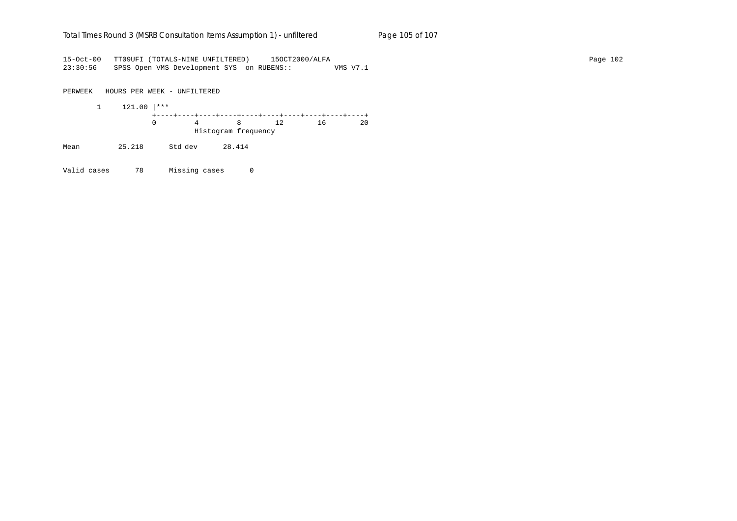#### Total Times Round 3 (MSRB Consultation Items Assumption 1) - un*filtered* Page 105 of 107

15-Oct-00 TT09UFI (TOTALS-NINE UNFILTERED) 15OCT2000/ALFA Page 102 23:30:56 SPSS Open VMS Development SYS on RUBENS:: VMS V7.1

PERWEEK HOURS PER WEEK - UNFILTERED

 1 121.00 |\*\*\* +----+----+----+----+----+----+----+----+----+----+ 0 4 8 12 16 20 Histogram frequency

Mean 25.218 Std dev 28.414

Valid cases 78 Missing cases 0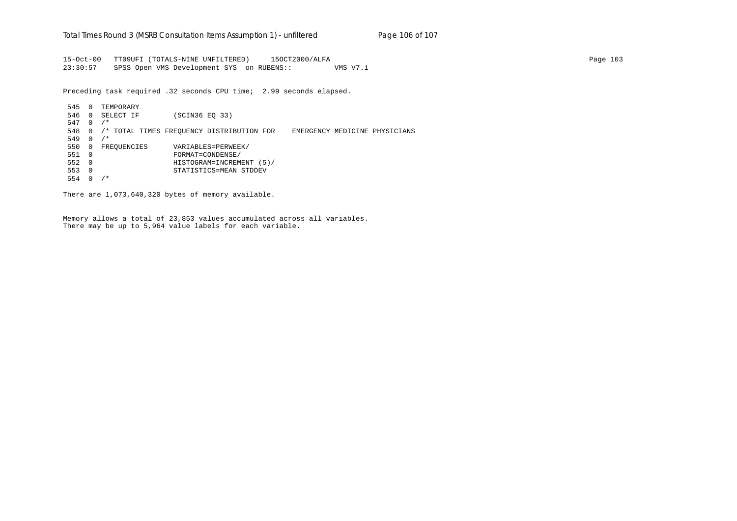15-Oct-00 TT09UFI (TOTALS-NINE UNFILTERED) 15OCT2000/ALFA Page 103 23:30:57 SPSS Open VMS Development SYS on RUBENS:: VMS V7.1

Preceding task required .32 seconds CPU time; 2.99 seconds elapsed.

 545 0 TEMPORARY 546 0 SELECT IF (SCIN36 EQ 33) 547 0 /\* 548 0 /\* TOTAL TIMES FREQUENCY DISTRIBUTION FOR EMERGENCY MEDICINE PHYSICIANS 549 0 /\* 550 0 FREQUENCIES VARIABLES=PERWEEK/ 551 0 FORMAT=CONDENSE/ 552 0 HISTOGRAM=INCREMENT (5)/ 553 0 STATISTICS=MEAN STDDEV 554 0 /\*

There are 1,073,640,320 bytes of memory available.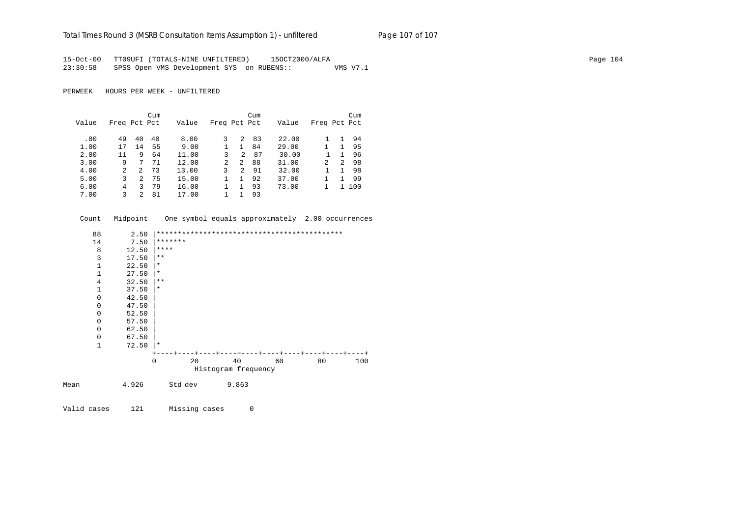#### Total Times Round 3 (MSRB Consultation Items Assumption 1) - un*filtered* Page 107 of 107

15-Oct-00 TT09UFI (TOTALS-NINE UNFILTERED) 15OCT2000/ALFA Page 104 23:30:58 SPSS Open VMS Development SYS on RUBENS:: VMS V7.1

PERWEEK HOURS PER WEEK - UNFILTERED

|       |              |               | Cum |       |              |                | Cum |       |               |    | Cum |
|-------|--------------|---------------|-----|-------|--------------|----------------|-----|-------|---------------|----|-----|
| Value | Freq Pct Pct |               |     | Value | Freq Pct Pct |                |     | Value | Freq Pct Pct  |    |     |
|       |              |               |     |       |              |                |     |       |               |    |     |
| .00   | 49           | 40            | 40  | 8.00  | 3            | 2              | 83  | 22.00 |               |    | 94  |
| 1.00  | 17           | 14            | 55  | 9.00  |              | 1.             | 84  | 29.00 |               | 1. | 95  |
| 2.00  | 11           | 9             | 64  | 11.00 | 3            | 2              | 87  | 30.00 |               |    | 96  |
| 3.00  | 9            | 7             | 71  | 12.00 | 2            | 2              | 88  | 31.00 | $\mathcal{L}$ | 2  | 98  |
| 4.00  | 2            | $\mathcal{L}$ | 73  | 13.00 | 3            | $\mathfrak{D}$ | 91  | 32.00 |               |    | 98  |
| 5.00  | 3            | 2             | 75  | 15.00 |              |                | 92  | 37.00 |               |    | 99  |
| 6.00  | 4            | 3             | 79  | 16.00 |              | 1              | 93  | 73.00 |               | 1. | 100 |
| 7.00  |              | 2             | 81  | 17.00 |              |                | 93  |       |               |    |     |

Count Midpoint One symbol equals approximately 2.00 occurrences

| 88   | 2.50                    |                   |                     |    |           |
|------|-------------------------|-------------------|---------------------|----|-----------|
| 14   | 7.50                    | *******           |                     |    |           |
|      | 8<br>12.50              | $***$ * * *       |                     |    |           |
|      | 3<br>17.50              | $***$             |                     |    |           |
|      | $\mathbf 1$<br>22.50    | $^\star$          |                     |    |           |
|      | $\mathbf{1}$<br>27.50   | $^\star$          |                     |    |           |
|      | $\overline{4}$<br>32.50 | $* *$             |                     |    |           |
|      | 1<br>37.50              | $\ast$            |                     |    |           |
|      | $\mathbf 0$<br>42.50    |                   |                     |    |           |
|      | $\mathbf 0$<br>47.50    |                   |                     |    |           |
|      | $\mathbf 0$<br>52.50    |                   |                     |    |           |
|      | $\mathbf 0$<br>57.50    |                   |                     |    |           |
|      | 0<br>62.50              |                   |                     |    |           |
|      | $\mathbf 0$<br>67.50    |                   |                     |    |           |
|      | $\mathbf{1}$<br>72.50   | $\star$           |                     |    |           |
|      |                         |                   |                     |    |           |
|      |                         | 20<br>$\mathbf 0$ | 40                  | 60 | 80<br>100 |
|      |                         |                   | Histogram frequency |    |           |
| Mean | 4.926                   | Std dev           | 9.863               |    |           |
|      |                         |                   |                     |    |           |

Valid cases 121 Missing cases 0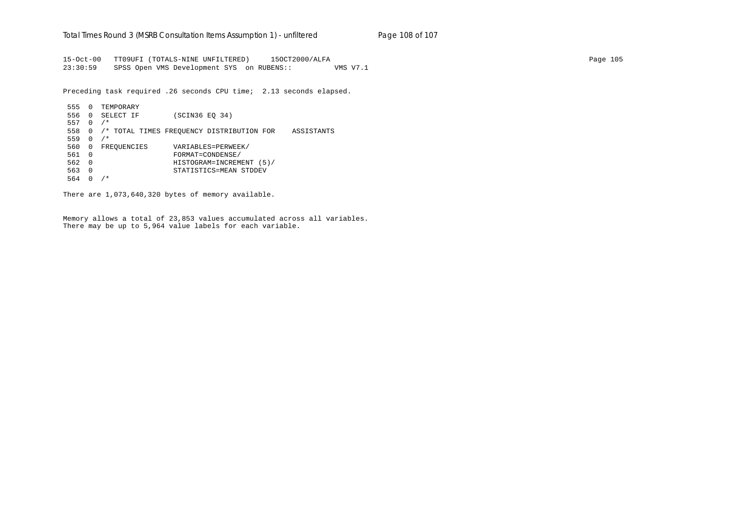15-Oct-00 TT09UFI (TOTALS-NINE UNFILTERED) 15OCT2000/ALFA Page 105 23:30:59 SPSS Open VMS Development SYS on RUBENS:: VMS V7.1

Preceding task required .26 seconds CPU time; 2.13 seconds elapsed.

 555 0 TEMPORARY 556 0 SELECT IF (SCIN36 EQ 34) 557 0 /\* 558 0 /\* TOTAL TIMES FREQUENCY DISTRIBUTION FOR ASSISTANTS 559 0 /\* 560 0 FREQUENCIES VARIABLES=PERWEEK/ 561 0 FORMAT=CONDENSE/ 562 0 HISTOGRAM=INCREMENT (5)/ 563 0 STATISTICS=MEAN STDDEV 564 0 /\*

There are 1,073,640,320 bytes of memory available.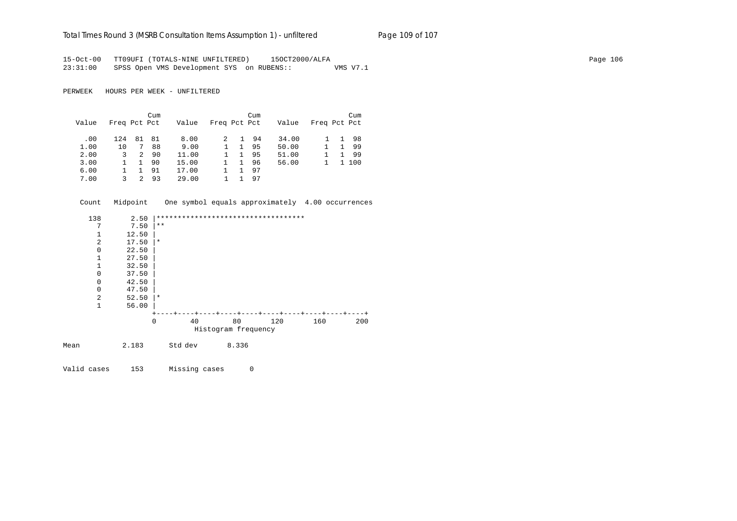# Total Times Round 3 (MSRB Consultation Items Assumption 1) - unfiltered Page 109 of 107

15-Oct-00 TT09UFI (TOTALS-NINE UNFILTERED) 15OCT2000/ALFA Page 106 23:31:00 SPSS Open VMS Development SYS on RUBENS:: VMS V7.1

PERWEEK HOURS PER WEEK - UNFILTERED

|       |              |               | Cum |       |              |              | Cum |       |              |              | Cum   |
|-------|--------------|---------------|-----|-------|--------------|--------------|-----|-------|--------------|--------------|-------|
| Value | Freq Pct Pct |               |     | Value | Freq Pct Pct |              |     | Value | Freq Pct Pct |              |       |
| .00   | 124          | 81            | 81  | 8.00  |              | 1.           | -94 | 34.00 |              | $\mathbf{1}$ | -98   |
| 1.00  | 10           | 7             | 88  | 9.00  |              | 1.           | 95  | 50.00 |              |              | -99   |
| 2.00  | 3            | 2             | 90  | 11.00 |              | $\mathbf{1}$ | 95  | 51.00 |              |              | -99   |
| 3.00  |              | 1             | 90  | 15.00 |              | $\mathbf{1}$ | 96  | 56.00 |              |              | 1 100 |
| 6.00  |              |               | 91  | 17.00 |              |              | 97  |       |              |              |       |
| 7.00  | 3            | $\mathcal{P}$ | 93  | 29.00 |              |              | 97  |       |              |              |       |

|      | Count          | Midpoint |          |         |                     | One symbol equals approximately 4.00 occurrences |     |     |
|------|----------------|----------|----------|---------|---------------------|--------------------------------------------------|-----|-----|
|      | 138            | 2.50     |          |         |                     | ***********************************              |     |     |
|      | 7              | 7.50     | $* *$    |         |                     |                                                  |     |     |
|      | 1              | 12.50    |          |         |                     |                                                  |     |     |
|      | $\overline{2}$ | 17.50    | $\star$  |         |                     |                                                  |     |     |
|      | $\mathbf 0$    | 22.50    |          |         |                     |                                                  |     |     |
|      | $\mathbf{1}$   | 27.50    |          |         |                     |                                                  |     |     |
|      | $\mathbf{1}$   | 32.50    |          |         |                     |                                                  |     |     |
|      | $\mathbf 0$    | 37.50    |          |         |                     |                                                  |     |     |
|      | $\mathbf 0$    | 42.50    |          |         |                     |                                                  |     |     |
|      | $\mathbf 0$    | 47.50    |          |         |                     |                                                  |     |     |
|      | 2              | 52.50    | $\star$  |         |                     |                                                  |     |     |
|      | $\mathbf{1}$   | 56.00    |          |         |                     |                                                  |     |     |
|      |                |          |          |         |                     |                                                  |     |     |
|      |                |          | $\Omega$ | 40      | 80                  | 120                                              | 160 | 200 |
|      |                |          |          |         | Histogram frequency |                                                  |     |     |
| Mean |                | 2.183    |          | Std dev | 8.336               |                                                  |     |     |
|      |                |          |          |         |                     |                                                  |     |     |

Valid cases 153 Missing cases 0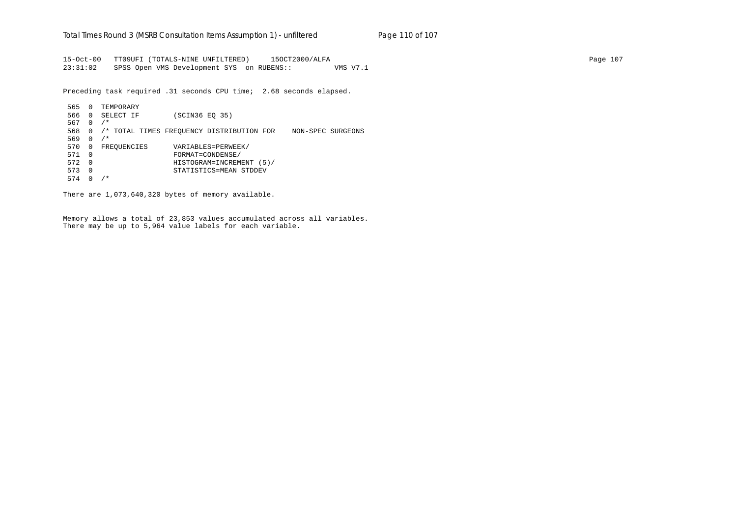15-Oct-00 TT09UFI (TOTALS-NINE UNFILTERED) 15OCT2000/ALFA Page 107 23:31:02 SPSS Open VMS Development SYS on RUBENS:: VMS V7.1

Preceding task required .31 seconds CPU time; 2.68 seconds elapsed.

 565 0 TEMPORARY 566 0 SELECT IF (SCIN36 EQ 35) 567 0 /\* 568 0 /\* TOTAL TIMES FREQUENCY DISTRIBUTION FOR NON-SPEC SURGEONS 569 0 /\* 570 0 FREQUENCIES VARIABLES=PERWEEK/ 571 0 FORMAT=CONDENSE/ 572 0 HISTOGRAM=INCREMENT (5)/ 573 0 STATISTICS=MEAN STDDEV 574 0 /\*

There are 1,073,640,320 bytes of memory available.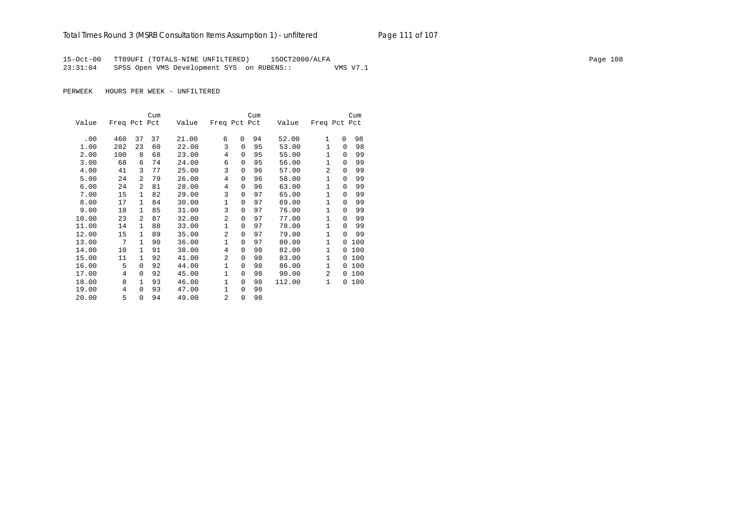## Total Times Round 3 (MSRB Consultation Items Assumption 1) - unfiltered Page 111 of 107

15-Oct-00 TT09UFI (TOTALS-NINE UNFILTERED) 15OCT2000/ALFA Page 108 23:31:04 SPSS Open VMS Development SYS on RUBENS:: VMS V7.1

PERWEEK HOURS PER WEEK - UNFILTERED

|       |              |                | Cum |       |                |             | Cum |        |                |          | Cum |
|-------|--------------|----------------|-----|-------|----------------|-------------|-----|--------|----------------|----------|-----|
| Value | Freq Pct Pct |                |     | Value | Freq Pct Pct   |             |     | Value  | Freq Pct Pct   |          |     |
|       |              |                |     |       |                |             |     |        |                |          |     |
| .00   | 460          | 37             | 37  | 21.00 | 6              | $\Omega$    | 94  | 52.00  | $\mathbf{1}$   | 0        | 98  |
| 1.00  | 282          | 23             | 60  | 22.00 | 3              | $\Omega$    | 95  | 53.00  | 1              | $\Omega$ | 98  |
| 2.00  | 100          | 8              | 68  | 23.00 | 4              | 0           | 95  | 55.00  | $\mathbf{1}$   | $\Omega$ | 99  |
| 3.00  | 68           | 6              | 74  | 24.00 | 6              | 0           | 95  | 56.00  | $\mathbf{1}$   | $\Omega$ | 99  |
| 4.00  | 41           | 3              | 77  | 25.00 | 3              | 0           | 96  | 57.00  | $\overline{2}$ | $\Omega$ | 99  |
| 5.00  | 24           | $\overline{a}$ | 79  | 26.00 | $\overline{4}$ | 0           | 96  | 58.00  | 1              | $\Omega$ | 99  |
| 6.00  | 24           | $\overline{a}$ | 81  | 28.00 | 4              | 0           | 96  | 63.00  | $\mathbf{1}$   | $\Omega$ | 99  |
| 7.00  | 15           | 1              | 82  | 29.00 | 3              | 0           | 97  | 65.00  | 1              | $\Omega$ | 99  |
| 8.00  | 17           | $\mathbf{1}$   | 84  | 30.00 | $\mathbf 1$    | 0           | 97  | 69.00  | $\mathbf{1}$   | $\Omega$ | 99  |
| 9.00  | 18           | $\mathbf{1}$   | 85  | 31.00 | 3              | 0           | 97  | 76.00  | $\mathbf{1}$   | $\Omega$ | 99  |
| 10.00 | 23           | $\overline{2}$ | 87  | 32.00 | $\overline{a}$ | $\Omega$    | 97  | 77.00  | $\mathbf{1}$   | $\Omega$ | 99  |
| 11.00 | 14           | $\mathbf{1}$   | 88  | 33.00 | $\mathbf{1}$   | 0           | 97  | 78.00  | $\mathbf{1}$   | $\Omega$ | 99  |
| 12.00 | 15           | $\mathbf{1}$   | 89  | 35.00 | $\overline{a}$ | 0           | 97  | 79.00  | $\mathbf{1}$   | $\Omega$ | 99  |
| 13.00 | 7            | $\mathbf{1}$   | 90  | 36.00 | $\mathbf{1}$   | $\Omega$    | 97  | 80.00  | $\mathbf{1}$   | $\Omega$ | 100 |
| 14.00 | 10           | $\mathbf{1}$   | 91  | 38.00 | 4              | 0           | 98  | 82.00  | $\mathbf{1}$   | 0        | 100 |
| 15.00 | 11           | $\mathbf{1}$   | 92  | 41.00 | $\overline{a}$ | 0           | 98  | 83.00  | $\mathbf{1}$   | $\Omega$ | 100 |
| 16.00 | 5            | $\Omega$       | 92  | 44.00 | $\mathbf{1}$   | 0           | 98  | 86.00  | $\mathbf{1}$   | $\Omega$ | 100 |
| 17.00 | 4            | $\Omega$       | 92  | 45.00 | $\mathbf 1$    | 0           | 98  | 90.00  | 2              | $\Omega$ | 100 |
| 18.00 | 8            | 1              | 93  | 46.00 | $\mathbf{1}$   | 0           | 98  | 112.00 | $\mathbf{1}$   | 0        | 100 |
| 19.00 | 4            | $\Omega$       | 93  | 47.00 | $\mathbf{1}$   | 0           | 98  |        |                |          |     |
| 20.00 | 5            | $\Omega$       | 94  | 49.00 | 2              | $\mathbf 0$ | 98  |        |                |          |     |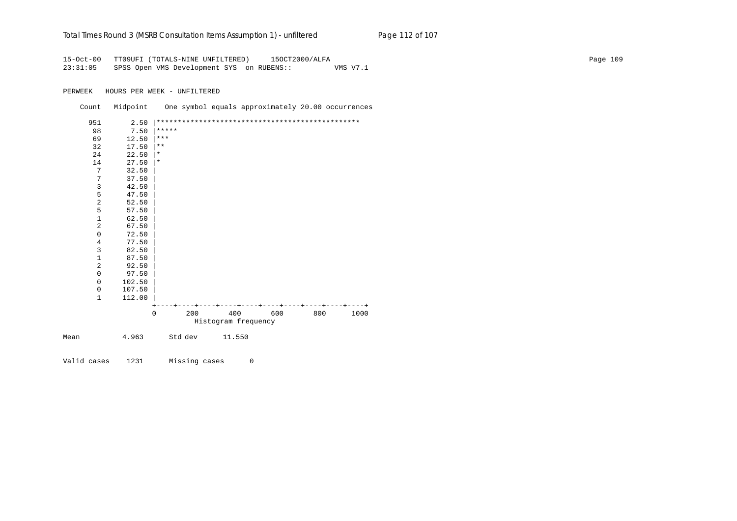| Total Times Round 3 (MSRB Consultation Items Assumption 1) - unfiltered<br>Page 112 of 107 |  |
|--------------------------------------------------------------------------------------------|--|
|--------------------------------------------------------------------------------------------|--|

15-Oct-00 TT09UFI (TOTALS-NINE UNFILTERED) 15OCT2000/ALFA Page 109 23:31:05 SPSS Open VMS Development SYS on RUBENS:: VMS V7.1

PERWEEK HOURS PER WEEK - UNFILTERED

|      | Count          | Midpoint |              |     |                     | One symbol equals approximately 20.00 occurrences   |     |      |
|------|----------------|----------|--------------|-----|---------------------|-----------------------------------------------------|-----|------|
|      | 951            | 2.50     |              |     |                     |                                                     |     |      |
|      | 98             | 7.50     | *****        |     |                     |                                                     |     |      |
|      | 69             | 12.50    | $***$        |     |                     |                                                     |     |      |
|      | 32             | 17.50    | $\star\star$ |     |                     |                                                     |     |      |
|      | 24             | 22.50    | $\star$      |     |                     |                                                     |     |      |
|      | 14             | 27.50    | $\star$      |     |                     |                                                     |     |      |
|      | 7              | 32.50    |              |     |                     |                                                     |     |      |
|      | 7              | 37.50    |              |     |                     |                                                     |     |      |
|      | 3              | 42.50    |              |     |                     |                                                     |     |      |
|      | 5              | 47.50    |              |     |                     |                                                     |     |      |
|      | $\overline{2}$ | 52.50    |              |     |                     |                                                     |     |      |
|      | 5              | 57.50    |              |     |                     |                                                     |     |      |
|      | $\mathbf 1$    | 62.50    |              |     |                     |                                                     |     |      |
|      | $\overline{2}$ | 67.50    |              |     |                     |                                                     |     |      |
|      | $\mathbf 0$    | 72.50    |              |     |                     |                                                     |     |      |
|      | 4              | 77.50    |              |     |                     |                                                     |     |      |
|      | $\mathsf{3}$   | 82.50    |              |     |                     |                                                     |     |      |
|      | $1\,$          | 87.50    |              |     |                     |                                                     |     |      |
|      | $\overline{2}$ | 92.50    |              |     |                     |                                                     |     |      |
|      | $\mathbf 0$    | 97.50    |              |     |                     |                                                     |     |      |
|      | $\mathbf 0$    | 102.50   |              |     |                     |                                                     |     |      |
|      | 0              | 107.50   |              |     |                     |                                                     |     |      |
|      | $\mathbf{1}$   | 112.00   |              |     |                     |                                                     |     |      |
|      |                |          |              |     |                     | ---+----+----+-----+----+----+----+----+---+---+--- |     |      |
|      |                |          | $\Omega$     | 200 | 400                 | 600                                                 | 800 | 1000 |
|      |                |          |              |     | Histogram frequency |                                                     |     |      |
| Mean |                | 4.963    | Std dev      |     | 11.550              |                                                     |     |      |
|      |                |          |              |     |                     |                                                     |     |      |

Valid cases 1231 Missing cases 0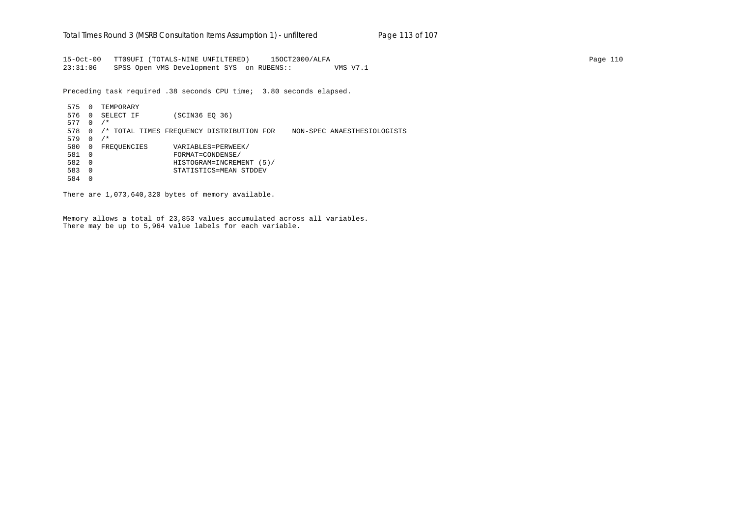15-Oct-00 TT09UFI (TOTALS-NINE UNFILTERED) 15OCT2000/ALFA Page 110 23:31:06 SPSS Open VMS Development SYS on RUBENS:: VMS V7.1

Preceding task required .38 seconds CPU time; 3.80 seconds elapsed.

 575 0 TEMPORARY 576 0 SELECT IF (SCIN36 EQ 36) 577 0 /\* 578 0 /\* TOTAL TIMES FREQUENCY DISTRIBUTION FOR NON-SPEC ANAESTHESIOLOGISTS 579 0 /\* 580 0 FREQUENCIES VARIABLES=PERWEEK/ 581 0 FORMAT=CONDENSE/ 582 0 HISTOGRAM=INCREMENT (5)/ 583 0 STATISTICS=MEAN STDDEV 584 0

There are 1,073,640,320 bytes of memory available.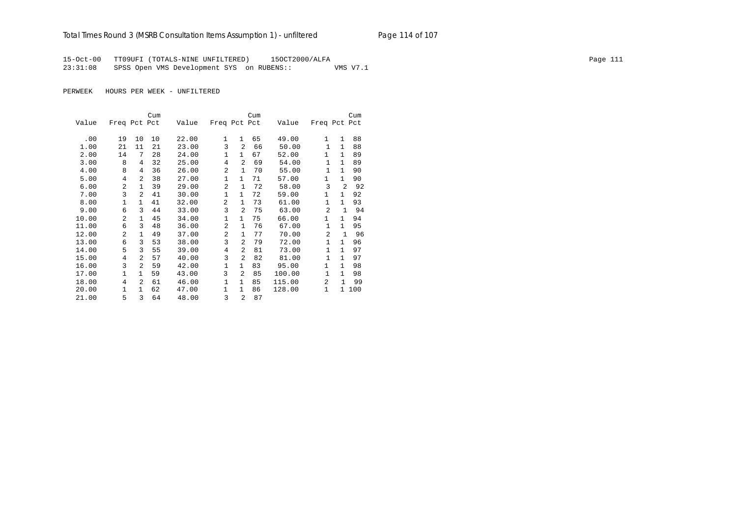## Total Times Round 3 (MSRB Consultation Items Assumption 1) - unfiltered Page 114 of 107

15-Oct-00 TT09UFI (TOTALS-NINE UNFILTERED) 15OCT2000/ALFA Page 111 23:31:08 SPSS Open VMS Development SYS on RUBENS:: VMS V7.1

PERWEEK HOURS PER WEEK - UNFILTERED

|       |                |                | Cum |       |                |                | Cum |        |                |              | Cum   |
|-------|----------------|----------------|-----|-------|----------------|----------------|-----|--------|----------------|--------------|-------|
| Value | Freq Pct Pct   |                |     | Value | Freq Pct Pct   |                |     | Value  | Freq Pct Pct   |              |       |
| .00   | 19             | 10             | 10  | 22.00 | 1              | $\mathbf{1}$   | 65  | 49.00  | 1              | $\mathbf{1}$ | 88    |
| 1.00  |                | 11             | 21  | 23.00 | 3              | $\overline{a}$ | 66  | 50.00  | $\mathbf{1}$   | 1            | 88    |
|       | 21             | 7              | 28  |       | $\mathbf{1}$   | $\mathbf{1}$   | 67  |        | 1              | $\mathbf{1}$ | 89    |
| 2.00  | 14             |                |     | 24.00 |                |                |     | 52.00  |                |              |       |
| 3.00  | 8              | 4              | 32  | 25.00 | $\overline{4}$ | $\overline{a}$ | 69  | 54.00  | 1              | $\mathbf{1}$ | 89    |
| 4.00  | 8              | 4              | 36  | 26.00 | $\overline{a}$ | $\mathbf{1}$   | 70  | 55.00  | $\mathbf{1}$   | $\mathbf{1}$ | 90    |
| 5.00  | 4              | 2              | 38  | 27.00 | $\mathbf{1}$   | $\mathbf{1}$   | 71  | 57.00  | 1              | $\mathbf{1}$ | 90    |
| 6.00  | $\overline{2}$ | $\mathbf{1}$   | 39  | 29.00 | $\overline{a}$ | $\mathbf{1}$   | 72  | 58.00  | 3              | 2            | 92    |
| 7.00  | 3              | 2              | 41  | 30.00 | 1              | $\mathbf{1}$   | 72  | 59.00  | 1              | 1            | 92    |
| 8.00  | $\mathbf{1}$   | $\mathbf{1}$   | 41  | 32.00 | $\overline{2}$ | $\mathbf{1}$   | 73  | 61.00  | $\mathbf{1}$   | $\mathbf{1}$ | 93    |
| 9.00  | 6              | 3              | 44  | 33.00 | 3              | $\overline{a}$ | 75  | 63.00  | $\overline{a}$ | $\mathbf{1}$ | 94    |
| 10.00 | $\mathfrak{D}$ | $\mathbf{1}$   | 45  | 34.00 | $\mathbf 1$    | $\mathbf{1}$   | 75  | 66.00  | 1              | $\mathbf{1}$ | 94    |
| 11.00 | 6              | 3              | 48  | 36.00 | 2              | 1              | 76  | 67.00  | $\mathbf{1}$   | $\mathbf{1}$ | 95    |
| 12.00 | $\overline{2}$ | $\mathbf{1}$   | 49  | 37.00 | 2              | 1              | 77  | 70.00  | $\overline{a}$ | $\mathbf{1}$ | 96    |
| 13.00 | 6              | 3              | 53  | 38.00 | 3              | 2              | 79  | 72.00  | $\mathbf{1}$   | $\mathbf{1}$ | 96    |
| 14.00 | 5              | 3              | 55  | 39.00 | 4              | $\overline{2}$ | 81  | 73.00  | $\mathbf{1}$   | $\mathbf{1}$ | 97    |
| 15.00 | 4              | 2              | 57  | 40.00 | 3              | 2              | 82  | 81.00  | 1              | 1            | 97    |
| 16.00 | 3              | $\overline{2}$ | 59  | 42.00 | $\mathbf{1}$   | $\mathbf{1}$   | 83  | 95.00  | $\mathbf{1}$   | $\mathbf{1}$ | 98    |
| 17.00 | $\mathbf{1}$   | $\mathbf{1}$   | 59  | 43.00 | 3              | $\overline{a}$ | 85  | 100.00 | 1              | $\mathbf{1}$ | 98    |
| 18.00 | 4              | $\mathfrak{D}$ | 61  | 46.00 | $\mathbf{1}$   | $\mathbf{1}$   | 85  | 115.00 | $\overline{a}$ | $\mathbf{1}$ | 99    |
| 20.00 | 1              | 1              | 62  | 47.00 | 1              | $\mathbf{1}$   | 86  | 128.00 | 1              |              | 1 100 |
| 21.00 | 5              | 3              | 64  | 48.00 | 3              | $\overline{a}$ | 87  |        |                |              |       |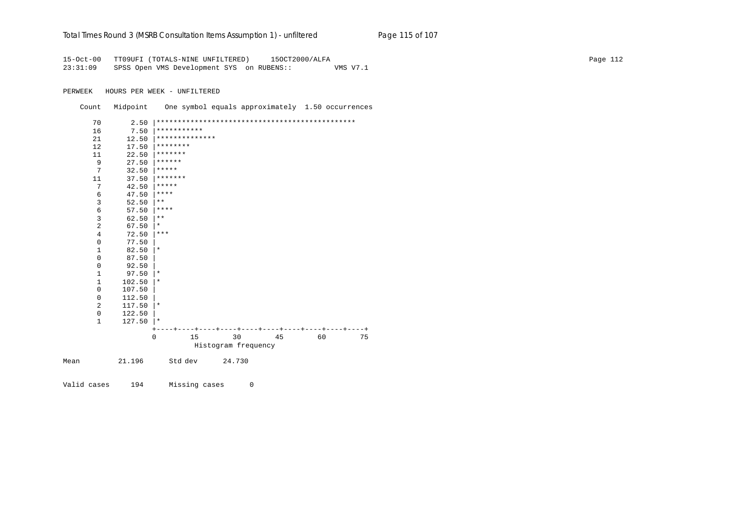| Total Times Round 3 (MSRB Consultation Items Assumption 1) - unfiltered |  | Page 115 of 107 |
|-------------------------------------------------------------------------|--|-----------------|
|-------------------------------------------------------------------------|--|-----------------|

15-Oct-00 TT09UFI (TOTALS-NINE UNFILTERED) 15OCT2000/ALFA Page 112 23:31:09 SPSS Open VMS Development SYS on RUBENS:: VMS V7.1

PERWEEK HOURS PER WEEK - UNFILTERED

 Count Midpoint One symbol equals approximately 1.50 occurrences 70 2.50 |\*\*\*\*\*\*\*\*\*\*\*\*\*\*\*\*\*\*\*\*\*\*\*\*\*\*\*\*\*\*\*\*\*\*\*\*\*\*\*\*\*\*\*\*\*\*\*  $16$  7.50  $***********$ <br>21 12.50 \*\*\*\*\*\*\*\*\*\*\*\*\* 21  $12.50$   $*********************$ 12 17.50  $********$ <br>11 22.50 \*\*\*\*\*\*\*\* 11 22.50  $******$ <br>9 27.50  $******$ 9 27.50  $*****$ <br>7 32.50  $*****$  $\begin{array}{ccc} 7 & 32.50 & \ast \ast \ast \ast \ 11 & 37.50 & \ast \ast \ast \ast \ast \end{array}$ 11  $37.50$   $******$ <br>
7  $42.50$   $*****$ 7  $42.50$   $****$ <br>6  $47.50$   $****$ 6  $47.50$   $****$ <br>3  $52.50$   $**$  $52.50$  |\*\* 6 57.50  $****$ <br>3 62.50  $**$  $\begin{array}{ccc} 3 & 62.50 & \ast \ast \\ 2 & 67.50 & \ast \end{array}$ 2 67.50  $*$ <br>4 72.50  $*$  $\begin{array}{ccc} 4 & 72.50 & \ast \ast \ast \\ 0 & 77.50 & \end{array}$  0 77.50 |  $\begin{array}{ccc} 1 & 82.50 \ 0 & 87.50 \end{array}$  \*  $0$  87.50<br>0 92.50  $0$  92.50<br>1 97.50  $\begin{array}{ccc} 1 & 97.50 \end{array}$  |\*  $\begin{array}{ccc} 1 & 102.50 \\ 0 & 107.50 \end{array}$  \*  $0$  107.50<br>0 112.50  $\begin{array}{cc} 0 & 112.50 \\ 2 & 117.50 \end{array}$  $\begin{array}{ccc} 2 & 117.50 \ 0 & 122.50 \end{array}$  | \*  $\begin{array}{cc} 0 & 122.50 \\ 1 & 127.50 \end{array}$  $127.50$  |\* +----+----+----+----+----+----+----+----+----+----+ 0 15 30 45 60 75 Histogram frequency Mean 21.196 Std dev 24.730

Valid cases 194 Missing cases 0